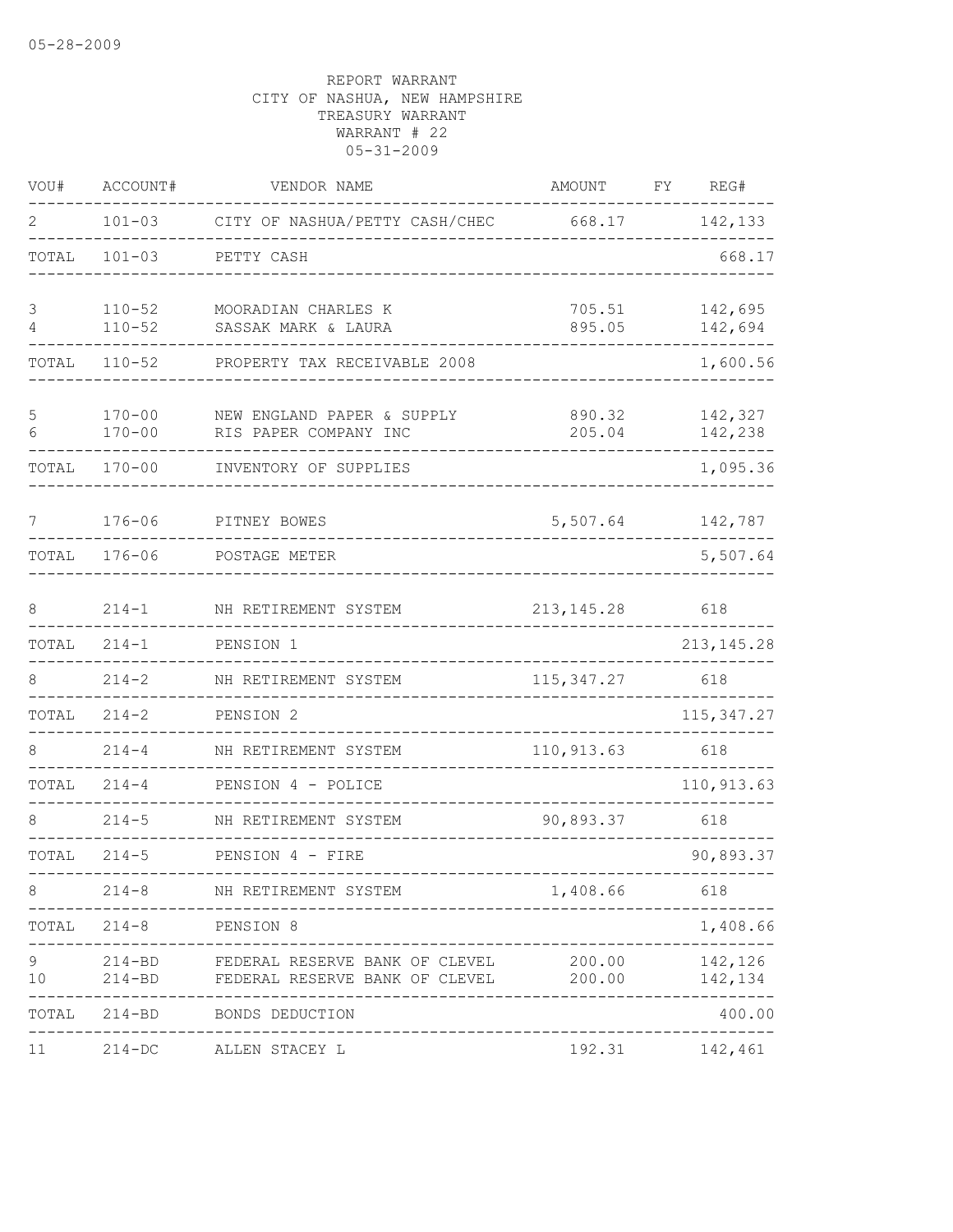| VOU#    | ACCOUNT#                 | VENDOR NAME                                                                    | <b>AMOUNT</b>    | FY | REG#               |
|---------|--------------------------|--------------------------------------------------------------------------------|------------------|----|--------------------|
| 2       | $101 - 03$               | CITY OF NASHUA/PETTY CASH/CHEC                                                 | 668.17           |    | 142,133            |
| TOTAL   | $101 - 03$               | PETTY CASH                                                                     |                  |    | 668.17             |
| 3<br>4  | $110 - 52$<br>$110 - 52$ | MOORADIAN CHARLES K<br>SASSAK MARK & LAURA                                     | 705.51<br>895.05 |    | 142,695<br>142,694 |
| TOTAL   | $110 - 52$               | PROPERTY TAX RECEIVABLE 2008                                                   |                  |    | 1,600.56           |
| 5<br>6  | $170 - 00$<br>$170 - 00$ | NEW ENGLAND PAPER & SUPPLY<br>RIS PAPER COMPANY INC                            | 890.32<br>205.04 |    | 142,327<br>142,238 |
| TOTAL   | $170 - 00$               | INVENTORY OF SUPPLIES                                                          |                  |    | 1,095.36           |
| 7       | $176 - 06$               | PITNEY BOWES                                                                   | 5,507.64         |    | 142,787            |
| TOTAL   | $176 - 06$               | POSTAGE METER                                                                  |                  |    | 5,507.64           |
| 8       | $214 - 1$                | NH RETIREMENT SYSTEM                                                           | 213, 145.28      |    | 618                |
| TOTAL   | $214 - 1$                | PENSION 1                                                                      |                  |    | 213, 145.28        |
| 8       | $214 - 2$                | NH RETIREMENT SYSTEM                                                           | 115, 347.27      |    | 618                |
| TOTAL   | $214 - 2$                | PENSION 2                                                                      |                  |    | 115, 347.27        |
|         | $214 - 4$                | NH RETIREMENT SYSTEM                                                           | 110, 913.63      |    | 618                |
| TOTAL   | $214 - 4$                | PENSION 4 - POLICE                                                             |                  |    | 110,913.63         |
| 8       | $214 - 5$                | NH RETIREMENT SYSTEM                                                           | 90,893.37        |    | 618                |
| TOTAL   | $214 - 5$                | PENSION 4 - FIRE                                                               |                  |    | 90,893.37          |
| 8       |                          | 214-8 NH RETIREMENT SYSTEM                                                     | 1,408.66 618     |    |                    |
|         | TOTAL 214-8 PENSION 8    |                                                                                |                  |    | 1,408.66           |
| 9<br>10 | $214 - BD$               | 214-BD FEDERAL RESERVE BANK OF CLEVEL<br>FEDERAL RESERVE BANK OF CLEVEL 200.00 | 200.00           |    | 142,126<br>142,134 |
|         |                          | TOTAL 214-BD BONDS DEDUCTION                                                   |                  |    | 400.00             |
| 11      |                          | 214-DC ALLEN STACEY L                                                          |                  |    | 192.31 142,461     |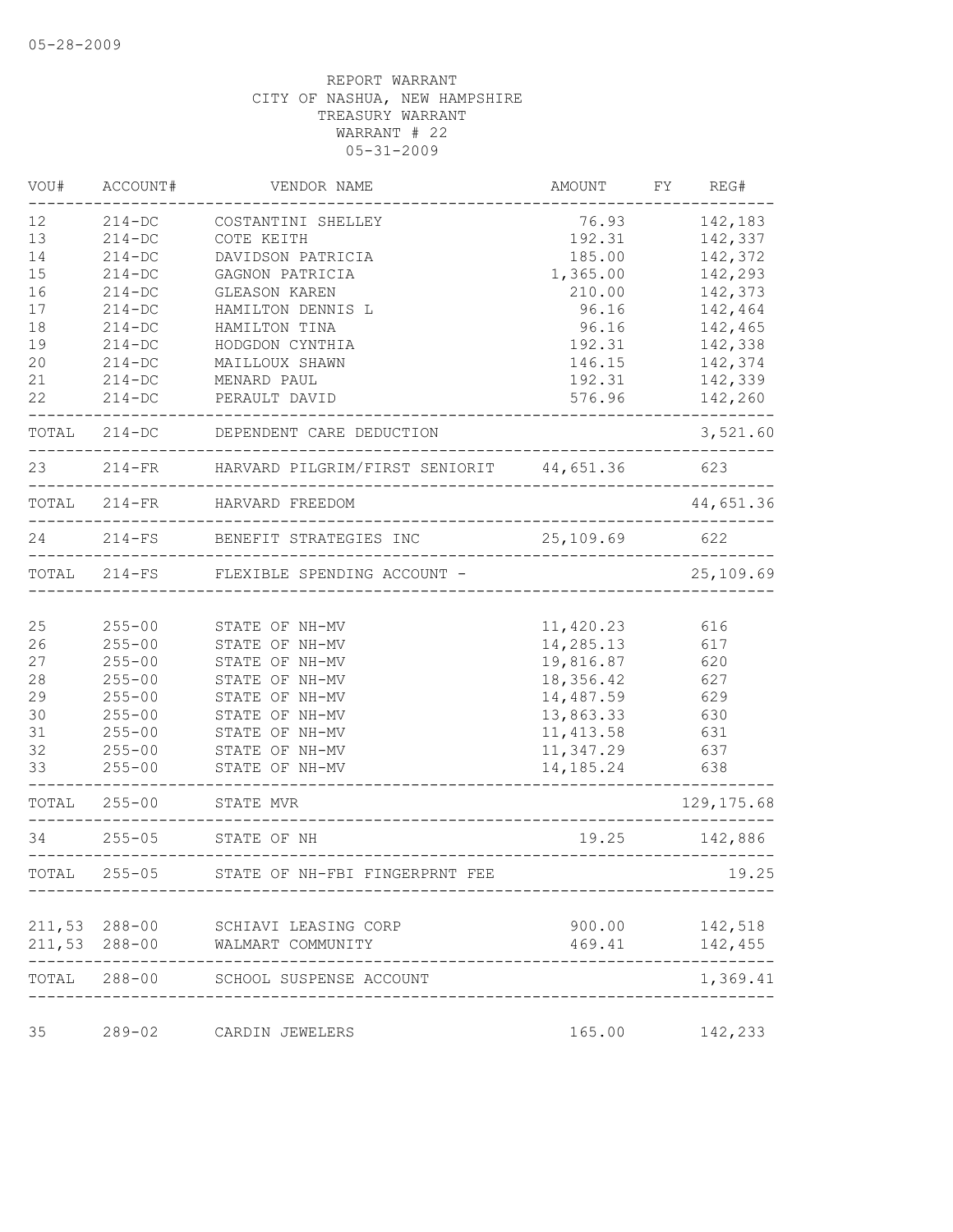| VOU#  | ACCOUNT#      | VENDOR NAME                                          | AMOUNT     | FY REG#              |
|-------|---------------|------------------------------------------------------|------------|----------------------|
| 12    | $214-DC$      | COSTANTINI SHELLEY                                   | 76.93      | 142,183              |
| 13    | $214-DC$      | COTE KEITH                                           | 192.31     | 142,337              |
| 14    | $214-DC$      | DAVIDSON PATRICIA                                    | 185.00     | 142,372              |
| 15    | $214-DC$      | GAGNON PATRICIA                                      | 1,365.00   | 142,293              |
| 16    | $214-DC$      | GLEASON KAREN                                        | 210.00     | 142,373              |
| 17    | $214-DC$      | HAMILTON DENNIS L                                    | 96.16      | 142,464              |
| 18    | $214-DC$      | HAMILTON TINA                                        | 96.16      | 142,465              |
| 19    | $214-DC$      | HODGDON CYNTHIA                                      | 192.31     | 142,338              |
| 20    | $214 - DC$    | MAILLOUX SHAWN                                       | 146.15     | 142,374              |
| 21    | $214 - DC$    | MENARD PAUL                                          | 192.31     | 142,339              |
| 22    | $214 - DC$    | PERAULT DAVID                                        | 576.96     | 142,260              |
|       |               | TOTAL 214-DC DEPENDENT CARE DEDUCTION                |            | 3,521.60             |
| 23    |               | 214-FR HARVARD PILGRIM/FIRST SENIORIT 44,651.36 623  |            |                      |
|       |               | TOTAL 214-FR HARVARD FREEDOM                         |            | 44,651.36            |
| 24    | $214-FS$      | BENEFIT STRATEGIES INC                               | 25,109.69  | 622<br>_____________ |
|       |               | TOTAL 214-FS FLEXIBLE SPENDING ACCOUNT -             |            | 25,109.69            |
|       |               |                                                      |            |                      |
| 25    | $255 - 00$    | STATE OF NH-MV                                       | 11,420.23  | 616                  |
| 26    | $255 - 00$    | STATE OF NH-MV                                       | 14,285.13  | 617                  |
| 27    | $255 - 00$    | STATE OF NH-MV                                       | 19,816.87  | 620                  |
| 28    | $255 - 00$    | STATE OF NH-MV                                       | 18,356.42  | 627                  |
| 29    | $255 - 00$    | STATE OF NH-MV                                       | 14,487.59  | 629                  |
| 30    | $255 - 00$    | STATE OF NH-MV                                       | 13,863.33  | 630                  |
| 31    | $255 - 00$    | STATE OF NH-MV                                       | 11, 413.58 | 631                  |
| 32    | $255 - 00$    | STATE OF NH-MV                                       | 11,347.29  | 637                  |
| 33    | $255 - 00$    | STATE OF NH-MV                                       | 14,185.24  | 638                  |
|       | TOTAL 255-00  | STATE MVR                                            |            | 129, 175.68          |
| 34    |               | 255-05 STATE OF NH<br>------------------------------ | 19.25      | 142,886              |
| TOTAL | $255 - 05$    | STATE OF NH-FBI FINGERPRNT FEE                       |            | 19.25                |
|       |               |                                                      |            |                      |
|       | 211,53 288-00 | SCHIAVI LEASING CORP                                 | 900.00     | 142,518              |
|       | 211,53 288-00 | WALMART COMMUNITY                                    | 469.41     | 142,455              |
|       |               | TOTAL 288-00 SCHOOL SUSPENSE ACCOUNT                 |            | 1,369.41             |
| 35    | $289 - 02$    | CARDIN JEWELERS                                      | 165.00     | 142,233              |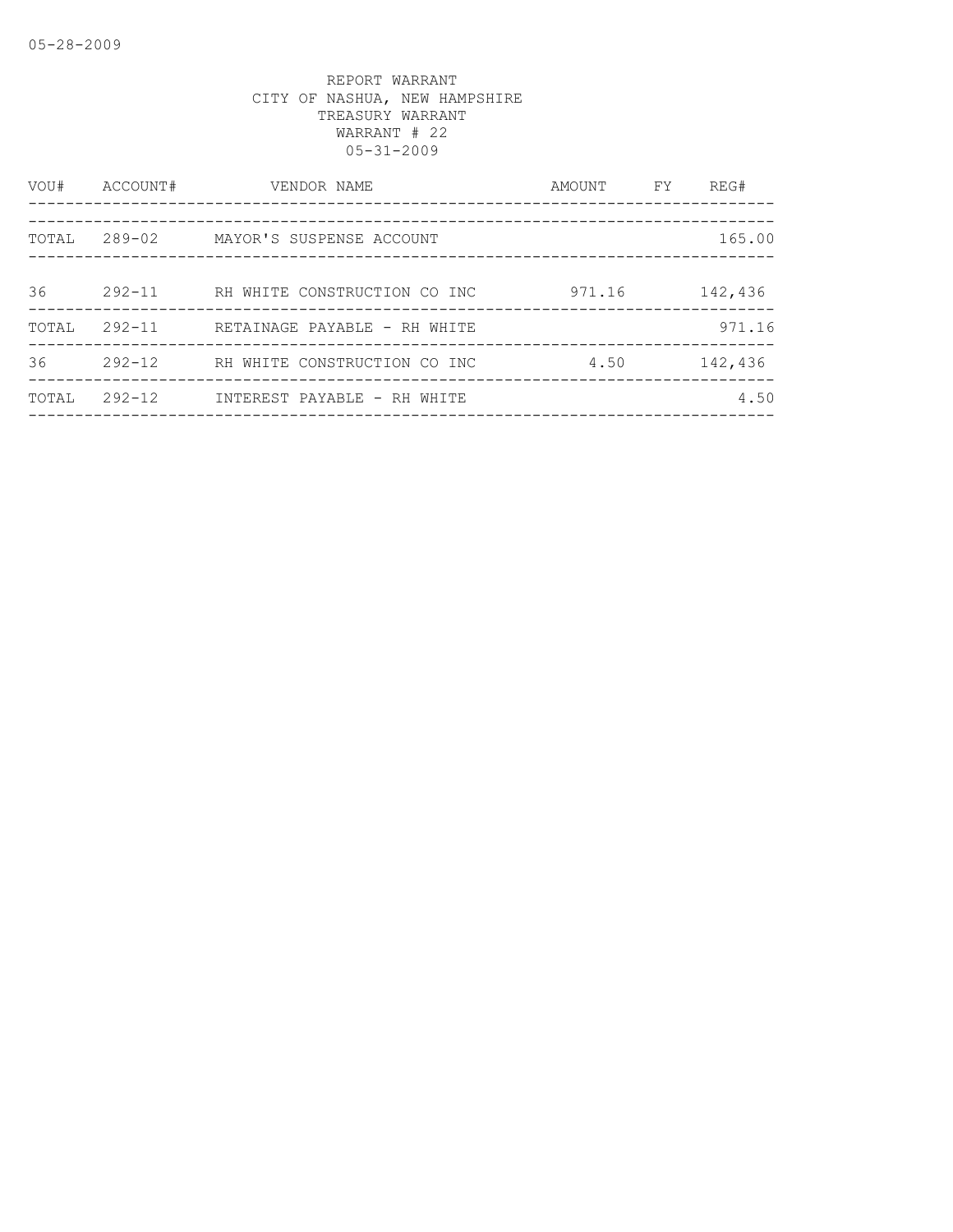| VOU#  | ACCOUNT#   | VENDOR NAME<br>_____________________________________ | AMOUNT FY | REG#    |
|-------|------------|------------------------------------------------------|-----------|---------|
|       |            |                                                      |           |         |
| TOTAL |            | 289-02 MAYOR'S SUSPENSE ACCOUNT                      |           | 165.00  |
|       |            |                                                      |           |         |
| 36    | $292 - 11$ | RH WHITE CONSTRUCTION CO INC                         | 971.16    | 142,436 |
| TOTAL | $292 - 11$ | RETAINAGE PAYABLE - RH WHITE                         |           | 971.16  |
| 36    | $292 - 12$ | RH WHITE CONSTRUCTION CO INC                         | 4.50      | 142,436 |
| TOTAL | $292 - 12$ | INTEREST PAYABLE - RH WHITE                          |           | 4.50    |
|       |            |                                                      |           |         |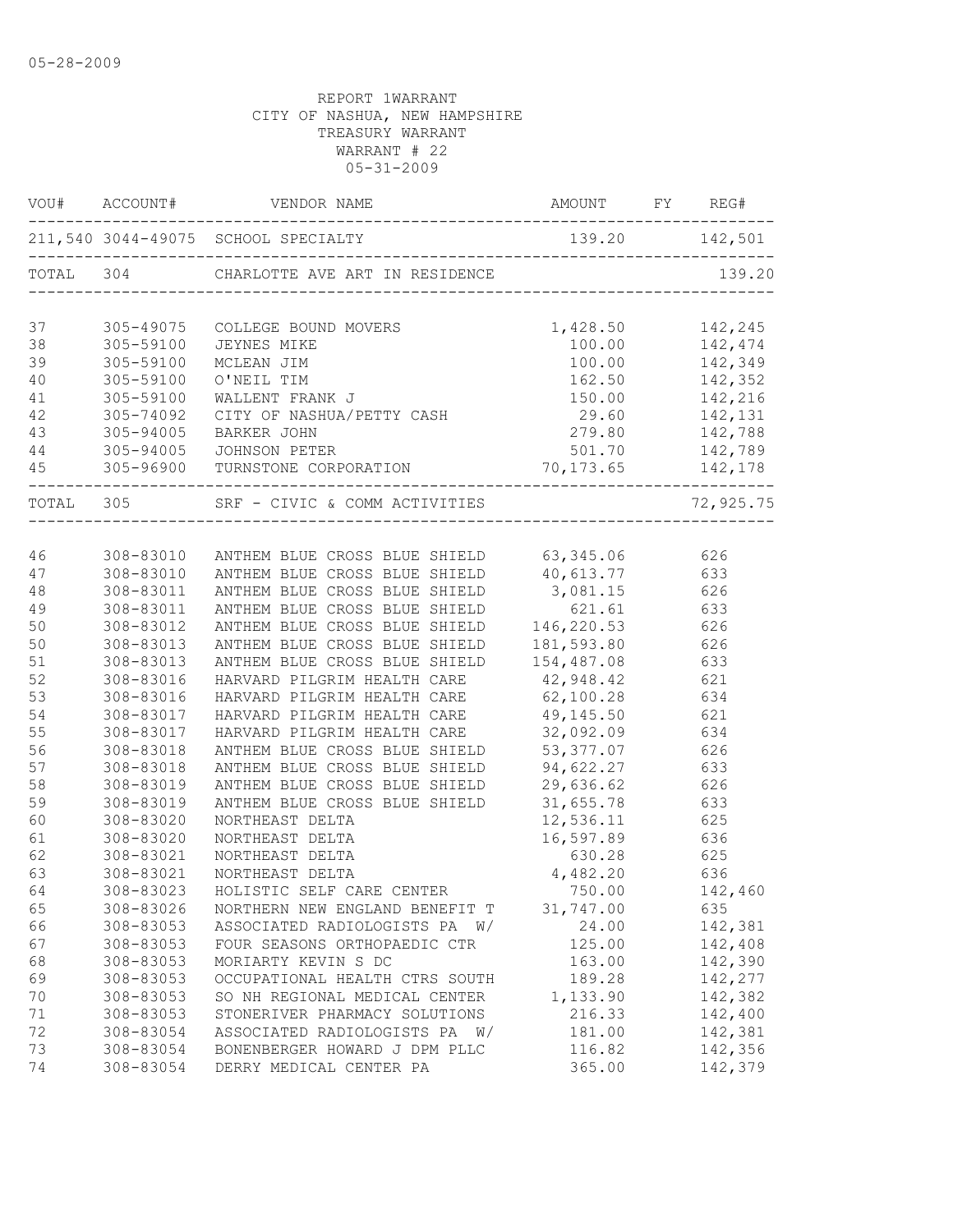|           |           | VOU# ACCOUNT# VENDOR NAME AMOUNT FY REG#              |                               |                               |
|-----------|-----------|-------------------------------------------------------|-------------------------------|-------------------------------|
|           |           | 211,540 3044-49075 SCHOOL SPECIALTY 139.20 142,5      | 139.20 142,501                |                               |
|           |           | TOTAL 304 CHARLOTTE AVE ART IN RESIDENCE              |                               | 139.20                        |
| 37        | 305-49075 | COLLEGE BOUND MOVERS<br>JEYNES MIKE<br>MCLEAN JIM     | 1,428.50 142,245              |                               |
| 38        | 305-59100 |                                                       | 100.00                        |                               |
| 39        | 305-59100 |                                                       | 100.00                        | 142,474<br>142,349<br>142,352 |
| 40        | 305-59100 | O'NEIL TIM                                            | 162.50                        |                               |
| 41        | 305-59100 | WALLENT FRANK J                                       |                               | 150.00 142,216                |
| 42        | 305-74092 | CITY OF NASHUA/PETTY CASH 29.60 142,131               |                               |                               |
| 43        | 305-94005 | BARKER JOHN                                           | 279.80 142,788                |                               |
| 44        |           | 305-94005 JOHNSON PETER                               |                               | 501.70 142,789                |
| 45        |           | 305-96900 TURNSTONE CORPORATION 70,173.65 142,178     | . _ _ _ _ _ _ _ _ _ _ _ _ _ _ |                               |
| TOTAL 305 |           | SRF - CIVIC & COMM ACTIVITIES                         |                               | 72,925.75                     |
|           |           |                                                       |                               |                               |
| 46        |           | 308-83010 ANTHEM BLUE CROSS BLUE SHIELD 63,345.06 626 |                               |                               |
| 47        | 308-83010 | ANTHEM BLUE CROSS BLUE SHIELD 40, 613.77 633          |                               |                               |
| 48        | 308-83011 | ANTHEM BLUE CROSS BLUE SHIELD                         | 3,081.15 626                  |                               |
| 49        | 308-83011 | ANTHEM BLUE CROSS BLUE SHIELD                         | 621.61 633                    |                               |
| 50        | 308-83012 | ANTHEM BLUE CROSS BLUE SHIELD                         | 146, 220.53 626               |                               |
| 50        | 308-83013 | ANTHEM BLUE CROSS BLUE SHIELD                         | 181,593.80                    | 626                           |
| 51        | 308-83013 | ANTHEM BLUE CROSS BLUE SHIELD                         | 154,487.08                    | 633                           |
| 52        | 308-83016 | HARVARD PILGRIM HEALTH CARE                           | 42,948.42                     | 621                           |
| 53        | 308-83016 | HARVARD PILGRIM HEALTH CARE                           | $62,100.28$ 634               |                               |
| 54        | 308-83017 | HARVARD PILGRIM HEALTH CARE 49,145.50 621             |                               |                               |
| 55        | 308-83017 | HARVARD PILGRIM HEALTH CARE                           | 32,092.09 634                 |                               |
| 56        | 308-83018 | ANTHEM BLUE CROSS BLUE SHIELD 53,377.07 626           |                               |                               |
| 57        | 308-83018 | ANTHEM BLUE CROSS BLUE SHIELD 94, 622.27 633          |                               |                               |
| 58        | 308-83019 | ANTHEM BLUE CROSS BLUE SHIELD 29,636.62 626           |                               |                               |
| 59        | 308-83019 | ANTHEM BLUE CROSS BLUE SHIELD                         | 31,655.78                     | 633                           |
| 60        | 308-83020 | NORTHEAST DELTA                                       | 12,536.11                     | 625<br>636                    |
| 61        | 308-83020 | NORTHEAST DELTA                                       | 16,597.89                     |                               |
| 62        | 308-83021 | NORTHEAST DELTA                                       | 630.28                        | 625                           |
| 63        | 308-83021 | NORTHEAST DELTA                                       | 4,482.20 636                  |                               |
| 64        | 308-83023 | HOLISTIC SELF CARE CENTER                             | 750.00                        | 142,460                       |
| 65        | 308-83026 | NORTHERN NEW ENGLAND BENEFIT T                        | 31,747.00                     | 635                           |
| 66        | 308-83053 | ASSOCIATED RADIOLOGISTS PA W/                         | 24.00                         | 142,381                       |
| 67        | 308-83053 | FOUR SEASONS ORTHOPAEDIC CTR                          | 125.00                        | 142,408                       |
| 68        | 308-83053 | MORIARTY KEVIN S DC                                   | 163.00                        | 142,390                       |
| 69        | 308-83053 | OCCUPATIONAL HEALTH CTRS SOUTH                        | 189.28                        | 142,277                       |
| 70        | 308-83053 | SO NH REGIONAL MEDICAL CENTER                         | 1,133.90                      | 142,382                       |
| 71        | 308-83053 | STONERIVER PHARMACY SOLUTIONS                         | 216.33                        | 142,400                       |
| 72        | 308-83054 | ASSOCIATED RADIOLOGISTS PA W/                         | 181.00                        | 142,381                       |
| 73        | 308-83054 | BONENBERGER HOWARD J DPM PLLC                         | 116.82                        | 142,356                       |
| 74        | 308-83054 | DERRY MEDICAL CENTER PA                               | 365.00                        | 142,379                       |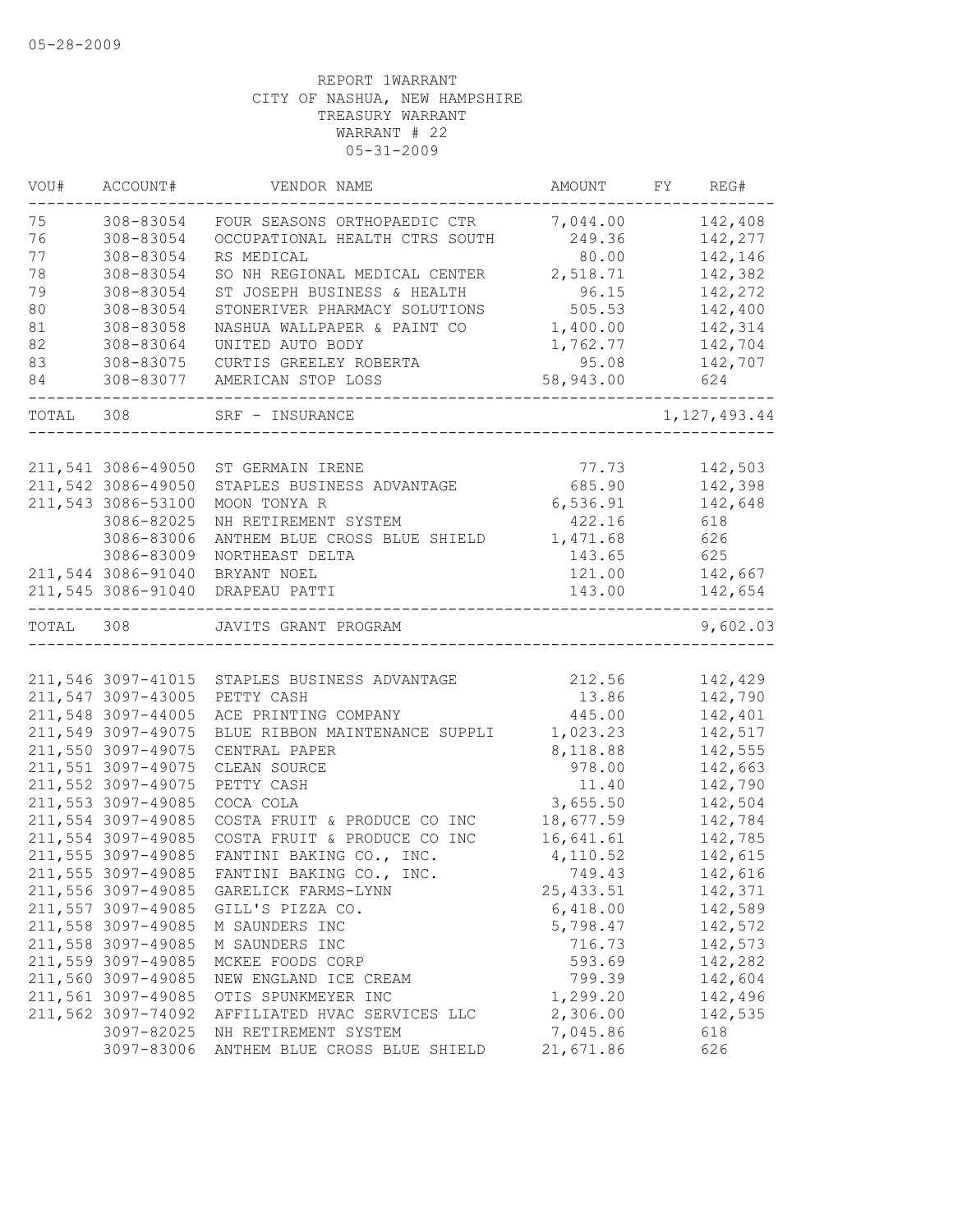| VOU#  | ACCOUNT#           | VENDOR NAME                            | AMOUNT    | FY | REG#           |
|-------|--------------------|----------------------------------------|-----------|----|----------------|
| 75    | 308-83054          | FOUR SEASONS ORTHOPAEDIC CTR           | 7,044.00  |    | 142,408        |
| 76    | 308-83054          | OCCUPATIONAL HEALTH CTRS SOUTH         | 249.36    |    | 142,277        |
| 77    | 308-83054          | RS MEDICAL                             | 80.00     |    | 142,146        |
| 78    | 308-83054          | SO NH REGIONAL MEDICAL CENTER          | 2,518.71  |    | 142,382        |
| 79    | 308-83054          | ST JOSEPH BUSINESS & HEALTH            | 96.15     |    | 142,272        |
| 80    | 308-83054          | STONERIVER PHARMACY SOLUTIONS          | 505.53    |    | 142,400        |
| 81    | 308-83058          | NASHUA WALLPAPER & PAINT CO            | 1,400.00  |    | 142,314        |
| 82    | 308-83064          | UNITED AUTO BODY                       | 1,762.77  |    | 142,704        |
| 83    | 308-83075          | CURTIS GREELEY ROBERTA                 | 95.08     |    | 142,707        |
| 84    | 308-83077          | AMERICAN STOP LOSS                     | 58,943.00 |    | 624            |
| TOTAL | 308                | SRF - INSURANCE                        |           |    | 1, 127, 493.44 |
|       |                    |                                        |           |    |                |
|       | 211,541 3086-49050 | ST GERMAIN IRENE                       | 77.73     |    | 142,503        |
|       | 211,542 3086-49050 | STAPLES BUSINESS ADVANTAGE             | 685.90    |    | 142,398        |
|       | 211,543 3086-53100 | MOON TONYA R                           | 6,536.91  |    | 142,648        |
|       | 3086-82025         | NH RETIREMENT SYSTEM                   | 422.16    |    | 618            |
|       | 3086-83006         | ANTHEM BLUE CROSS BLUE SHIELD          | 1,471.68  |    | 626            |
|       | 3086-83009         | NORTHEAST DELTA                        | 143.65    |    | 625            |
|       | 211,544 3086-91040 | BRYANT NOEL                            | 121.00    |    | 142,667        |
|       | 211,545 3086-91040 | DRAPEAU PATTI                          | 143.00    |    | 142,654        |
| TOTAL | 308                | JAVITS GRANT PROGRAM                   |           |    | 9,602.03       |
|       |                    |                                        |           |    |                |
|       | 211,546 3097-41015 | STAPLES BUSINESS ADVANTAGE             | 212.56    |    | 142,429        |
|       | 211,547 3097-43005 | PETTY CASH                             | 13.86     |    | 142,790        |
|       | 211,548 3097-44005 | ACE PRINTING COMPANY                   | 445.00    |    | 142,401        |
|       | 211,549 3097-49075 | BLUE RIBBON MAINTENANCE SUPPLI         | 1,023.23  |    | 142,517        |
|       | 211,550 3097-49075 | CENTRAL PAPER                          | 8,118.88  |    | 142,555        |
|       | 211,551 3097-49075 | CLEAN SOURCE                           | 978.00    |    | 142,663        |
|       | 211,552 3097-49075 | PETTY CASH                             | 11.40     |    | 142,790        |
|       | 211,553 3097-49085 | COCA COLA                              | 3,655.50  |    | 142,504        |
|       | 211,554 3097-49085 | COSTA FRUIT & PRODUCE CO INC           | 18,677.59 |    | 142,784        |
|       | 211,554 3097-49085 | COSTA FRUIT & PRODUCE CO INC           | 16,641.61 |    | 142,785        |
|       | 211,555 3097-49085 | FANTINI BAKING CO., INC.               | 4,110.52  |    | 142,615        |
|       | 211,555 3097-49085 | FANTINI BAKING CO., INC.               | 749.43    |    | 142,616        |
|       |                    | 211,556 3097-49085 GARELICK FARMS-LYNN | 25,433.51 |    | 142,371        |
|       | 211,557 3097-49085 | GILL'S PIZZA CO.                       | 6,418.00  |    | 142,589        |
|       | 211,558 3097-49085 | M SAUNDERS INC                         | 5,798.47  |    | 142,572        |
|       | 211,558 3097-49085 | M SAUNDERS INC                         | 716.73    |    | 142,573        |
|       | 211,559 3097-49085 | MCKEE FOODS CORP                       | 593.69    |    | 142,282        |
|       | 211,560 3097-49085 | NEW ENGLAND ICE CREAM                  | 799.39    |    | 142,604        |
|       | 211,561 3097-49085 | OTIS SPUNKMEYER INC                    | 1,299.20  |    | 142,496        |
|       | 211,562 3097-74092 | AFFILIATED HVAC SERVICES LLC           | 2,306.00  |    | 142,535        |
|       | 3097-82025         | NH RETIREMENT SYSTEM                   | 7,045.86  |    | 618            |
|       | 3097-83006         | ANTHEM BLUE CROSS BLUE SHIELD          | 21,671.86 |    | 626            |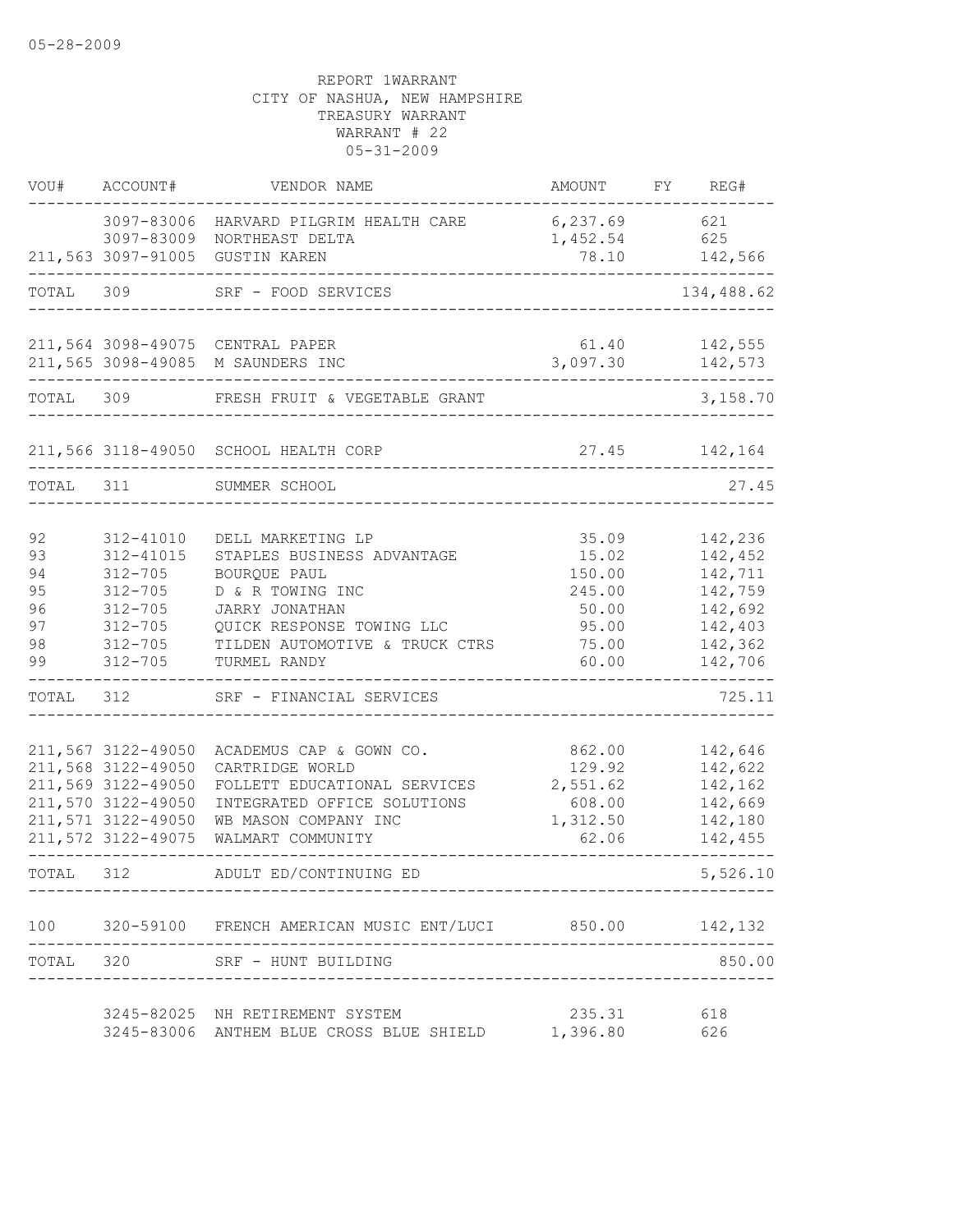| VOU#                                                      | ACCOUNT#                                                                                                                                                                                                                   | VENDOR NAME                                                                                                                                                                                                                                                                                                                                           | AMOUNT                                                                                                                       | FY REG#                                                                                                                                               |
|-----------------------------------------------------------|----------------------------------------------------------------------------------------------------------------------------------------------------------------------------------------------------------------------------|-------------------------------------------------------------------------------------------------------------------------------------------------------------------------------------------------------------------------------------------------------------------------------------------------------------------------------------------------------|------------------------------------------------------------------------------------------------------------------------------|-------------------------------------------------------------------------------------------------------------------------------------------------------|
|                                                           |                                                                                                                                                                                                                            | 3097-83006 HARVARD PILGRIM HEALTH CARE<br>3097-83009 NORTHEAST DELTA<br>211,563 3097-91005 GUSTIN KAREN                                                                                                                                                                                                                                               | 6,237.69<br>1,452.54<br>78.10                                                                                                | 621<br>625<br>142,566                                                                                                                                 |
| TOTAL                                                     | 309                                                                                                                                                                                                                        | SRF - FOOD SERVICES                                                                                                                                                                                                                                                                                                                                   |                                                                                                                              | 134,488.62                                                                                                                                            |
|                                                           |                                                                                                                                                                                                                            |                                                                                                                                                                                                                                                                                                                                                       |                                                                                                                              |                                                                                                                                                       |
|                                                           |                                                                                                                                                                                                                            | 211,564 3098-49075 CENTRAL PAPER<br>211,565 3098-49085 M SAUNDERS INC                                                                                                                                                                                                                                                                                 | 61.40<br>3,097.30                                                                                                            | 142,555<br>142,573                                                                                                                                    |
| TOTAL 309                                                 |                                                                                                                                                                                                                            | FRESH FRUIT & VEGETABLE GRANT                                                                                                                                                                                                                                                                                                                         |                                                                                                                              | 3,158.70                                                                                                                                              |
|                                                           |                                                                                                                                                                                                                            | 211,566 3118-49050 SCHOOL HEALTH CORP                                                                                                                                                                                                                                                                                                                 |                                                                                                                              | 27.45 142,164                                                                                                                                         |
| TOTAL 311                                                 |                                                                                                                                                                                                                            | SUMMER SCHOOL                                                                                                                                                                                                                                                                                                                                         |                                                                                                                              | 27.45                                                                                                                                                 |
|                                                           |                                                                                                                                                                                                                            |                                                                                                                                                                                                                                                                                                                                                       |                                                                                                                              |                                                                                                                                                       |
| 92<br>93<br>94<br>95<br>96<br>97<br>98<br>99<br>TOTAL 312 | 312-41010<br>312-41015<br>$312 - 705$<br>$312 - 705$<br>$312 - 705$<br>$312 - 705$<br>312-705<br>$312 - 705$<br>211,567 3122-49050<br>211,568 3122-49050<br>211,569 3122-49050<br>211,570 3122-49050<br>211,571 3122-49050 | DELL MARKETING LP<br>STAPLES BUSINESS ADVANTAGE<br>BOURQUE PAUL<br>D & R TOWING INC<br>JARRY JONATHAN<br>QUICK RESPONSE TOWING LLC<br>TILDEN AUTOMOTIVE & TRUCK CTRS<br>TURMEL RANDY<br>SRF - FINANCIAL SERVICES<br>ACADEMUS CAP & GOWN CO.<br>CARTRIDGE WORLD<br>FOLLETT EDUCATIONAL SERVICES<br>INTEGRATED OFFICE SOLUTIONS<br>WB MASON COMPANY INC | 35.09<br>15.02<br>150.00<br>245.00<br>50.00<br>95.00<br>75.00<br>60.00<br>862.00<br>129.92<br>2,551.62<br>608.00<br>1,312.50 | 142,236<br>142,452<br>142,711<br>142,759<br>142,692<br>142,403<br>142,362<br>142,706<br>725.11<br>142,646<br>142,622<br>142,162<br>142,669<br>142,180 |
|                                                           | 211,572 3122-49075                                                                                                                                                                                                         | WALMART COMMUNITY                                                                                                                                                                                                                                                                                                                                     | 62.06                                                                                                                        | 142,455                                                                                                                                               |
| TOTAL 312                                                 |                                                                                                                                                                                                                            | ADULT ED/CONTINUING ED                                                                                                                                                                                                                                                                                                                                |                                                                                                                              | 5,526.10                                                                                                                                              |
| 100                                                       |                                                                                                                                                                                                                            | 320-59100 FRENCH AMERICAN MUSIC ENT/LUCI 850.00 142,132                                                                                                                                                                                                                                                                                               |                                                                                                                              |                                                                                                                                                       |
| TOTAL 320                                                 |                                                                                                                                                                                                                            | SRF - HUNT BUILDING                                                                                                                                                                                                                                                                                                                                   |                                                                                                                              | 850.00                                                                                                                                                |
|                                                           |                                                                                                                                                                                                                            | 3245-82025 NH RETIREMENT SYSTEM<br>3245-83006 ANTHEM BLUE CROSS BLUE SHIELD                                                                                                                                                                                                                                                                           | 235.31<br>1,396.80                                                                                                           | 618<br>626                                                                                                                                            |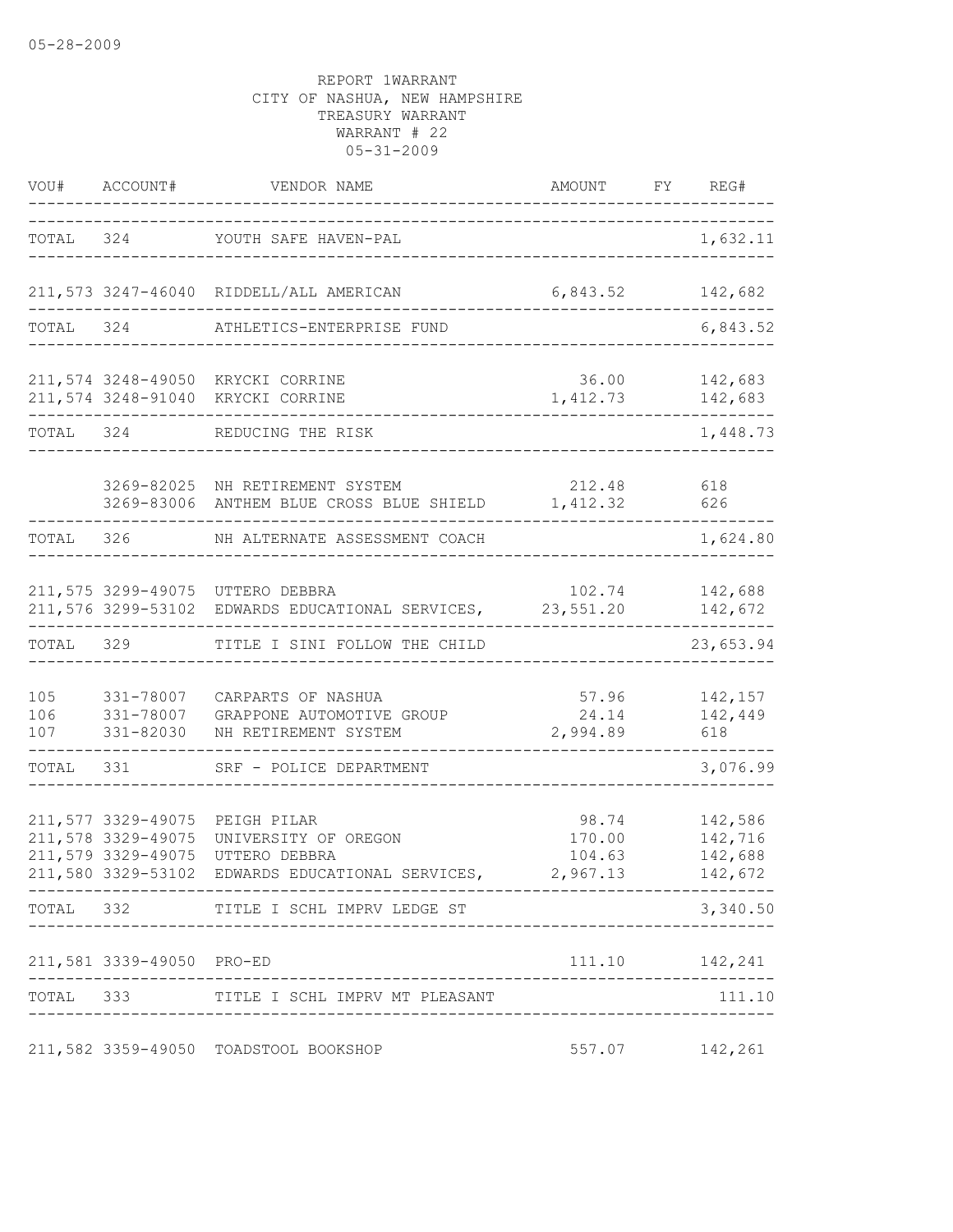|                   | VOU# ACCOUNT#                                                                        | VENDOR NAME                                                                                    | AMOUNT                                | FY REG#                                  |
|-------------------|--------------------------------------------------------------------------------------|------------------------------------------------------------------------------------------------|---------------------------------------|------------------------------------------|
|                   |                                                                                      | TOTAL 324 YOUTH SAFE HAVEN-PAL                                                                 | -------------------------------       | 1,632.11                                 |
|                   |                                                                                      | 211,573 3247-46040 RIDDELL/ALL AMERICAN                                                        | 6,843.52                              | 142,682                                  |
| TOTAL 324         |                                                                                      | ATHLETICS-ENTERPRISE FUND                                                                      |                                       | 6,843.52                                 |
|                   |                                                                                      | 211,574 3248-49050 KRYCKI CORRINE<br>211,574 3248-91040 KRYCKI CORRINE                         | 36.00<br>1,412.73                     | 142,683<br>142,683                       |
| TOTAL 324         |                                                                                      | REDUCING THE RISK                                                                              |                                       | 1,448.73                                 |
|                   |                                                                                      | 3269-82025 NH RETIREMENT SYSTEM<br>3269-83006 ANTHEM BLUE CROSS BLUE SHIELD 1,412.32           | 212.48                                | 618<br>626                               |
| TOTAL 326         |                                                                                      | NH ALTERNATE ASSESSMENT COACH                                                                  |                                       | 1,624.80                                 |
|                   |                                                                                      | 211,575 3299-49075 UTTERO DEBBRA<br>211,576 3299-53102 EDWARDS EDUCATIONAL SERVICES, 23,551.20 |                                       | 102.74 142,688<br>142,672                |
|                   | TOTAL 329                                                                            | TITLE I SINI FOLLOW THE CHILD                                                                  |                                       | 23,653.94                                |
| 105<br>106<br>107 | 331-78007<br>331-78007<br>331-82030                                                  | CARPARTS OF NASHUA<br>GRAPPONE AUTOMOTIVE GROUP<br>NH RETIREMENT SYSTEM                        | 24.14<br>2,994.89                     | 57.96 142,157<br>142,449<br>618          |
| TOTAL             | 331                                                                                  | SRF - POLICE DEPARTMENT                                                                        |                                       | 3,076.99                                 |
|                   | 211,577 3329-49075<br>211,578 3329-49075<br>211,579 3329-49075<br>211,580 3329-53102 | PEIGH PILAR<br>UNIVERSITY OF OREGON<br>UTTERO DEBBRA<br>EDWARDS EDUCATIONAL SERVICES,          | 98.74<br>170.00<br>104.63<br>2,967.13 | 142,586<br>142,716<br>142,688<br>142,672 |
|                   |                                                                                      | TOTAL 332 TITLE I SCHL IMPRV LEDGE ST                                                          |                                       | 3,340.50                                 |
|                   | 211,581 3339-49050 PRO-ED                                                            |                                                                                                |                                       |                                          |
|                   |                                                                                      | TOTAL 333 TITLE I SCHL IMPRV MT PLEASANT                                                       |                                       | 111.10                                   |
|                   |                                                                                      | 211,582 3359-49050 TOADSTOOL BOOKSHOP                                                          |                                       | 557.07 142,261                           |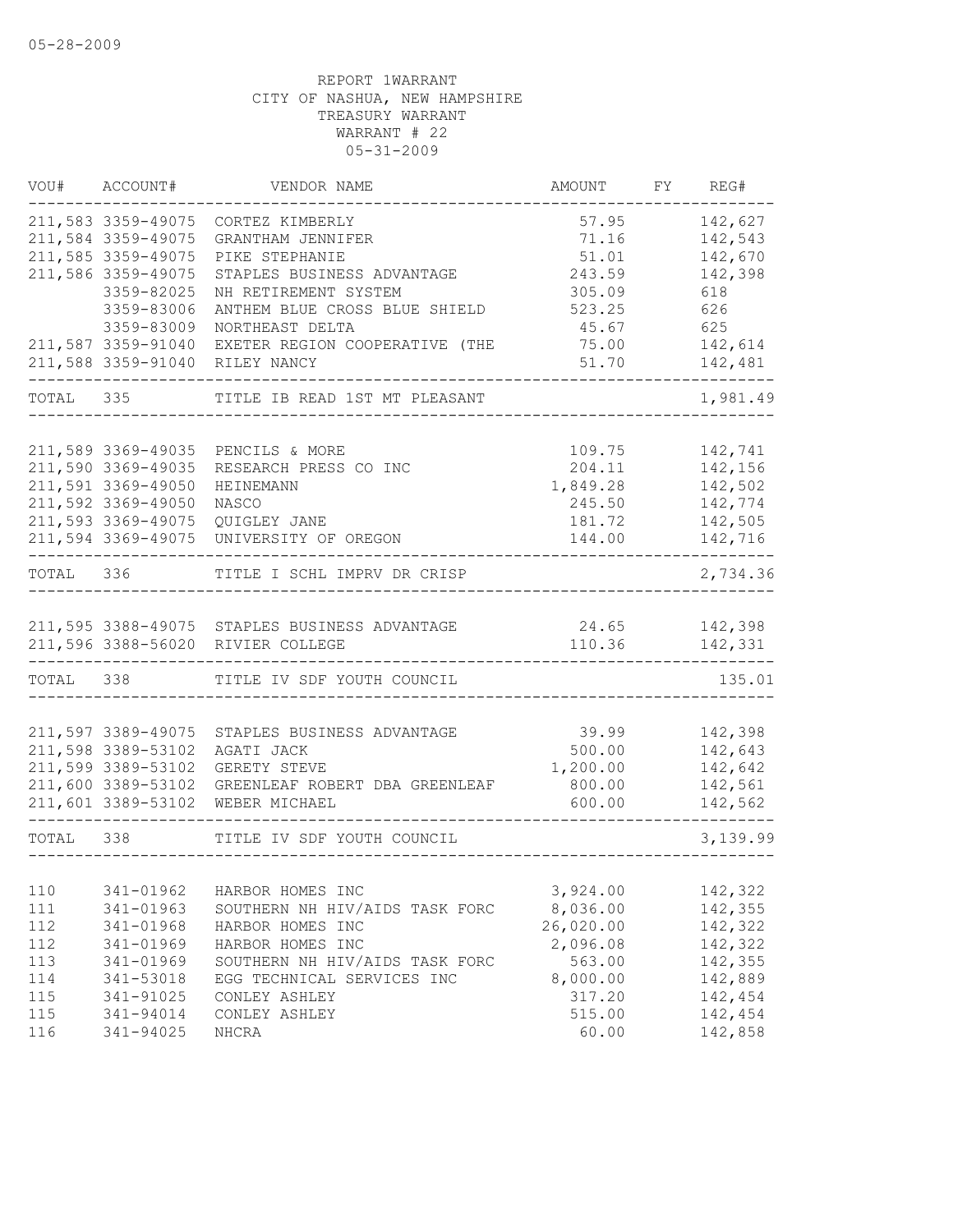|           | VOU# ACCOUNT#      | VENDOR NAME                                   | AMOUNT    | FY REG#       |
|-----------|--------------------|-----------------------------------------------|-----------|---------------|
|           | 211,583 3359-49075 | CORTEZ KIMBERLY                               | 57.95     | 142,627       |
|           | 211,584 3359-49075 | GRANTHAM JENNIFER                             | 71.16     | 142,543       |
|           | 211,585 3359-49075 | PIKE STEPHANIE                                | 51.01     | 142,670       |
|           | 211,586 3359-49075 | STAPLES BUSINESS ADVANTAGE                    | 243.59    | 142,398       |
|           | 3359-82025         | NH RETIREMENT SYSTEM                          | 305.09    | 618           |
|           | 3359-83006         | ANTHEM BLUE CROSS BLUE SHIELD                 | 523.25    | 626           |
|           | 3359-83009         | NORTHEAST DELTA                               | 45.67     | 625           |
|           | 211,587 3359-91040 | EXETER REGION COOPERATIVE (THE                | 75.00     | 142,614       |
|           | 211,588 3359-91040 | RILEY NANCY                                   | 51.70     | 142,481       |
|           | TOTAL 335          | TITLE IB READ 1ST MT PLEASANT                 |           | 1,981.49      |
|           |                    |                                               |           |               |
|           | 211,589 3369-49035 | PENCILS & MORE                                | 109.75    | 142,741       |
|           | 211,590 3369-49035 | RESEARCH PRESS CO INC                         | 204.11    | 142,156       |
|           | 211,591 3369-49050 | HEINEMANN                                     | 1,849.28  | 142,502       |
|           | 211,592 3369-49050 | NASCO                                         | 245.50    | 142,774       |
|           | 211,593 3369-49075 | QUIGLEY JANE                                  | 181.72    | 142,505       |
|           |                    | 211,594 3369-49075 UNIVERSITY OF OREGON       | 144.00    | 142,716       |
|           |                    | TOTAL 336 TITLE I SCHL IMPRV DR CRISP         |           | 2,734.36      |
|           |                    |                                               |           |               |
|           |                    | 211,595 3388-49075 STAPLES BUSINESS ADVANTAGE |           | 24.65 142,398 |
|           |                    | 211,596 3388-56020 RIVIER COLLEGE             | 110.36    | 142,331       |
|           |                    | TOTAL 338 TITLE IV SDF YOUTH COUNCIL          |           | 135.01        |
|           |                    |                                               |           |               |
|           | 211,597 3389-49075 | STAPLES BUSINESS ADVANTAGE                    | 39.99     | 142,398       |
|           | 211,598 3389-53102 | AGATI JACK                                    | 500.00    | 142,643       |
|           | 211,599 3389-53102 | GERETY STEVE                                  | 1,200.00  | 142,642       |
|           | 211,600 3389-53102 | GREENLEAF ROBERT DBA GREENLEAF                | 800.00    | 142,561       |
|           |                    | 211,601 3389-53102 WEBER MICHAEL              | 600.00    | 142,562       |
| TOTAL 338 |                    | TITLE IV SDF YOUTH COUNCIL                    |           | 3,139.99      |
|           |                    |                                               |           |               |
| 110       | 341-01962          | HARBOR HOMES INC                              | 3,924.00  | 142,322       |
| 111       | 341-01963          | SOUTHERN NH HIV/AIDS TASK FORC                | 8,036.00  | 142,355       |
| 112       | 341-01968          | HARBOR HOMES INC                              | 26,020.00 | 142,322       |
| 112       | 341-01969          | HARBOR HOMES INC                              | 2,096.08  | 142,322       |
| 113       | 341-01969          | SOUTHERN NH HIV/AIDS TASK FORC                | 563.00    | 142,355       |
| 114       | 341-53018          | EGG TECHNICAL SERVICES INC                    | 8,000.00  | 142,889       |
| 115       | 341-91025          | CONLEY ASHLEY                                 | 317.20    | 142,454       |
| 115       | 341-94014          | CONLEY ASHLEY                                 | 515.00    | 142,454       |
| 116       | 341-94025          | <b>NHCRA</b>                                  | 60.00     | 142,858       |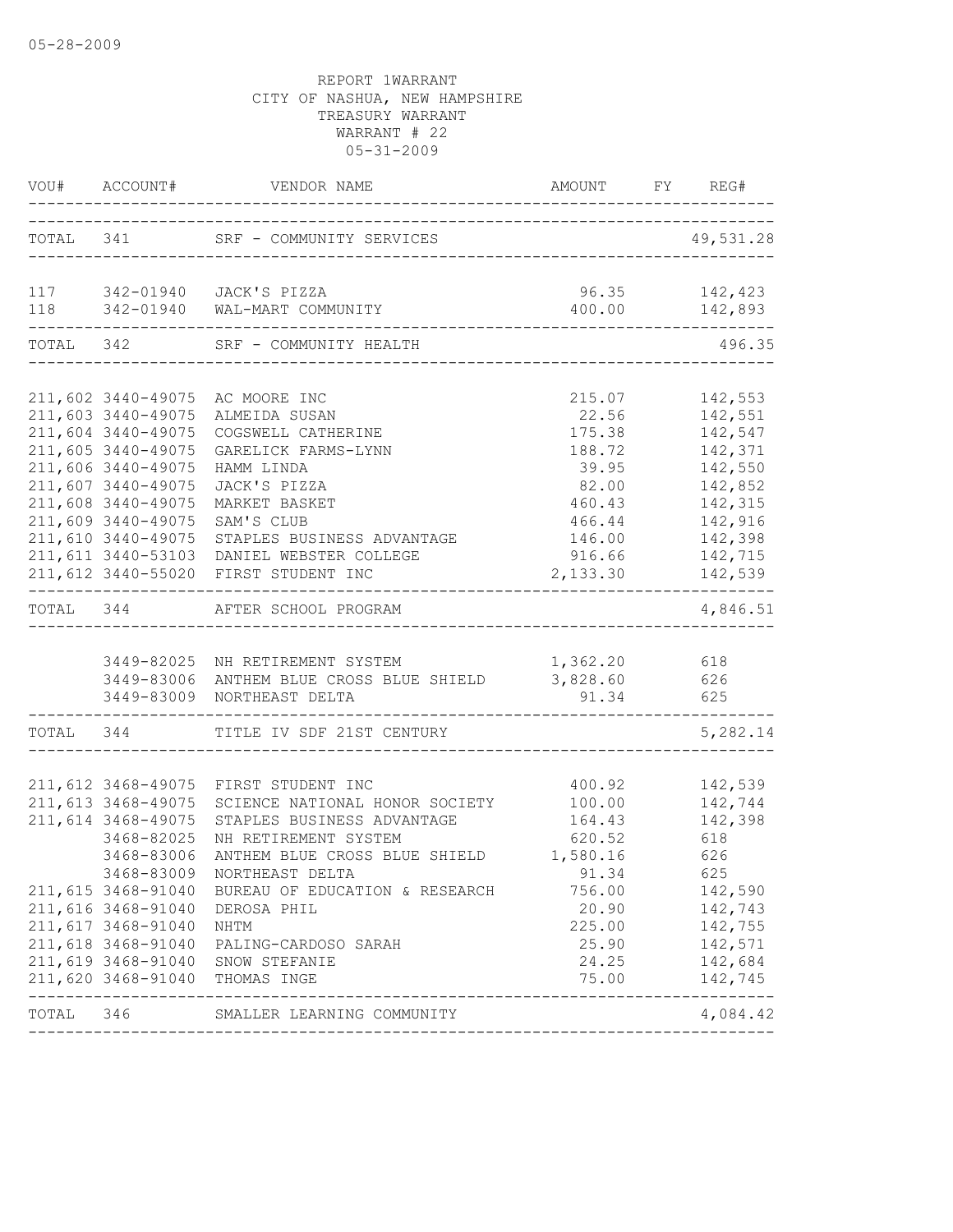|           |                                                                                                                                                                              | VOU# ACCOUNT# VENDOR NAME AMOUNT FY RE                                                                                                                                                                                                                                                                                                                                                                  | AMOUNT FY REG#                                                                                             |                                                                                                                                |
|-----------|------------------------------------------------------------------------------------------------------------------------------------------------------------------------------|---------------------------------------------------------------------------------------------------------------------------------------------------------------------------------------------------------------------------------------------------------------------------------------------------------------------------------------------------------------------------------------------------------|------------------------------------------------------------------------------------------------------------|--------------------------------------------------------------------------------------------------------------------------------|
|           |                                                                                                                                                                              | TOTAL 341 SRF - COMMUNITY SERVICES<br>----------------------                                                                                                                                                                                                                                                                                                                                            |                                                                                                            | 49,531.28                                                                                                                      |
|           |                                                                                                                                                                              | 117 342-01940 JACK'S PIZZA<br>118 342-01940 WAL-MART COMMUNITY                                                                                                                                                                                                                                                                                                                                          | 96.35 142,423<br>400.00 142,893                                                                            |                                                                                                                                |
| TOTAL 342 |                                                                                                                                                                              | SRF - COMMUNITY HEALTH                                                                                                                                                                                                                                                                                                                                                                                  | -----------------------------------                                                                        | 496.35                                                                                                                         |
|           | 211,603 3440-49075<br>211,604 3440-49075<br>211,605 3440-49075<br>211,606 3440-49075<br>211,607 3440-49075<br>211,608 3440-49075<br>211,609 3440-49075<br>211,610 3440-49075 | 211,602 3440-49075 AC MOORE INC<br>ALMEIDA SUSAN<br>COGSWELL CATHERINE<br>GARELICK FARMS-LYNN<br>HAMM LINDA<br>JACK'S PIZZA<br>MARKET BASKET<br>SAM'S CLUB<br>STAPLES BUSINESS ADVANTAGE<br>211,611 3440-53103 DANIEL WEBSTER COLLEGE<br>211,612 3440-55020 FIRST STUDENT INC                                                                                                                           | 215.07<br>22.56<br>39.95 142,550<br>460.43<br>466.44<br>146.00<br>$916.66$ $142,715$<br>2,133.30 $142,539$ | 142,553<br>142,551<br>175.38 142,547<br>188.72 142,371<br>82.00 142,852<br>142,315<br>142,916<br>142,398                       |
|           |                                                                                                                                                                              | TOTAL 344 AFTER SCHOOL PROGRAM                                                                                                                                                                                                                                                                                                                                                                          |                                                                                                            | -------------<br>4,846.51                                                                                                      |
|           |                                                                                                                                                                              | 3449-82025 NH RETIREMENT SYSTEM<br>3449-83006 ANTHEM BLUE CROSS BLUE SHIELD<br>3449-83009 NORTHEAST DELTA<br>--------------------------------<br>TOTAL 344 TITLE IV SDF 21ST CENTURY                                                                                                                                                                                                                    | 1,362.20 618<br>3,828.60<br>91.34                                                                          | 626<br>625<br>5,282.14                                                                                                         |
|           | 211,613 3468-49075<br>211,614 3468-49075<br>3468-82025<br>3468-83006<br>211,616 3468-91040<br>211,617 3468-91040                                                             | 211,612 3468-49075 FIRST STUDENT INC<br>SCIENCE NATIONAL HONOR SOCIETY 100.00 142,744<br>STAPLES BUSINESS ADVANTAGE<br>NH RETIREMENT SYSTEM<br>ANTHEM BLUE CROSS BLUE SHIELD<br>3468-83009 NORTHEAST DELTA<br>211,615 3468-91040 BUREAU OF EDUCATION & RESEARCH<br>DEROSA PHIL<br>NHTM<br>211,618 3468-91040 PALING-CARDOSO SARAH<br>211,619 3468-91040 SNOW STEFANIE<br>211,620 3468-91040 THOMAS INGE | 400.92 142,539<br>620.52<br>1,580.16<br>91.34<br>756.00<br>20.90                                           | 164.43 142,398<br>618<br>626<br>625<br>142,590<br>142,743<br>225.00 142,755<br>25.90 142,571<br>24.25 142,684<br>75.00 142,745 |
| TOTAL 346 |                                                                                                                                                                              | SMALLER LEARNING COMMUNITY                                                                                                                                                                                                                                                                                                                                                                              | ---------------------------                                                                                | 4,084.42                                                                                                                       |
|           |                                                                                                                                                                              |                                                                                                                                                                                                                                                                                                                                                                                                         |                                                                                                            |                                                                                                                                |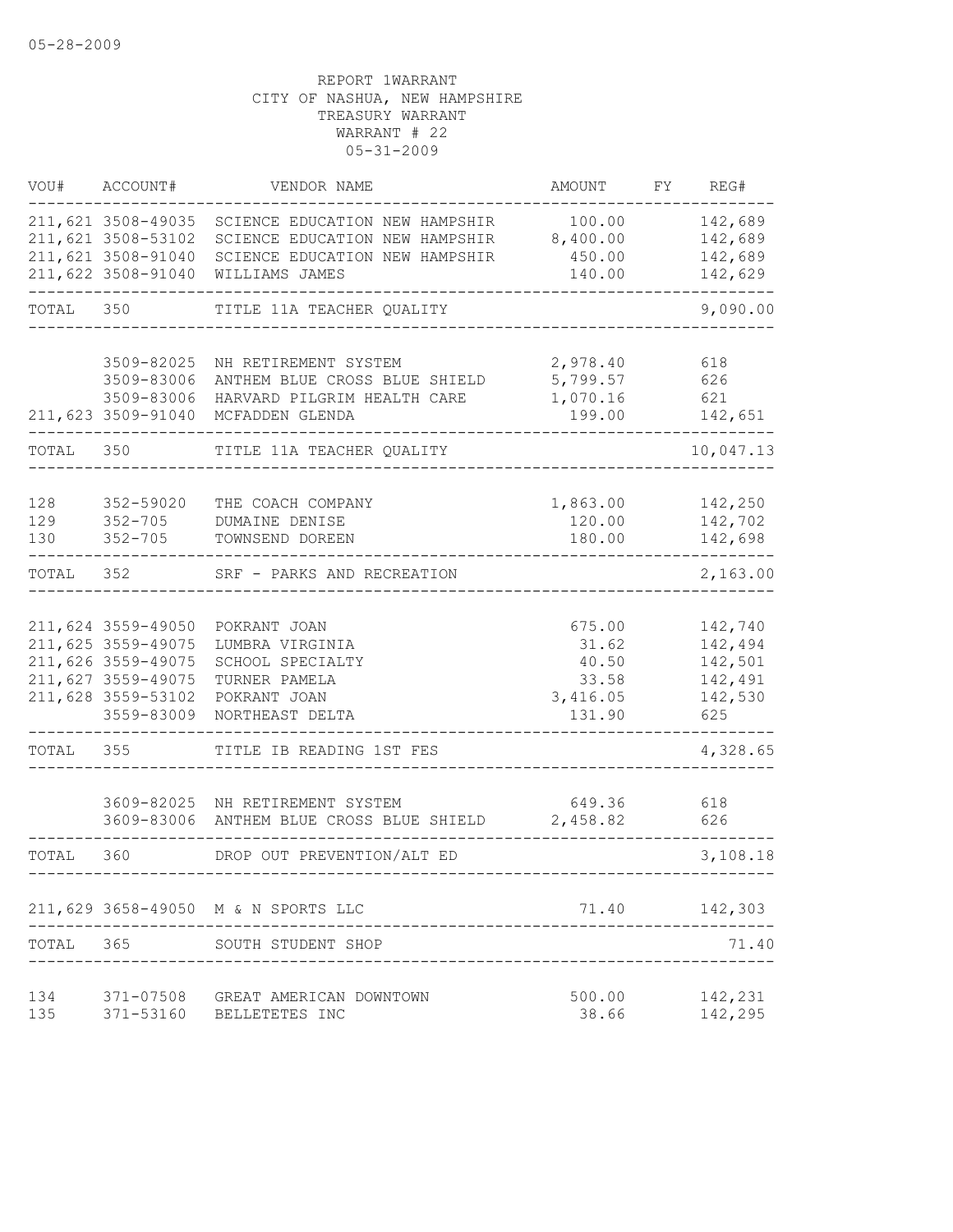| VOU#              | ACCOUNT#                                                                                                                 | VENDOR NAME                                                                                                          | AMOUNT                                                  | FY | REG#                                                       |
|-------------------|--------------------------------------------------------------------------------------------------------------------------|----------------------------------------------------------------------------------------------------------------------|---------------------------------------------------------|----|------------------------------------------------------------|
|                   | 211,621 3508-49035<br>211,621 3508-53102<br>211,621 3508-91040<br>211,622 3508-91040                                     | SCIENCE EDUCATION NEW HAMPSHIR<br>SCIENCE EDUCATION NEW HAMPSHIR<br>SCIENCE EDUCATION NEW HAMPSHIR<br>WILLIAMS JAMES | 100.00<br>8,400.00<br>450.00<br>140.00                  |    | 142,689<br>142,689<br>142,689<br>142,629                   |
| TOTAL             | 350                                                                                                                      | TITLE 11A TEACHER QUALITY                                                                                            |                                                         |    | 9,090.00                                                   |
|                   | 3509-82025<br>3509-83006<br>3509-83006<br>211,623 3509-91040                                                             | NH RETIREMENT SYSTEM<br>ANTHEM BLUE CROSS BLUE SHIELD<br>HARVARD PILGRIM HEALTH CARE<br>MCFADDEN GLENDA              | 2,978.40<br>5,799.57<br>1,070.16<br>199.00              |    | 618<br>626<br>621<br>142,651                               |
| TOTAL             | 350                                                                                                                      | TITLE 11A TEACHER QUALITY                                                                                            |                                                         |    | 10,047.13                                                  |
| 128<br>129<br>130 | 352-59020<br>$352 - 705$<br>$352 - 705$                                                                                  | THE COACH COMPANY<br>DUMAINE DENISE<br>TOWNSEND DOREEN                                                               | 1,863.00<br>120.00<br>180.00                            |    | 142,250<br>142,702<br>142,698                              |
| TOTAL             | 352                                                                                                                      | SRF - PARKS AND RECREATION                                                                                           |                                                         |    | 2,163.00                                                   |
|                   | 211,624 3559-49050<br>211,625 3559-49075<br>211,626 3559-49075<br>211,627 3559-49075<br>211,628 3559-53102<br>3559-83009 | POKRANT JOAN<br>LUMBRA VIRGINIA<br>SCHOOL SPECIALTY<br>TURNER PAMELA<br>POKRANT JOAN<br>NORTHEAST DELTA              | 675.00<br>31.62<br>40.50<br>33.58<br>3,416.05<br>131.90 |    | 142,740<br>142,494<br>142,501<br>142,491<br>142,530<br>625 |
| TOTAL             | 355                                                                                                                      | TITLE IB READING 1ST FES                                                                                             |                                                         |    | 4,328.65                                                   |
|                   |                                                                                                                          | 3609-82025 NH RETIREMENT SYSTEM<br>3609-83006 ANTHEM BLUE CROSS BLUE SHIELD                                          | 649.36<br>2,458.82                                      |    | 618<br>626                                                 |
| TOTAL             | 360                                                                                                                      | DROP OUT PREVENTION/ALT ED                                                                                           |                                                         |    | 3,108.18                                                   |
|                   |                                                                                                                          | 211,629 3658-49050 M & N SPORTS LLC                                                                                  | 71.40                                                   |    | 142,303                                                    |
| TOTAL             | 365                                                                                                                      | SOUTH STUDENT SHOP                                                                                                   |                                                         |    | 71.40                                                      |
| 134<br>135        | 371-07508<br>371-53160                                                                                                   | GREAT AMERICAN DOWNTOWN<br>BELLETETES INC                                                                            | 500.00<br>38.66                                         |    | 142,231<br>142,295                                         |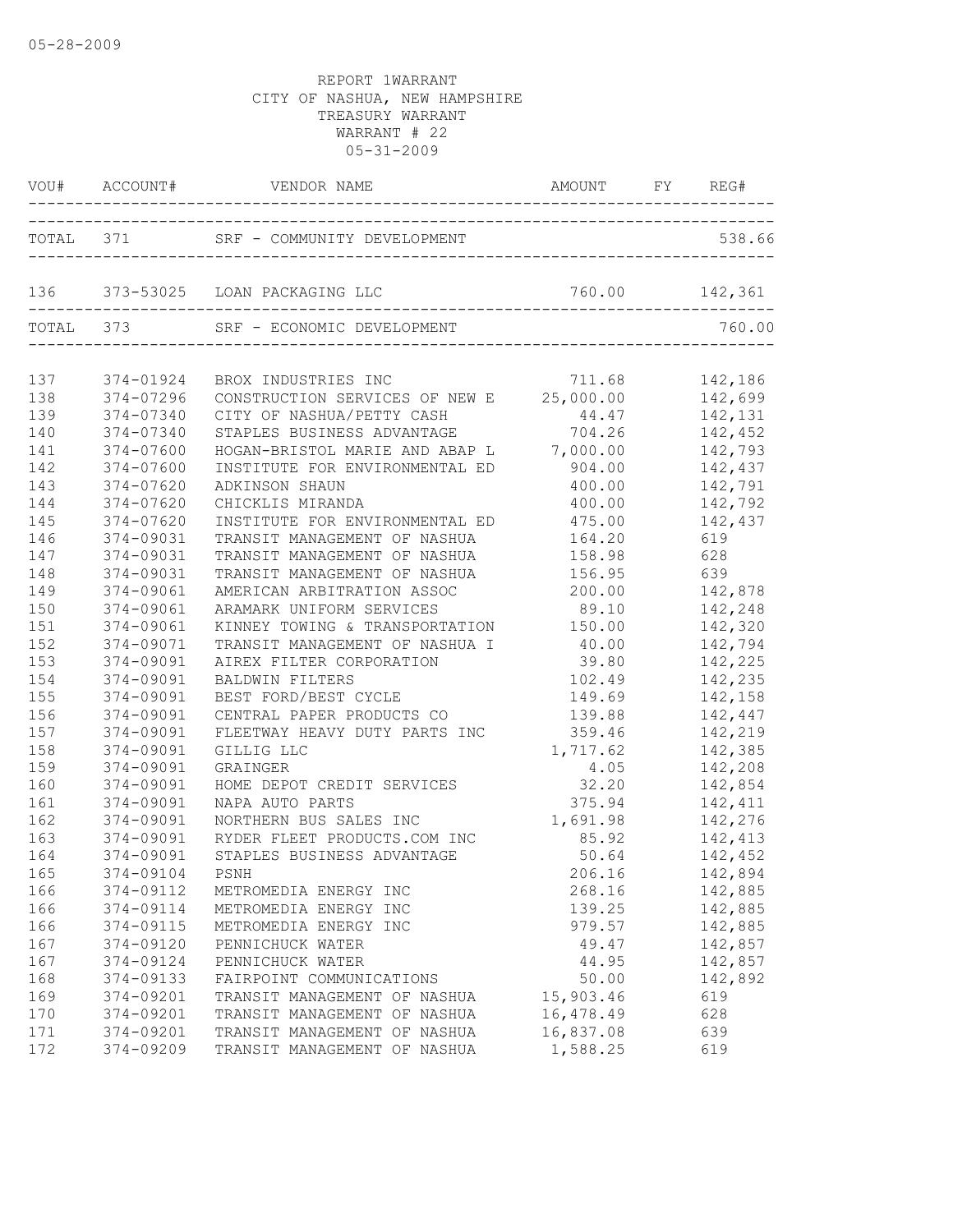|     | VOU# ACCOUNT# | VENDOR NAME                                                             | AMOUNT FY REG#   |               |
|-----|---------------|-------------------------------------------------------------------------|------------------|---------------|
|     |               |                                                                         |                  | 538.66        |
|     |               | 136 373-53025 LOAN PACKAGING LLC 760.00 142,361                         |                  |               |
|     |               | TOTAL 373 SRF - ECONOMIC DEVELOPMENT                                    |                  | 760.00        |
| 137 | 374-01924     | BROX INDUSTRIES INC                                                     |                  |               |
| 138 | 374-07296     | BROX INDUSTRIES INC<br>CONSTRUCTION SERVICES OF NEW E 25,000.00 142,699 |                  |               |
| 139 | 374-07340     | CITY OF NASHUA/PETTY CASH                                               | 44.47            | 142,131       |
| 140 | 374-07340     | STAPLES BUSINESS ADVANTAGE                                              | 704.26           | 142,452       |
| 141 | 374-07600     | HOGAN-BRISTOL MARIE AND ABAP L 7,000.00                                 |                  | 142,793       |
| 142 | 374-07600     | INSTITUTE FOR ENVIRONMENTAL ED                                          | 904.00           | 142,437       |
| 143 | 374-07620     | ADKINSON SHAUN                                                          | 400.00           | 142,791       |
| 144 | 374-07620     | CHICKLIS MIRANDA                                                        | 400.00           | 142,792       |
| 145 | 374-07620     | INSTITUTE FOR ENVIRONMENTAL ED                                          | 475.00           | 142,437       |
| 146 | 374-09031     | TRANSIT MANAGEMENT OF NASHUA                                            | 164.20           | 619           |
| 147 | 374-09031     | TRANSIT MANAGEMENT OF NASHUA                                            | 158.98           | 628           |
| 148 | 374-09031     | TRANSIT MANAGEMENT OF NASHUA                                            | 156.95           | 639           |
| 149 | 374-09061     | AMERICAN ARBITRATION ASSOC                                              | 200.00           | 142,878       |
| 150 | 374-09061     | ARAMARK UNIFORM SERVICES                                                | 89.10            | 142,248       |
| 151 | 374-09061     | KINNEY TOWING & TRANSPORTATION 150.00                                   |                  | 142,320       |
| 152 | 374-09071     | TRANSIT MANAGEMENT OF NASHUA I 40.00                                    |                  | 142,794       |
| 153 | 374-09091     | AIREX FILTER CORPORATION                                                | 39.80            | 142,225       |
| 154 | 374-09091     | <b>BALDWIN FILTERS</b>                                                  | 102.49           | 142,235       |
| 155 | 374-09091     | BEST FORD/BEST CYCLE                                                    | 149.69           | 142,158       |
| 156 | 374-09091     | CENTRAL PAPER PRODUCTS CO                                               | 139.88           | 142,447       |
| 157 | 374-09091     | FLEETWAY HEAVY DUTY PARTS INC                                           | 359.46           | 142,219       |
| 158 | 374-09091     | GILLIG LLC                                                              | 1,717.62         | 142,385       |
| 159 | 374-09091     | GRAINGER                                                                | 4.05             | 142,208       |
| 160 | 374-09091     | HOME DEPOT CREDIT SERVICES                                              | 32.20            | 142,854       |
| 161 | 374-09091     | NAPA AUTO PARTS                                                         | 375.94           | 142,411       |
| 162 | 374-09091     | NORTHERN BUS SALES INC                                                  | 1,691.98 142,276 |               |
| 163 | 374-09091     | RYDER FLEET PRODUCTS.COM INC                                            |                  | 85.92 142,413 |
| 164 | 374-09091     | STAPLES BUSINESS ADVANTAGE                                              |                  | 50.64 142,452 |
| 165 |               | 374-09104 PSNH                                                          | 206.16           | 142,894       |
| 166 | 374-09112     | METROMEDIA ENERGY INC                                                   | 268.16           | 142,885       |
| 166 | 374-09114     | METROMEDIA ENERGY INC                                                   | 139.25           | 142,885       |
| 166 | 374-09115     | METROMEDIA ENERGY INC                                                   | 979.57           | 142,885       |
| 167 | 374-09120     | PENNICHUCK WATER                                                        | 49.47            | 142,857       |
| 167 | 374-09124     | PENNICHUCK WATER                                                        | 44.95            | 142,857       |
| 168 | 374-09133     | FAIRPOINT COMMUNICATIONS                                                | 50.00            | 142,892       |
| 169 | 374-09201     | TRANSIT MANAGEMENT OF NASHUA                                            | 15,903.46        | 619           |
| 170 | 374-09201     | TRANSIT MANAGEMENT OF NASHUA                                            | 16,478.49        | 628           |
| 171 | 374-09201     | TRANSIT MANAGEMENT OF NASHUA                                            | 16,837.08        | 639           |
| 172 | 374-09209     | TRANSIT MANAGEMENT OF NASHUA                                            | 1,588.25         | 619           |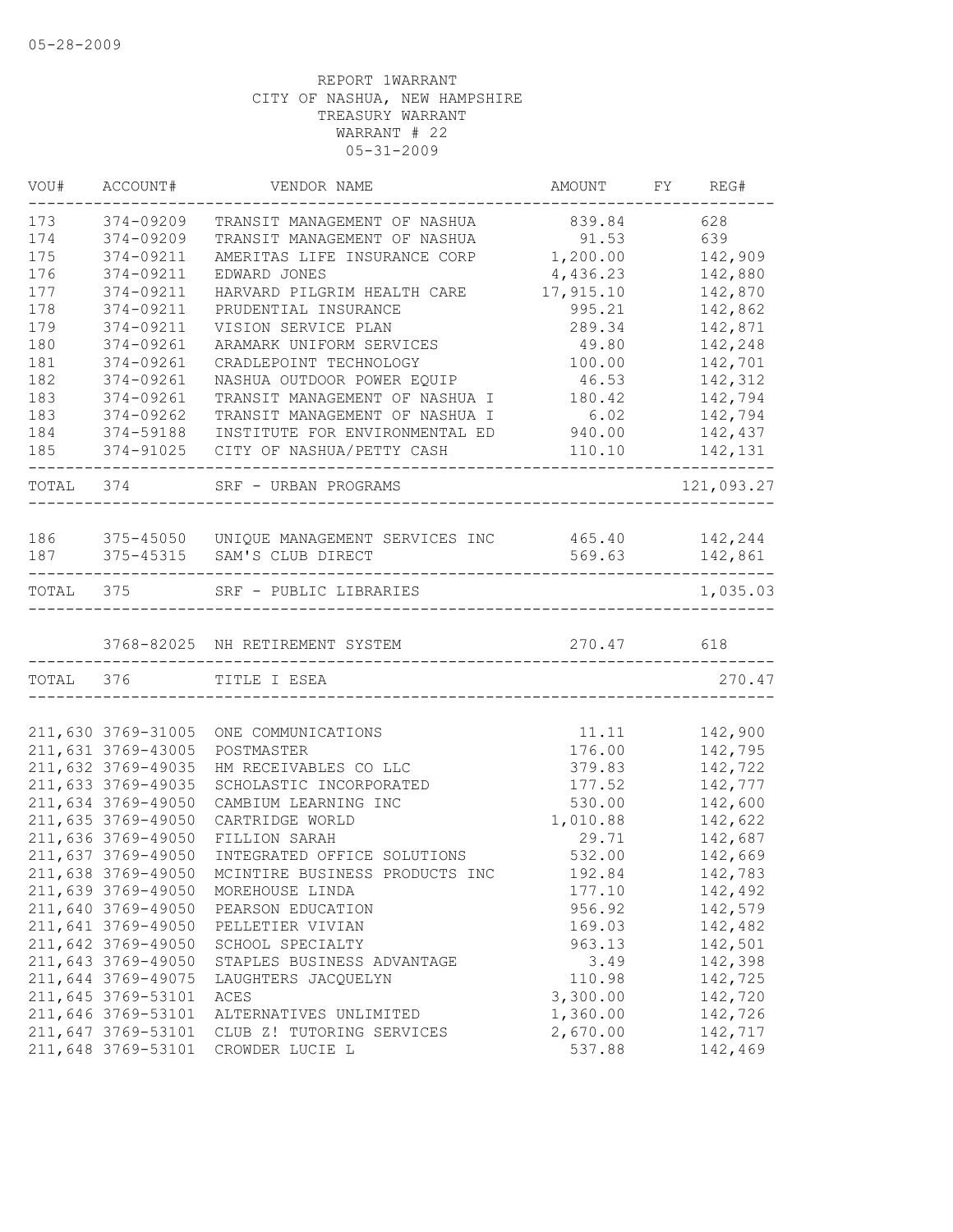| 173<br>374-09209<br>628<br>839.84<br>TRANSIT MANAGEMENT OF NASHUA<br>174<br>91.53<br>639<br>374-09209<br>TRANSIT MANAGEMENT OF NASHUA<br>175<br>1,200.00<br>374-09211<br>AMERITAS LIFE INSURANCE CORP<br>142,909<br>4,436.23<br>142,880<br>374-09211<br>EDWARD JONES<br>177<br>17,915.10<br>142,870<br>374-09211<br>HARVARD PILGRIM HEALTH CARE<br>374-09211<br>142,862<br>PRUDENTIAL INSURANCE<br>995.21<br>142,871<br>374-09211<br>VISION SERVICE PLAN<br>289.34<br>142,248<br>374-09261<br>ARAMARK UNIFORM SERVICES<br>49.80<br>374-09261<br>CRADLEPOINT TECHNOLOGY<br>100.00<br>142,701<br>374-09261<br>NASHUA OUTDOOR POWER EQUIP<br>46.53<br>142,312<br>TRANSIT MANAGEMENT OF NASHUA I<br>142,794<br>374-09261<br>180.42<br>6.02<br>374-09262<br>TRANSIT MANAGEMENT OF NASHUA I<br>142,794<br>940.00<br>374-59188<br>INSTITUTE FOR ENVIRONMENTAL ED<br>142,437<br>374-91025<br>CITY OF NASHUA/PETTY CASH<br>110.10<br>142,131<br>TOTAL 374<br>121,093.27<br>SRF - URBAN PROGRAMS<br>186<br>375-45050 UNIQUE MANAGEMENT SERVICES INC 465.40 142,244<br>142,861<br>187<br>375-45315 SAM'S CLUB DIRECT<br>569.63<br>-------------<br>TOTAL 375<br>SRF - PUBLIC LIBRARIES<br>270.47<br>618<br>3768-82025 NH RETIREMENT SYSTEM<br>TOTAL 376<br>TITLE I ESEA<br>211,630 3769-31005<br>11.11<br>142,900<br>ONE COMMUNICATIONS<br>176.00<br>211,631 3769-43005<br>142,795<br>POSTMASTER<br>211,632 3769-49035<br>142,722<br>HM RECEIVABLES CO LLC<br>379.83<br>211,633 3769-49035<br>142,777<br>SCHOLASTIC INCORPORATED<br>177.52<br>211,634 3769-49050<br>530.00<br>142,600<br>CAMBIUM LEARNING INC<br>211,635 3769-49050<br>1,010.88<br>142,622<br>CARTRIDGE WORLD<br>211,636 3769-49050<br>FILLION SARAH<br>29.71<br>142,687<br>211,637 3769-49050<br>INTEGRATED OFFICE SOLUTIONS<br>532.00<br>142,669<br>211,638 3769-49050<br>MCINTIRE BUSINESS PRODUCTS INC<br>192.84<br>142,783<br>211,639 3769-49050<br>177.10<br>142,492<br>MOREHOUSE LINDA<br>211,640 3769-49050<br>956.92<br>142,579<br>PEARSON EDUCATION<br>211,641 3769-49050<br>142,482<br>PELLETIER VIVIAN<br>169.03<br>142,501<br>211,642 3769-49050<br>SCHOOL SPECIALTY<br>963.13<br>211,643 3769-49050<br>142,398<br>STAPLES BUSINESS ADVANTAGE<br>3.49<br>211,644 3769-49075<br>110.98<br>142,725<br>LAUGHTERS JACQUELYN<br>211,645 3769-53101<br>3,300.00<br>142,720<br>ACES<br>211,646 3769-53101<br>1,360.00<br>142,726<br>ALTERNATIVES UNLIMITED<br>2,670.00<br>211,647 3769-53101<br>142,717<br>CLUB Z! TUTORING SERVICES<br>211,648 3769-53101<br>142,469<br>CROWDER LUCIE L<br>537.88 | VOU# | ACCOUNT# | VENDOR NAME | AMOUNT | FY REG#  |
|---------------------------------------------------------------------------------------------------------------------------------------------------------------------------------------------------------------------------------------------------------------------------------------------------------------------------------------------------------------------------------------------------------------------------------------------------------------------------------------------------------------------------------------------------------------------------------------------------------------------------------------------------------------------------------------------------------------------------------------------------------------------------------------------------------------------------------------------------------------------------------------------------------------------------------------------------------------------------------------------------------------------------------------------------------------------------------------------------------------------------------------------------------------------------------------------------------------------------------------------------------------------------------------------------------------------------------------------------------------------------------------------------------------------------------------------------------------------------------------------------------------------------------------------------------------------------------------------------------------------------------------------------------------------------------------------------------------------------------------------------------------------------------------------------------------------------------------------------------------------------------------------------------------------------------------------------------------------------------------------------------------------------------------------------------------------------------------------------------------------------------------------------------------------------------------------------------------------------------------------------------------------------------------------------------------------------------------------------------------------------------------------------------------------------------------------------------------------------------------------------------------------------------------------------------------|------|----------|-------------|--------|----------|
|                                                                                                                                                                                                                                                                                                                                                                                                                                                                                                                                                                                                                                                                                                                                                                                                                                                                                                                                                                                                                                                                                                                                                                                                                                                                                                                                                                                                                                                                                                                                                                                                                                                                                                                                                                                                                                                                                                                                                                                                                                                                                                                                                                                                                                                                                                                                                                                                                                                                                                                                                               |      |          |             |        |          |
|                                                                                                                                                                                                                                                                                                                                                                                                                                                                                                                                                                                                                                                                                                                                                                                                                                                                                                                                                                                                                                                                                                                                                                                                                                                                                                                                                                                                                                                                                                                                                                                                                                                                                                                                                                                                                                                                                                                                                                                                                                                                                                                                                                                                                                                                                                                                                                                                                                                                                                                                                               |      |          |             |        |          |
|                                                                                                                                                                                                                                                                                                                                                                                                                                                                                                                                                                                                                                                                                                                                                                                                                                                                                                                                                                                                                                                                                                                                                                                                                                                                                                                                                                                                                                                                                                                                                                                                                                                                                                                                                                                                                                                                                                                                                                                                                                                                                                                                                                                                                                                                                                                                                                                                                                                                                                                                                               |      |          |             |        |          |
|                                                                                                                                                                                                                                                                                                                                                                                                                                                                                                                                                                                                                                                                                                                                                                                                                                                                                                                                                                                                                                                                                                                                                                                                                                                                                                                                                                                                                                                                                                                                                                                                                                                                                                                                                                                                                                                                                                                                                                                                                                                                                                                                                                                                                                                                                                                                                                                                                                                                                                                                                               | 176  |          |             |        |          |
|                                                                                                                                                                                                                                                                                                                                                                                                                                                                                                                                                                                                                                                                                                                                                                                                                                                                                                                                                                                                                                                                                                                                                                                                                                                                                                                                                                                                                                                                                                                                                                                                                                                                                                                                                                                                                                                                                                                                                                                                                                                                                                                                                                                                                                                                                                                                                                                                                                                                                                                                                               |      |          |             |        |          |
|                                                                                                                                                                                                                                                                                                                                                                                                                                                                                                                                                                                                                                                                                                                                                                                                                                                                                                                                                                                                                                                                                                                                                                                                                                                                                                                                                                                                                                                                                                                                                                                                                                                                                                                                                                                                                                                                                                                                                                                                                                                                                                                                                                                                                                                                                                                                                                                                                                                                                                                                                               | 178  |          |             |        |          |
|                                                                                                                                                                                                                                                                                                                                                                                                                                                                                                                                                                                                                                                                                                                                                                                                                                                                                                                                                                                                                                                                                                                                                                                                                                                                                                                                                                                                                                                                                                                                                                                                                                                                                                                                                                                                                                                                                                                                                                                                                                                                                                                                                                                                                                                                                                                                                                                                                                                                                                                                                               | 179  |          |             |        |          |
|                                                                                                                                                                                                                                                                                                                                                                                                                                                                                                                                                                                                                                                                                                                                                                                                                                                                                                                                                                                                                                                                                                                                                                                                                                                                                                                                                                                                                                                                                                                                                                                                                                                                                                                                                                                                                                                                                                                                                                                                                                                                                                                                                                                                                                                                                                                                                                                                                                                                                                                                                               | 180  |          |             |        |          |
|                                                                                                                                                                                                                                                                                                                                                                                                                                                                                                                                                                                                                                                                                                                                                                                                                                                                                                                                                                                                                                                                                                                                                                                                                                                                                                                                                                                                                                                                                                                                                                                                                                                                                                                                                                                                                                                                                                                                                                                                                                                                                                                                                                                                                                                                                                                                                                                                                                                                                                                                                               | 181  |          |             |        |          |
|                                                                                                                                                                                                                                                                                                                                                                                                                                                                                                                                                                                                                                                                                                                                                                                                                                                                                                                                                                                                                                                                                                                                                                                                                                                                                                                                                                                                                                                                                                                                                                                                                                                                                                                                                                                                                                                                                                                                                                                                                                                                                                                                                                                                                                                                                                                                                                                                                                                                                                                                                               | 182  |          |             |        |          |
|                                                                                                                                                                                                                                                                                                                                                                                                                                                                                                                                                                                                                                                                                                                                                                                                                                                                                                                                                                                                                                                                                                                                                                                                                                                                                                                                                                                                                                                                                                                                                                                                                                                                                                                                                                                                                                                                                                                                                                                                                                                                                                                                                                                                                                                                                                                                                                                                                                                                                                                                                               | 183  |          |             |        |          |
|                                                                                                                                                                                                                                                                                                                                                                                                                                                                                                                                                                                                                                                                                                                                                                                                                                                                                                                                                                                                                                                                                                                                                                                                                                                                                                                                                                                                                                                                                                                                                                                                                                                                                                                                                                                                                                                                                                                                                                                                                                                                                                                                                                                                                                                                                                                                                                                                                                                                                                                                                               | 183  |          |             |        |          |
|                                                                                                                                                                                                                                                                                                                                                                                                                                                                                                                                                                                                                                                                                                                                                                                                                                                                                                                                                                                                                                                                                                                                                                                                                                                                                                                                                                                                                                                                                                                                                                                                                                                                                                                                                                                                                                                                                                                                                                                                                                                                                                                                                                                                                                                                                                                                                                                                                                                                                                                                                               | 184  |          |             |        |          |
|                                                                                                                                                                                                                                                                                                                                                                                                                                                                                                                                                                                                                                                                                                                                                                                                                                                                                                                                                                                                                                                                                                                                                                                                                                                                                                                                                                                                                                                                                                                                                                                                                                                                                                                                                                                                                                                                                                                                                                                                                                                                                                                                                                                                                                                                                                                                                                                                                                                                                                                                                               | 185  |          |             |        |          |
|                                                                                                                                                                                                                                                                                                                                                                                                                                                                                                                                                                                                                                                                                                                                                                                                                                                                                                                                                                                                                                                                                                                                                                                                                                                                                                                                                                                                                                                                                                                                                                                                                                                                                                                                                                                                                                                                                                                                                                                                                                                                                                                                                                                                                                                                                                                                                                                                                                                                                                                                                               |      |          |             |        |          |
|                                                                                                                                                                                                                                                                                                                                                                                                                                                                                                                                                                                                                                                                                                                                                                                                                                                                                                                                                                                                                                                                                                                                                                                                                                                                                                                                                                                                                                                                                                                                                                                                                                                                                                                                                                                                                                                                                                                                                                                                                                                                                                                                                                                                                                                                                                                                                                                                                                                                                                                                                               |      |          |             |        |          |
|                                                                                                                                                                                                                                                                                                                                                                                                                                                                                                                                                                                                                                                                                                                                                                                                                                                                                                                                                                                                                                                                                                                                                                                                                                                                                                                                                                                                                                                                                                                                                                                                                                                                                                                                                                                                                                                                                                                                                                                                                                                                                                                                                                                                                                                                                                                                                                                                                                                                                                                                                               |      |          |             |        |          |
|                                                                                                                                                                                                                                                                                                                                                                                                                                                                                                                                                                                                                                                                                                                                                                                                                                                                                                                                                                                                                                                                                                                                                                                                                                                                                                                                                                                                                                                                                                                                                                                                                                                                                                                                                                                                                                                                                                                                                                                                                                                                                                                                                                                                                                                                                                                                                                                                                                                                                                                                                               |      |          |             |        |          |
|                                                                                                                                                                                                                                                                                                                                                                                                                                                                                                                                                                                                                                                                                                                                                                                                                                                                                                                                                                                                                                                                                                                                                                                                                                                                                                                                                                                                                                                                                                                                                                                                                                                                                                                                                                                                                                                                                                                                                                                                                                                                                                                                                                                                                                                                                                                                                                                                                                                                                                                                                               |      |          |             |        | 1,035.03 |
|                                                                                                                                                                                                                                                                                                                                                                                                                                                                                                                                                                                                                                                                                                                                                                                                                                                                                                                                                                                                                                                                                                                                                                                                                                                                                                                                                                                                                                                                                                                                                                                                                                                                                                                                                                                                                                                                                                                                                                                                                                                                                                                                                                                                                                                                                                                                                                                                                                                                                                                                                               |      |          |             |        |          |
|                                                                                                                                                                                                                                                                                                                                                                                                                                                                                                                                                                                                                                                                                                                                                                                                                                                                                                                                                                                                                                                                                                                                                                                                                                                                                                                                                                                                                                                                                                                                                                                                                                                                                                                                                                                                                                                                                                                                                                                                                                                                                                                                                                                                                                                                                                                                                                                                                                                                                                                                                               |      |          |             |        | 270.47   |
|                                                                                                                                                                                                                                                                                                                                                                                                                                                                                                                                                                                                                                                                                                                                                                                                                                                                                                                                                                                                                                                                                                                                                                                                                                                                                                                                                                                                                                                                                                                                                                                                                                                                                                                                                                                                                                                                                                                                                                                                                                                                                                                                                                                                                                                                                                                                                                                                                                                                                                                                                               |      |          |             |        |          |
|                                                                                                                                                                                                                                                                                                                                                                                                                                                                                                                                                                                                                                                                                                                                                                                                                                                                                                                                                                                                                                                                                                                                                                                                                                                                                                                                                                                                                                                                                                                                                                                                                                                                                                                                                                                                                                                                                                                                                                                                                                                                                                                                                                                                                                                                                                                                                                                                                                                                                                                                                               |      |          |             |        |          |
|                                                                                                                                                                                                                                                                                                                                                                                                                                                                                                                                                                                                                                                                                                                                                                                                                                                                                                                                                                                                                                                                                                                                                                                                                                                                                                                                                                                                                                                                                                                                                                                                                                                                                                                                                                                                                                                                                                                                                                                                                                                                                                                                                                                                                                                                                                                                                                                                                                                                                                                                                               |      |          |             |        |          |
|                                                                                                                                                                                                                                                                                                                                                                                                                                                                                                                                                                                                                                                                                                                                                                                                                                                                                                                                                                                                                                                                                                                                                                                                                                                                                                                                                                                                                                                                                                                                                                                                                                                                                                                                                                                                                                                                                                                                                                                                                                                                                                                                                                                                                                                                                                                                                                                                                                                                                                                                                               |      |          |             |        |          |
|                                                                                                                                                                                                                                                                                                                                                                                                                                                                                                                                                                                                                                                                                                                                                                                                                                                                                                                                                                                                                                                                                                                                                                                                                                                                                                                                                                                                                                                                                                                                                                                                                                                                                                                                                                                                                                                                                                                                                                                                                                                                                                                                                                                                                                                                                                                                                                                                                                                                                                                                                               |      |          |             |        |          |
|                                                                                                                                                                                                                                                                                                                                                                                                                                                                                                                                                                                                                                                                                                                                                                                                                                                                                                                                                                                                                                                                                                                                                                                                                                                                                                                                                                                                                                                                                                                                                                                                                                                                                                                                                                                                                                                                                                                                                                                                                                                                                                                                                                                                                                                                                                                                                                                                                                                                                                                                                               |      |          |             |        |          |
|                                                                                                                                                                                                                                                                                                                                                                                                                                                                                                                                                                                                                                                                                                                                                                                                                                                                                                                                                                                                                                                                                                                                                                                                                                                                                                                                                                                                                                                                                                                                                                                                                                                                                                                                                                                                                                                                                                                                                                                                                                                                                                                                                                                                                                                                                                                                                                                                                                                                                                                                                               |      |          |             |        |          |
|                                                                                                                                                                                                                                                                                                                                                                                                                                                                                                                                                                                                                                                                                                                                                                                                                                                                                                                                                                                                                                                                                                                                                                                                                                                                                                                                                                                                                                                                                                                                                                                                                                                                                                                                                                                                                                                                                                                                                                                                                                                                                                                                                                                                                                                                                                                                                                                                                                                                                                                                                               |      |          |             |        |          |
|                                                                                                                                                                                                                                                                                                                                                                                                                                                                                                                                                                                                                                                                                                                                                                                                                                                                                                                                                                                                                                                                                                                                                                                                                                                                                                                                                                                                                                                                                                                                                                                                                                                                                                                                                                                                                                                                                                                                                                                                                                                                                                                                                                                                                                                                                                                                                                                                                                                                                                                                                               |      |          |             |        |          |
|                                                                                                                                                                                                                                                                                                                                                                                                                                                                                                                                                                                                                                                                                                                                                                                                                                                                                                                                                                                                                                                                                                                                                                                                                                                                                                                                                                                                                                                                                                                                                                                                                                                                                                                                                                                                                                                                                                                                                                                                                                                                                                                                                                                                                                                                                                                                                                                                                                                                                                                                                               |      |          |             |        |          |
|                                                                                                                                                                                                                                                                                                                                                                                                                                                                                                                                                                                                                                                                                                                                                                                                                                                                                                                                                                                                                                                                                                                                                                                                                                                                                                                                                                                                                                                                                                                                                                                                                                                                                                                                                                                                                                                                                                                                                                                                                                                                                                                                                                                                                                                                                                                                                                                                                                                                                                                                                               |      |          |             |        |          |
|                                                                                                                                                                                                                                                                                                                                                                                                                                                                                                                                                                                                                                                                                                                                                                                                                                                                                                                                                                                                                                                                                                                                                                                                                                                                                                                                                                                                                                                                                                                                                                                                                                                                                                                                                                                                                                                                                                                                                                                                                                                                                                                                                                                                                                                                                                                                                                                                                                                                                                                                                               |      |          |             |        |          |
|                                                                                                                                                                                                                                                                                                                                                                                                                                                                                                                                                                                                                                                                                                                                                                                                                                                                                                                                                                                                                                                                                                                                                                                                                                                                                                                                                                                                                                                                                                                                                                                                                                                                                                                                                                                                                                                                                                                                                                                                                                                                                                                                                                                                                                                                                                                                                                                                                                                                                                                                                               |      |          |             |        |          |
|                                                                                                                                                                                                                                                                                                                                                                                                                                                                                                                                                                                                                                                                                                                                                                                                                                                                                                                                                                                                                                                                                                                                                                                                                                                                                                                                                                                                                                                                                                                                                                                                                                                                                                                                                                                                                                                                                                                                                                                                                                                                                                                                                                                                                                                                                                                                                                                                                                                                                                                                                               |      |          |             |        |          |
|                                                                                                                                                                                                                                                                                                                                                                                                                                                                                                                                                                                                                                                                                                                                                                                                                                                                                                                                                                                                                                                                                                                                                                                                                                                                                                                                                                                                                                                                                                                                                                                                                                                                                                                                                                                                                                                                                                                                                                                                                                                                                                                                                                                                                                                                                                                                                                                                                                                                                                                                                               |      |          |             |        |          |
|                                                                                                                                                                                                                                                                                                                                                                                                                                                                                                                                                                                                                                                                                                                                                                                                                                                                                                                                                                                                                                                                                                                                                                                                                                                                                                                                                                                                                                                                                                                                                                                                                                                                                                                                                                                                                                                                                                                                                                                                                                                                                                                                                                                                                                                                                                                                                                                                                                                                                                                                                               |      |          |             |        |          |
|                                                                                                                                                                                                                                                                                                                                                                                                                                                                                                                                                                                                                                                                                                                                                                                                                                                                                                                                                                                                                                                                                                                                                                                                                                                                                                                                                                                                                                                                                                                                                                                                                                                                                                                                                                                                                                                                                                                                                                                                                                                                                                                                                                                                                                                                                                                                                                                                                                                                                                                                                               |      |          |             |        |          |
|                                                                                                                                                                                                                                                                                                                                                                                                                                                                                                                                                                                                                                                                                                                                                                                                                                                                                                                                                                                                                                                                                                                                                                                                                                                                                                                                                                                                                                                                                                                                                                                                                                                                                                                                                                                                                                                                                                                                                                                                                                                                                                                                                                                                                                                                                                                                                                                                                                                                                                                                                               |      |          |             |        |          |
|                                                                                                                                                                                                                                                                                                                                                                                                                                                                                                                                                                                                                                                                                                                                                                                                                                                                                                                                                                                                                                                                                                                                                                                                                                                                                                                                                                                                                                                                                                                                                                                                                                                                                                                                                                                                                                                                                                                                                                                                                                                                                                                                                                                                                                                                                                                                                                                                                                                                                                                                                               |      |          |             |        |          |
|                                                                                                                                                                                                                                                                                                                                                                                                                                                                                                                                                                                                                                                                                                                                                                                                                                                                                                                                                                                                                                                                                                                                                                                                                                                                                                                                                                                                                                                                                                                                                                                                                                                                                                                                                                                                                                                                                                                                                                                                                                                                                                                                                                                                                                                                                                                                                                                                                                                                                                                                                               |      |          |             |        |          |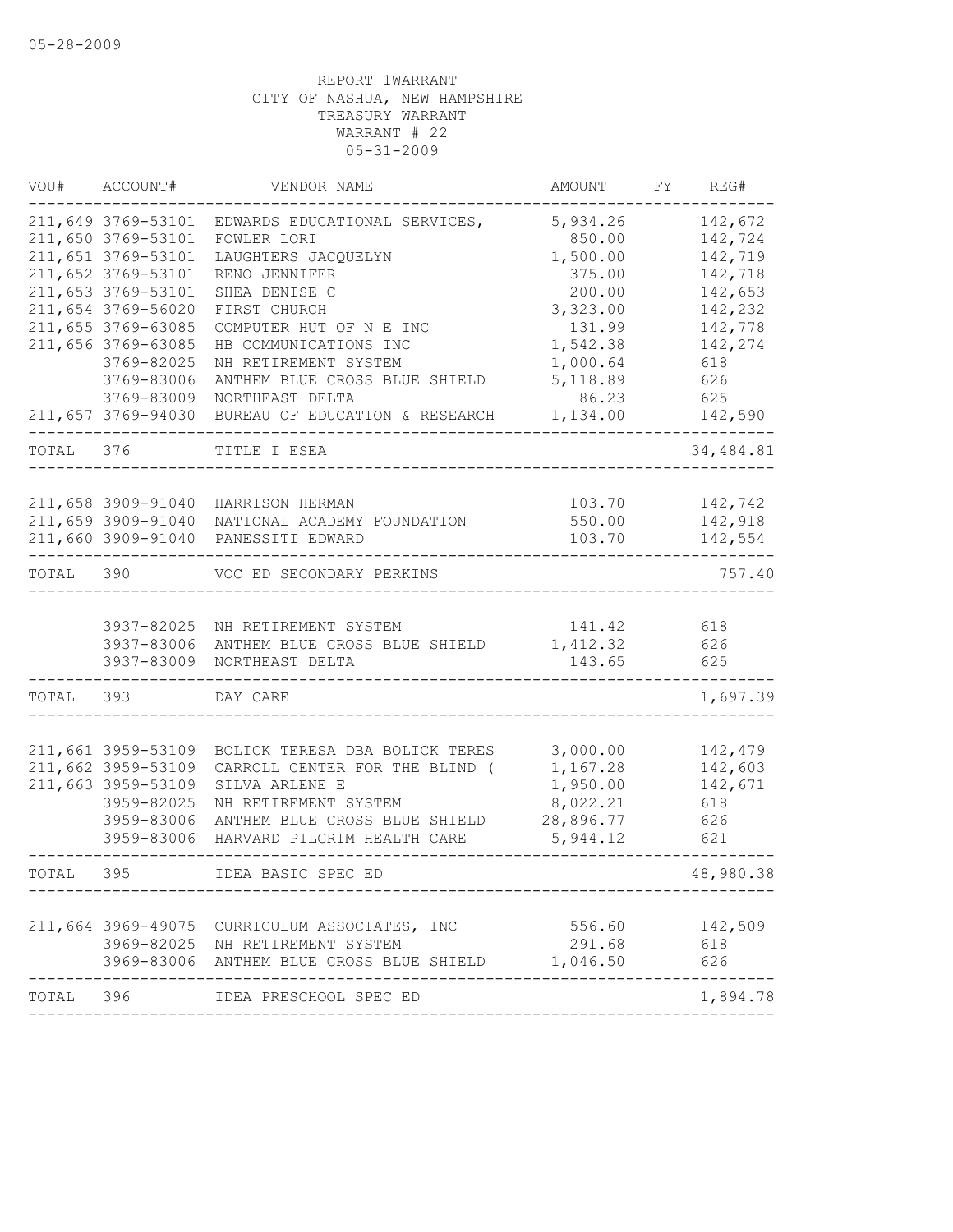| VOU#      | ACCOUNT#           | VENDOR NAME                                                      | AMOUNT             | FY | REG#       |
|-----------|--------------------|------------------------------------------------------------------|--------------------|----|------------|
|           | 211,649 3769-53101 | EDWARDS EDUCATIONAL SERVICES,                                    | 5,934.26           |    | 142,672    |
|           | 211,650 3769-53101 | FOWLER LORI                                                      | 850.00             |    | 142,724    |
|           | 211,651 3769-53101 | LAUGHTERS JACQUELYN                                              | 1,500.00           |    | 142,719    |
|           | 211,652 3769-53101 | RENO JENNIFER                                                    | 375.00             |    | 142,718    |
|           | 211,653 3769-53101 | SHEA DENISE C                                                    | 200.00             |    | 142,653    |
|           | 211,654 3769-56020 | FIRST CHURCH                                                     | 3,323.00           |    | 142,232    |
|           | 211,655 3769-63085 | COMPUTER HUT OF N E INC                                          | 131.99             |    | 142,778    |
|           | 211,656 3769-63085 | HB COMMUNICATIONS INC                                            | 1,542.38           |    | 142,274    |
|           | 3769-82025         | NH RETIREMENT SYSTEM                                             | 1,000.64           |    | 618        |
|           | 3769-83006         | ANTHEM BLUE CROSS BLUE SHIELD                                    | 5, 118.89          |    | 626        |
|           | 3769-83009         | NORTHEAST DELTA                                                  | 86.23              |    | 625        |
|           | 211,657 3769-94030 | BUREAU OF EDUCATION & RESEARCH                                   | 1,134.00           |    | 142,590    |
| TOTAL     | 376                | TITLE I ESEA                                                     |                    |    | 34,484.81  |
|           |                    |                                                                  |                    |    |            |
|           | 211,658 3909-91040 | HARRISON HERMAN                                                  | 103.70             |    | 142,742    |
|           | 211,659 3909-91040 | NATIONAL ACADEMY FOUNDATION                                      | 550.00             |    | 142,918    |
|           | 211,660 3909-91040 | PANESSITI EDWARD                                                 | 103.70             |    | 142,554    |
| TOTAL 390 |                    | VOC ED SECONDARY PERKINS                                         |                    |    | 757.40     |
|           |                    |                                                                  |                    |    |            |
|           | 3937-83006         | 3937-82025 NH RETIREMENT SYSTEM<br>ANTHEM BLUE CROSS BLUE SHIELD | 141.42<br>1,412.32 |    | 618<br>626 |
|           | 3937-83009         | NORTHEAST DELTA                                                  | 143.65             |    | 625        |
|           |                    |                                                                  |                    |    |            |
| TOTAL     | 393                | DAY CARE                                                         |                    |    | 1,697.39   |
|           |                    |                                                                  |                    |    |            |
|           | 211,661 3959-53109 | BOLICK TERESA DBA BOLICK TERES                                   | 3,000.00           |    | 142,479    |
|           | 211,662 3959-53109 | CARROLL CENTER FOR THE BLIND (                                   | 1,167.28           |    | 142,603    |
|           | 211,663 3959-53109 | SILVA ARLENE E                                                   | 1,950.00           |    | 142,671    |
|           | 3959-82025         | NH RETIREMENT SYSTEM                                             | 8,022.21           |    | 618        |
|           | 3959-83006         | ANTHEM BLUE CROSS BLUE SHIELD                                    | 28,896.77          |    | 626        |
|           | 3959-83006         | HARVARD PILGRIM HEALTH CARE                                      | 5,944.12           |    | 621        |
| TOTAL     | 395                | IDEA BASIC SPEC ED                                               |                    |    | 48,980.38  |
|           |                    |                                                                  |                    |    |            |
|           |                    | 211,664 3969-49075 CURRICULUM ASSOCIATES, INC                    | 556.60             |    | 142,509    |
|           |                    | 3969-82025 NH RETIREMENT SYSTEM                                  | 291.68             |    | 618        |
|           |                    | 3969-83006 ANTHEM BLUE CROSS BLUE SHIELD 1,046.50                |                    |    | 626        |
| TOTAL 396 |                    | IDEA PRESCHOOL SPEC ED                                           |                    |    | 1,894.78   |
|           |                    |                                                                  |                    |    |            |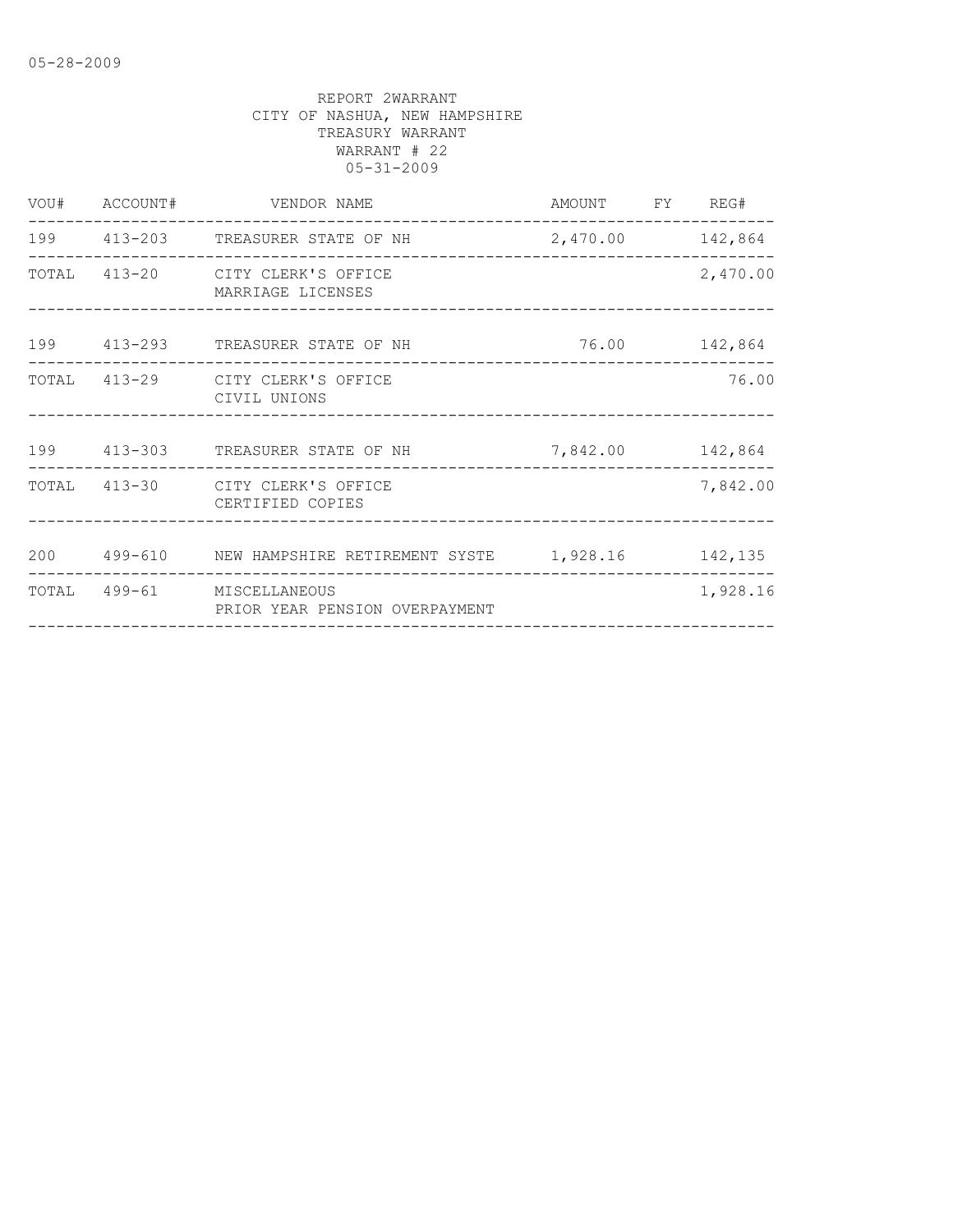| 199 413-203 TREASURER STATE OF NH 2,470.00 142,864              |
|-----------------------------------------------------------------|
| 2,470.00                                                        |
| 76.00 142,864                                                   |
| 76.00                                                           |
| 199 413-303 TREASURER STATE OF NH 7,842.00 142,864              |
| 7,842.00                                                        |
| 200  499-610  NEW HAMPSHIRE RETIREMENT SYSTE  1,928.16  142,135 |
| 1,928.16                                                        |
|                                                                 |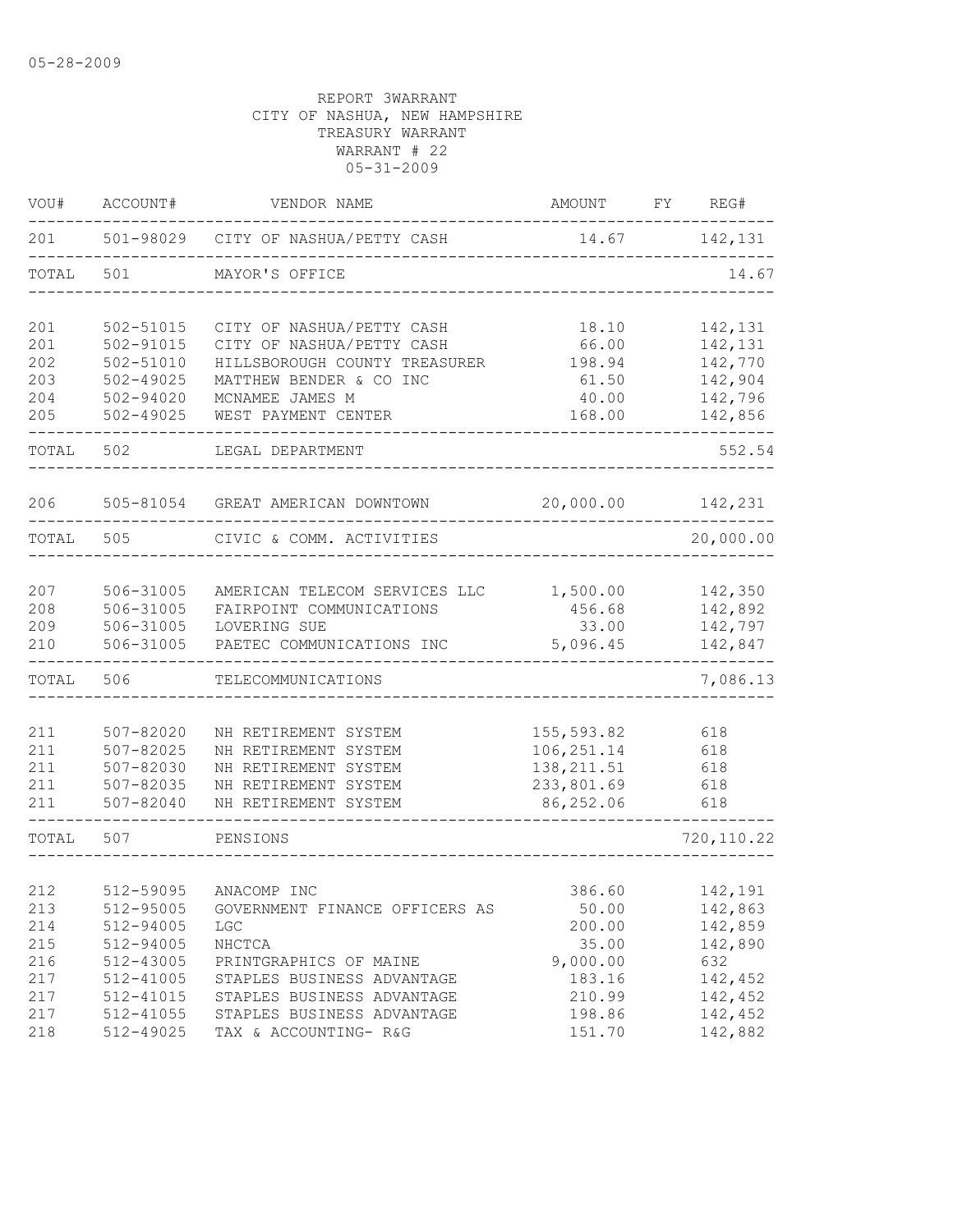| VOU#  | ACCOUNT#      | VENDOR NAME                         | AMOUNT      | FY | REG#              |
|-------|---------------|-------------------------------------|-------------|----|-------------------|
| 201   |               | 501-98029 CITY OF NASHUA/PETTY CASH | 14.67       |    | 142,131           |
| TOTAL | 501           | MAYOR'S OFFICE                      |             |    | 14.67             |
| 201   | 502-51015     | CITY OF NASHUA/PETTY CASH           | 18.10       |    | 142,131           |
| 201   | $502 - 91015$ | CITY OF NASHUA/PETTY CASH           | 66.00       |    | 142,131           |
| 202   | 502-51010     | HILLSBOROUGH COUNTY TREASURER       | 198.94      |    | 142,770           |
| 203   | $502 - 49025$ | MATTHEW BENDER & CO INC             | 61.50       |    | 142,904           |
| 204   | 502-94020     | MCNAMEE JAMES M                     | 40.00       |    | 142,796           |
| 205   | $502 - 49025$ | WEST PAYMENT CENTER                 | 168.00      |    | 142,856           |
| TOTAL | 502           | LEGAL DEPARTMENT                    |             |    | 552.54            |
| 206   | 505-81054     | GREAT AMERICAN DOWNTOWN             | 20,000.00   |    | 142,231           |
| TOTAL | 505           | CIVIC & COMM. ACTIVITIES            |             |    | 20,000.00         |
|       |               |                                     |             |    |                   |
| 207   | 506-31005     | AMERICAN TELECOM SERVICES LLC       | 1,500.00    |    | 142,350           |
| 208   | 506-31005     | FAIRPOINT COMMUNICATIONS            | 456.68      |    | 142,892           |
| 209   | 506-31005     | LOVERING SUE                        | 33.00       |    | 142,797           |
| 210   | 506-31005     | PAETEC COMMUNICATIONS INC           | 5,096.45    |    | 142,847<br>------ |
| TOTAL | 506           | TELECOMMUNICATIONS                  |             |    | 7,086.13          |
|       |               |                                     |             |    |                   |
| 211   | $507 - 82020$ | NH RETIREMENT SYSTEM                | 155, 593.82 |    | 618               |
| 211   | $507 - 82025$ | NH RETIREMENT SYSTEM                | 106, 251.14 |    | 618               |
| 211   | 507-82030     | NH RETIREMENT SYSTEM                | 138, 211.51 |    | 618               |
| 211   | 507-82035     | NH RETIREMENT SYSTEM                | 233,801.69  |    | 618               |
| 211   | $507 - 82040$ | NH RETIREMENT SYSTEM                | 86,252.06   |    | 618               |
| TOTAL | 507           | PENSIONS                            |             |    | 720, 110.22       |
|       |               |                                     |             |    |                   |
| 212   | 512-59095     | ANACOMP INC                         | 386.60      |    | 142,191           |
| 213   | 512-95005     | GOVERNMENT FINANCE OFFICERS AS      | 50.00       |    | 142,863           |
| 214   | 512-94005     | <b>LGC</b>                          | 200.00      |    | 142,859           |
| 215   | 512-94005     | NHCTCA                              | 35.00       |    | 142,890           |
| 216   | 512-43005     | PRINTGRAPHICS OF MAINE              | 9,000.00    |    | 632               |
| 217   | 512-41005     | STAPLES BUSINESS ADVANTAGE          | 183.16      |    | 142,452           |
| 217   | 512-41015     | STAPLES BUSINESS ADVANTAGE          | 210.99      |    | 142,452           |
| 217   | $512 - 41055$ | STAPLES BUSINESS ADVANTAGE          | 198.86      |    | 142,452           |
| 218   | 512-49025     | TAX & ACCOUNTING- R&G               | 151.70      |    | 142,882           |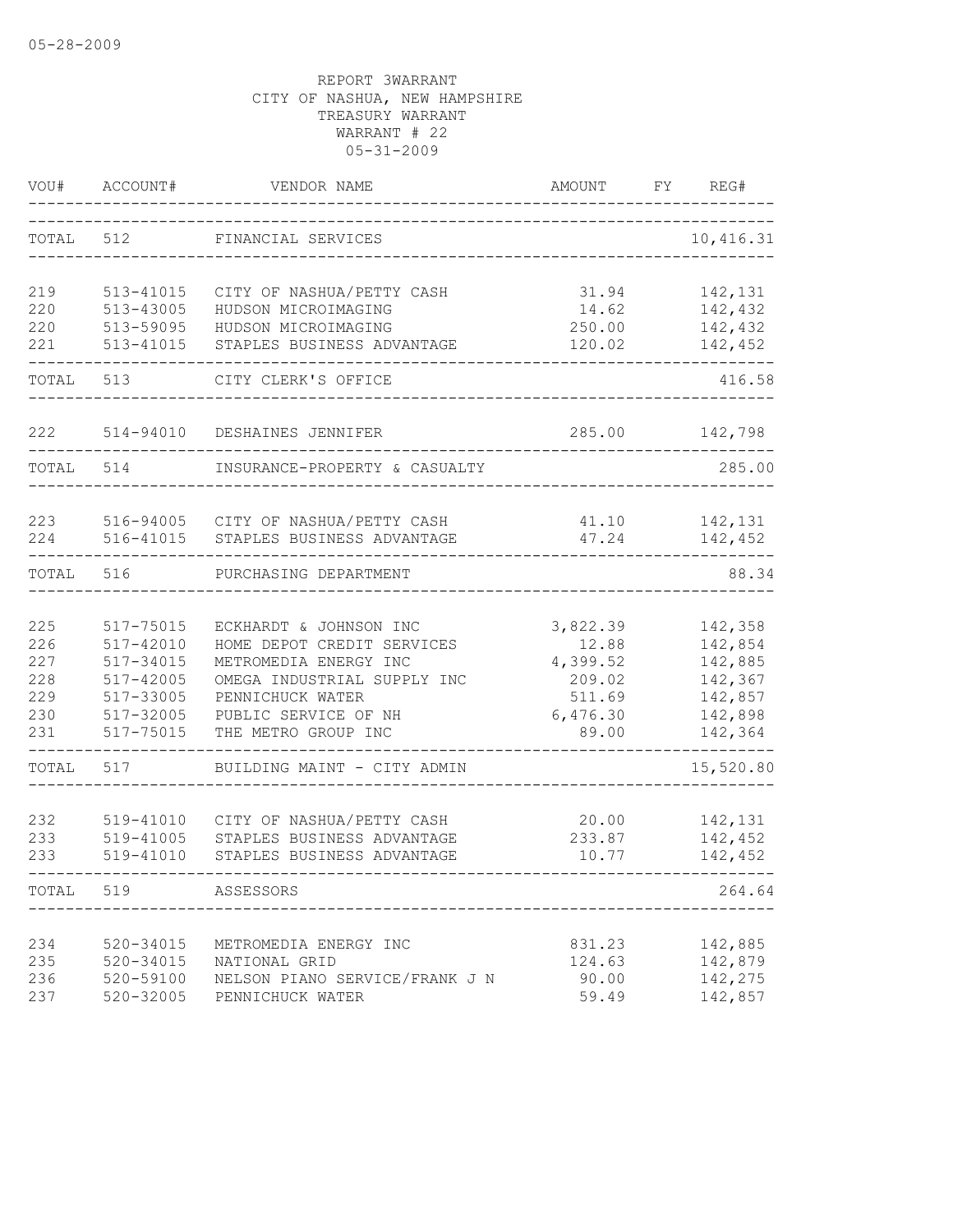| VOU#                                          | ACCOUNT#                                                                                | VENDOR NAME                                                                                                                                                                     | AMOUNT                                                                 | FY. | REG#                                                                      |
|-----------------------------------------------|-----------------------------------------------------------------------------------------|---------------------------------------------------------------------------------------------------------------------------------------------------------------------------------|------------------------------------------------------------------------|-----|---------------------------------------------------------------------------|
| TOTAL                                         | 512                                                                                     | FINANCIAL SERVICES                                                                                                                                                              |                                                                        |     | 10,416.31                                                                 |
| 219<br>220<br>220<br>221                      | 513-41015<br>513-43005<br>513-59095<br>513-41015                                        | CITY OF NASHUA/PETTY CASH<br>HUDSON MICROIMAGING<br>HUDSON MICROIMAGING<br>STAPLES BUSINESS ADVANTAGE                                                                           | 31.94<br>14.62<br>250.00<br>120.02                                     |     | 142,131<br>142,432<br>142,432<br>142,452                                  |
| TOTAL                                         | 513                                                                                     | CITY CLERK'S OFFICE                                                                                                                                                             |                                                                        |     | 416.58                                                                    |
| 222                                           | 514-94010                                                                               | DESHAINES JENNIFER                                                                                                                                                              | 285.00                                                                 |     | 142,798                                                                   |
| TOTAL                                         | 514                                                                                     | INSURANCE-PROPERTY & CASUALTY                                                                                                                                                   |                                                                        |     | 285.00                                                                    |
| 223<br>224                                    | 516-94005<br>516-41015                                                                  | CITY OF NASHUA/PETTY CASH<br>STAPLES BUSINESS ADVANTAGE                                                                                                                         | 41.10<br>47.24                                                         |     | 142,131<br>142,452                                                        |
| TOTAL                                         | 516                                                                                     | PURCHASING DEPARTMENT                                                                                                                                                           |                                                                        |     | 88.34                                                                     |
| 225<br>226<br>227<br>228<br>229<br>230<br>231 | 517-75015<br>517-42010<br>517-34015<br>517-42005<br>517-33005<br>517-32005<br>517-75015 | ECKHARDT & JOHNSON INC<br>HOME DEPOT CREDIT SERVICES<br>METROMEDIA ENERGY INC<br>OMEGA INDUSTRIAL SUPPLY INC<br>PENNICHUCK WATER<br>PUBLIC SERVICE OF NH<br>THE METRO GROUP INC | 3,822.39<br>12.88<br>4,399.52<br>209.02<br>511.69<br>6,476.30<br>89.00 |     | 142,358<br>142,854<br>142,885<br>142,367<br>142,857<br>142,898<br>142,364 |
| TOTAL                                         | 517                                                                                     | BUILDING MAINT - CITY ADMIN                                                                                                                                                     |                                                                        |     | 15,520.80                                                                 |
| 232<br>233<br>233                             | 519-41010<br>519-41005<br>519-41010                                                     | CITY OF NASHUA/PETTY CASH<br>STAPLES BUSINESS ADVANTAGE<br>STAPLES BUSINESS ADVANTAGE                                                                                           | 20.00<br>233.87<br>10.77                                               |     | 142,131<br>142,452<br>142,452                                             |
| TOTAL                                         | 519                                                                                     | ASSESSORS                                                                                                                                                                       |                                                                        |     | 264.64                                                                    |
| 234<br>235<br>236<br>237                      | 520-34015<br>520-34015<br>520-59100<br>$520 - 32005$                                    | METROMEDIA ENERGY INC<br>NATIONAL GRID<br>NELSON PIANO SERVICE/FRANK J N<br>PENNICHUCK WATER                                                                                    | 831.23<br>124.63<br>90.00<br>59.49                                     |     | 142,885<br>142,879<br>142,275<br>142,857                                  |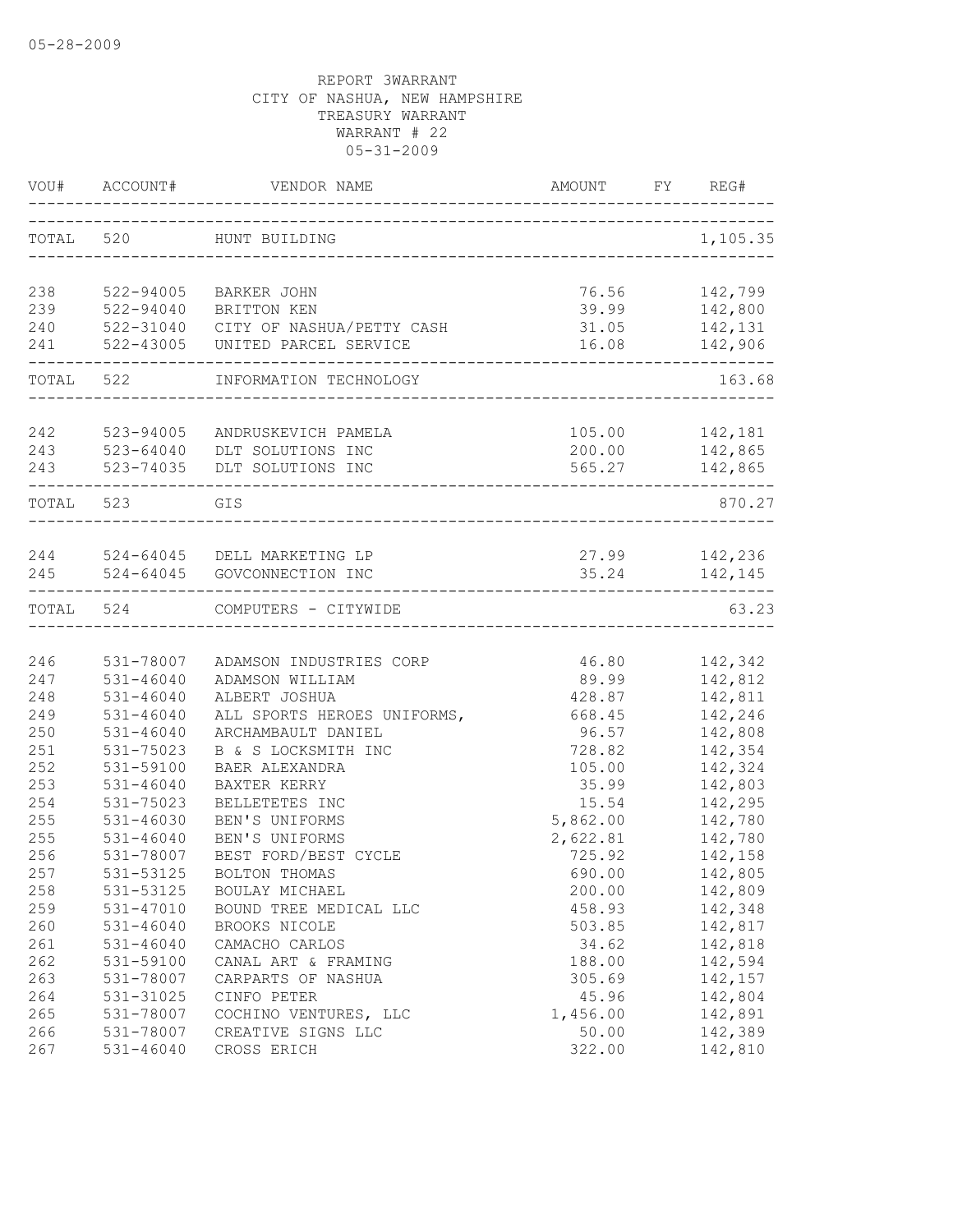|           | VOU# ACCOUNT# | VENDOR NAME                         | AMOUNT                   | FY<br>REG# |       |
|-----------|---------------|-------------------------------------|--------------------------|------------|-------|
|           | TOTAL 520     | HUNT BUILDING                       |                          | 1,105.35   |       |
|           |               |                                     |                          |            |       |
| 238       | 522-94005     | BARKER JOHN                         | 76.56                    | 142,799    |       |
| 239       | 522-94040     | BRITTON KEN                         | 39.99                    | 142,800    |       |
| 240       |               | 522-31040 CITY OF NASHUA/PETTY CASH | 31.05                    | 142,131    |       |
| 241       | 522-43005     | UNITED PARCEL SERVICE               | 16.08<br>_______________ | 142,906    |       |
|           | TOTAL 522     | INFORMATION TECHNOLOGY              |                          | 163.68     |       |
|           |               |                                     |                          |            |       |
| 242       | 523-94005     | ANDRUSKEVICH PAMELA                 | 105.00                   | 142,181    |       |
| 243       | 523-64040     | DLT SOLUTIONS INC                   | 200.00                   | 142,865    |       |
| 243       |               | 523-74035 DLT SOLUTIONS INC         | 565.27                   | 142,865    |       |
| TOTAL 523 |               | GIS                                 |                          | 870.27     |       |
|           |               |                                     |                          |            |       |
|           |               | 244 524-64045 DELL MARKETING LP     | 27.99 142,236            |            |       |
| 245       | $524 - 64045$ | GOVCONNECTION INC                   | 35.24                    | 142,145    |       |
| TOTAL     | 524           | COMPUTERS - CITYWIDE                |                          |            | 63.23 |
|           |               |                                     |                          |            |       |
| 246       | 531-78007     | ADAMSON INDUSTRIES CORP             | 46.80                    | 142,342    |       |
| 247       | $531 - 46040$ | ADAMSON WILLIAM                     | 89.99                    | 142,812    |       |
| 248       | $531 - 46040$ | ALBERT JOSHUA                       | 428.87                   | 142,811    |       |
| 249       | $531 - 46040$ | ALL SPORTS HEROES UNIFORMS,         | 668.45                   | 142,246    |       |
| 250       | $531 - 46040$ | ARCHAMBAULT DANIEL                  | 96.57                    | 142,808    |       |
| 251       | 531-75023     | B & S LOCKSMITH INC                 | 728.82                   | 142,354    |       |
| 252       | 531-59100     | BAER ALEXANDRA                      | 105.00                   | 142,324    |       |
| 253       | $531 - 46040$ | BAXTER KERRY                        | 35.99                    | 142,803    |       |
| 254       | 531-75023     | BELLETETES INC                      | 15.54                    | 142,295    |       |
| 255       | $531 - 46030$ | BEN'S UNIFORMS                      | 5,862.00                 | 142,780    |       |
| 255       | $531 - 46040$ | BEN'S UNIFORMS                      | 2,622.81                 | 142,780    |       |
| 256       | 531-78007     | BEST FORD/BEST CYCLE                | 725.92                   | 142,158    |       |
| 257       | 531-53125     | BOLTON THOMAS                       | 690.00                   | 142,805    |       |
| 258       | 531-53125     | BOULAY MICHAEL                      | 200.00                   | 142,809    |       |
| 259       | $531 - 47010$ | BOUND TREE MEDICAL LLC              | 458.93                   | 142,348    |       |
| 260       | $531 - 46040$ | BROOKS NICOLE                       | 503.85                   | 142,817    |       |
| 261       | $531 - 46040$ | CAMACHO CARLOS                      | 34.62                    | 142,818    |       |
| 262       | 531-59100     | CANAL ART & FRAMING                 | 188.00                   | 142,594    |       |
| 263       | 531-78007     | CARPARTS OF NASHUA                  | 305.69                   | 142,157    |       |
| 264       | 531-31025     | CINFO PETER                         | 45.96                    | 142,804    |       |
| 265       | 531-78007     | COCHINO VENTURES, LLC               | 1,456.00                 | 142,891    |       |
| 266       | 531-78007     | CREATIVE SIGNS LLC                  | 50.00                    | 142,389    |       |
| 267       | $531 - 46040$ | CROSS ERICH                         | 322.00                   | 142,810    |       |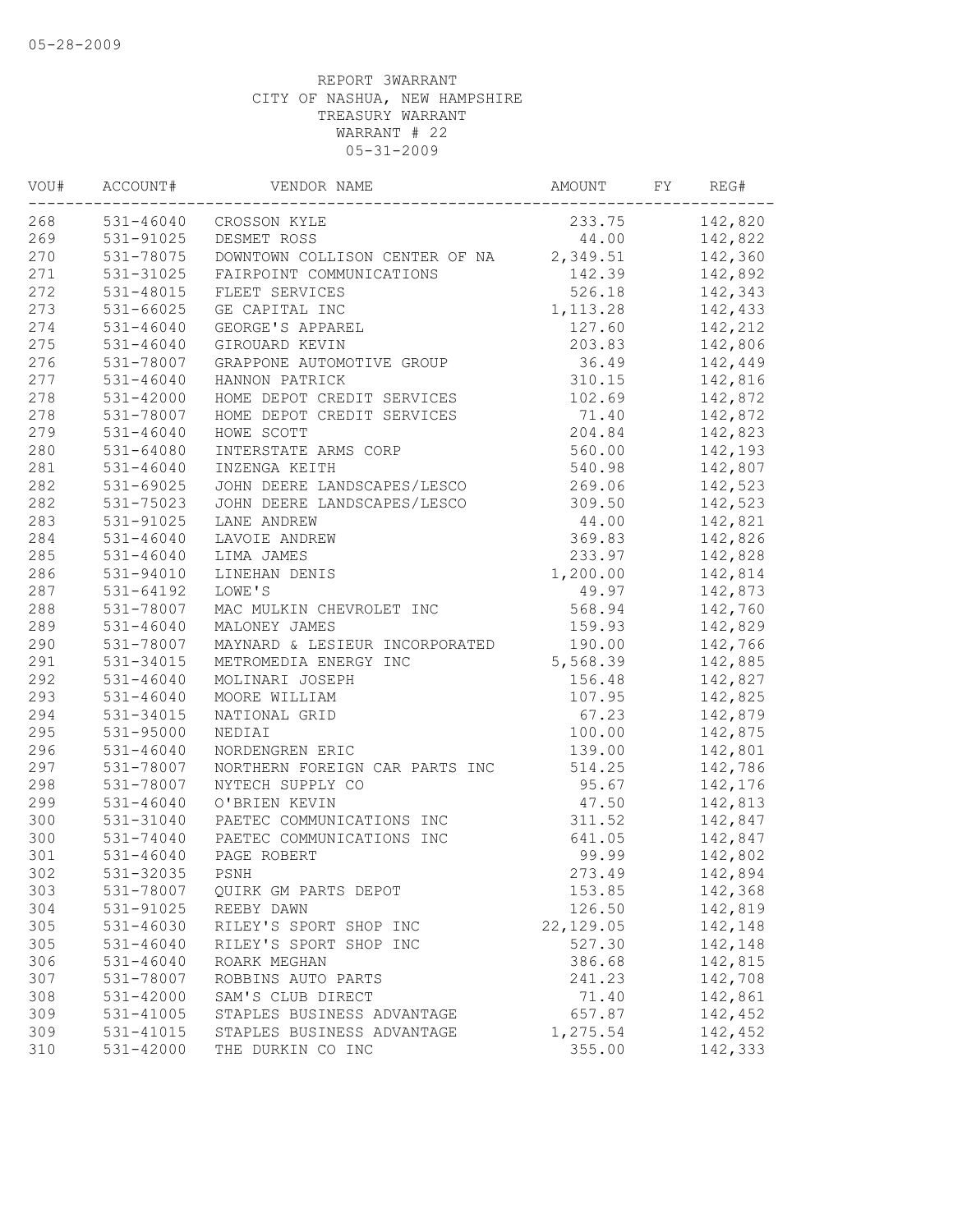| WOU# | ACCOUNT#      | VENDOR NAME                    | AMOUNT     | FY | REG#    |
|------|---------------|--------------------------------|------------|----|---------|
| 268  | 531-46040     | CROSSON KYLE                   | 233.75     |    | 142,820 |
| 269  | 531-91025     | DESMET ROSS                    | 44.00      |    | 142,822 |
| 270  | 531-78075     | DOWNTOWN COLLISON CENTER OF NA | 2,349.51   |    | 142,360 |
| 271  | 531-31025     | FAIRPOINT COMMUNICATIONS       | 142.39     |    | 142,892 |
| 272  | 531-48015     | FLEET SERVICES                 | 526.18     |    | 142,343 |
| 273  | 531-66025     | GE CAPITAL INC                 | 1, 113.28  |    | 142,433 |
| 274  | $531 - 46040$ | GEORGE'S APPAREL               | 127.60     |    | 142,212 |
| 275  | 531-46040     | GIROUARD KEVIN                 | 203.83     |    | 142,806 |
| 276  | 531-78007     | GRAPPONE AUTOMOTIVE GROUP      | 36.49      |    | 142,449 |
| 277  | $531 - 46040$ | HANNON PATRICK                 | 310.15     |    | 142,816 |
| 278  | $531 - 42000$ | HOME DEPOT CREDIT SERVICES     | 102.69     |    | 142,872 |
| 278  | 531-78007     | HOME DEPOT CREDIT SERVICES     | 71.40      |    | 142,872 |
| 279  | 531-46040     | HOWE SCOTT                     | 204.84     |    | 142,823 |
| 280  | 531-64080     | INTERSTATE ARMS CORP           | 560.00     |    | 142,193 |
| 281  | $531 - 46040$ | INZENGA KEITH                  | 540.98     |    | 142,807 |
| 282  | 531-69025     | JOHN DEERE LANDSCAPES/LESCO    | 269.06     |    | 142,523 |
| 282  | 531-75023     | JOHN DEERE LANDSCAPES/LESCO    | 309.50     |    | 142,523 |
| 283  | 531-91025     | LANE ANDREW                    | 44.00      |    | 142,821 |
| 284  | 531-46040     | LAVOIE ANDREW                  | 369.83     |    | 142,826 |
| 285  | 531-46040     | LIMA JAMES                     | 233.97     |    | 142,828 |
| 286  | 531-94010     | LINEHAN DENIS                  | 1,200.00   |    | 142,814 |
| 287  | 531-64192     | LOWE'S                         | 49.97      |    | 142,873 |
| 288  | 531-78007     | MAC MULKIN CHEVROLET INC       | 568.94     |    | 142,760 |
| 289  | $531 - 46040$ | MALONEY JAMES                  | 159.93     |    | 142,829 |
| 290  | 531-78007     | MAYNARD & LESIEUR INCORPORATED | 190.00     |    | 142,766 |
| 291  | 531-34015     | METROMEDIA ENERGY INC          | 5,568.39   |    | 142,885 |
| 292  | 531-46040     | MOLINARI JOSEPH                | 156.48     |    | 142,827 |
| 293  | $531 - 46040$ | MOORE WILLIAM                  | 107.95     |    | 142,825 |
| 294  | 531-34015     | NATIONAL GRID                  | 67.23      |    | 142,879 |
| 295  | 531-95000     | NEDIAI                         | 100.00     |    | 142,875 |
| 296  | $531 - 46040$ | NORDENGREN ERIC                | 139.00     |    | 142,801 |
| 297  | 531-78007     | NORTHERN FOREIGN CAR PARTS INC | 514.25     |    | 142,786 |
| 298  | 531-78007     | NYTECH SUPPLY CO               | 95.67      |    | 142,176 |
| 299  | $531 - 46040$ | O'BRIEN KEVIN                  | 47.50      |    | 142,813 |
| 300  | 531-31040     | PAETEC COMMUNICATIONS INC      | 311.52     |    | 142,847 |
| 300  | 531-74040     | PAETEC COMMUNICATIONS INC      | 641.05     |    | 142,847 |
| 301  | $531 - 46040$ | PAGE ROBERT                    | 99.99      |    | 142,802 |
| 302  | 531-32035     | PSNH                           | 273.49     |    | 142,894 |
| 303  | 531-78007     | QUIRK GM PARTS DEPOT           | 153.85     |    | 142,368 |
| 304  | 531-91025     | REEBY DAWN                     | 126.50     |    | 142,819 |
| 305  | 531-46030     | RILEY'S SPORT SHOP INC         | 22, 129.05 |    | 142,148 |
| 305  | $531 - 46040$ | RILEY'S SPORT SHOP INC         | 527.30     |    | 142,148 |
| 306  | $531 - 46040$ | ROARK MEGHAN                   | 386.68     |    | 142,815 |
| 307  | 531-78007     | ROBBINS AUTO PARTS             | 241.23     |    | 142,708 |
| 308  | 531-42000     | SAM'S CLUB DIRECT              | 71.40      |    | 142,861 |
| 309  | 531-41005     | STAPLES BUSINESS ADVANTAGE     | 657.87     |    | 142,452 |
| 309  | 531-41015     | STAPLES BUSINESS ADVANTAGE     | 1,275.54   |    | 142,452 |
| 310  | 531-42000     | THE DURKIN CO INC              | 355.00     |    | 142,333 |
|      |               |                                |            |    |         |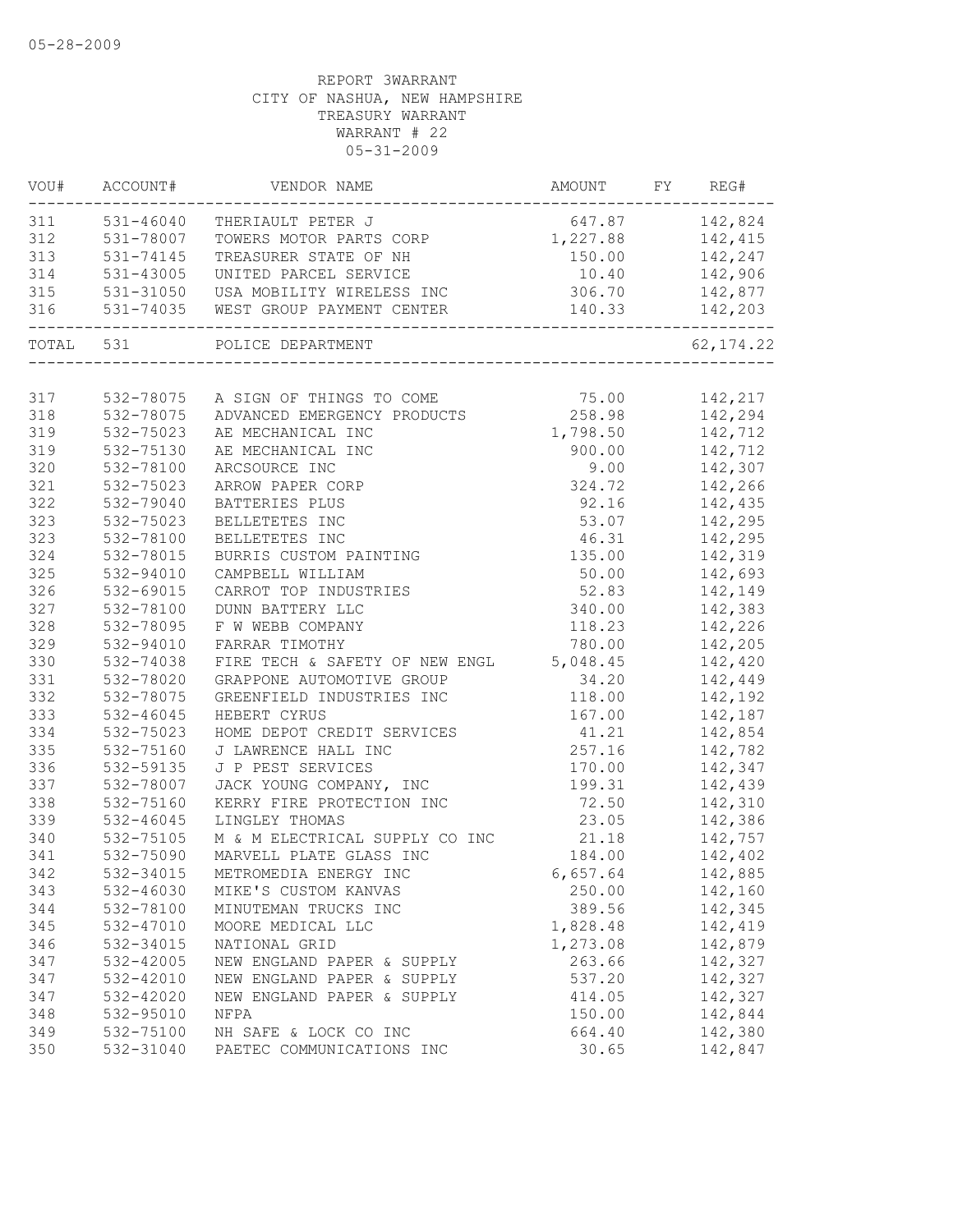|           | VOU# ACCOUNT# | VENDOR NAME                                                 | AMOUNT FY REG#     |                  |
|-----------|---------------|-------------------------------------------------------------|--------------------|------------------|
| 311       | $531 - 46040$ | THERIAULT PETER J                                           | 647.87 142,824     |                  |
| 312       | 531-78007     | TOWERS MOTOR PARTS CORP                                     | 1, 227.88 142, 415 |                  |
| 313       | 531-74145     | TREASURER STATE OF NH                                       | 150.00 142,247     |                  |
| 314       | 531-43005     | UNITED PARCEL SERVICE                                       |                    | 10.40    142,906 |
| 315       |               | 531-31050 USA MOBILITY WIRELESS INC                         | 306.70             | 142,877          |
| 316       | 531-74035     | WEST GROUP PAYMENT CENTER<br>------------------------------ | 140.33             | 142,203          |
| TOTAL 531 |               | POLICE DEPARTMENT                                           |                    | 62, 174.22       |
|           |               |                                                             |                    |                  |
| 317       | 532-78075     | A SIGN OF THINGS TO COME                                    | 75.00 142,217      |                  |
| 318       | 532-78075     | ADVANCED EMERGENCY PRODUCTS 258.98 142,294                  |                    |                  |
| 319       | 532-75023     | AE MECHANICAL INC                                           | 1,798.50 142,712   |                  |
| 319       | 532-75130     | AE MECHANICAL INC                                           | 900.00             | 142,712          |
| 320       | 532-78100     | ARCSOURCE INC                                               | 9.00               | 142,307          |
| 321       | 532-75023     | ARROW PAPER CORP                                            | 324.72             | 142,266          |
| 322       | 532-79040     | BATTERIES PLUS                                              | 92.16              | 142,435          |
| 323       | 532-75023     | BELLETETES INC                                              | 53.07              | 142,295          |
| 323       | 532-78100     | BELLETETES INC                                              | 46.31              | 142,295          |
| 324       | 532-78015     | BURRIS CUSTOM PAINTING                                      | 135.00             | 142,319          |
| 325       | 532-94010     | CAMPBELL WILLIAM                                            | 50.00              | 142,693          |
| 326       | 532-69015     | CARROT TOP INDUSTRIES                                       | 52.83              | 142,149          |
| 327       | 532-78100     | DUNN BATTERY LLC                                            | 340.00             | 142,383          |
| 328       | 532-78095     | F W WEBB COMPANY                                            | 118.23             | 142,226          |
| 329       | 532-94010     | FARRAR TIMOTHY                                              | 780.00             | 142,205          |
| 330       | 532-74038     | FIRE TECH & SAFETY OF NEW ENGL 5,048.45                     |                    | 142,420          |
| 331       | 532-78020     | GRAPPONE AUTOMOTIVE GROUP                                   | 34.20              | 142,449          |
| 332       | 532-78075     | GREENFIELD INDUSTRIES INC                                   | 118.00             | 142,192          |
| 333       | 532-46045     | HEBERT CYRUS                                                | 167.00             | 142,187          |
| 334       | 532-75023     | HOME DEPOT CREDIT SERVICES                                  | 41.21              | 142,854          |
| 335       | 532-75160     | J LAWRENCE HALL INC                                         | 257.16             | 142,782          |
| 336       | 532-59135     | J P PEST SERVICES                                           | 170.00             | 142,347          |
| 337       | 532-78007     | JACK YOUNG COMPANY, INC                                     | 199.31             | 142,439          |
| 338       | 532-75160     | KERRY FIRE PROTECTION INC                                   | 72.50              | 142,310          |
| 339       | $532 - 46045$ | LINGLEY THOMAS                                              | 23.05              | 142,386          |
| 340       | 532-75105     | M & M ELECTRICAL SUPPLY CO INC                              | 21.18              | 142,757          |
| 341       | 532-75090     | MARVELL PLATE GLASS INC                                     | 184.00             | 142,402          |
| 342       | 532-34015     | METROMEDIA ENERGY INC                                       | 6,657.64           | 142,885          |
| 343       | 532-46030     | MIKE'S CUSTOM KANVAS                                        | 250.00             | 142,160          |
| 344       | 532-78100     | MINUTEMAN TRUCKS INC                                        | 389.56             | 142,345          |
| 345       | 532-47010     | MOORE MEDICAL LLC                                           | 1,828.48           | 142,419          |
| 346       | 532-34015     | NATIONAL GRID                                               | 1,273.08           | 142,879          |
| 347       | 532-42005     | NEW ENGLAND PAPER & SUPPLY                                  | 263.66             | 142,327          |
| 347       | 532-42010     | NEW ENGLAND PAPER & SUPPLY                                  | 537.20             | 142,327          |
| 347       | 532-42020     | NEW ENGLAND PAPER & SUPPLY                                  | 414.05             | 142,327          |
| 348       | 532-95010     | NFPA                                                        | 150.00             | 142,844          |
| 349       | 532-75100     | NH SAFE & LOCK CO INC                                       | 664.40             | 142,380          |
| 350       | 532-31040     | PAETEC COMMUNICATIONS INC                                   | 30.65              | 142,847          |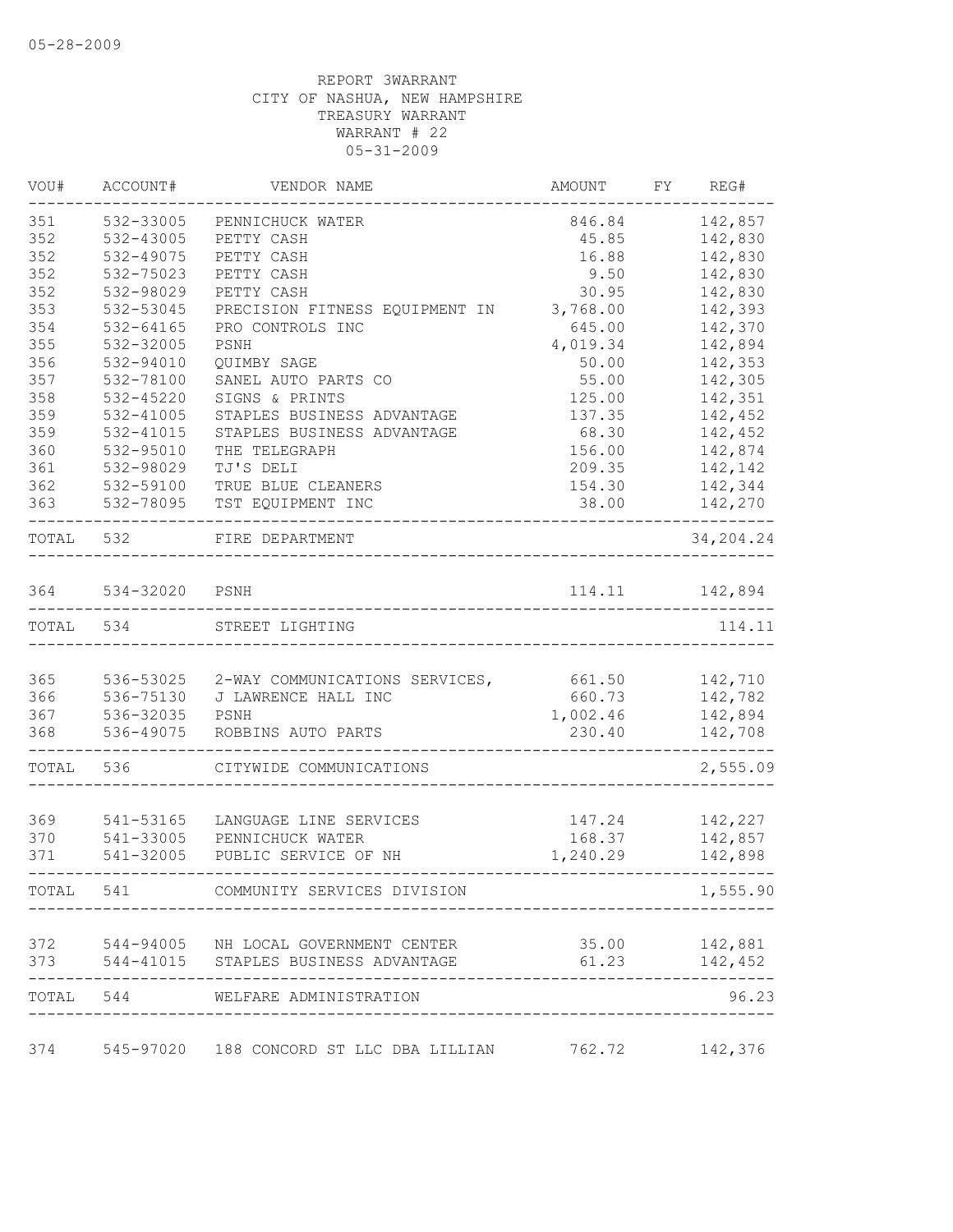| VOU#  | ACCOUNT#               | VENDOR NAME                                             | AMOUNT   | FY REG#       |
|-------|------------------------|---------------------------------------------------------|----------|---------------|
| 351   | 532-33005              | PENNICHUCK WATER                                        | 846.84   | 142,857       |
| 352   | 532-43005              | PETTY CASH                                              | 45.85    | 142,830       |
| 352   | 532-49075              | PETTY CASH                                              | 16.88    | 142,830       |
| 352   | 532-75023              | PETTY CASH                                              | 9.50     | 142,830       |
| 352   | 532-98029              | PETTY CASH                                              | 30.95    | 142,830       |
| 353   | 532-53045              | PRECISION FITNESS EQUIPMENT IN                          | 3,768.00 | 142,393       |
| 354   | $532 - 64165$          | PRO CONTROLS INC                                        | 645.00   | 142,370       |
| 355   | 532-32005              | PSNH                                                    | 4,019.34 | 142,894       |
| 356   | 532-94010              | OUIMBY SAGE                                             | 50.00    | 142,353       |
| 357   | 532-78100              | SANEL AUTO PARTS CO                                     | 55.00    | 142,305       |
| 358   | $532 - 45220$          | SIGNS & PRINTS                                          | 125.00   | 142,351       |
| 359   | 532-41005              | STAPLES BUSINESS ADVANTAGE                              | 137.35   | 142,452       |
| 359   | 532-41015              | STAPLES BUSINESS ADVANTAGE                              | 68.30    | 142,452       |
| 360   | 532-95010              | THE TELEGRAPH                                           | 156.00   | 142,874       |
| 361   | 532-98029              | TJ'S DELI                                               | 209.35   | 142,142       |
| 362   | 532-59100              | TRUE BLUE CLEANERS                                      | 154.30   | 142,344       |
| 363   | 532-78095              | TST EQUIPMENT INC                                       | 38.00    | 142,270       |
| TOTAL | 532                    | FIRE DEPARTMENT                                         |          | 34,204.24     |
| 364   | 534-32020              | PSNH                                                    | 114.11   | 142,894       |
| TOTAL | 534                    | STREET LIGHTING                                         |          | 114.11        |
|       |                        |                                                         |          |               |
| 365   | 536-53025              | 2-WAY COMMUNICATIONS SERVICES,                          | 661.50   | 142,710       |
| 366   | 536-75130              | J LAWRENCE HALL INC                                     | 660.73   | 142,782       |
| 367   | 536-32035              | PSNH                                                    | 1,002.46 | 142,894       |
| 368   | 536-49075              | ROBBINS AUTO PARTS                                      | 230.40   | 142,708       |
| TOTAL | 536                    | CITYWIDE COMMUNICATIONS                                 |          | 2,555.09      |
|       |                        |                                                         |          |               |
| 369   | 541-53165              | LANGUAGE LINE SERVICES<br>PENNICHUCK WATER              | 147.24   | 142,227       |
| 370   | 541-33005<br>541-32005 |                                                         | 168.37   | 142,857       |
| 371   |                        | PUBLIC SERVICE OF NH                                    | 1,240.29 | 142,898       |
| TOTAL |                        | 541 COMMUNITY SERVICES DIVISION                         |          | 1,555.90      |
|       |                        | 372 544-94005 NH LOCAL GOVERNMENT CENTER                |          | 35.00 142,881 |
| 373   |                        | 544-41015 STAPLES BUSINESS ADVANTAGE                    | 61.23    | 142,452       |
| TOTAL |                        | 544 WELFARE ADMINISTRATION                              |          | 96.23         |
| 374   |                        | 545-97020 188 CONCORD ST LLC DBA LILLIAN 762.72 142,376 |          |               |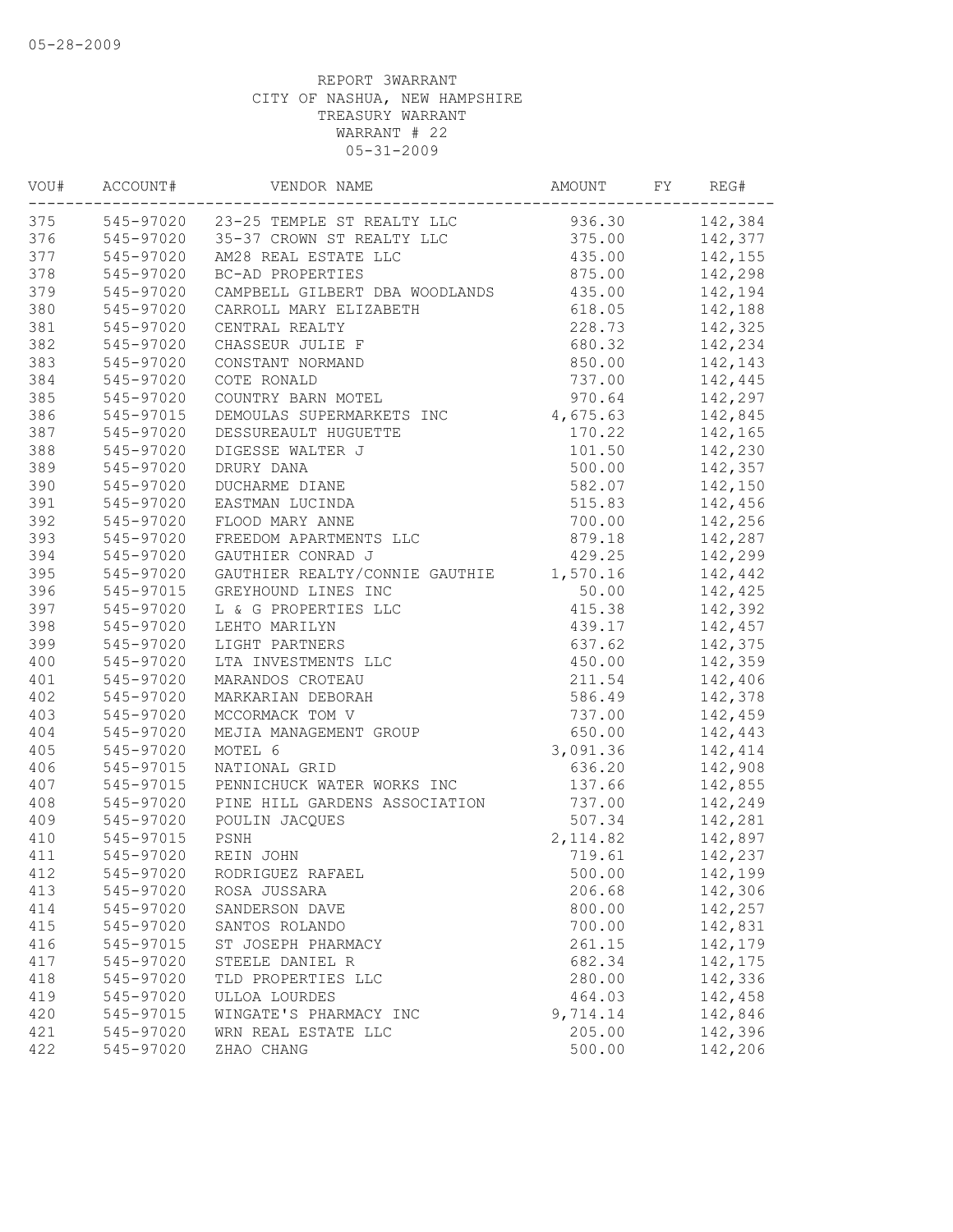| VOU# | ACCOUNT#  | VENDOR NAME                          | AMOUNT    | FY | REG#           |
|------|-----------|--------------------------------------|-----------|----|----------------|
| 375  |           | 545-97020 23-25 TEMPLE ST REALTY LLC | 936.30    |    | 142,384        |
| 376  |           | 545-97020 35-37 CROWN ST REALTY LLC  |           |    | 375.00 142,377 |
| 377  | 545-97020 | AM28 REAL ESTATE LLC                 | 435.00    |    | 142,155        |
| 378  | 545-97020 | BC-AD PROPERTIES                     | 875.00    |    | 142,298        |
| 379  | 545-97020 | CAMPBELL GILBERT DBA WOODLANDS       | 435.00    |    | 142,194        |
| 380  | 545-97020 | CARROLL MARY ELIZABETH               | 618.05    |    | 142,188        |
| 381  | 545-97020 | CENTRAL REALTY                       | 228.73    |    | 142,325        |
| 382  | 545-97020 | CHASSEUR JULIE F                     | 680.32    |    | 142,234        |
| 383  | 545-97020 | CONSTANT NORMAND                     | 850.00    |    | 142,143        |
| 384  | 545-97020 | COTE RONALD                          | 737.00    |    | 142,445        |
| 385  | 545-97020 | COUNTRY BARN MOTEL                   | 970.64    |    | 142,297        |
| 386  | 545-97015 | DEMOULAS SUPERMARKETS INC            | 4,675.63  |    | 142,845        |
| 387  | 545-97020 | DESSUREAULT HUGUETTE                 | 170.22    |    | 142,165        |
| 388  | 545-97020 | DIGESSE WALTER J                     | 101.50    |    | 142,230        |
| 389  | 545-97020 | DRURY DANA                           | 500.00    |    | 142,357        |
| 390  | 545-97020 | DUCHARME DIANE                       | 582.07    |    | 142,150        |
| 391  | 545-97020 | EASTMAN LUCINDA                      | 515.83    |    | 142,456        |
| 392  | 545-97020 | FLOOD MARY ANNE                      | 700.00    |    | 142,256        |
| 393  | 545-97020 | FREEDOM APARTMENTS LLC               | 879.18    |    | 142,287        |
| 394  | 545-97020 | GAUTHIER CONRAD J                    | 429.25    |    | 142,299        |
| 395  | 545-97020 | GAUTHIER REALTY/CONNIE GAUTHIE       | 1,570.16  |    | 142,442        |
| 396  | 545-97015 | GREYHOUND LINES INC                  | 50.00     |    | 142,425        |
| 397  | 545-97020 | L & G PROPERTIES LLC                 | 415.38    |    | 142,392        |
| 398  | 545-97020 | LEHTO MARILYN                        | 439.17    |    | 142,457        |
| 399  | 545-97020 | LIGHT PARTNERS                       | 637.62    |    | 142,375        |
| 400  | 545-97020 | LTA INVESTMENTS LLC                  | 450.00    |    | 142,359        |
| 401  | 545-97020 | MARANDOS CROTEAU                     | 211.54    |    | 142,406        |
| 402  | 545-97020 | MARKARIAN DEBORAH                    | 586.49    |    | 142,378        |
| 403  | 545-97020 | MCCORMACK TOM V                      | 737.00    |    | 142,459        |
| 404  | 545-97020 | MEJIA MANAGEMENT GROUP               | 650.00    |    | 142,443        |
| 405  | 545-97020 | MOTEL 6                              | 3,091.36  |    | 142,414        |
| 406  | 545-97015 | NATIONAL GRID                        | 636.20    |    | 142,908        |
| 407  | 545-97015 | PENNICHUCK WATER WORKS INC           | 137.66    |    | 142,855        |
| 408  | 545-97020 | PINE HILL GARDENS ASSOCIATION        | 737.00    |    | 142,249        |
| 409  | 545-97020 | POULIN JACQUES                       | 507.34    |    | 142,281        |
| 410  | 545-97015 | PSNH                                 | 2, 114.82 |    | 142,897        |
| 411  | 545-97020 | REIN JOHN                            | 719.61    |    | 142,237        |
| 412  | 545-97020 | RODRIGUEZ RAFAEL                     | 500.00    |    | 142,199        |
| 413  | 545-97020 | ROSA JUSSARA                         | 206.68    |    | 142,306        |
| 414  | 545-97020 | SANDERSON DAVE                       | 800.00    |    | 142,257        |
| 415  | 545-97020 | SANTOS ROLANDO                       | 700.00    |    | 142,831        |
| 416  | 545-97015 | ST JOSEPH PHARMACY                   | 261.15    |    | 142,179        |
| 417  | 545-97020 | STEELE DANIEL R                      | 682.34    |    | 142,175        |
| 418  | 545-97020 | TLD PROPERTIES LLC                   | 280.00    |    | 142,336        |
| 419  | 545-97020 | ULLOA LOURDES                        | 464.03    |    | 142,458        |
| 420  | 545-97015 | WINGATE'S PHARMACY INC               | 9,714.14  |    | 142,846        |
| 421  | 545-97020 | WRN REAL ESTATE LLC                  | 205.00    |    | 142,396        |
| 422  | 545-97020 | ZHAO CHANG                           | 500.00    |    | 142,206        |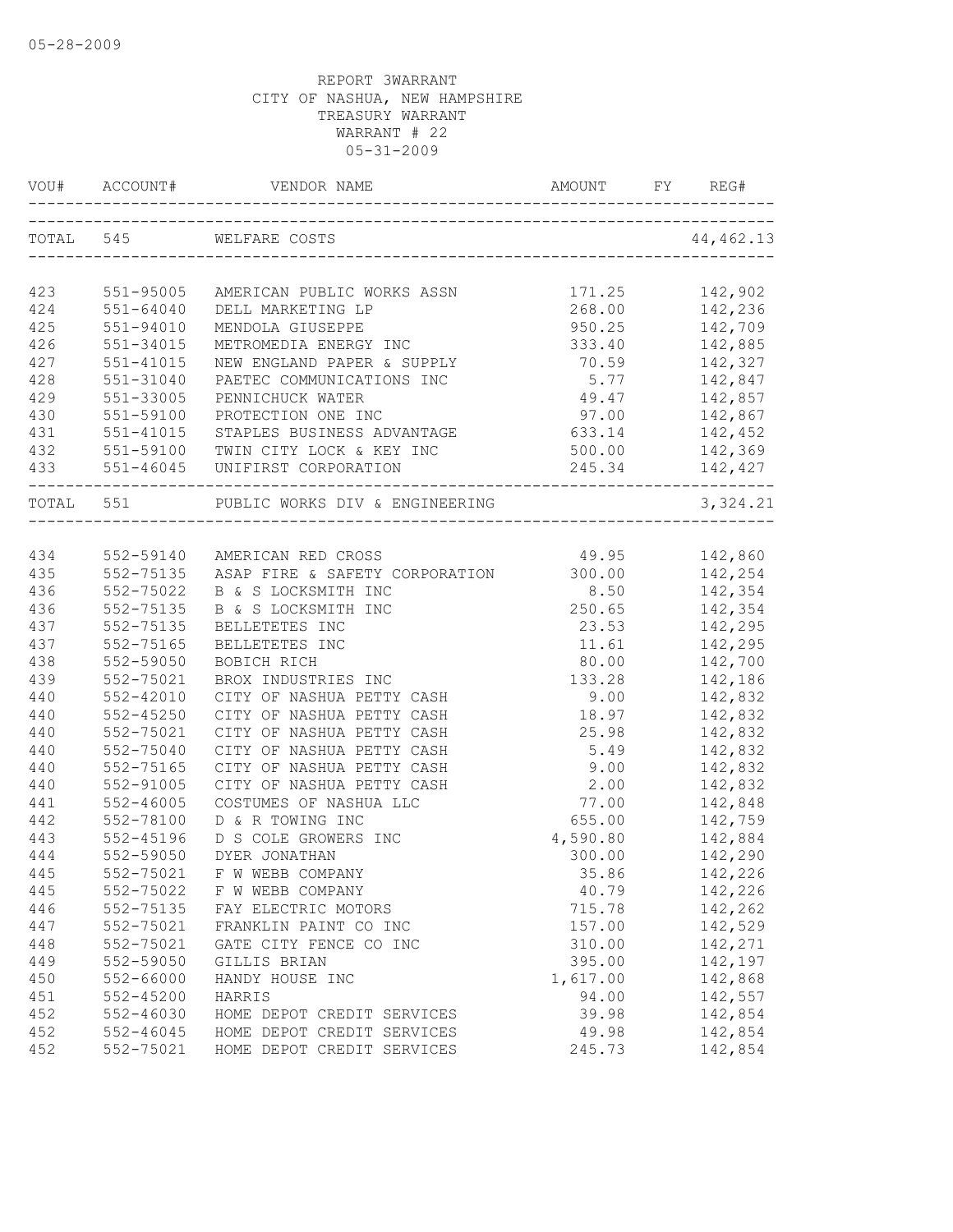| TOTAL 545<br>WELFARE COSTS<br>171.25<br>142,902<br>551-95005<br>AMERICAN PUBLIC WORKS ASSN<br>268.00 142,236<br>950.25 142,709<br>333.40 142,885<br>551-64040<br>DELL MARKETING LP<br>$551 - 94010$<br>MENDOLA GIUSEPPE<br>551-34015<br>METROMEDIA ENERGY INC<br>70.59 142,327<br>NEW ENGLAND PAPER & SUPPLY<br>551-41015<br>$5.77$ 142,847<br>551-31040<br>PAETEC COMMUNICATIONS INC<br>49.47 142,857<br>551-33005<br>PENNICHUCK WATER<br>97.00 142,867<br>551-59100<br>PROTECTION ONE INC<br>551-41015<br>STAPLES BUSINESS ADVANTAGE<br>633.14 142,452<br>432<br>142,369<br>551-59100 TWIN CITY LOCK & KEY INC<br>500.00<br>$245.34$ 142,427<br>PUBLIC WORKS DIV & ENGINEERING<br>TOTAL 551<br>49.95 142,860<br>552-59140 AMERICAN RED CROSS<br>ASAP FIRE & SAFETY CORPORATION 300.00 142,254<br>552-75135<br>552-75022<br>B & S LOCKSMITH INC<br>8.50 142,354<br>250.65<br>552-75135<br>142,354<br>B & S LOCKSMITH INC<br>23.53<br>11.61 142,295<br>80.00 142,700<br>552-75135<br>BELLETETES INC<br>23.53<br>552-75165<br>BELLETETES INC<br>552-59050<br>BOBICH RICH<br>133.28 142,186<br>552-75021<br>BROX INDUSTRIES INC<br>$9.00$ 142,832<br>$552 - 42010$<br>CITY OF NASHUA PETTY CASH<br>$552 - 45250$<br>CITY OF NASHUA PETTY CASH<br>18.97 142,832<br>552-75021<br>CITY OF NASHUA PETTY CASH<br>25.98<br>142,832<br>440<br>552-75040<br>CITY OF NASHUA PETTY CASH<br>5.49<br>142,832<br>440<br>552-75165<br>9.00<br>142,832<br>CITY OF NASHUA PETTY CASH<br>440<br>$552 - 91005$<br>CITY OF NASHUA PETTY CASH<br>2.00<br>142,832<br>77.00<br>142,848<br>441<br>$552 - 46005$<br>COSTUMES OF NASHUA LLC<br>142,759<br>D & R TOWING INC<br>655.00<br>552-78100<br>4,590.80 142,884<br>552-45196<br>D S COLE GROWERS INC<br>300.00 142,290<br>444<br>552-59050<br>DYER JONATHAN<br>445<br>552-75021<br>F W WEBB COMPANY<br>35.86<br>142,226<br>142,226<br>445<br>552-75022<br>F W WEBB COMPANY<br>40.79<br>446<br>715.78<br>552-75135<br>FAY ELECTRIC MOTORS<br>142,262<br>447<br>552-75021<br>FRANKLIN PAINT CO INC<br>157.00<br>142,529<br>142,271<br>448<br>552-75021<br>GATE CITY FENCE CO INC<br>310.00<br>449<br>552-59050<br>GILLIS BRIAN<br>395.00<br>142,197<br>142,868<br>450<br>552-66000<br>1,617.00<br>HANDY HOUSE INC<br>142,557<br>451<br>$552 - 45200$<br>HARRIS<br>94.00<br>452<br>$552 - 46030$<br>39.98<br>142,854<br>HOME DEPOT CREDIT SERVICES<br>452<br>$552 - 46045$<br>HOME DEPOT CREDIT SERVICES<br>49.98<br>142,854 | VOU# |           |                            |        | FY REG#   |
|------------------------------------------------------------------------------------------------------------------------------------------------------------------------------------------------------------------------------------------------------------------------------------------------------------------------------------------------------------------------------------------------------------------------------------------------------------------------------------------------------------------------------------------------------------------------------------------------------------------------------------------------------------------------------------------------------------------------------------------------------------------------------------------------------------------------------------------------------------------------------------------------------------------------------------------------------------------------------------------------------------------------------------------------------------------------------------------------------------------------------------------------------------------------------------------------------------------------------------------------------------------------------------------------------------------------------------------------------------------------------------------------------------------------------------------------------------------------------------------------------------------------------------------------------------------------------------------------------------------------------------------------------------------------------------------------------------------------------------------------------------------------------------------------------------------------------------------------------------------------------------------------------------------------------------------------------------------------------------------------------------------------------------------------------------------------------------------------------------------------------------------------------------------------------------------------------------------------------------------------------------------------------------------------------------------------------------------------------------------------------------------------------------------------------------------------------|------|-----------|----------------------------|--------|-----------|
|                                                                                                                                                                                                                                                                                                                                                                                                                                                                                                                                                                                                                                                                                                                                                                                                                                                                                                                                                                                                                                                                                                                                                                                                                                                                                                                                                                                                                                                                                                                                                                                                                                                                                                                                                                                                                                                                                                                                                                                                                                                                                                                                                                                                                                                                                                                                                                                                                                                      |      |           |                            |        | 44,462.13 |
|                                                                                                                                                                                                                                                                                                                                                                                                                                                                                                                                                                                                                                                                                                                                                                                                                                                                                                                                                                                                                                                                                                                                                                                                                                                                                                                                                                                                                                                                                                                                                                                                                                                                                                                                                                                                                                                                                                                                                                                                                                                                                                                                                                                                                                                                                                                                                                                                                                                      |      |           |                            |        |           |
|                                                                                                                                                                                                                                                                                                                                                                                                                                                                                                                                                                                                                                                                                                                                                                                                                                                                                                                                                                                                                                                                                                                                                                                                                                                                                                                                                                                                                                                                                                                                                                                                                                                                                                                                                                                                                                                                                                                                                                                                                                                                                                                                                                                                                                                                                                                                                                                                                                                      | 423  |           |                            |        |           |
|                                                                                                                                                                                                                                                                                                                                                                                                                                                                                                                                                                                                                                                                                                                                                                                                                                                                                                                                                                                                                                                                                                                                                                                                                                                                                                                                                                                                                                                                                                                                                                                                                                                                                                                                                                                                                                                                                                                                                                                                                                                                                                                                                                                                                                                                                                                                                                                                                                                      | 424  |           |                            |        |           |
|                                                                                                                                                                                                                                                                                                                                                                                                                                                                                                                                                                                                                                                                                                                                                                                                                                                                                                                                                                                                                                                                                                                                                                                                                                                                                                                                                                                                                                                                                                                                                                                                                                                                                                                                                                                                                                                                                                                                                                                                                                                                                                                                                                                                                                                                                                                                                                                                                                                      | 425  |           |                            |        |           |
|                                                                                                                                                                                                                                                                                                                                                                                                                                                                                                                                                                                                                                                                                                                                                                                                                                                                                                                                                                                                                                                                                                                                                                                                                                                                                                                                                                                                                                                                                                                                                                                                                                                                                                                                                                                                                                                                                                                                                                                                                                                                                                                                                                                                                                                                                                                                                                                                                                                      | 426  |           |                            |        |           |
|                                                                                                                                                                                                                                                                                                                                                                                                                                                                                                                                                                                                                                                                                                                                                                                                                                                                                                                                                                                                                                                                                                                                                                                                                                                                                                                                                                                                                                                                                                                                                                                                                                                                                                                                                                                                                                                                                                                                                                                                                                                                                                                                                                                                                                                                                                                                                                                                                                                      | 427  |           |                            |        |           |
|                                                                                                                                                                                                                                                                                                                                                                                                                                                                                                                                                                                                                                                                                                                                                                                                                                                                                                                                                                                                                                                                                                                                                                                                                                                                                                                                                                                                                                                                                                                                                                                                                                                                                                                                                                                                                                                                                                                                                                                                                                                                                                                                                                                                                                                                                                                                                                                                                                                      | 428  |           |                            |        |           |
|                                                                                                                                                                                                                                                                                                                                                                                                                                                                                                                                                                                                                                                                                                                                                                                                                                                                                                                                                                                                                                                                                                                                                                                                                                                                                                                                                                                                                                                                                                                                                                                                                                                                                                                                                                                                                                                                                                                                                                                                                                                                                                                                                                                                                                                                                                                                                                                                                                                      | 429  |           |                            |        |           |
|                                                                                                                                                                                                                                                                                                                                                                                                                                                                                                                                                                                                                                                                                                                                                                                                                                                                                                                                                                                                                                                                                                                                                                                                                                                                                                                                                                                                                                                                                                                                                                                                                                                                                                                                                                                                                                                                                                                                                                                                                                                                                                                                                                                                                                                                                                                                                                                                                                                      | 430  |           |                            |        |           |
|                                                                                                                                                                                                                                                                                                                                                                                                                                                                                                                                                                                                                                                                                                                                                                                                                                                                                                                                                                                                                                                                                                                                                                                                                                                                                                                                                                                                                                                                                                                                                                                                                                                                                                                                                                                                                                                                                                                                                                                                                                                                                                                                                                                                                                                                                                                                                                                                                                                      | 431  |           |                            |        |           |
|                                                                                                                                                                                                                                                                                                                                                                                                                                                                                                                                                                                                                                                                                                                                                                                                                                                                                                                                                                                                                                                                                                                                                                                                                                                                                                                                                                                                                                                                                                                                                                                                                                                                                                                                                                                                                                                                                                                                                                                                                                                                                                                                                                                                                                                                                                                                                                                                                                                      |      |           |                            |        |           |
|                                                                                                                                                                                                                                                                                                                                                                                                                                                                                                                                                                                                                                                                                                                                                                                                                                                                                                                                                                                                                                                                                                                                                                                                                                                                                                                                                                                                                                                                                                                                                                                                                                                                                                                                                                                                                                                                                                                                                                                                                                                                                                                                                                                                                                                                                                                                                                                                                                                      |      |           |                            |        |           |
|                                                                                                                                                                                                                                                                                                                                                                                                                                                                                                                                                                                                                                                                                                                                                                                                                                                                                                                                                                                                                                                                                                                                                                                                                                                                                                                                                                                                                                                                                                                                                                                                                                                                                                                                                                                                                                                                                                                                                                                                                                                                                                                                                                                                                                                                                                                                                                                                                                                      |      |           |                            |        | 3,324.21  |
|                                                                                                                                                                                                                                                                                                                                                                                                                                                                                                                                                                                                                                                                                                                                                                                                                                                                                                                                                                                                                                                                                                                                                                                                                                                                                                                                                                                                                                                                                                                                                                                                                                                                                                                                                                                                                                                                                                                                                                                                                                                                                                                                                                                                                                                                                                                                                                                                                                                      |      |           |                            |        |           |
|                                                                                                                                                                                                                                                                                                                                                                                                                                                                                                                                                                                                                                                                                                                                                                                                                                                                                                                                                                                                                                                                                                                                                                                                                                                                                                                                                                                                                                                                                                                                                                                                                                                                                                                                                                                                                                                                                                                                                                                                                                                                                                                                                                                                                                                                                                                                                                                                                                                      | 434  |           |                            |        |           |
|                                                                                                                                                                                                                                                                                                                                                                                                                                                                                                                                                                                                                                                                                                                                                                                                                                                                                                                                                                                                                                                                                                                                                                                                                                                                                                                                                                                                                                                                                                                                                                                                                                                                                                                                                                                                                                                                                                                                                                                                                                                                                                                                                                                                                                                                                                                                                                                                                                                      | 435  |           |                            |        |           |
|                                                                                                                                                                                                                                                                                                                                                                                                                                                                                                                                                                                                                                                                                                                                                                                                                                                                                                                                                                                                                                                                                                                                                                                                                                                                                                                                                                                                                                                                                                                                                                                                                                                                                                                                                                                                                                                                                                                                                                                                                                                                                                                                                                                                                                                                                                                                                                                                                                                      | 436  |           |                            |        |           |
|                                                                                                                                                                                                                                                                                                                                                                                                                                                                                                                                                                                                                                                                                                                                                                                                                                                                                                                                                                                                                                                                                                                                                                                                                                                                                                                                                                                                                                                                                                                                                                                                                                                                                                                                                                                                                                                                                                                                                                                                                                                                                                                                                                                                                                                                                                                                                                                                                                                      | 436  |           |                            |        |           |
|                                                                                                                                                                                                                                                                                                                                                                                                                                                                                                                                                                                                                                                                                                                                                                                                                                                                                                                                                                                                                                                                                                                                                                                                                                                                                                                                                                                                                                                                                                                                                                                                                                                                                                                                                                                                                                                                                                                                                                                                                                                                                                                                                                                                                                                                                                                                                                                                                                                      | 437  |           |                            |        |           |
|                                                                                                                                                                                                                                                                                                                                                                                                                                                                                                                                                                                                                                                                                                                                                                                                                                                                                                                                                                                                                                                                                                                                                                                                                                                                                                                                                                                                                                                                                                                                                                                                                                                                                                                                                                                                                                                                                                                                                                                                                                                                                                                                                                                                                                                                                                                                                                                                                                                      | 437  |           |                            |        |           |
|                                                                                                                                                                                                                                                                                                                                                                                                                                                                                                                                                                                                                                                                                                                                                                                                                                                                                                                                                                                                                                                                                                                                                                                                                                                                                                                                                                                                                                                                                                                                                                                                                                                                                                                                                                                                                                                                                                                                                                                                                                                                                                                                                                                                                                                                                                                                                                                                                                                      | 438  |           |                            |        |           |
|                                                                                                                                                                                                                                                                                                                                                                                                                                                                                                                                                                                                                                                                                                                                                                                                                                                                                                                                                                                                                                                                                                                                                                                                                                                                                                                                                                                                                                                                                                                                                                                                                                                                                                                                                                                                                                                                                                                                                                                                                                                                                                                                                                                                                                                                                                                                                                                                                                                      | 439  |           |                            |        |           |
|                                                                                                                                                                                                                                                                                                                                                                                                                                                                                                                                                                                                                                                                                                                                                                                                                                                                                                                                                                                                                                                                                                                                                                                                                                                                                                                                                                                                                                                                                                                                                                                                                                                                                                                                                                                                                                                                                                                                                                                                                                                                                                                                                                                                                                                                                                                                                                                                                                                      | 440  |           |                            |        |           |
|                                                                                                                                                                                                                                                                                                                                                                                                                                                                                                                                                                                                                                                                                                                                                                                                                                                                                                                                                                                                                                                                                                                                                                                                                                                                                                                                                                                                                                                                                                                                                                                                                                                                                                                                                                                                                                                                                                                                                                                                                                                                                                                                                                                                                                                                                                                                                                                                                                                      | 440  |           |                            |        |           |
|                                                                                                                                                                                                                                                                                                                                                                                                                                                                                                                                                                                                                                                                                                                                                                                                                                                                                                                                                                                                                                                                                                                                                                                                                                                                                                                                                                                                                                                                                                                                                                                                                                                                                                                                                                                                                                                                                                                                                                                                                                                                                                                                                                                                                                                                                                                                                                                                                                                      | 440  |           |                            |        |           |
|                                                                                                                                                                                                                                                                                                                                                                                                                                                                                                                                                                                                                                                                                                                                                                                                                                                                                                                                                                                                                                                                                                                                                                                                                                                                                                                                                                                                                                                                                                                                                                                                                                                                                                                                                                                                                                                                                                                                                                                                                                                                                                                                                                                                                                                                                                                                                                                                                                                      |      |           |                            |        |           |
|                                                                                                                                                                                                                                                                                                                                                                                                                                                                                                                                                                                                                                                                                                                                                                                                                                                                                                                                                                                                                                                                                                                                                                                                                                                                                                                                                                                                                                                                                                                                                                                                                                                                                                                                                                                                                                                                                                                                                                                                                                                                                                                                                                                                                                                                                                                                                                                                                                                      |      |           |                            |        |           |
|                                                                                                                                                                                                                                                                                                                                                                                                                                                                                                                                                                                                                                                                                                                                                                                                                                                                                                                                                                                                                                                                                                                                                                                                                                                                                                                                                                                                                                                                                                                                                                                                                                                                                                                                                                                                                                                                                                                                                                                                                                                                                                                                                                                                                                                                                                                                                                                                                                                      |      |           |                            |        |           |
|                                                                                                                                                                                                                                                                                                                                                                                                                                                                                                                                                                                                                                                                                                                                                                                                                                                                                                                                                                                                                                                                                                                                                                                                                                                                                                                                                                                                                                                                                                                                                                                                                                                                                                                                                                                                                                                                                                                                                                                                                                                                                                                                                                                                                                                                                                                                                                                                                                                      |      |           |                            |        |           |
|                                                                                                                                                                                                                                                                                                                                                                                                                                                                                                                                                                                                                                                                                                                                                                                                                                                                                                                                                                                                                                                                                                                                                                                                                                                                                                                                                                                                                                                                                                                                                                                                                                                                                                                                                                                                                                                                                                                                                                                                                                                                                                                                                                                                                                                                                                                                                                                                                                                      | 442  |           |                            |        |           |
|                                                                                                                                                                                                                                                                                                                                                                                                                                                                                                                                                                                                                                                                                                                                                                                                                                                                                                                                                                                                                                                                                                                                                                                                                                                                                                                                                                                                                                                                                                                                                                                                                                                                                                                                                                                                                                                                                                                                                                                                                                                                                                                                                                                                                                                                                                                                                                                                                                                      | 443  |           |                            |        |           |
|                                                                                                                                                                                                                                                                                                                                                                                                                                                                                                                                                                                                                                                                                                                                                                                                                                                                                                                                                                                                                                                                                                                                                                                                                                                                                                                                                                                                                                                                                                                                                                                                                                                                                                                                                                                                                                                                                                                                                                                                                                                                                                                                                                                                                                                                                                                                                                                                                                                      |      |           |                            |        |           |
|                                                                                                                                                                                                                                                                                                                                                                                                                                                                                                                                                                                                                                                                                                                                                                                                                                                                                                                                                                                                                                                                                                                                                                                                                                                                                                                                                                                                                                                                                                                                                                                                                                                                                                                                                                                                                                                                                                                                                                                                                                                                                                                                                                                                                                                                                                                                                                                                                                                      |      |           |                            |        |           |
|                                                                                                                                                                                                                                                                                                                                                                                                                                                                                                                                                                                                                                                                                                                                                                                                                                                                                                                                                                                                                                                                                                                                                                                                                                                                                                                                                                                                                                                                                                                                                                                                                                                                                                                                                                                                                                                                                                                                                                                                                                                                                                                                                                                                                                                                                                                                                                                                                                                      |      |           |                            |        |           |
|                                                                                                                                                                                                                                                                                                                                                                                                                                                                                                                                                                                                                                                                                                                                                                                                                                                                                                                                                                                                                                                                                                                                                                                                                                                                                                                                                                                                                                                                                                                                                                                                                                                                                                                                                                                                                                                                                                                                                                                                                                                                                                                                                                                                                                                                                                                                                                                                                                                      |      |           |                            |        |           |
|                                                                                                                                                                                                                                                                                                                                                                                                                                                                                                                                                                                                                                                                                                                                                                                                                                                                                                                                                                                                                                                                                                                                                                                                                                                                                                                                                                                                                                                                                                                                                                                                                                                                                                                                                                                                                                                                                                                                                                                                                                                                                                                                                                                                                                                                                                                                                                                                                                                      |      |           |                            |        |           |
|                                                                                                                                                                                                                                                                                                                                                                                                                                                                                                                                                                                                                                                                                                                                                                                                                                                                                                                                                                                                                                                                                                                                                                                                                                                                                                                                                                                                                                                                                                                                                                                                                                                                                                                                                                                                                                                                                                                                                                                                                                                                                                                                                                                                                                                                                                                                                                                                                                                      |      |           |                            |        |           |
|                                                                                                                                                                                                                                                                                                                                                                                                                                                                                                                                                                                                                                                                                                                                                                                                                                                                                                                                                                                                                                                                                                                                                                                                                                                                                                                                                                                                                                                                                                                                                                                                                                                                                                                                                                                                                                                                                                                                                                                                                                                                                                                                                                                                                                                                                                                                                                                                                                                      |      |           |                            |        |           |
|                                                                                                                                                                                                                                                                                                                                                                                                                                                                                                                                                                                                                                                                                                                                                                                                                                                                                                                                                                                                                                                                                                                                                                                                                                                                                                                                                                                                                                                                                                                                                                                                                                                                                                                                                                                                                                                                                                                                                                                                                                                                                                                                                                                                                                                                                                                                                                                                                                                      |      |           |                            |        |           |
|                                                                                                                                                                                                                                                                                                                                                                                                                                                                                                                                                                                                                                                                                                                                                                                                                                                                                                                                                                                                                                                                                                                                                                                                                                                                                                                                                                                                                                                                                                                                                                                                                                                                                                                                                                                                                                                                                                                                                                                                                                                                                                                                                                                                                                                                                                                                                                                                                                                      |      |           |                            |        |           |
|                                                                                                                                                                                                                                                                                                                                                                                                                                                                                                                                                                                                                                                                                                                                                                                                                                                                                                                                                                                                                                                                                                                                                                                                                                                                                                                                                                                                                                                                                                                                                                                                                                                                                                                                                                                                                                                                                                                                                                                                                                                                                                                                                                                                                                                                                                                                                                                                                                                      |      |           |                            |        |           |
|                                                                                                                                                                                                                                                                                                                                                                                                                                                                                                                                                                                                                                                                                                                                                                                                                                                                                                                                                                                                                                                                                                                                                                                                                                                                                                                                                                                                                                                                                                                                                                                                                                                                                                                                                                                                                                                                                                                                                                                                                                                                                                                                                                                                                                                                                                                                                                                                                                                      |      |           |                            |        |           |
|                                                                                                                                                                                                                                                                                                                                                                                                                                                                                                                                                                                                                                                                                                                                                                                                                                                                                                                                                                                                                                                                                                                                                                                                                                                                                                                                                                                                                                                                                                                                                                                                                                                                                                                                                                                                                                                                                                                                                                                                                                                                                                                                                                                                                                                                                                                                                                                                                                                      | 452  | 552-75021 | HOME DEPOT CREDIT SERVICES | 245.73 | 142,854   |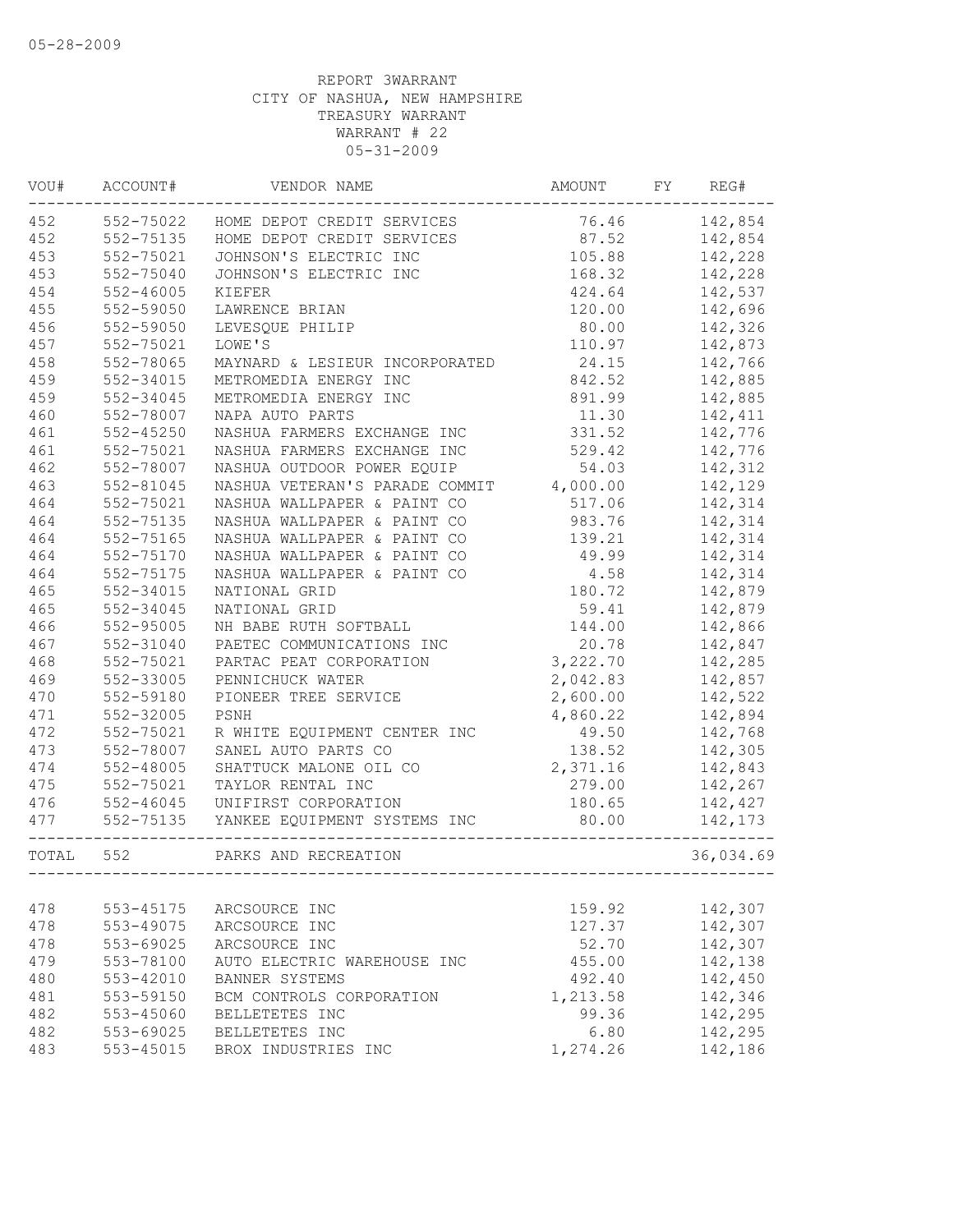| VOU#  | ACCOUNT#      | VENDOR NAME                    | AMOUNT   | FY | REG#      |
|-------|---------------|--------------------------------|----------|----|-----------|
| 452   | 552-75022     | HOME DEPOT CREDIT SERVICES     | 76.46    |    | 142,854   |
| 452   | 552-75135     | HOME DEPOT CREDIT SERVICES     | 87.52    |    | 142,854   |
| 453   | 552-75021     | JOHNSON'S ELECTRIC INC         | 105.88   |    | 142,228   |
| 453   | 552-75040     | JOHNSON'S ELECTRIC INC         | 168.32   |    | 142,228   |
| 454   | $552 - 46005$ | KIEFER                         | 424.64   |    | 142,537   |
| 455   | 552-59050     | LAWRENCE BRIAN                 | 120.00   |    | 142,696   |
| 456   | 552-59050     | LEVESQUE PHILIP                | 80.00    |    | 142,326   |
| 457   | 552-75021     | LOWE'S                         | 110.97   |    | 142,873   |
| 458   | 552-78065     | MAYNARD & LESIEUR INCORPORATED | 24.15    |    | 142,766   |
| 459   | 552-34015     | METROMEDIA ENERGY INC          | 842.52   |    | 142,885   |
| 459   | 552-34045     | METROMEDIA ENERGY INC          | 891.99   |    | 142,885   |
| 460   | 552-78007     | NAPA AUTO PARTS                | 11.30    |    | 142,411   |
| 461   | $552 - 45250$ | NASHUA FARMERS EXCHANGE INC    | 331.52   |    | 142,776   |
| 461   | 552-75021     | NASHUA FARMERS EXCHANGE INC    | 529.42   |    | 142,776   |
| 462   | 552-78007     | NASHUA OUTDOOR POWER EQUIP     | 54.03    |    | 142,312   |
| 463   | $552 - 81045$ | NASHUA VETERAN'S PARADE COMMIT | 4,000.00 |    | 142,129   |
| 464   | 552-75021     | NASHUA WALLPAPER & PAINT CO    | 517.06   |    | 142,314   |
| 464   | 552-75135     | NASHUA WALLPAPER & PAINT CO    | 983.76   |    | 142,314   |
| 464   | 552-75165     | NASHUA WALLPAPER & PAINT CO    | 139.21   |    | 142,314   |
| 464   | 552-75170     | NASHUA WALLPAPER & PAINT CO    | 49.99    |    | 142,314   |
| 464   | 552-75175     | NASHUA WALLPAPER & PAINT CO    | 4.58     |    | 142,314   |
| 465   | 552-34015     | NATIONAL GRID                  | 180.72   |    | 142,879   |
| 465   | 552-34045     | NATIONAL GRID                  | 59.41    |    | 142,879   |
| 466   | 552-95005     | NH BABE RUTH SOFTBALL          | 144.00   |    | 142,866   |
| 467   | 552-31040     | PAETEC COMMUNICATIONS INC      | 20.78    |    | 142,847   |
| 468   | 552-75021     | PARTAC PEAT CORPORATION        | 3,222.70 |    | 142,285   |
| 469   | 552-33005     | PENNICHUCK WATER               | 2,042.83 |    | 142,857   |
| 470   | 552-59180     | PIONEER TREE SERVICE           | 2,600.00 |    | 142,522   |
| 471   | 552-32005     | PSNH                           | 4,860.22 |    | 142,894   |
| 472   | 552-75021     | R WHITE EQUIPMENT CENTER INC   | 49.50    |    | 142,768   |
| 473   | 552-78007     | SANEL AUTO PARTS CO            | 138.52   |    | 142,305   |
| 474   | 552-48005     | SHATTUCK MALONE OIL CO         | 2,371.16 |    | 142,843   |
| 475   | 552-75021     | TAYLOR RENTAL INC              | 279.00   |    | 142,267   |
| 476   | $552 - 46045$ | UNIFIRST CORPORATION           | 180.65   |    | 142,427   |
| 477   | 552-75135     | YANKEE EQUIPMENT SYSTEMS INC   | 80.00    |    | 142,173   |
| TOTAL | 552           | PARKS AND RECREATION           |          |    | 36,034.69 |
|       |               |                                |          |    |           |
| 478   | 553-45175     | ARCSOURCE INC                  | 159.92   |    | 142,307   |
| 478   | 553-49075     | ARCSOURCE INC                  | 127.37   |    | 142,307   |
| 478   | $553 - 69025$ | ARCSOURCE INC                  | 52.70    |    | 142,307   |
| 479   | 553-78100     | AUTO ELECTRIC WAREHOUSE INC    | 455.00   |    | 142,138   |
| 480   | $553 - 42010$ | BANNER SYSTEMS                 | 492.40   |    | 142,450   |
| 481   | 553-59150     | BCM CONTROLS CORPORATION       | 1,213.58 |    | 142,346   |
| 482   | 553-45060     | BELLETETES INC                 | 99.36    |    | 142,295   |
| 482   | 553-69025     | BELLETETES INC                 | 6.80     |    | 142,295   |
| 483   | $553 - 45015$ | BROX INDUSTRIES INC            | 1,274.26 |    | 142,186   |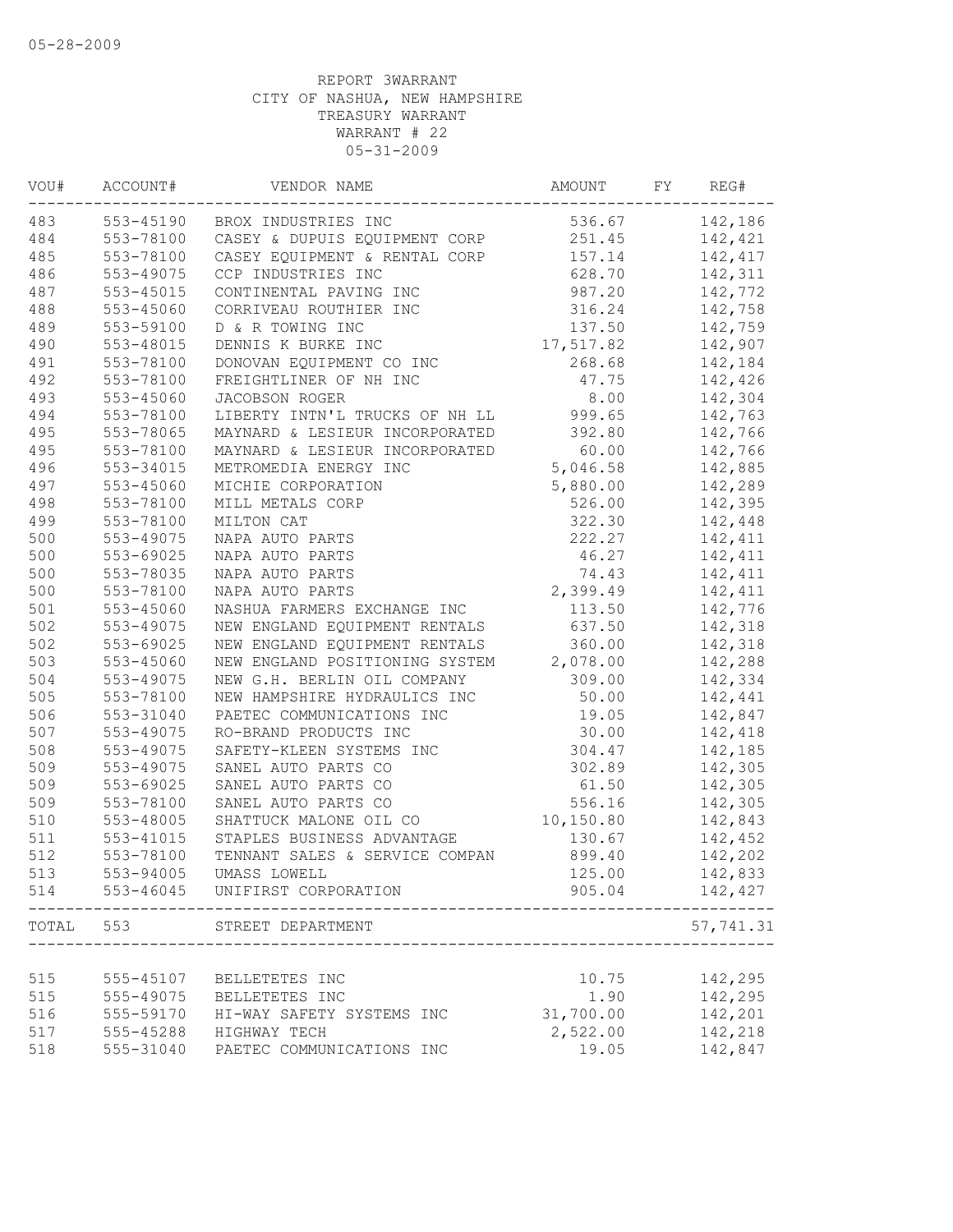| VOU#  | ACCOUNT#  | VENDOR NAME                    | AMOUNT     | FY | REG#      |
|-------|-----------|--------------------------------|------------|----|-----------|
| 483   | 553-45190 | BROX INDUSTRIES INC            | 536.67     |    | 142,186   |
| 484   | 553-78100 | CASEY & DUPUIS EQUIPMENT CORP  | 251.45     |    | 142,421   |
| 485   | 553-78100 | CASEY EQUIPMENT & RENTAL CORP  | 157.14     |    | 142,417   |
| 486   | 553-49075 | CCP INDUSTRIES INC             | 628.70     |    | 142,311   |
| 487   | 553-45015 | CONTINENTAL PAVING INC         | 987.20     |    | 142,772   |
| 488   | 553-45060 | CORRIVEAU ROUTHIER INC         | 316.24     |    | 142,758   |
| 489   | 553-59100 | D & R TOWING INC               | 137.50     |    | 142,759   |
| 490   | 553-48015 | DENNIS K BURKE INC             | 17,517.82  |    | 142,907   |
| 491   | 553-78100 | DONOVAN EQUIPMENT CO INC       | 268.68     |    | 142,184   |
| 492   | 553-78100 | FREIGHTLINER OF NH INC         | 47.75      |    | 142,426   |
| 493   | 553-45060 | JACOBSON ROGER                 | 8.00       |    | 142,304   |
| 494   | 553-78100 | LIBERTY INTN'L TRUCKS OF NH LL | 999.65     |    | 142,763   |
| 495   | 553-78065 | MAYNARD & LESIEUR INCORPORATED | 392.80     |    | 142,766   |
| 495   | 553-78100 | MAYNARD & LESIEUR INCORPORATED | 60.00      |    | 142,766   |
| 496   | 553-34015 | METROMEDIA ENERGY INC          | 5,046.58   |    | 142,885   |
| 497   | 553-45060 | MICHIE CORPORATION             | 5,880.00   |    | 142,289   |
| 498   | 553-78100 | MILL METALS CORP               | 526.00     |    | 142,395   |
| 499   | 553-78100 | MILTON CAT                     | 322.30     |    | 142,448   |
| 500   | 553-49075 | NAPA AUTO PARTS                | 222.27     |    | 142,411   |
| 500   | 553-69025 | NAPA AUTO PARTS                | 46.27      |    | 142,411   |
| 500   | 553-78035 | NAPA AUTO PARTS                | 74.43      |    | 142,411   |
| 500   | 553-78100 | NAPA AUTO PARTS                | 2,399.49   |    | 142,411   |
| $501$ | 553-45060 | NASHUA FARMERS EXCHANGE INC    | 113.50     |    | 142,776   |
| 502   | 553-49075 | NEW ENGLAND EQUIPMENT RENTALS  | 637.50     |    | 142,318   |
| 502   | 553-69025 | NEW ENGLAND EQUIPMENT RENTALS  | 360.00     |    | 142,318   |
| 503   | 553-45060 | NEW ENGLAND POSITIONING SYSTEM | 2,078.00   |    | 142,288   |
| 504   | 553-49075 | NEW G.H. BERLIN OIL COMPANY    | 309.00     |    | 142,334   |
| 505   | 553-78100 | NEW HAMPSHIRE HYDRAULICS INC   | 50.00      |    | 142,441   |
| 506   | 553-31040 | PAETEC COMMUNICATIONS INC      | 19.05      |    | 142,847   |
| 507   | 553-49075 | RO-BRAND PRODUCTS INC          | 30.00      |    | 142,418   |
| 508   | 553-49075 | SAFETY-KLEEN SYSTEMS INC       | 304.47     |    | 142,185   |
| 509   | 553-49075 | SANEL AUTO PARTS CO            | 302.89     |    | 142,305   |
| 509   | 553-69025 | SANEL AUTO PARTS CO            | 61.50      |    | 142,305   |
| 509   | 553-78100 | SANEL AUTO PARTS CO            | 556.16     |    | 142,305   |
| 510   | 553-48005 | SHATTUCK MALONE OIL CO         | 10, 150.80 |    | 142,843   |
| 511   | 553-41015 | STAPLES BUSINESS ADVANTAGE     | 130.67     |    | 142,452   |
| 512   | 553-78100 | TENNANT SALES & SERVICE COMPAN | 899.40     |    | 142,202   |
| 513   | 553-94005 | UMASS LOWELL                   | 125.00     |    | 142,833   |
| 514   | 553-46045 | UNIFIRST CORPORATION           | 905.04     |    | 142,427   |
| TOTAL | 553       | STREET DEPARTMENT              |            |    | 57,741.31 |
|       |           |                                |            |    |           |
| 515   | 555-45107 | BELLETETES INC                 | 10.75      |    | 142,295   |
| 515   | 555-49075 | BELLETETES INC                 | 1.90       |    | 142,295   |
| 516   | 555-59170 | HI-WAY SAFETY SYSTEMS INC      | 31,700.00  |    | 142,201   |
| 517   | 555-45288 | HIGHWAY TECH                   | 2,522.00   |    | 142,218   |
| 518   | 555-31040 | PAETEC COMMUNICATIONS INC      | 19.05      |    | 142,847   |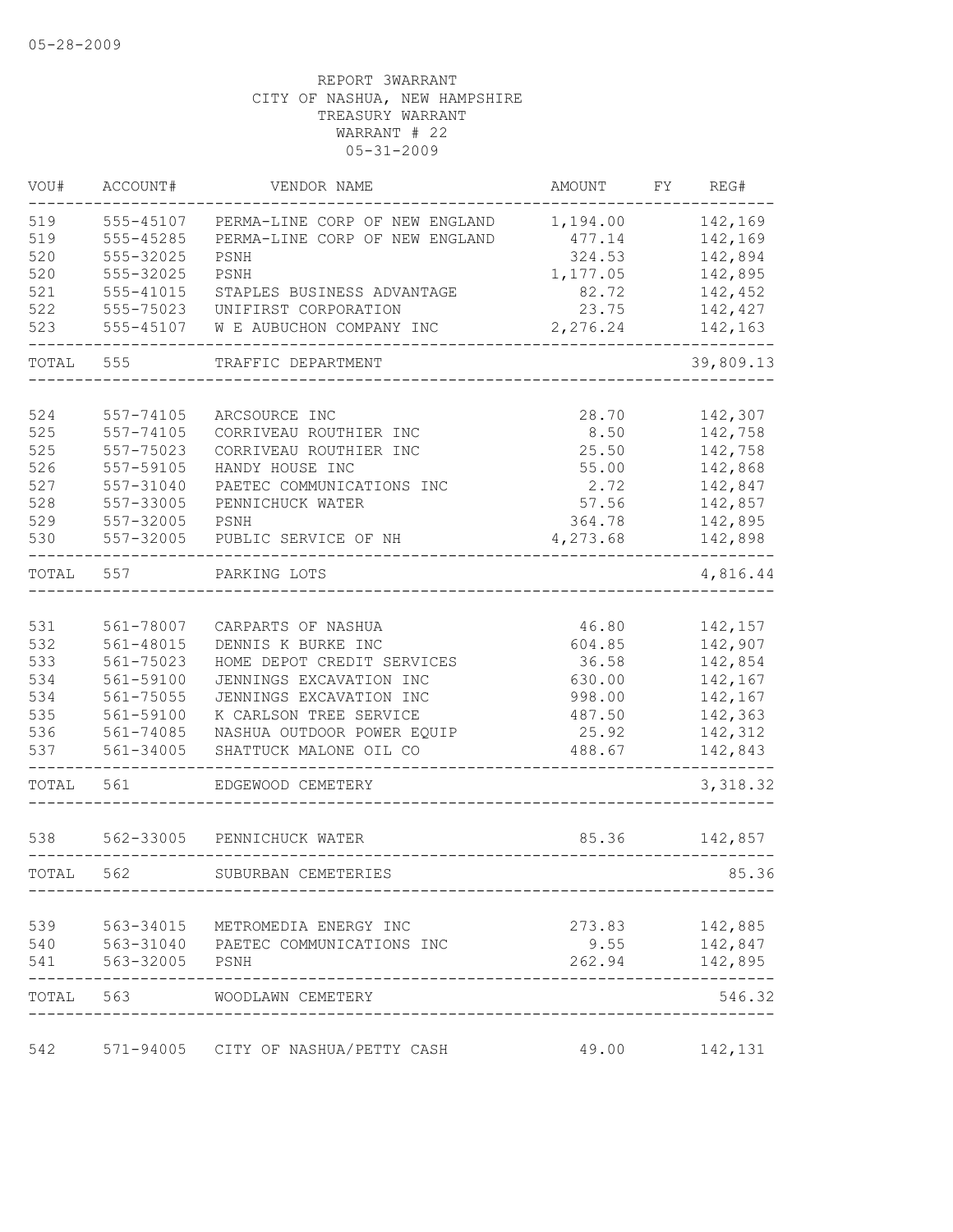| VOU#  | ACCOUNT#       | VENDOR NAME                         | AMOUNT   | FY | REG#           |
|-------|----------------|-------------------------------------|----------|----|----------------|
| 519   | 555-45107      | PERMA-LINE CORP OF NEW ENGLAND      | 1,194.00 |    | 142,169        |
| 519   | 555-45285      | PERMA-LINE CORP OF NEW ENGLAND      | 477.14   |    | 142,169        |
| 520   | 555-32025      | PSNH                                | 324.53   |    | 142,894        |
| 520   | 555-32025      | PSNH                                | 1,177.05 |    | 142,895        |
| 521   | 555-41015      | STAPLES BUSINESS ADVANTAGE          | 82.72    |    | 142,452        |
| 522   | 555-75023      | UNIFIRST CORPORATION                | 23.75    |    | 142,427        |
| 523   | 555-45107      | W E AUBUCHON COMPANY INC            | 2,276.24 |    | 142,163        |
| TOTAL | 555            | TRAFFIC DEPARTMENT                  |          |    | 39,809.13      |
|       |                |                                     |          |    |                |
| 524   | 557-74105      | ARCSOURCE INC                       | 28.70    |    | 142,307        |
| 525   | 557-74105      | CORRIVEAU ROUTHIER INC              | 8.50     |    | 142,758        |
| 525   | 557-75023      | CORRIVEAU ROUTHIER INC              | 25.50    |    | 142,758        |
| 526   | 557-59105      | HANDY HOUSE INC                     | 55.00    |    | 142,868        |
| 527   | 557-31040      | PAETEC COMMUNICATIONS INC           | 2.72     |    | 142,847        |
| 528   | 557-33005      | PENNICHUCK WATER                    | 57.56    |    | 142,857        |
| 529   | 557-32005      | PSNH                                | 364.78   |    | 142,895        |
| 530   | 557-32005      | PUBLIC SERVICE OF NH                | 4,273.68 |    | 142,898        |
| TOTAL | 557            | PARKING LOTS                        |          |    | 4,816.44       |
|       |                |                                     |          |    |                |
| 531   | 561-78007      | CARPARTS OF NASHUA                  | 46.80    |    | 142,157        |
| 532   | 561-48015      | DENNIS K BURKE INC                  | 604.85   |    | 142,907        |
| 533   | 561-75023      | HOME DEPOT CREDIT SERVICES          | 36.58    |    | 142,854        |
| 534   | 561-59100      | JENNINGS EXCAVATION INC             | 630.00   |    | 142,167        |
| 534   | 561-75055      | JENNINGS EXCAVATION INC             | 998.00   |    | 142,167        |
| 535   | 561-59100      | K CARLSON TREE SERVICE              | 487.50   |    | 142,363        |
| 536   | 561-74085      | NASHUA OUTDOOR POWER EQUIP          | 25.92    |    | 142,312        |
| 537   | $561 - 34005$  | SHATTUCK MALONE OIL CO              | 488.67   |    | 142,843        |
| TOTAL | 561            | EDGEWOOD CEMETERY                   |          |    | 3, 318.32      |
| 538   | 562-33005      | PENNICHUCK WATER                    | 85.36    |    | 142,857        |
|       |                |                                     |          |    |                |
| TOTAL | 562            | SUBURBAN CEMETERIES                 |          |    | 85.36          |
| 539   |                | 563-34015 METROMEDIA ENERGY INC     |          |    | 273.83 142,885 |
| 540   |                | 563-31040 PAETEC COMMUNICATIONS INC |          |    | $9.55$ 142,847 |
| 541   | 563-32005 PSNH |                                     |          |    | 262.94 142,895 |
|       |                | TOTAL 563 WOODLAWN CEMETERY         |          |    | 546.32         |
|       |                |                                     |          |    |                |
| 542   |                | 571-94005 CITY OF NASHUA/PETTY CASH | 49.00    |    | 142,131        |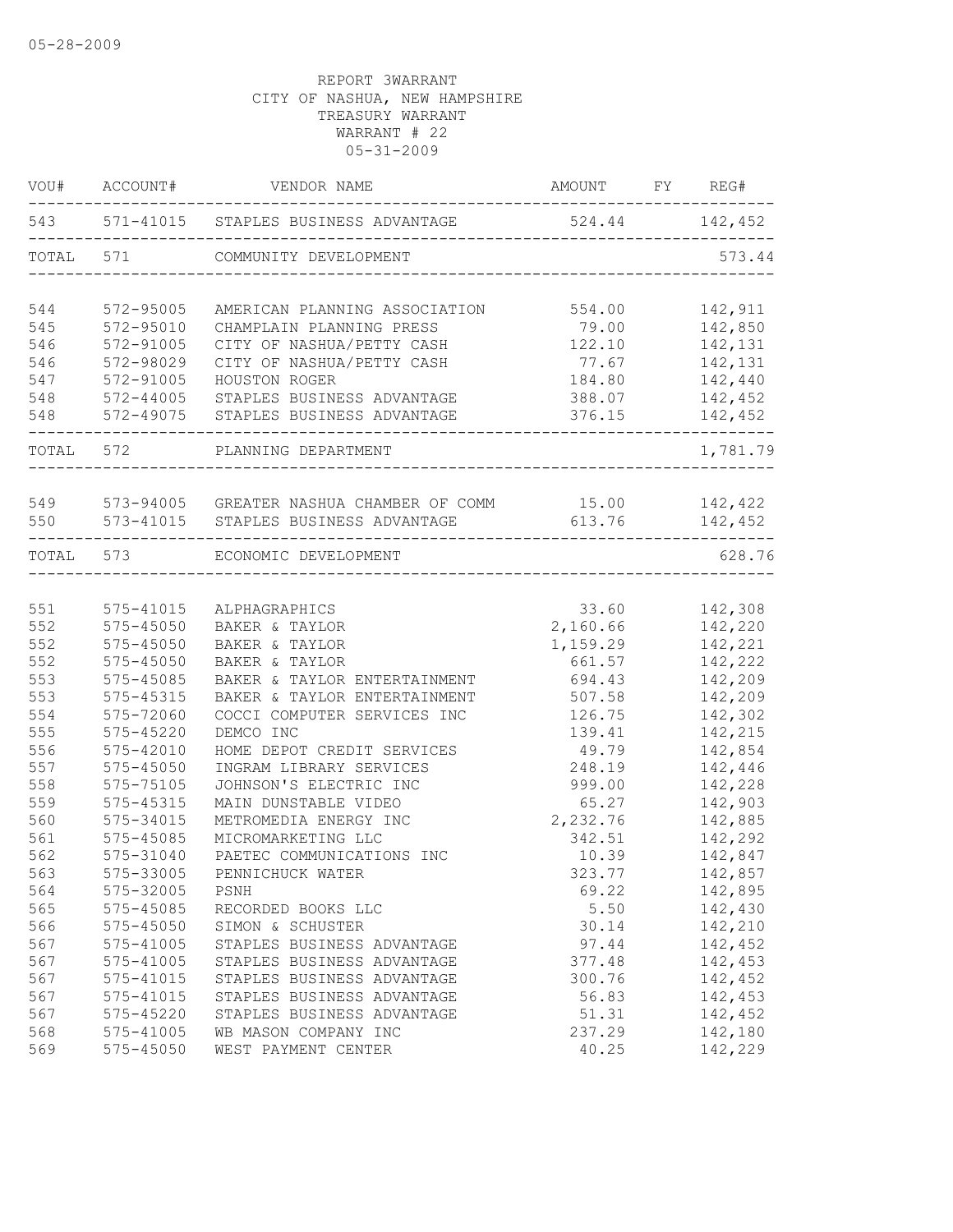| VOU#      | ACCOUNT#      | VENDOR NAME                                    | AMOUNT         | FY REG#  |
|-----------|---------------|------------------------------------------------|----------------|----------|
|           |               | 543 571-41015 STAPLES BUSINESS ADVANTAGE       | 524.44 142,452 |          |
| TOTAL     | 571           | COMMUNITY DEVELOPMENT                          |                | 573.44   |
| 544       | $572 - 95005$ | AMERICAN PLANNING ASSOCIATION                  | 554.00         | 142,911  |
| 545       | $572 - 95010$ | CHAMPLAIN PLANNING PRESS                       | 79.00          | 142,850  |
| 546       | 572-91005     | CITY OF NASHUA/PETTY CASH                      | 122.10         | 142,131  |
| 546       | 572-98029     | CITY OF NASHUA/PETTY CASH                      | 77.67          | 142,131  |
| 547       | 572-91005     | HOUSTON ROGER                                  | 184.80         | 142,440  |
| 548       | 572-44005     | STAPLES BUSINESS ADVANTAGE                     | 388.07         | 142,452  |
| 548       | 572-49075     | STAPLES BUSINESS ADVANTAGE                     | 376.15         | 142,452  |
|           | TOTAL 572     | PLANNING DEPARTMENT                            |                | 1,781.79 |
| 549       |               | 573-94005 GREATER NASHUA CHAMBER OF COMM 15.00 |                | 142,422  |
| 550       |               | 573-41015 STAPLES BUSINESS ADVANTAGE           | 613.76         | 142,452  |
| TOTAL 573 |               | ECONOMIC DEVELOPMENT                           |                | 628.76   |
|           |               |                                                |                |          |
| 551       | $575 - 41015$ | ALPHAGRAPHICS                                  | 33.60          | 142,308  |
| 552       | $575 - 45050$ | BAKER & TAYLOR                                 | 2,160.66       | 142,220  |
| 552       | $575 - 45050$ | BAKER & TAYLOR                                 | 1,159.29       | 142,221  |
| 552       | $575 - 45050$ | BAKER & TAYLOR                                 | 661.57         | 142,222  |
| 553       | 575-45085     | BAKER & TAYLOR ENTERTAINMENT                   | 694.43         | 142,209  |
| 553       | 575-45315     | BAKER & TAYLOR ENTERTAINMENT                   | 507.58         | 142,209  |
| 554       | 575-72060     | COCCI COMPUTER SERVICES INC                    | 126.75         | 142,302  |
| 555       | $575 - 45220$ | DEMCO INC                                      | 139.41         | 142,215  |
| 556       | 575-42010     | HOME DEPOT CREDIT SERVICES                     | 49.79          | 142,854  |
| 557       | $575 - 45050$ | INGRAM LIBRARY SERVICES                        | 248.19         | 142,446  |
| 558       | 575-75105     | JOHNSON'S ELECTRIC INC                         | 999.00         | 142,228  |
| 559       | 575-45315     | MAIN DUNSTABLE VIDEO                           | 65.27          | 142,903  |
| 560       | 575-34015     | METROMEDIA ENERGY INC                          | 2,232.76       | 142,885  |
| 561       | 575-45085     | MICROMARKETING LLC                             | 342.51         | 142,292  |
| 562       | 575-31040     | PAETEC COMMUNICATIONS INC                      | 10.39          | 142,847  |
| 563       | 575-33005     | PENNICHUCK WATER                               | 323.77         | 142,857  |
| 564       | 575-32005     | PSNH                                           | 69.22          | 142,895  |
| 565       | 575-45085     | RECORDED BOOKS LLC                             | 5.50           | 142,430  |
| 566       | $575 - 45050$ | SIMON & SCHUSTER                               | 30.14          | 142,210  |
| 567       | 575-41005     | STAPLES BUSINESS ADVANTAGE                     | 97.44          | 142,452  |
| 567       | $575 - 41005$ | STAPLES BUSINESS ADVANTAGE                     | 377.48         | 142,453  |
| 567       | 575-41015     | STAPLES BUSINESS ADVANTAGE                     | 300.76         | 142,452  |
| 567       | 575-41015     | STAPLES BUSINESS ADVANTAGE                     | 56.83          | 142,453  |
| 567       | 575-45220     | STAPLES BUSINESS ADVANTAGE                     | 51.31          | 142,452  |
| 568       | 575-41005     | WB MASON COMPANY INC                           | 237.29         | 142,180  |
| 569       | 575-45050     | WEST PAYMENT CENTER                            | 40.25          | 142,229  |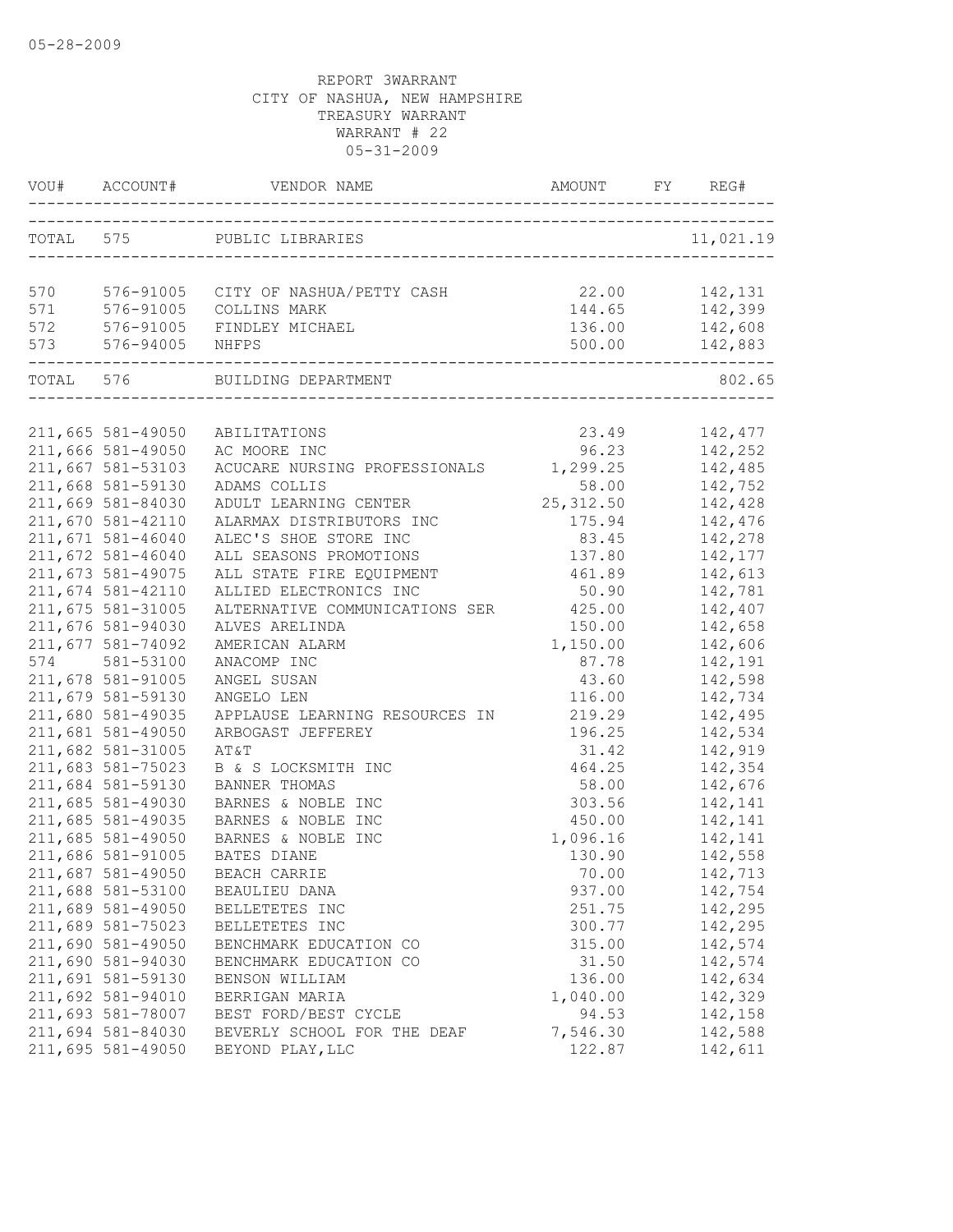|     |                                        | VOU# ACCOUNT# VENDOR NAME AMOUNT FY RE                |                 | FY REG#             |
|-----|----------------------------------------|-------------------------------------------------------|-----------------|---------------------|
|     |                                        | TOTAL 575 PUBLIC LIBRARIES                            |                 | 11,021.19           |
|     |                                        | 570 576-91005 CITY OF NASHUA/PETTY CASH 22.00 142,131 |                 |                     |
|     |                                        | 571 576-91005 COLLINS MARK                            |                 | 144.65 142,399      |
|     |                                        | 572 576-91005 FINDLEY MICHAEL                         | 136.00          | 142,608             |
| 573 |                                        |                                                       |                 |                     |
|     |                                        | TOTAL 576 BUILDING DEPARTMENT                         |                 | 802.65              |
|     |                                        |                                                       |                 |                     |
|     | 211,665 581-49050                      | ABILITATIONS                                          |                 | 23.49 142,477       |
|     | 211,666 581-49050                      | AC MOORE INC                                          |                 | 96.23 142,252       |
|     | 211,667 581-53103                      | ACUCARE NURSING PROFESSIONALS 1,299.25                |                 | 142,485             |
|     | 211,668 581-59130                      | ADAMS COLLIS                                          | 58.00           | 142,752             |
|     | 211,669 581-84030                      | ADULT LEARNING CENTER                                 | 25, 312.50      | 142,428             |
|     | 211,670 581-42110                      | ALARMAX DISTRIBUTORS INC                              | 175.94          | 142,476             |
|     | 211,671 581-46040                      | ALEC'S SHOE STORE INC                                 | 83.45           | 142,278             |
|     | 211,672 581-46040                      | ALL SEASONS PROMOTIONS                                | 137.80          | 142,177             |
|     | 211,673 581-49075                      | ALL STATE FIRE EQUIPMENT                              | 461.89          | 142,613             |
|     | 211,674 581-42110                      | ALLIED ELECTRONICS INC                                | 50.90           | 142,781             |
|     | 211,675 581-31005                      | ALTERNATIVE COMMUNICATIONS SER 425.00                 |                 | 142,407             |
|     | 211,676 581-94030                      | ALVES ARELINDA                                        | 150.00          | 142,658             |
|     | 211,677 581-74092                      | AMERICAN ALARM                                        | 1,150.00        | 142,606             |
|     | 574 581-53100                          | ANACOMP INC                                           | 87.78           | 142,191             |
|     | 211,678 581-91005                      | ANGEL SUSAN                                           | 43.60           | 142,598             |
|     | 211,679 581-59130                      | ANGELO LEN                                            | 116.00          | 142,734             |
|     | 211,680 581-49035                      | APPLAUSE LEARNING RESOURCES IN                        | 219.29          | 142,495             |
|     | 211,681 581-49050                      | ARBOGAST JEFFEREY                                     | 196.25          | 142,534             |
|     | 211,682 581-31005                      | AT&T                                                  | 31.42           | 142,919             |
|     | 211,683 581-75023<br>211,684 581-59130 | B & S LOCKSMITH INC<br><b>BANNER THOMAS</b>           | 464.25<br>58.00 | 142,354<br>142,676  |
|     | 211,685 581-49030                      |                                                       | 303.56          | 142,141             |
|     | 211,685 581-49035                      | BARNES & NOBLE INC<br>BARNES & NOBLE INC              | 450.00          |                     |
|     | 211,685 581-49050                      | BARNES & NOBLE INC                                    | 1,096.16        | 142, 141<br>142,141 |
|     | 211,686 581-91005                      | <b>BATES DIANE</b>                                    | 130.90          | 142,558             |
|     | 211,687 581-49050                      | BEACH CARRIE                                          | 70.00           | 142,713             |
|     | 211,688 581-53100                      | BEAULIEU DANA                                         | 937.00          | 142,754             |
|     | 211,689 581-49050                      | BELLETETES INC                                        | 251.75          | 142,295             |
|     | 211,689 581-75023                      | BELLETETES INC                                        | 300.77          | 142,295             |
|     | 211,690 581-49050                      | BENCHMARK EDUCATION CO                                | 315.00          | 142,574             |
|     | 211,690 581-94030                      | BENCHMARK EDUCATION CO                                | 31.50           | 142,574             |
|     | 211,691 581-59130                      | BENSON WILLIAM                                        | 136.00          | 142,634             |
|     | 211,692 581-94010                      | BERRIGAN MARIA                                        | 1,040.00        | 142,329             |
|     | 211,693 581-78007                      | BEST FORD/BEST CYCLE                                  | 94.53           | 142,158             |
|     | 211,694 581-84030                      | BEVERLY SCHOOL FOR THE DEAF                           | 7,546.30        | 142,588             |
|     | 211,695 581-49050                      | BEYOND PLAY, LLC                                      | 122.87          | 142,611             |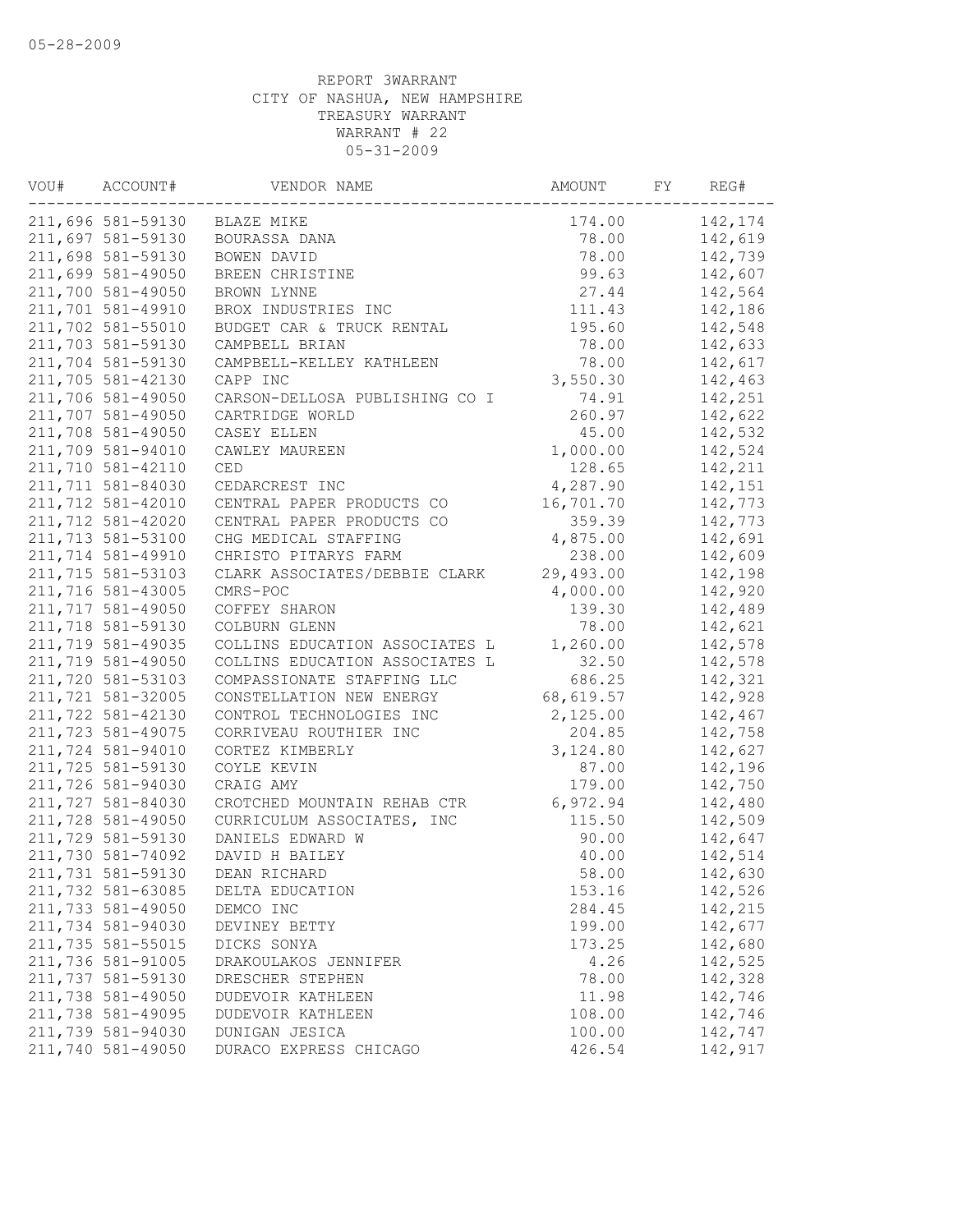| VOU# | ACCOUNT#          | VENDOR NAME                    | AMOUNT    | FY | REG#    |
|------|-------------------|--------------------------------|-----------|----|---------|
|      | 211,696 581-59130 | BLAZE MIKE                     | 174.00    |    | 142,174 |
|      | 211,697 581-59130 | BOURASSA DANA                  | 78.00     |    | 142,619 |
|      | 211,698 581-59130 | BOWEN DAVID                    | 78.00     |    | 142,739 |
|      | 211,699 581-49050 | BREEN CHRISTINE                | 99.63     |    | 142,607 |
|      | 211,700 581-49050 | BROWN LYNNE                    | 27.44     |    | 142,564 |
|      | 211,701 581-49910 | BROX INDUSTRIES INC            | 111.43    |    | 142,186 |
|      | 211,702 581-55010 | BUDGET CAR & TRUCK RENTAL      | 195.60    |    | 142,548 |
|      | 211,703 581-59130 | CAMPBELL BRIAN                 | 78.00     |    | 142,633 |
|      | 211,704 581-59130 | CAMPBELL-KELLEY KATHLEEN       | 78.00     |    | 142,617 |
|      | 211,705 581-42130 | CAPP INC                       | 3,550.30  |    | 142,463 |
|      | 211,706 581-49050 | CARSON-DELLOSA PUBLISHING CO I | 74.91     |    | 142,251 |
|      | 211,707 581-49050 | CARTRIDGE WORLD                | 260.97    |    | 142,622 |
|      | 211,708 581-49050 | CASEY ELLEN                    | 45.00     |    | 142,532 |
|      | 211,709 581-94010 | CAWLEY MAUREEN                 | 1,000.00  |    | 142,524 |
|      | 211,710 581-42110 | CED                            | 128.65    |    | 142,211 |
|      | 211,711 581-84030 | CEDARCREST INC                 | 4,287.90  |    | 142,151 |
|      | 211,712 581-42010 | CENTRAL PAPER PRODUCTS CO      | 16,701.70 |    | 142,773 |
|      | 211,712 581-42020 | CENTRAL PAPER PRODUCTS CO      | 359.39    |    | 142,773 |
|      | 211,713 581-53100 | CHG MEDICAL STAFFING           | 4,875.00  |    | 142,691 |
|      | 211,714 581-49910 | CHRISTO PITARYS FARM           | 238.00    |    | 142,609 |
|      | 211,715 581-53103 | CLARK ASSOCIATES/DEBBIE CLARK  | 29,493.00 |    | 142,198 |
|      | 211,716 581-43005 | CMRS-POC                       | 4,000.00  |    | 142,920 |
|      | 211,717 581-49050 | COFFEY SHARON                  | 139.30    |    | 142,489 |
|      | 211,718 581-59130 | COLBURN GLENN                  | 78.00     |    | 142,621 |
|      | 211,719 581-49035 | COLLINS EDUCATION ASSOCIATES L | 1,260.00  |    | 142,578 |
|      | 211,719 581-49050 | COLLINS EDUCATION ASSOCIATES L | 32.50     |    | 142,578 |
|      | 211,720 581-53103 | COMPASSIONATE STAFFING LLC     | 686.25    |    | 142,321 |
|      | 211,721 581-32005 | CONSTELLATION NEW ENERGY       | 68,619.57 |    | 142,928 |
|      |                   |                                |           |    |         |
|      | 211,722 581-42130 | CONTROL TECHNOLOGIES INC       | 2,125.00  |    | 142,467 |
|      | 211,723 581-49075 | CORRIVEAU ROUTHIER INC         | 204.85    |    | 142,758 |
|      | 211,724 581-94010 | CORTEZ KIMBERLY                | 3,124.80  |    | 142,627 |
|      | 211,725 581-59130 | COYLE KEVIN                    | 87.00     |    | 142,196 |
|      | 211,726 581-94030 | CRAIG AMY                      | 179.00    |    | 142,750 |
|      | 211,727 581-84030 | CROTCHED MOUNTAIN REHAB CTR    | 6,972.94  |    | 142,480 |
|      | 211,728 581-49050 | CURRICULUM ASSOCIATES, INC     | 115.50    |    | 142,509 |
|      | 211,729 581-59130 | DANIELS EDWARD W               | 90.00     |    | 142,647 |
|      | 211,730 581-74092 | DAVID H BAILEY                 | 40.00     |    | 142,514 |
|      | 211,731 581-59130 | DEAN RICHARD                   | 58.00     |    | 142,630 |
|      | 211,732 581-63085 | DELTA EDUCATION                | 153.16    |    | 142,526 |
|      | 211,733 581-49050 | DEMCO INC                      | 284.45    |    | 142,215 |
|      | 211,734 581-94030 | DEVINEY BETTY                  | 199.00    |    | 142,677 |
|      | 211,735 581-55015 | DICKS SONYA                    | 173.25    |    | 142,680 |
|      | 211,736 581-91005 | DRAKOULAKOS JENNIFER           | 4.26      |    | 142,525 |
|      | 211,737 581-59130 | DRESCHER STEPHEN               | 78.00     |    | 142,328 |
|      | 211,738 581-49050 | DUDEVOIR KATHLEEN              | 11.98     |    | 142,746 |
|      | 211,738 581-49095 | DUDEVOIR KATHLEEN              | 108.00    |    | 142,746 |
|      | 211,739 581-94030 | DUNIGAN JESICA                 | 100.00    |    | 142,747 |
|      | 211,740 581-49050 | DURACO EXPRESS CHICAGO         | 426.54    |    | 142,917 |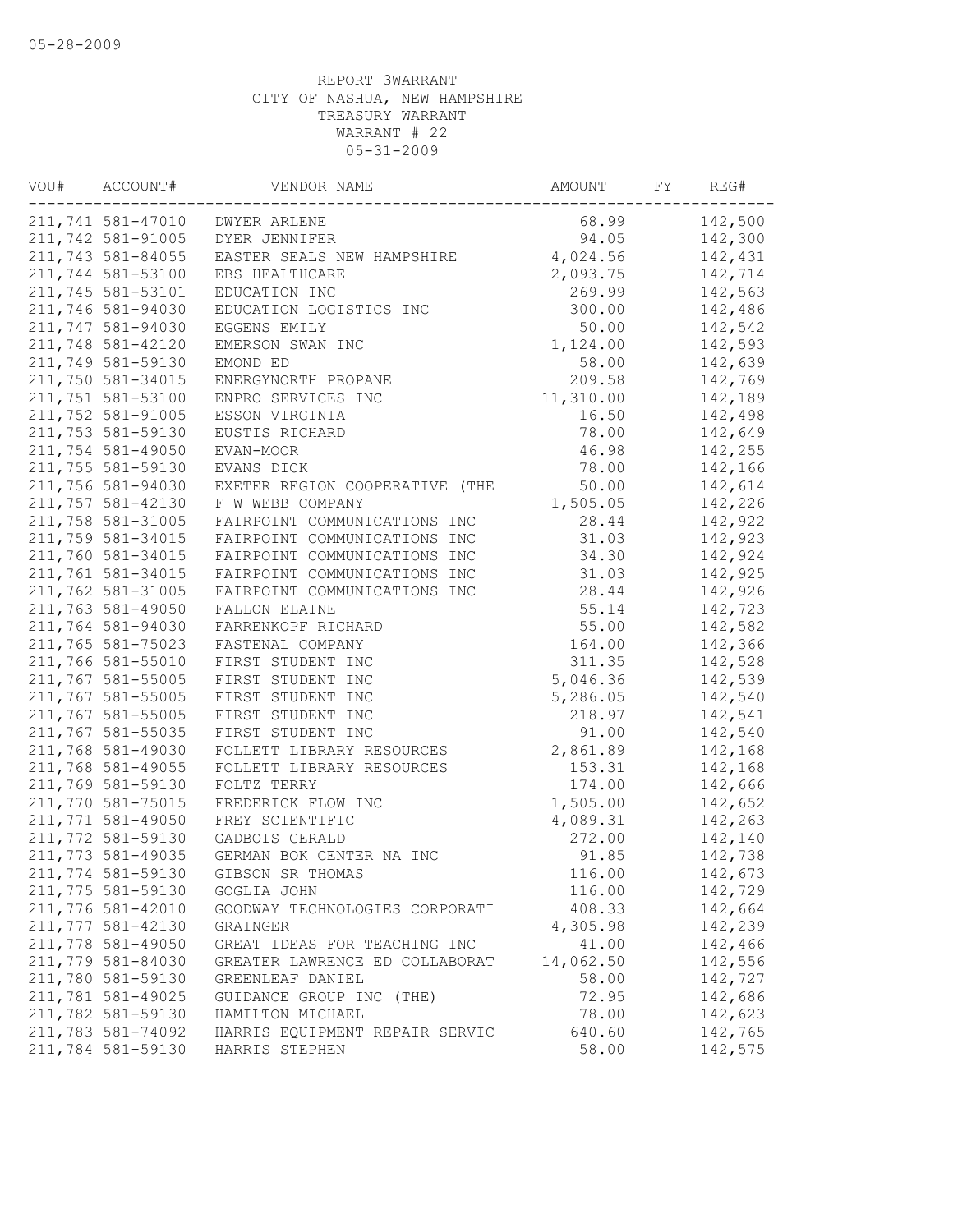| VOU# | ACCOUNT#          | VENDOR NAME                    | AMOUNT    | FY | REG#    |
|------|-------------------|--------------------------------|-----------|----|---------|
|      | 211,741 581-47010 | <b>DWYER ARLENE</b>            | 68.99     |    | 142,500 |
|      | 211,742 581-91005 | DYER JENNIFER                  | 94.05     |    | 142,300 |
|      | 211,743 581-84055 | EASTER SEALS NEW HAMPSHIRE     | 4,024.56  |    | 142,431 |
|      | 211,744 581-53100 | EBS HEALTHCARE                 | 2,093.75  |    | 142,714 |
|      | 211,745 581-53101 | EDUCATION INC                  | 269.99    |    | 142,563 |
|      | 211,746 581-94030 | EDUCATION LOGISTICS INC        | 300.00    |    | 142,486 |
|      | 211,747 581-94030 | EGGENS EMILY                   | 50.00     |    | 142,542 |
|      | 211,748 581-42120 | EMERSON SWAN INC               | 1,124.00  |    | 142,593 |
|      | 211,749 581-59130 | EMOND ED                       | 58.00     |    | 142,639 |
|      | 211,750 581-34015 | ENERGYNORTH PROPANE            | 209.58    |    | 142,769 |
|      | 211,751 581-53100 | ENPRO SERVICES INC             | 11,310.00 |    | 142,189 |
|      | 211,752 581-91005 | ESSON VIRGINIA                 | 16.50     |    | 142,498 |
|      | 211,753 581-59130 | EUSTIS RICHARD                 | 78.00     |    | 142,649 |
|      | 211,754 581-49050 | EVAN-MOOR                      | 46.98     |    | 142,255 |
|      | 211,755 581-59130 | EVANS DICK                     | 78.00     |    | 142,166 |
|      | 211,756 581-94030 | EXETER REGION COOPERATIVE (THE | 50.00     |    | 142,614 |
|      | 211,757 581-42130 | F W WEBB COMPANY               | 1,505.05  |    | 142,226 |
|      | 211,758 581-31005 | FAIRPOINT COMMUNICATIONS INC   | 28.44     |    | 142,922 |
|      | 211,759 581-34015 | FAIRPOINT COMMUNICATIONS INC   | 31.03     |    | 142,923 |
|      | 211,760 581-34015 | FAIRPOINT COMMUNICATIONS INC   | 34.30     |    | 142,924 |
|      | 211,761 581-34015 | FAIRPOINT COMMUNICATIONS INC   | 31.03     |    | 142,925 |
|      | 211,762 581-31005 | FAIRPOINT COMMUNICATIONS INC   | 28.44     |    | 142,926 |
|      | 211,763 581-49050 | FALLON ELAINE                  | 55.14     |    | 142,723 |
|      | 211,764 581-94030 | FARRENKOPF RICHARD             | 55.00     |    | 142,582 |
|      | 211,765 581-75023 | FASTENAL COMPANY               | 164.00    |    | 142,366 |
|      | 211,766 581-55010 | FIRST STUDENT INC              | 311.35    |    | 142,528 |
|      | 211,767 581-55005 | FIRST STUDENT INC              | 5,046.36  |    | 142,539 |
|      | 211,767 581-55005 | FIRST STUDENT INC              | 5,286.05  |    | 142,540 |
|      | 211,767 581-55005 | FIRST STUDENT INC              | 218.97    |    | 142,541 |
|      | 211,767 581-55035 | FIRST STUDENT INC              | 91.00     |    | 142,540 |
|      | 211,768 581-49030 | FOLLETT LIBRARY RESOURCES      | 2,861.89  |    | 142,168 |
|      | 211,768 581-49055 | FOLLETT LIBRARY RESOURCES      | 153.31    |    | 142,168 |
|      | 211,769 581-59130 | FOLTZ TERRY                    | 174.00    |    | 142,666 |
|      | 211,770 581-75015 | FREDERICK FLOW INC             | 1,505.00  |    | 142,652 |
|      | 211,771 581-49050 | FREY SCIENTIFIC                | 4,089.31  |    | 142,263 |
|      | 211,772 581-59130 | GADBOIS GERALD                 | 272.00    |    | 142,140 |
|      | 211,773 581-49035 | GERMAN BOK CENTER NA INC       | 91.85     |    | 142,738 |
|      | 211,774 581-59130 | GIBSON SR THOMAS               | 116.00    |    | 142,673 |
|      | 211,775 581-59130 | GOGLIA JOHN                    | 116.00    |    | 142,729 |
|      | 211,776 581-42010 | GOODWAY TECHNOLOGIES CORPORATI | 408.33    |    | 142,664 |
|      | 211,777 581-42130 | GRAINGER                       | 4,305.98  |    | 142,239 |
|      | 211,778 581-49050 | GREAT IDEAS FOR TEACHING INC   | 41.00     |    | 142,466 |
|      | 211,779 581-84030 | GREATER LAWRENCE ED COLLABORAT | 14,062.50 |    | 142,556 |
|      | 211,780 581-59130 | GREENLEAF DANIEL               | 58.00     |    | 142,727 |
|      | 211,781 581-49025 | GUIDANCE GROUP INC (THE)       | 72.95     |    | 142,686 |
|      | 211,782 581-59130 | HAMILTON MICHAEL               | 78.00     |    | 142,623 |
|      | 211,783 581-74092 | HARRIS EQUIPMENT REPAIR SERVIC | 640.60    |    | 142,765 |
|      | 211,784 581-59130 | HARRIS STEPHEN                 | 58.00     |    | 142,575 |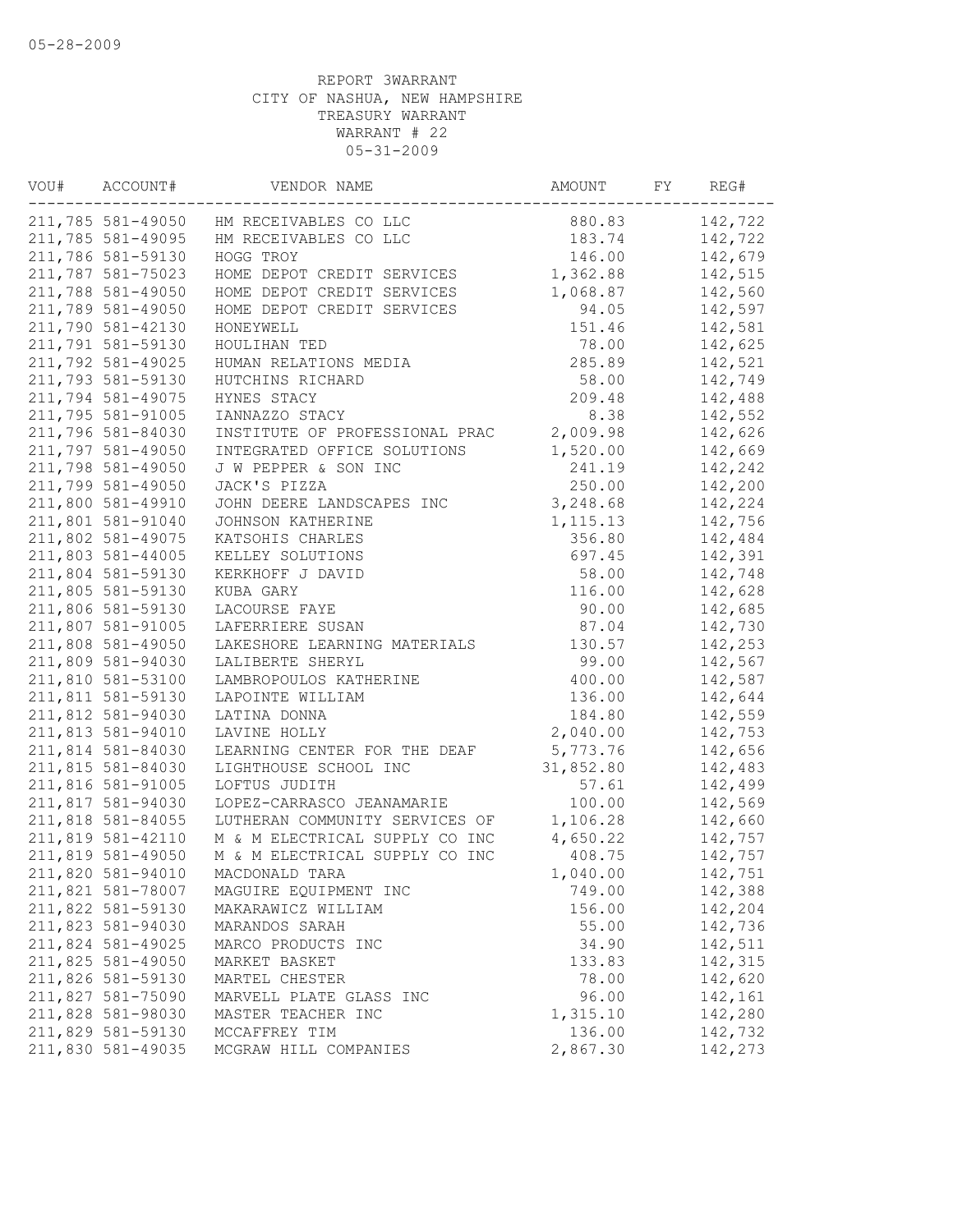| VOU# | ACCOUNT#          | VENDOR NAME                    | AMOUNT    | FY | REG#    |
|------|-------------------|--------------------------------|-----------|----|---------|
|      | 211,785 581-49050 | HM RECEIVABLES CO LLC          | 880.83    |    | 142,722 |
|      | 211,785 581-49095 | HM RECEIVABLES CO LLC          | 183.74    |    | 142,722 |
|      | 211,786 581-59130 | HOGG TROY                      | 146.00    |    | 142,679 |
|      | 211,787 581-75023 | HOME DEPOT CREDIT SERVICES     | 1,362.88  |    | 142,515 |
|      | 211,788 581-49050 | HOME DEPOT CREDIT SERVICES     | 1,068.87  |    | 142,560 |
|      | 211,789 581-49050 | HOME DEPOT CREDIT SERVICES     | 94.05     |    | 142,597 |
|      | 211,790 581-42130 | HONEYWELL                      | 151.46    |    | 142,581 |
|      | 211,791 581-59130 | HOULIHAN TED                   | 78.00     |    | 142,625 |
|      | 211,792 581-49025 | HUMAN RELATIONS MEDIA          | 285.89    |    | 142,521 |
|      | 211,793 581-59130 | HUTCHINS RICHARD               | 58.00     |    | 142,749 |
|      | 211,794 581-49075 | HYNES STACY                    | 209.48    |    | 142,488 |
|      | 211,795 581-91005 | IANNAZZO STACY                 | 8.38      |    | 142,552 |
|      | 211,796 581-84030 | INSTITUTE OF PROFESSIONAL PRAC | 2,009.98  |    | 142,626 |
|      | 211,797 581-49050 | INTEGRATED OFFICE SOLUTIONS    | 1,520.00  |    | 142,669 |
|      | 211,798 581-49050 | J W PEPPER & SON INC           | 241.19    |    | 142,242 |
|      | 211,799 581-49050 | JACK'S PIZZA                   | 250.00    |    | 142,200 |
|      | 211,800 581-49910 | JOHN DEERE LANDSCAPES INC      | 3,248.68  |    | 142,224 |
|      | 211,801 581-91040 | JOHNSON KATHERINE              | 1, 115.13 |    | 142,756 |
|      | 211,802 581-49075 | KATSOHIS CHARLES               | 356.80    |    | 142,484 |
|      | 211,803 581-44005 | KELLEY SOLUTIONS               | 697.45    |    | 142,391 |
|      | 211,804 581-59130 | KERKHOFF J DAVID               | 58.00     |    | 142,748 |
|      | 211,805 581-59130 | KUBA GARY                      | 116.00    |    | 142,628 |
|      | 211,806 581-59130 | LACOURSE FAYE                  | 90.00     |    | 142,685 |
|      | 211,807 581-91005 | LAFERRIERE SUSAN               | 87.04     |    | 142,730 |
|      | 211,808 581-49050 | LAKESHORE LEARNING MATERIALS   | 130.57    |    | 142,253 |
|      | 211,809 581-94030 |                                | 99.00     |    | 142,567 |
|      | 211,810 581-53100 | LALIBERTE SHERYL               | 400.00    |    |         |
|      | 211,811 581-59130 | LAMBROPOULOS KATHERINE         |           |    | 142,587 |
|      |                   | LAPOINTE WILLIAM               | 136.00    |    | 142,644 |
|      | 211,812 581-94030 | LATINA DONNA                   | 184.80    |    | 142,559 |
|      | 211,813 581-94010 | LAVINE HOLLY                   | 2,040.00  |    | 142,753 |
|      | 211,814 581-84030 | LEARNING CENTER FOR THE DEAF   | 5,773.76  |    | 142,656 |
|      | 211,815 581-84030 | LIGHTHOUSE SCHOOL INC          | 31,852.80 |    | 142,483 |
|      | 211,816 581-91005 | LOFTUS JUDITH                  | 57.61     |    | 142,499 |
|      | 211,817 581-94030 | LOPEZ-CARRASCO JEANAMARIE      | 100.00    |    | 142,569 |
|      | 211,818 581-84055 | LUTHERAN COMMUNITY SERVICES OF | 1,106.28  |    | 142,660 |
|      | 211,819 581-42110 | M & M ELECTRICAL SUPPLY CO INC | 4,650.22  |    | 142,757 |
|      | 211,819 581-49050 | M & M ELECTRICAL SUPPLY CO INC | 408.75    |    | 142,757 |
|      | 211,820 581-94010 | MACDONALD TARA                 | 1,040.00  |    | 142,751 |
|      | 211,821 581-78007 | MAGUIRE EQUIPMENT INC          | 749.00    |    | 142,388 |
|      | 211,822 581-59130 | MAKARAWICZ WILLIAM             | 156.00    |    | 142,204 |
|      | 211,823 581-94030 | MARANDOS SARAH                 | 55.00     |    | 142,736 |
|      | 211,824 581-49025 | MARCO PRODUCTS INC             | 34.90     |    | 142,511 |
|      | 211,825 581-49050 | MARKET BASKET                  | 133.83    |    | 142,315 |
|      | 211,826 581-59130 | MARTEL CHESTER                 | 78.00     |    | 142,620 |
|      | 211,827 581-75090 | MARVELL PLATE GLASS INC        | 96.00     |    | 142,161 |
|      | 211,828 581-98030 | MASTER TEACHER INC             | 1,315.10  |    | 142,280 |
|      | 211,829 581-59130 | MCCAFFREY TIM                  | 136.00    |    | 142,732 |
|      | 211,830 581-49035 | MCGRAW HILL COMPANIES          | 2,867.30  |    | 142,273 |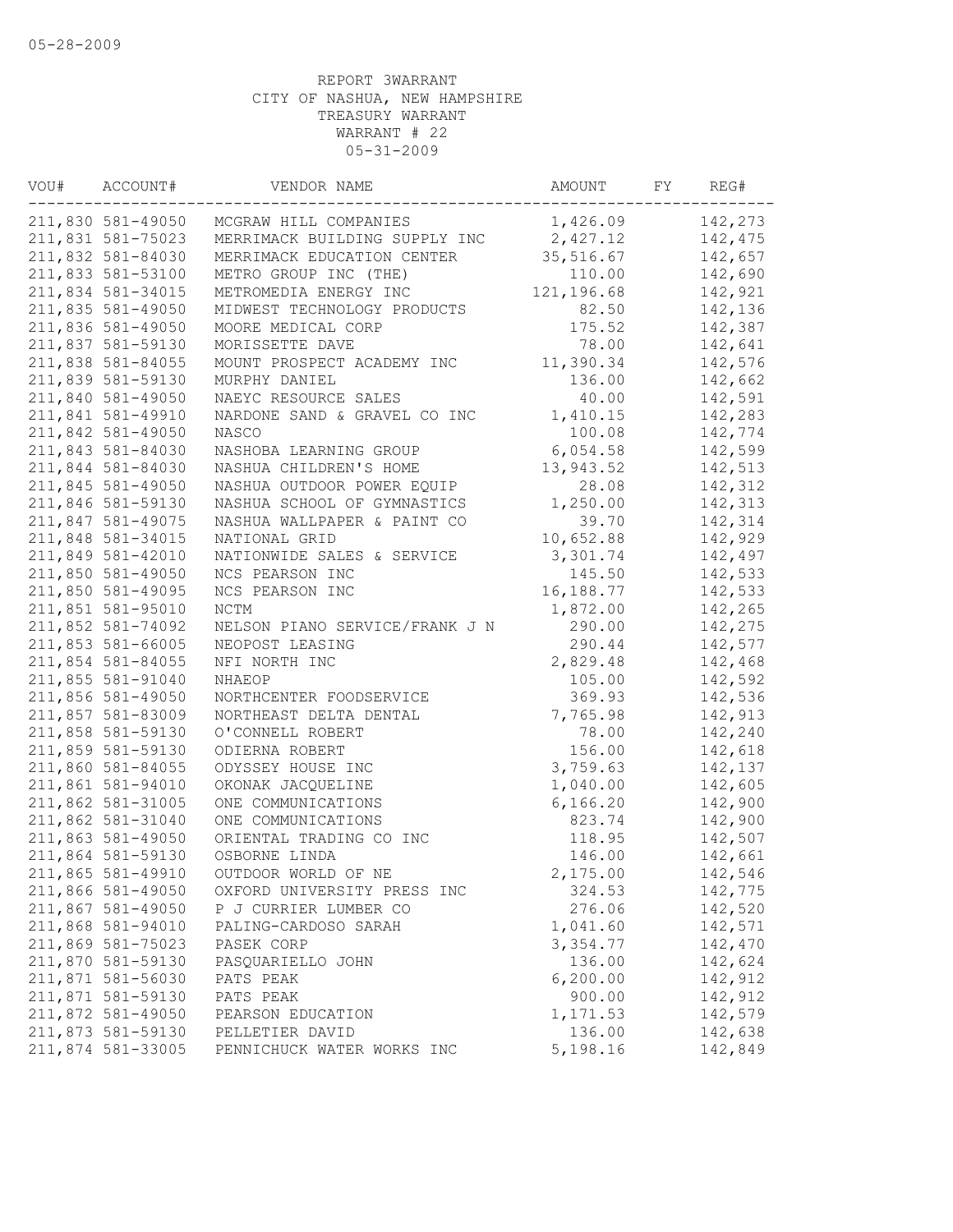| VOU# | ACCOUNT#          | VENDOR NAME                    | AMOUNT     | FY | REG#    |
|------|-------------------|--------------------------------|------------|----|---------|
|      | 211,830 581-49050 | MCGRAW HILL COMPANIES          | 1,426.09   |    | 142,273 |
|      | 211,831 581-75023 | MERRIMACK BUILDING SUPPLY INC  | 2,427.12   |    | 142,475 |
|      | 211,832 581-84030 | MERRIMACK EDUCATION CENTER     | 35,516.67  |    | 142,657 |
|      | 211,833 581-53100 | METRO GROUP INC (THE)          | 110.00     |    | 142,690 |
|      | 211,834 581-34015 | METROMEDIA ENERGY INC          | 121,196.68 |    | 142,921 |
|      | 211,835 581-49050 | MIDWEST TECHNOLOGY PRODUCTS    | 82.50      |    | 142,136 |
|      | 211,836 581-49050 | MOORE MEDICAL CORP             | 175.52     |    | 142,387 |
|      | 211,837 581-59130 | MORISSETTE DAVE                | 78.00      |    | 142,641 |
|      | 211,838 581-84055 | MOUNT PROSPECT ACADEMY INC     | 11,390.34  |    | 142,576 |
|      | 211,839 581-59130 | MURPHY DANIEL                  | 136.00     |    | 142,662 |
|      | 211,840 581-49050 | NAEYC RESOURCE SALES           | 40.00      |    | 142,591 |
|      | 211,841 581-49910 | NARDONE SAND & GRAVEL CO INC   | 1,410.15   |    | 142,283 |
|      | 211,842 581-49050 | NASCO                          | 100.08     |    | 142,774 |
|      | 211,843 581-84030 | NASHOBA LEARNING GROUP         | 6,054.58   |    | 142,599 |
|      | 211,844 581-84030 | NASHUA CHILDREN'S HOME         | 13,943.52  |    | 142,513 |
|      | 211,845 581-49050 | NASHUA OUTDOOR POWER EQUIP     | 28.08      |    | 142,312 |
|      | 211,846 581-59130 | NASHUA SCHOOL OF GYMNASTICS    | 1,250.00   |    | 142,313 |
|      | 211,847 581-49075 | NASHUA WALLPAPER & PAINT CO    | 39.70      |    | 142,314 |
|      | 211,848 581-34015 | NATIONAL GRID                  | 10,652.88  |    | 142,929 |
|      | 211,849 581-42010 | NATIONWIDE SALES & SERVICE     | 3,301.74   |    | 142,497 |
|      | 211,850 581-49050 | NCS PEARSON INC                | 145.50     |    | 142,533 |
|      | 211,850 581-49095 | NCS PEARSON INC                | 16,188.77  |    | 142,533 |
|      | 211,851 581-95010 | $\rm{NCTM}$                    | 1,872.00   |    | 142,265 |
|      | 211,852 581-74092 | NELSON PIANO SERVICE/FRANK J N | 290.00     |    | 142,275 |
|      | 211,853 581-66005 | NEOPOST LEASING                | 290.44     |    | 142,577 |
|      | 211,854 581-84055 | NFI NORTH INC                  | 2,829.48   |    | 142,468 |
|      | 211,855 581-91040 | NHAEOP                         | 105.00     |    | 142,592 |
|      | 211,856 581-49050 | NORTHCENTER FOODSERVICE        | 369.93     |    | 142,536 |
|      | 211,857 581-83009 | NORTHEAST DELTA DENTAL         | 7,765.98   |    | 142,913 |
|      | 211,858 581-59130 | O'CONNELL ROBERT               | 78.00      |    | 142,240 |
|      | 211,859 581-59130 | ODIERNA ROBERT                 | 156.00     |    | 142,618 |
|      | 211,860 581-84055 | ODYSSEY HOUSE INC              | 3,759.63   |    | 142,137 |
|      | 211,861 581-94010 | OKONAK JACQUELINE              | 1,040.00   |    | 142,605 |
|      | 211,862 581-31005 | ONE COMMUNICATIONS             | 6, 166.20  |    | 142,900 |
|      | 211,862 581-31040 | ONE COMMUNICATIONS             | 823.74     |    | 142,900 |
|      | 211,863 581-49050 | ORIENTAL TRADING CO INC        | 118.95     |    | 142,507 |
|      | 211,864 581-59130 | OSBORNE LINDA                  | 146.00     |    | 142,661 |
|      | 211,865 581-49910 | OUTDOOR WORLD OF NE            | 2,175.00   |    | 142,546 |
|      | 211,866 581-49050 | OXFORD UNIVERSITY PRESS INC    | 324.53     |    | 142,775 |
|      | 211,867 581-49050 | P J CURRIER LUMBER CO          | 276.06     |    | 142,520 |
|      | 211,868 581-94010 | PALING-CARDOSO SARAH           | 1,041.60   |    | 142,571 |
|      | 211,869 581-75023 | PASEK CORP                     | 3,354.77   |    | 142,470 |
|      | 211,870 581-59130 | PASQUARIELLO JOHN              | 136.00     |    | 142,624 |
|      | 211,871 581-56030 | PATS PEAK                      | 6, 200.00  |    | 142,912 |
|      | 211,871 581-59130 | PATS PEAK                      | 900.00     |    | 142,912 |
|      | 211,872 581-49050 |                                | 1,171.53   |    | 142,579 |
|      | 211,873 581-59130 | PEARSON EDUCATION              | 136.00     |    | 142,638 |
|      |                   | PELLETIER DAVID                |            |    |         |
|      | 211,874 581-33005 | PENNICHUCK WATER WORKS INC     | 5,198.16   |    | 142,849 |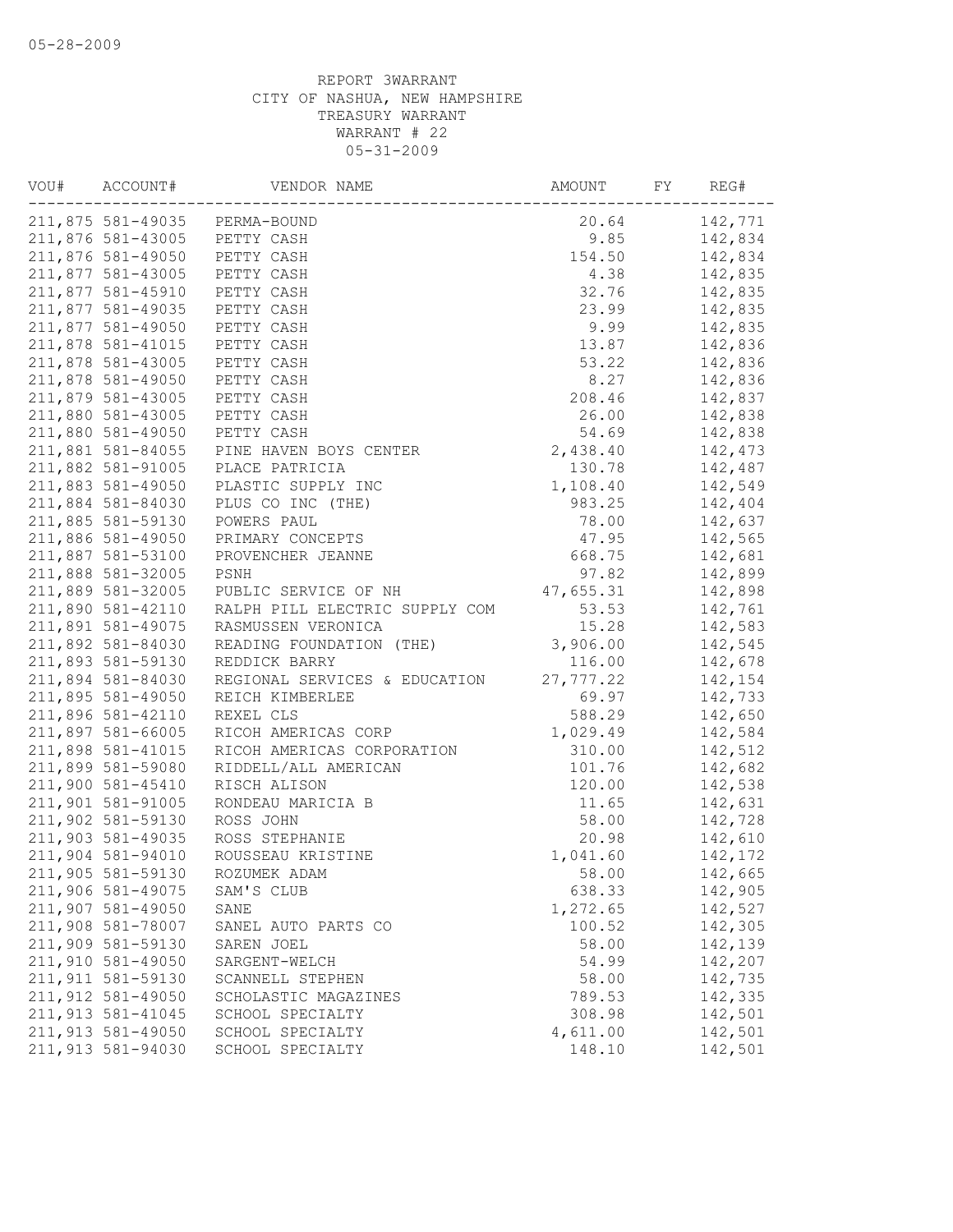| 211,875 581-49035 PERMA-BOUND<br>20.64<br>142,771<br>211,876 581-43005<br>PETTY CASH<br>9.85<br>142,834<br>154.50<br>211,876 581-49050<br>PETTY CASH<br>142,834<br>211,877 581-43005<br>4.38<br>142,835<br>PETTY CASH<br>211,877 581-45910<br>32.76<br>142,835<br>PETTY CASH<br>211,877 581-49035<br>23.99<br>PETTY CASH<br>142,835<br>211,877 581-49050<br>9.99<br>142,835<br>PETTY CASH<br>211,878 581-41015<br>PETTY CASH<br>13.87<br>142,836<br>211,878 581-43005<br>PETTY CASH<br>53.22<br>142,836<br>211,878 581-49050<br>PETTY CASH<br>8.27<br>142,836<br>211,879 581-43005<br>PETTY CASH<br>208.46<br>142,837<br>211,880 581-43005<br>PETTY CASH<br>26.00<br>142,838<br>211,880 581-49050<br>PETTY CASH<br>54.69<br>142,838<br>211,881 581-84055<br>2,438.40<br>142,473<br>PINE HAVEN BOYS CENTER<br>211,882 581-91005<br>PLACE PATRICIA<br>130.78<br>142,487<br>1,108.40<br>211,883 581-49050<br>142,549<br>PLASTIC SUPPLY INC<br>211,884 581-84030<br>PLUS CO INC (THE)<br>983.25<br>142,404<br>211,885 581-59130<br>POWERS PAUL<br>78.00<br>142,637<br>211,886 581-49050<br>PRIMARY CONCEPTS<br>47.95<br>142,565<br>211,887 581-53100<br>PROVENCHER JEANNE<br>668.75<br>142,681<br>211,888 581-32005<br>PSNH<br>97.82<br>142,899<br>211,889 581-32005<br>PUBLIC SERVICE OF NH<br>47,655.31<br>142,898<br>211,890 581-42110<br>53.53<br>RALPH PILL ELECTRIC SUPPLY COM<br>142,761<br>211,891 581-49075<br>15.28<br>142,583<br>RASMUSSEN VERONICA<br>3,906.00<br>211,892 581-84030<br>142,545<br>READING FOUNDATION (THE)<br>211,893 581-59130<br>116.00<br>142,678<br>REDDICK BARRY<br>211,894 581-84030<br>27,777.22<br>142,154<br>REGIONAL SERVICES & EDUCATION<br>211,895 581-49050<br>REICH KIMBERLEE<br>69.97<br>142,733<br>211,896 581-42110<br>REXEL CLS<br>588.29<br>142,650<br>211,897 581-66005<br>RICOH AMERICAS CORP<br>1,029.49<br>142,584<br>211,898 581-41015<br>RICOH AMERICAS CORPORATION<br>310.00<br>142,512<br>211,899 581-59080<br>RIDDELL/ALL AMERICAN<br>101.76<br>142,682<br>211,900 581-45410<br>120.00<br>142,538<br>RISCH ALISON<br>211,901 581-91005<br>11.65<br>142,631<br>RONDEAU MARICIA B<br>211,902 581-59130<br>ROSS JOHN<br>58.00<br>142,728<br>211,903 581-49035<br>ROSS STEPHANIE<br>20.98<br>142,610<br>211,904 581-94010<br>ROUSSEAU KRISTINE<br>1,041.60<br>142,172<br>211,905 581-59130<br>58.00<br>142,665<br>ROZUMEK ADAM<br>211,906 581-49075<br>SAM'S CLUB<br>638.33<br>142,905<br>211,907 581-49050<br>1,272.65<br>142,527<br>SANE<br>211,908 581-78007<br>100.52<br>142,305<br>SANEL AUTO PARTS CO<br>211,909 581-59130<br>142,139<br>58.00<br>SAREN JOEL<br>211,910 581-49050<br>54.99<br>142,207<br>SARGENT-WELCH<br>211,911 581-59130<br>58.00<br>142,735<br>SCANNELL STEPHEN<br>211,912 581-49050<br>789.53<br>142,335<br>SCHOLASTIC MAGAZINES<br>211,913 581-41045<br>308.98<br>142,501<br>SCHOOL SPECIALTY<br>211,913 581-49050<br>4,611.00<br>142,501<br>SCHOOL SPECIALTY | VOU# | ACCOUNT# | VENDOR NAME | AMOUNT | FY | REG# |
|-------------------------------------------------------------------------------------------------------------------------------------------------------------------------------------------------------------------------------------------------------------------------------------------------------------------------------------------------------------------------------------------------------------------------------------------------------------------------------------------------------------------------------------------------------------------------------------------------------------------------------------------------------------------------------------------------------------------------------------------------------------------------------------------------------------------------------------------------------------------------------------------------------------------------------------------------------------------------------------------------------------------------------------------------------------------------------------------------------------------------------------------------------------------------------------------------------------------------------------------------------------------------------------------------------------------------------------------------------------------------------------------------------------------------------------------------------------------------------------------------------------------------------------------------------------------------------------------------------------------------------------------------------------------------------------------------------------------------------------------------------------------------------------------------------------------------------------------------------------------------------------------------------------------------------------------------------------------------------------------------------------------------------------------------------------------------------------------------------------------------------------------------------------------------------------------------------------------------------------------------------------------------------------------------------------------------------------------------------------------------------------------------------------------------------------------------------------------------------------------------------------------------------------------------------------------------------------------------------------------------------------------------------------------------------------------------------------------------------------------------------------------------------------------------------------------------------------------------------------------------------------------------------------------------------------------|------|----------|-------------|--------|----|------|
|                                                                                                                                                                                                                                                                                                                                                                                                                                                                                                                                                                                                                                                                                                                                                                                                                                                                                                                                                                                                                                                                                                                                                                                                                                                                                                                                                                                                                                                                                                                                                                                                                                                                                                                                                                                                                                                                                                                                                                                                                                                                                                                                                                                                                                                                                                                                                                                                                                                                                                                                                                                                                                                                                                                                                                                                                                                                                                                                           |      |          |             |        |    |      |
|                                                                                                                                                                                                                                                                                                                                                                                                                                                                                                                                                                                                                                                                                                                                                                                                                                                                                                                                                                                                                                                                                                                                                                                                                                                                                                                                                                                                                                                                                                                                                                                                                                                                                                                                                                                                                                                                                                                                                                                                                                                                                                                                                                                                                                                                                                                                                                                                                                                                                                                                                                                                                                                                                                                                                                                                                                                                                                                                           |      |          |             |        |    |      |
|                                                                                                                                                                                                                                                                                                                                                                                                                                                                                                                                                                                                                                                                                                                                                                                                                                                                                                                                                                                                                                                                                                                                                                                                                                                                                                                                                                                                                                                                                                                                                                                                                                                                                                                                                                                                                                                                                                                                                                                                                                                                                                                                                                                                                                                                                                                                                                                                                                                                                                                                                                                                                                                                                                                                                                                                                                                                                                                                           |      |          |             |        |    |      |
|                                                                                                                                                                                                                                                                                                                                                                                                                                                                                                                                                                                                                                                                                                                                                                                                                                                                                                                                                                                                                                                                                                                                                                                                                                                                                                                                                                                                                                                                                                                                                                                                                                                                                                                                                                                                                                                                                                                                                                                                                                                                                                                                                                                                                                                                                                                                                                                                                                                                                                                                                                                                                                                                                                                                                                                                                                                                                                                                           |      |          |             |        |    |      |
|                                                                                                                                                                                                                                                                                                                                                                                                                                                                                                                                                                                                                                                                                                                                                                                                                                                                                                                                                                                                                                                                                                                                                                                                                                                                                                                                                                                                                                                                                                                                                                                                                                                                                                                                                                                                                                                                                                                                                                                                                                                                                                                                                                                                                                                                                                                                                                                                                                                                                                                                                                                                                                                                                                                                                                                                                                                                                                                                           |      |          |             |        |    |      |
|                                                                                                                                                                                                                                                                                                                                                                                                                                                                                                                                                                                                                                                                                                                                                                                                                                                                                                                                                                                                                                                                                                                                                                                                                                                                                                                                                                                                                                                                                                                                                                                                                                                                                                                                                                                                                                                                                                                                                                                                                                                                                                                                                                                                                                                                                                                                                                                                                                                                                                                                                                                                                                                                                                                                                                                                                                                                                                                                           |      |          |             |        |    |      |
|                                                                                                                                                                                                                                                                                                                                                                                                                                                                                                                                                                                                                                                                                                                                                                                                                                                                                                                                                                                                                                                                                                                                                                                                                                                                                                                                                                                                                                                                                                                                                                                                                                                                                                                                                                                                                                                                                                                                                                                                                                                                                                                                                                                                                                                                                                                                                                                                                                                                                                                                                                                                                                                                                                                                                                                                                                                                                                                                           |      |          |             |        |    |      |
|                                                                                                                                                                                                                                                                                                                                                                                                                                                                                                                                                                                                                                                                                                                                                                                                                                                                                                                                                                                                                                                                                                                                                                                                                                                                                                                                                                                                                                                                                                                                                                                                                                                                                                                                                                                                                                                                                                                                                                                                                                                                                                                                                                                                                                                                                                                                                                                                                                                                                                                                                                                                                                                                                                                                                                                                                                                                                                                                           |      |          |             |        |    |      |
|                                                                                                                                                                                                                                                                                                                                                                                                                                                                                                                                                                                                                                                                                                                                                                                                                                                                                                                                                                                                                                                                                                                                                                                                                                                                                                                                                                                                                                                                                                                                                                                                                                                                                                                                                                                                                                                                                                                                                                                                                                                                                                                                                                                                                                                                                                                                                                                                                                                                                                                                                                                                                                                                                                                                                                                                                                                                                                                                           |      |          |             |        |    |      |
|                                                                                                                                                                                                                                                                                                                                                                                                                                                                                                                                                                                                                                                                                                                                                                                                                                                                                                                                                                                                                                                                                                                                                                                                                                                                                                                                                                                                                                                                                                                                                                                                                                                                                                                                                                                                                                                                                                                                                                                                                                                                                                                                                                                                                                                                                                                                                                                                                                                                                                                                                                                                                                                                                                                                                                                                                                                                                                                                           |      |          |             |        |    |      |
|                                                                                                                                                                                                                                                                                                                                                                                                                                                                                                                                                                                                                                                                                                                                                                                                                                                                                                                                                                                                                                                                                                                                                                                                                                                                                                                                                                                                                                                                                                                                                                                                                                                                                                                                                                                                                                                                                                                                                                                                                                                                                                                                                                                                                                                                                                                                                                                                                                                                                                                                                                                                                                                                                                                                                                                                                                                                                                                                           |      |          |             |        |    |      |
|                                                                                                                                                                                                                                                                                                                                                                                                                                                                                                                                                                                                                                                                                                                                                                                                                                                                                                                                                                                                                                                                                                                                                                                                                                                                                                                                                                                                                                                                                                                                                                                                                                                                                                                                                                                                                                                                                                                                                                                                                                                                                                                                                                                                                                                                                                                                                                                                                                                                                                                                                                                                                                                                                                                                                                                                                                                                                                                                           |      |          |             |        |    |      |
|                                                                                                                                                                                                                                                                                                                                                                                                                                                                                                                                                                                                                                                                                                                                                                                                                                                                                                                                                                                                                                                                                                                                                                                                                                                                                                                                                                                                                                                                                                                                                                                                                                                                                                                                                                                                                                                                                                                                                                                                                                                                                                                                                                                                                                                                                                                                                                                                                                                                                                                                                                                                                                                                                                                                                                                                                                                                                                                                           |      |          |             |        |    |      |
|                                                                                                                                                                                                                                                                                                                                                                                                                                                                                                                                                                                                                                                                                                                                                                                                                                                                                                                                                                                                                                                                                                                                                                                                                                                                                                                                                                                                                                                                                                                                                                                                                                                                                                                                                                                                                                                                                                                                                                                                                                                                                                                                                                                                                                                                                                                                                                                                                                                                                                                                                                                                                                                                                                                                                                                                                                                                                                                                           |      |          |             |        |    |      |
|                                                                                                                                                                                                                                                                                                                                                                                                                                                                                                                                                                                                                                                                                                                                                                                                                                                                                                                                                                                                                                                                                                                                                                                                                                                                                                                                                                                                                                                                                                                                                                                                                                                                                                                                                                                                                                                                                                                                                                                                                                                                                                                                                                                                                                                                                                                                                                                                                                                                                                                                                                                                                                                                                                                                                                                                                                                                                                                                           |      |          |             |        |    |      |
|                                                                                                                                                                                                                                                                                                                                                                                                                                                                                                                                                                                                                                                                                                                                                                                                                                                                                                                                                                                                                                                                                                                                                                                                                                                                                                                                                                                                                                                                                                                                                                                                                                                                                                                                                                                                                                                                                                                                                                                                                                                                                                                                                                                                                                                                                                                                                                                                                                                                                                                                                                                                                                                                                                                                                                                                                                                                                                                                           |      |          |             |        |    |      |
|                                                                                                                                                                                                                                                                                                                                                                                                                                                                                                                                                                                                                                                                                                                                                                                                                                                                                                                                                                                                                                                                                                                                                                                                                                                                                                                                                                                                                                                                                                                                                                                                                                                                                                                                                                                                                                                                                                                                                                                                                                                                                                                                                                                                                                                                                                                                                                                                                                                                                                                                                                                                                                                                                                                                                                                                                                                                                                                                           |      |          |             |        |    |      |
|                                                                                                                                                                                                                                                                                                                                                                                                                                                                                                                                                                                                                                                                                                                                                                                                                                                                                                                                                                                                                                                                                                                                                                                                                                                                                                                                                                                                                                                                                                                                                                                                                                                                                                                                                                                                                                                                                                                                                                                                                                                                                                                                                                                                                                                                                                                                                                                                                                                                                                                                                                                                                                                                                                                                                                                                                                                                                                                                           |      |          |             |        |    |      |
|                                                                                                                                                                                                                                                                                                                                                                                                                                                                                                                                                                                                                                                                                                                                                                                                                                                                                                                                                                                                                                                                                                                                                                                                                                                                                                                                                                                                                                                                                                                                                                                                                                                                                                                                                                                                                                                                                                                                                                                                                                                                                                                                                                                                                                                                                                                                                                                                                                                                                                                                                                                                                                                                                                                                                                                                                                                                                                                                           |      |          |             |        |    |      |
|                                                                                                                                                                                                                                                                                                                                                                                                                                                                                                                                                                                                                                                                                                                                                                                                                                                                                                                                                                                                                                                                                                                                                                                                                                                                                                                                                                                                                                                                                                                                                                                                                                                                                                                                                                                                                                                                                                                                                                                                                                                                                                                                                                                                                                                                                                                                                                                                                                                                                                                                                                                                                                                                                                                                                                                                                                                                                                                                           |      |          |             |        |    |      |
|                                                                                                                                                                                                                                                                                                                                                                                                                                                                                                                                                                                                                                                                                                                                                                                                                                                                                                                                                                                                                                                                                                                                                                                                                                                                                                                                                                                                                                                                                                                                                                                                                                                                                                                                                                                                                                                                                                                                                                                                                                                                                                                                                                                                                                                                                                                                                                                                                                                                                                                                                                                                                                                                                                                                                                                                                                                                                                                                           |      |          |             |        |    |      |
|                                                                                                                                                                                                                                                                                                                                                                                                                                                                                                                                                                                                                                                                                                                                                                                                                                                                                                                                                                                                                                                                                                                                                                                                                                                                                                                                                                                                                                                                                                                                                                                                                                                                                                                                                                                                                                                                                                                                                                                                                                                                                                                                                                                                                                                                                                                                                                                                                                                                                                                                                                                                                                                                                                                                                                                                                                                                                                                                           |      |          |             |        |    |      |
|                                                                                                                                                                                                                                                                                                                                                                                                                                                                                                                                                                                                                                                                                                                                                                                                                                                                                                                                                                                                                                                                                                                                                                                                                                                                                                                                                                                                                                                                                                                                                                                                                                                                                                                                                                                                                                                                                                                                                                                                                                                                                                                                                                                                                                                                                                                                                                                                                                                                                                                                                                                                                                                                                                                                                                                                                                                                                                                                           |      |          |             |        |    |      |
|                                                                                                                                                                                                                                                                                                                                                                                                                                                                                                                                                                                                                                                                                                                                                                                                                                                                                                                                                                                                                                                                                                                                                                                                                                                                                                                                                                                                                                                                                                                                                                                                                                                                                                                                                                                                                                                                                                                                                                                                                                                                                                                                                                                                                                                                                                                                                                                                                                                                                                                                                                                                                                                                                                                                                                                                                                                                                                                                           |      |          |             |        |    |      |
|                                                                                                                                                                                                                                                                                                                                                                                                                                                                                                                                                                                                                                                                                                                                                                                                                                                                                                                                                                                                                                                                                                                                                                                                                                                                                                                                                                                                                                                                                                                                                                                                                                                                                                                                                                                                                                                                                                                                                                                                                                                                                                                                                                                                                                                                                                                                                                                                                                                                                                                                                                                                                                                                                                                                                                                                                                                                                                                                           |      |          |             |        |    |      |
|                                                                                                                                                                                                                                                                                                                                                                                                                                                                                                                                                                                                                                                                                                                                                                                                                                                                                                                                                                                                                                                                                                                                                                                                                                                                                                                                                                                                                                                                                                                                                                                                                                                                                                                                                                                                                                                                                                                                                                                                                                                                                                                                                                                                                                                                                                                                                                                                                                                                                                                                                                                                                                                                                                                                                                                                                                                                                                                                           |      |          |             |        |    |      |
|                                                                                                                                                                                                                                                                                                                                                                                                                                                                                                                                                                                                                                                                                                                                                                                                                                                                                                                                                                                                                                                                                                                                                                                                                                                                                                                                                                                                                                                                                                                                                                                                                                                                                                                                                                                                                                                                                                                                                                                                                                                                                                                                                                                                                                                                                                                                                                                                                                                                                                                                                                                                                                                                                                                                                                                                                                                                                                                                           |      |          |             |        |    |      |
|                                                                                                                                                                                                                                                                                                                                                                                                                                                                                                                                                                                                                                                                                                                                                                                                                                                                                                                                                                                                                                                                                                                                                                                                                                                                                                                                                                                                                                                                                                                                                                                                                                                                                                                                                                                                                                                                                                                                                                                                                                                                                                                                                                                                                                                                                                                                                                                                                                                                                                                                                                                                                                                                                                                                                                                                                                                                                                                                           |      |          |             |        |    |      |
|                                                                                                                                                                                                                                                                                                                                                                                                                                                                                                                                                                                                                                                                                                                                                                                                                                                                                                                                                                                                                                                                                                                                                                                                                                                                                                                                                                                                                                                                                                                                                                                                                                                                                                                                                                                                                                                                                                                                                                                                                                                                                                                                                                                                                                                                                                                                                                                                                                                                                                                                                                                                                                                                                                                                                                                                                                                                                                                                           |      |          |             |        |    |      |
|                                                                                                                                                                                                                                                                                                                                                                                                                                                                                                                                                                                                                                                                                                                                                                                                                                                                                                                                                                                                                                                                                                                                                                                                                                                                                                                                                                                                                                                                                                                                                                                                                                                                                                                                                                                                                                                                                                                                                                                                                                                                                                                                                                                                                                                                                                                                                                                                                                                                                                                                                                                                                                                                                                                                                                                                                                                                                                                                           |      |          |             |        |    |      |
|                                                                                                                                                                                                                                                                                                                                                                                                                                                                                                                                                                                                                                                                                                                                                                                                                                                                                                                                                                                                                                                                                                                                                                                                                                                                                                                                                                                                                                                                                                                                                                                                                                                                                                                                                                                                                                                                                                                                                                                                                                                                                                                                                                                                                                                                                                                                                                                                                                                                                                                                                                                                                                                                                                                                                                                                                                                                                                                                           |      |          |             |        |    |      |
|                                                                                                                                                                                                                                                                                                                                                                                                                                                                                                                                                                                                                                                                                                                                                                                                                                                                                                                                                                                                                                                                                                                                                                                                                                                                                                                                                                                                                                                                                                                                                                                                                                                                                                                                                                                                                                                                                                                                                                                                                                                                                                                                                                                                                                                                                                                                                                                                                                                                                                                                                                                                                                                                                                                                                                                                                                                                                                                                           |      |          |             |        |    |      |
|                                                                                                                                                                                                                                                                                                                                                                                                                                                                                                                                                                                                                                                                                                                                                                                                                                                                                                                                                                                                                                                                                                                                                                                                                                                                                                                                                                                                                                                                                                                                                                                                                                                                                                                                                                                                                                                                                                                                                                                                                                                                                                                                                                                                                                                                                                                                                                                                                                                                                                                                                                                                                                                                                                                                                                                                                                                                                                                                           |      |          |             |        |    |      |
|                                                                                                                                                                                                                                                                                                                                                                                                                                                                                                                                                                                                                                                                                                                                                                                                                                                                                                                                                                                                                                                                                                                                                                                                                                                                                                                                                                                                                                                                                                                                                                                                                                                                                                                                                                                                                                                                                                                                                                                                                                                                                                                                                                                                                                                                                                                                                                                                                                                                                                                                                                                                                                                                                                                                                                                                                                                                                                                                           |      |          |             |        |    |      |
|                                                                                                                                                                                                                                                                                                                                                                                                                                                                                                                                                                                                                                                                                                                                                                                                                                                                                                                                                                                                                                                                                                                                                                                                                                                                                                                                                                                                                                                                                                                                                                                                                                                                                                                                                                                                                                                                                                                                                                                                                                                                                                                                                                                                                                                                                                                                                                                                                                                                                                                                                                                                                                                                                                                                                                                                                                                                                                                                           |      |          |             |        |    |      |
|                                                                                                                                                                                                                                                                                                                                                                                                                                                                                                                                                                                                                                                                                                                                                                                                                                                                                                                                                                                                                                                                                                                                                                                                                                                                                                                                                                                                                                                                                                                                                                                                                                                                                                                                                                                                                                                                                                                                                                                                                                                                                                                                                                                                                                                                                                                                                                                                                                                                                                                                                                                                                                                                                                                                                                                                                                                                                                                                           |      |          |             |        |    |      |
|                                                                                                                                                                                                                                                                                                                                                                                                                                                                                                                                                                                                                                                                                                                                                                                                                                                                                                                                                                                                                                                                                                                                                                                                                                                                                                                                                                                                                                                                                                                                                                                                                                                                                                                                                                                                                                                                                                                                                                                                                                                                                                                                                                                                                                                                                                                                                                                                                                                                                                                                                                                                                                                                                                                                                                                                                                                                                                                                           |      |          |             |        |    |      |
|                                                                                                                                                                                                                                                                                                                                                                                                                                                                                                                                                                                                                                                                                                                                                                                                                                                                                                                                                                                                                                                                                                                                                                                                                                                                                                                                                                                                                                                                                                                                                                                                                                                                                                                                                                                                                                                                                                                                                                                                                                                                                                                                                                                                                                                                                                                                                                                                                                                                                                                                                                                                                                                                                                                                                                                                                                                                                                                                           |      |          |             |        |    |      |
|                                                                                                                                                                                                                                                                                                                                                                                                                                                                                                                                                                                                                                                                                                                                                                                                                                                                                                                                                                                                                                                                                                                                                                                                                                                                                                                                                                                                                                                                                                                                                                                                                                                                                                                                                                                                                                                                                                                                                                                                                                                                                                                                                                                                                                                                                                                                                                                                                                                                                                                                                                                                                                                                                                                                                                                                                                                                                                                                           |      |          |             |        |    |      |
|                                                                                                                                                                                                                                                                                                                                                                                                                                                                                                                                                                                                                                                                                                                                                                                                                                                                                                                                                                                                                                                                                                                                                                                                                                                                                                                                                                                                                                                                                                                                                                                                                                                                                                                                                                                                                                                                                                                                                                                                                                                                                                                                                                                                                                                                                                                                                                                                                                                                                                                                                                                                                                                                                                                                                                                                                                                                                                                                           |      |          |             |        |    |      |
|                                                                                                                                                                                                                                                                                                                                                                                                                                                                                                                                                                                                                                                                                                                                                                                                                                                                                                                                                                                                                                                                                                                                                                                                                                                                                                                                                                                                                                                                                                                                                                                                                                                                                                                                                                                                                                                                                                                                                                                                                                                                                                                                                                                                                                                                                                                                                                                                                                                                                                                                                                                                                                                                                                                                                                                                                                                                                                                                           |      |          |             |        |    |      |
|                                                                                                                                                                                                                                                                                                                                                                                                                                                                                                                                                                                                                                                                                                                                                                                                                                                                                                                                                                                                                                                                                                                                                                                                                                                                                                                                                                                                                                                                                                                                                                                                                                                                                                                                                                                                                                                                                                                                                                                                                                                                                                                                                                                                                                                                                                                                                                                                                                                                                                                                                                                                                                                                                                                                                                                                                                                                                                                                           |      |          |             |        |    |      |
|                                                                                                                                                                                                                                                                                                                                                                                                                                                                                                                                                                                                                                                                                                                                                                                                                                                                                                                                                                                                                                                                                                                                                                                                                                                                                                                                                                                                                                                                                                                                                                                                                                                                                                                                                                                                                                                                                                                                                                                                                                                                                                                                                                                                                                                                                                                                                                                                                                                                                                                                                                                                                                                                                                                                                                                                                                                                                                                                           |      |          |             |        |    |      |
|                                                                                                                                                                                                                                                                                                                                                                                                                                                                                                                                                                                                                                                                                                                                                                                                                                                                                                                                                                                                                                                                                                                                                                                                                                                                                                                                                                                                                                                                                                                                                                                                                                                                                                                                                                                                                                                                                                                                                                                                                                                                                                                                                                                                                                                                                                                                                                                                                                                                                                                                                                                                                                                                                                                                                                                                                                                                                                                                           |      |          |             |        |    |      |
|                                                                                                                                                                                                                                                                                                                                                                                                                                                                                                                                                                                                                                                                                                                                                                                                                                                                                                                                                                                                                                                                                                                                                                                                                                                                                                                                                                                                                                                                                                                                                                                                                                                                                                                                                                                                                                                                                                                                                                                                                                                                                                                                                                                                                                                                                                                                                                                                                                                                                                                                                                                                                                                                                                                                                                                                                                                                                                                                           |      |          |             |        |    |      |
|                                                                                                                                                                                                                                                                                                                                                                                                                                                                                                                                                                                                                                                                                                                                                                                                                                                                                                                                                                                                                                                                                                                                                                                                                                                                                                                                                                                                                                                                                                                                                                                                                                                                                                                                                                                                                                                                                                                                                                                                                                                                                                                                                                                                                                                                                                                                                                                                                                                                                                                                                                                                                                                                                                                                                                                                                                                                                                                                           |      |          |             |        |    |      |
|                                                                                                                                                                                                                                                                                                                                                                                                                                                                                                                                                                                                                                                                                                                                                                                                                                                                                                                                                                                                                                                                                                                                                                                                                                                                                                                                                                                                                                                                                                                                                                                                                                                                                                                                                                                                                                                                                                                                                                                                                                                                                                                                                                                                                                                                                                                                                                                                                                                                                                                                                                                                                                                                                                                                                                                                                                                                                                                                           |      |          |             |        |    |      |
| 211,913 581-94030<br>142,501<br>148.10<br>SCHOOL SPECIALTY                                                                                                                                                                                                                                                                                                                                                                                                                                                                                                                                                                                                                                                                                                                                                                                                                                                                                                                                                                                                                                                                                                                                                                                                                                                                                                                                                                                                                                                                                                                                                                                                                                                                                                                                                                                                                                                                                                                                                                                                                                                                                                                                                                                                                                                                                                                                                                                                                                                                                                                                                                                                                                                                                                                                                                                                                                                                                |      |          |             |        |    |      |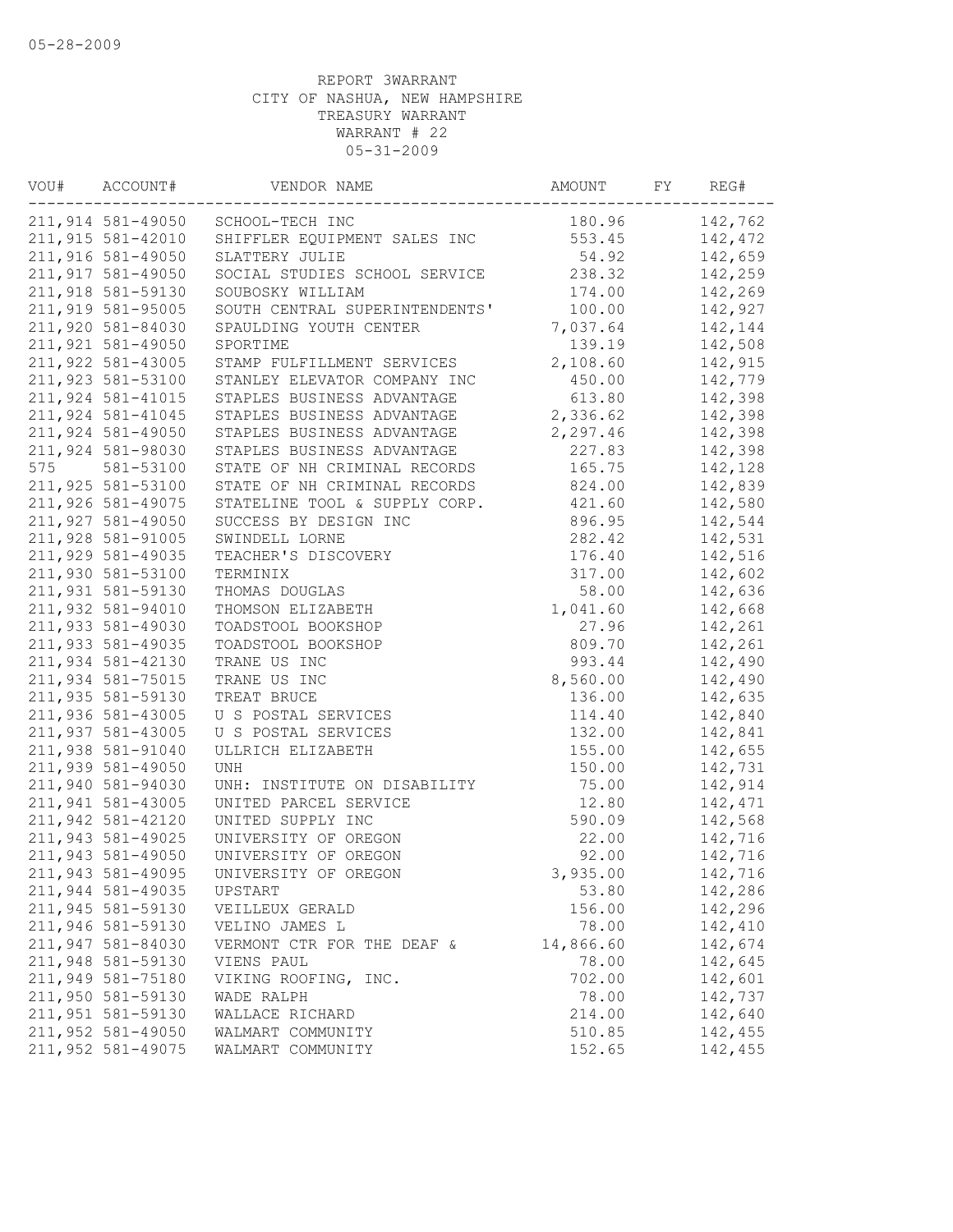| VOU# | ACCOUNT#          | VENDOR NAME                       | AMOUNT    | FY | REG#    |
|------|-------------------|-----------------------------------|-----------|----|---------|
|      |                   | 211,914 581-49050 SCHOOL-TECH INC | 180.96    |    | 142,762 |
|      | 211,915 581-42010 | SHIFFLER EQUIPMENT SALES INC      | 553.45    |    | 142,472 |
|      | 211,916 581-49050 | SLATTERY JULIE                    | 54.92     |    | 142,659 |
|      | 211,917 581-49050 | SOCIAL STUDIES SCHOOL SERVICE     | 238.32    |    | 142,259 |
|      | 211,918 581-59130 | SOUBOSKY WILLIAM                  | 174.00    |    | 142,269 |
|      | 211,919 581-95005 | SOUTH CENTRAL SUPERINTENDENTS'    | 100.00    |    | 142,927 |
|      | 211,920 581-84030 | SPAULDING YOUTH CENTER            | 7,037.64  |    | 142,144 |
|      | 211,921 581-49050 | SPORTIME                          | 139.19    |    | 142,508 |
|      | 211,922 581-43005 | STAMP FULFILLMENT SERVICES        | 2,108.60  |    | 142,915 |
|      | 211,923 581-53100 | STANLEY ELEVATOR COMPANY INC      | 450.00    |    | 142,779 |
|      | 211,924 581-41015 | STAPLES BUSINESS ADVANTAGE        | 613.80    |    | 142,398 |
|      | 211,924 581-41045 | STAPLES BUSINESS ADVANTAGE        | 2,336.62  |    | 142,398 |
|      | 211,924 581-49050 | STAPLES BUSINESS ADVANTAGE        | 2,297.46  |    | 142,398 |
|      | 211,924 581-98030 | STAPLES BUSINESS ADVANTAGE        | 227.83    |    | 142,398 |
| 575  | 581-53100         | STATE OF NH CRIMINAL RECORDS      | 165.75    |    | 142,128 |
|      | 211,925 581-53100 | STATE OF NH CRIMINAL RECORDS      | 824.00    |    | 142,839 |
|      | 211,926 581-49075 | STATELINE TOOL & SUPPLY CORP.     | 421.60    |    | 142,580 |
|      | 211,927 581-49050 | SUCCESS BY DESIGN INC             | 896.95    |    | 142,544 |
|      | 211,928 581-91005 | SWINDELL LORNE                    | 282.42    |    | 142,531 |
|      | 211,929 581-49035 | TEACHER'S DISCOVERY               | 176.40    |    | 142,516 |
|      | 211,930 581-53100 | TERMINIX                          | 317.00    |    | 142,602 |
|      | 211,931 581-59130 | THOMAS DOUGLAS                    | 58.00     |    | 142,636 |
|      | 211,932 581-94010 | THOMSON ELIZABETH                 | 1,041.60  |    | 142,668 |
|      | 211,933 581-49030 | TOADSTOOL BOOKSHOP                | 27.96     |    | 142,261 |
|      | 211,933 581-49035 | TOADSTOOL BOOKSHOP                | 809.70    |    | 142,261 |
|      | 211,934 581-42130 | TRANE US INC                      | 993.44    |    | 142,490 |
|      | 211,934 581-75015 | TRANE US INC                      | 8,560.00  |    | 142,490 |
|      | 211,935 581-59130 | TREAT BRUCE                       | 136.00    |    | 142,635 |
|      | 211,936 581-43005 | U S POSTAL SERVICES               | 114.40    |    | 142,840 |
|      | 211,937 581-43005 | U S POSTAL SERVICES               | 132.00    |    | 142,841 |
|      | 211,938 581-91040 | ULLRICH ELIZABETH                 | 155.00    |    | 142,655 |
|      | 211,939 581-49050 | UNH                               | 150.00    |    | 142,731 |
|      | 211,940 581-94030 | UNH: INSTITUTE ON DISABILITY      | 75.00     |    | 142,914 |
|      | 211,941 581-43005 | UNITED PARCEL SERVICE             | 12.80     |    | 142,471 |
|      | 211,942 581-42120 | UNITED SUPPLY INC                 | 590.09    |    | 142,568 |
|      | 211,943 581-49025 | UNIVERSITY OF OREGON              | 22.00     |    | 142,716 |
|      | 211,943 581-49050 | UNIVERSITY OF OREGON              | 92.00     |    | 142,716 |
|      | 211,943 581-49095 | UNIVERSITY OF OREGON              | 3,935.00  |    | 142,716 |
|      | 211,944 581-49035 | UPSTART                           | 53.80     |    | 142,286 |
|      | 211,945 581-59130 | VEILLEUX GERALD                   | 156.00    |    | 142,296 |
|      | 211,946 581-59130 | VELINO JAMES L                    | 78.00     |    | 142,410 |
|      | 211,947 581-84030 | VERMONT CTR FOR THE DEAF &        | 14,866.60 |    | 142,674 |
|      | 211,948 581-59130 | VIENS PAUL                        | 78.00     |    | 142,645 |
|      | 211,949 581-75180 | VIKING ROOFING, INC.              | 702.00    |    | 142,601 |
|      | 211,950 581-59130 | WADE RALPH                        | 78.00     |    | 142,737 |
|      | 211,951 581-59130 | WALLACE RICHARD                   | 214.00    |    | 142,640 |
|      | 211,952 581-49050 | WALMART COMMUNITY                 | 510.85    |    | 142,455 |
|      | 211,952 581-49075 | WALMART COMMUNITY                 | 152.65    |    | 142,455 |
|      |                   |                                   |           |    |         |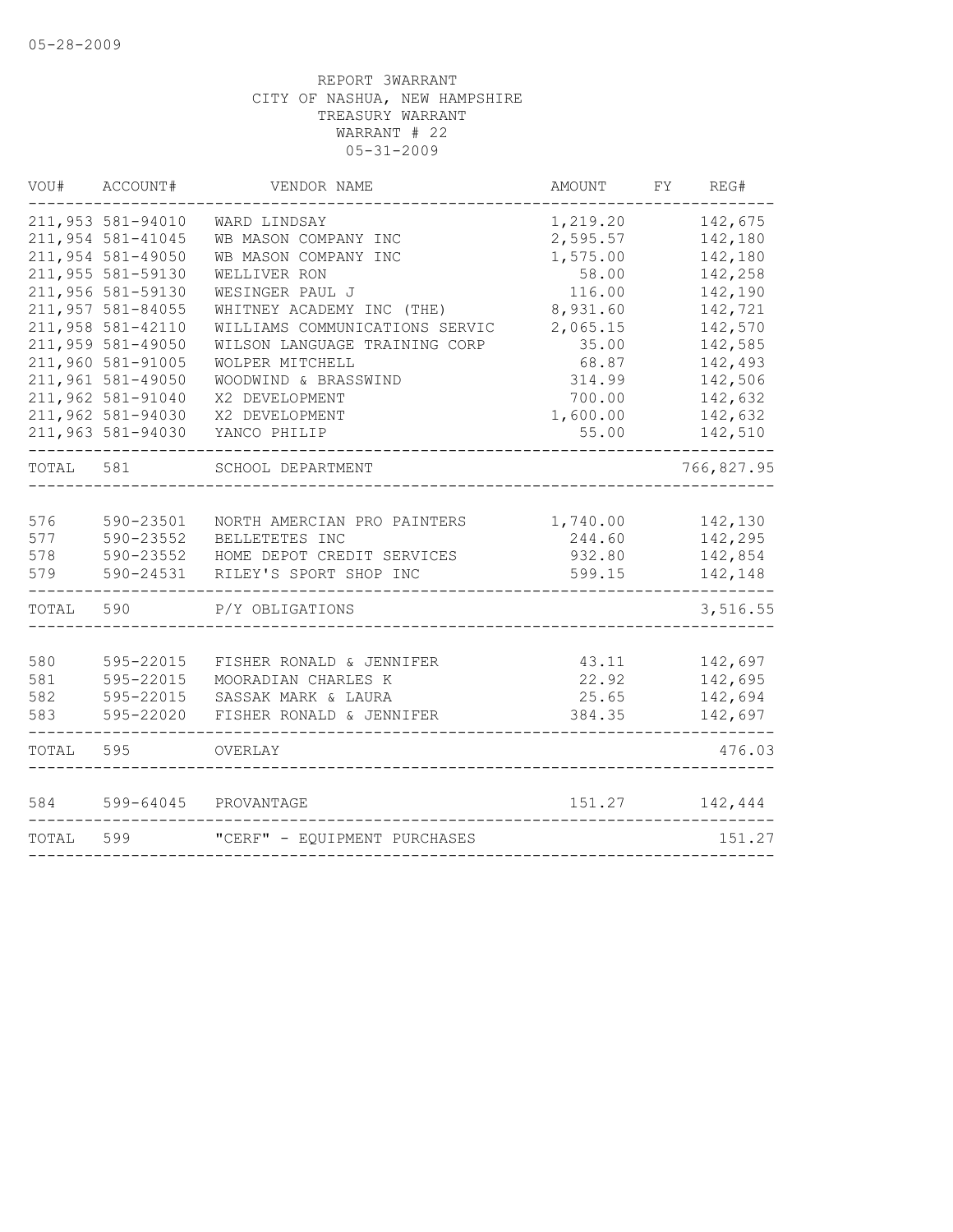| VOU#  | ACCOUNT#                               | VENDOR NAME                                      | <b>AMOUNT</b>        | FΥ | REG#               |
|-------|----------------------------------------|--------------------------------------------------|----------------------|----|--------------------|
|       | 211,953 581-94010<br>211,954 581-41045 | WARD LINDSAY<br>WB MASON COMPANY INC             | 1,219.20<br>2,595.57 |    | 142,675<br>142,180 |
|       | 211,954 581-49050                      | WB MASON COMPANY INC                             | 1,575.00             |    | 142,180            |
|       | 211,955 581-59130                      | WELLIVER RON                                     | 58.00                |    | 142,258            |
|       | 211,956 581-59130                      | WESINGER PAUL J                                  | 116.00               |    | 142,190            |
|       | 211,957 581-84055                      | WHITNEY ACADEMY INC (THE)                        | 8,931.60             |    | 142,721            |
|       | 211,958 581-42110                      | WILLIAMS COMMUNICATIONS SERVIC                   | 2,065.15             |    | 142,570            |
|       | 211,959 581-49050<br>211,960 581-91005 | WILSON LANGUAGE TRAINING CORP<br>WOLPER MITCHELL | 35.00<br>68.87       |    | 142,585<br>142,493 |
|       | 211,961 581-49050                      | WOODWIND & BRASSWIND                             | 314.99               |    | 142,506            |
|       | 211,962 581-91040                      | X2 DEVELOPMENT                                   | 700.00               |    | 142,632            |
|       | 211,962 581-94030                      | X2 DEVELOPMENT                                   | 1,600.00             |    | 142,632            |
|       | 211,963 581-94030                      | YANCO PHILIP                                     | 55.00                |    | 142,510            |
| TOTAL | 581                                    | SCHOOL DEPARTMENT                                |                      |    | 766,827.95         |
| 576   | 590-23501                              | NORTH AMERCIAN PRO PAINTERS                      | 1,740.00             |    | 142,130            |
| 577   | 590-23552                              | BELLETETES INC                                   | 244.60               |    | 142,295            |
| 578   | 590-23552                              | HOME DEPOT CREDIT SERVICES                       | 932.80               |    | 142,854            |
| 579   | 590-24531                              | RILEY'S SPORT SHOP INC                           | 599.15               |    | 142,148            |
| TOTAL | 590                                    | P/Y OBLIGATIONS                                  |                      |    | 3,516.55           |
| 580   | 595-22015                              | FISHER RONALD & JENNIFER                         | 43.11                |    | 142,697            |
| 581   | 595-22015                              | MOORADIAN CHARLES K                              | 22.92                |    | 142,695            |
| 582   | 595-22015                              | SASSAK MARK & LAURA                              | 25.65                |    | 142,694            |
| 583   | 595-22020                              | FISHER RONALD & JENNIFER                         | 384.35               |    | 142,697            |
| TOTAL | 595                                    | OVERLAY                                          |                      |    | 476.03             |
| 584   | 599-64045                              | PROVANTAGE                                       | 151.27               |    | 142,444            |
| TOTAL | 599                                    | "CERF" - EQUIPMENT PURCHASES                     |                      |    | 151.27             |
|       |                                        |                                                  |                      |    |                    |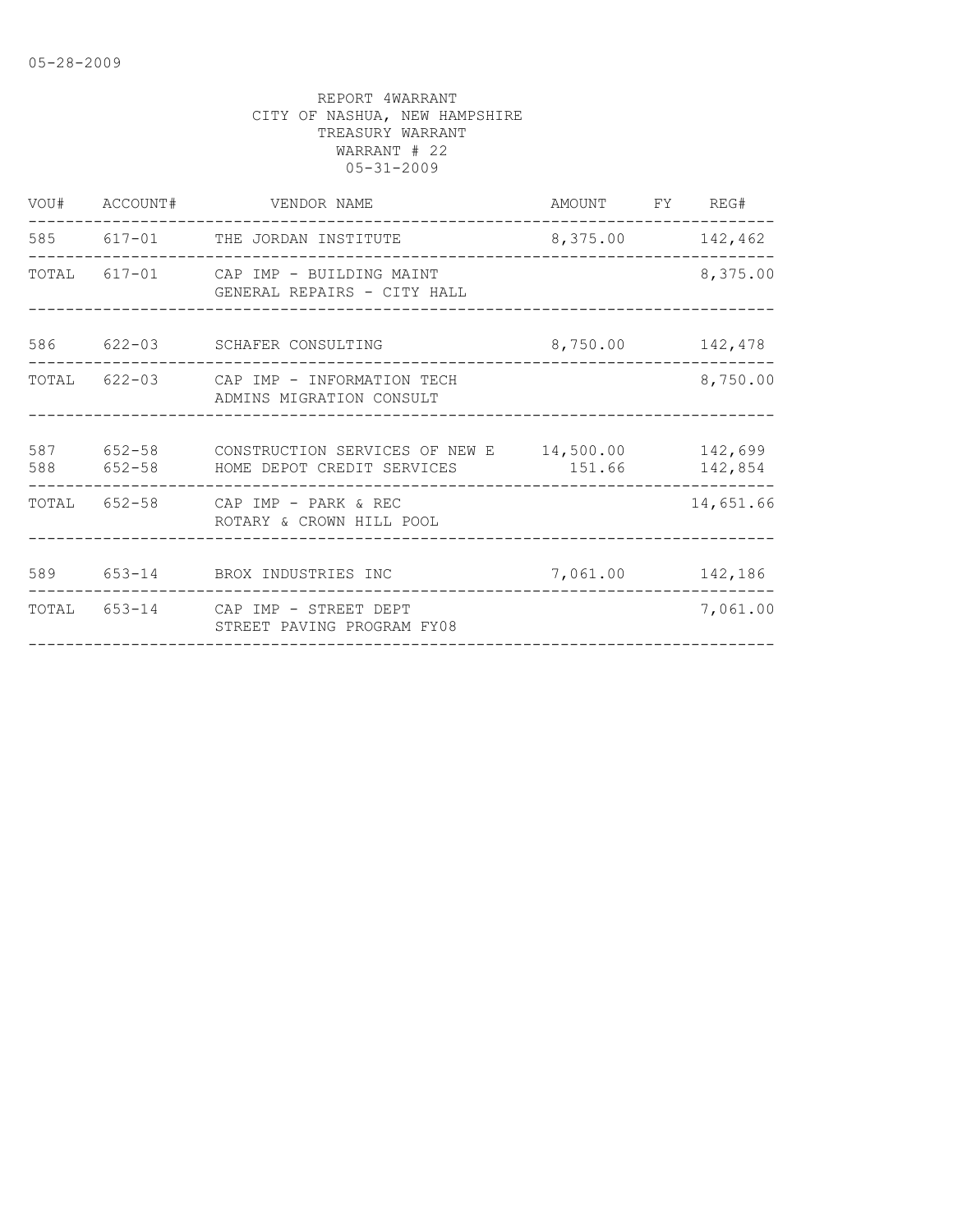|            | VOU# ACCOUNT# | VENDOR NAME<br>______________________                                                        | AMOUNT FY REG#   |           |
|------------|---------------|----------------------------------------------------------------------------------------------|------------------|-----------|
|            |               | 585 617-01 THE JORDAN INSTITUTE<br>_________________                                         | 8,375.00 142,462 |           |
|            |               | TOTAL 617-01 CAP IMP - BUILDING MAINT<br>GENERAL REPAIRS - CITY HALL                         |                  | 8,375.00  |
| 586        | $622 - 03$    | SCHAFER CONSULTING                                                                           | 8,750.00 142,478 |           |
|            |               | TOTAL 622-03 CAP IMP - INFORMATION TECH<br>ADMINS MIGRATION CONSULT                          |                  | 8,750.00  |
| 587<br>588 | $652 - 58$    | $652-58$ CONSTRUCTION SERVICES OF NEW E $14$ , 500.00 142, 699<br>HOME DEPOT CREDIT SERVICES | 151.66           | 142,854   |
|            |               | TOTAL 652-58 CAP IMP - PARK & REC<br>ROTARY & CROWN HILL POOL                                |                  | 14,651.66 |
|            |               | 589 653-14 BROX INDUSTRIES INC                                                               | 7,061.00         | 142,186   |
| TOTAL      |               | 653-14 CAP IMP - STREET DEPT<br>STREET PAVING PROGRAM FY08                                   |                  | 7,061.00  |
|            |               |                                                                                              |                  |           |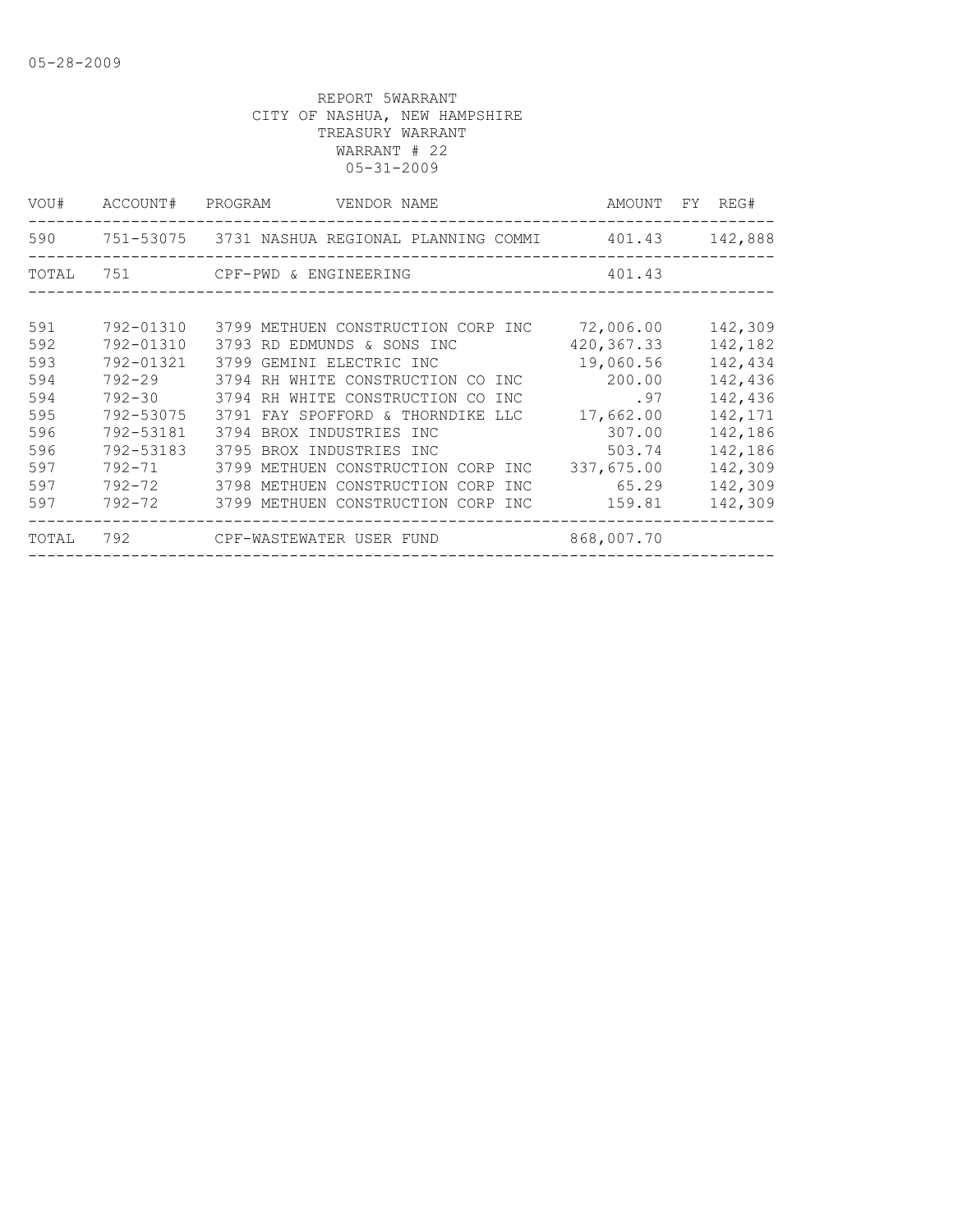|            | VENDOR NAME                       |                                                                                                                                                                                   | AMOUNT FY REG#                                                                                                                                                                                                                             |
|------------|-----------------------------------|-----------------------------------------------------------------------------------------------------------------------------------------------------------------------------------|--------------------------------------------------------------------------------------------------------------------------------------------------------------------------------------------------------------------------------------------|
|            |                                   |                                                                                                                                                                                   |                                                                                                                                                                                                                                            |
|            |                                   | 401.43                                                                                                                                                                            |                                                                                                                                                                                                                                            |
|            |                                   |                                                                                                                                                                                   |                                                                                                                                                                                                                                            |
| 792-01310  |                                   |                                                                                                                                                                                   | 142,309                                                                                                                                                                                                                                    |
| 792-01310  | 3793 RD EDMUNDS & SONS INC        | 420,367.33                                                                                                                                                                        | 142,182                                                                                                                                                                                                                                    |
| 792-01321  | 3799 GEMINI ELECTRIC INC          | 19,060.56                                                                                                                                                                         | 142,434                                                                                                                                                                                                                                    |
| $792 - 29$ | 3794 RH WHITE CONSTRUCTION CO INC | 200.00                                                                                                                                                                            | 142,436                                                                                                                                                                                                                                    |
|            |                                   | .97                                                                                                                                                                               | 142,436                                                                                                                                                                                                                                    |
| 792-53075  |                                   | 17,662.00                                                                                                                                                                         | 142,171                                                                                                                                                                                                                                    |
| 792-53181  | 3794 BROX INDUSTRIES INC          | 307.00                                                                                                                                                                            | 142,186                                                                                                                                                                                                                                    |
| 792-53183  | 3795 BROX INDUSTRIES INC          | 503.74                                                                                                                                                                            | 142,186                                                                                                                                                                                                                                    |
| 792-71     |                                   | 337,675.00                                                                                                                                                                        | 142,309                                                                                                                                                                                                                                    |
|            |                                   | 65.29                                                                                                                                                                             | 142,309                                                                                                                                                                                                                                    |
|            |                                   |                                                                                                                                                                                   | 142,309                                                                                                                                                                                                                                    |
|            |                                   | 868,007.70                                                                                                                                                                        |                                                                                                                                                                                                                                            |
|            |                                   | ACCOUNT# PROGRAM<br>TOTAL 751 CPF-PWD & ENGINEERING<br>792-30 3794 RH WHITE CONSTRUCTION CO INC<br>3791 FAY SPOFFORD & THORNDIKE LLC<br>792-72 3798 METHUEN CONSTRUCTION CORP INC | 590 751-53075 3731 NASHUA REGIONAL PLANNING COMMI 401.43 142,888<br>3799 METHUEN CONSTRUCTION CORP INC 72,006.00<br>3799 METHUEN CONSTRUCTION CORP INC<br>792-72 3799 METHUEN CONSTRUCTION CORP INC 159.81<br>792 CPF-WASTEWATER USER FUND |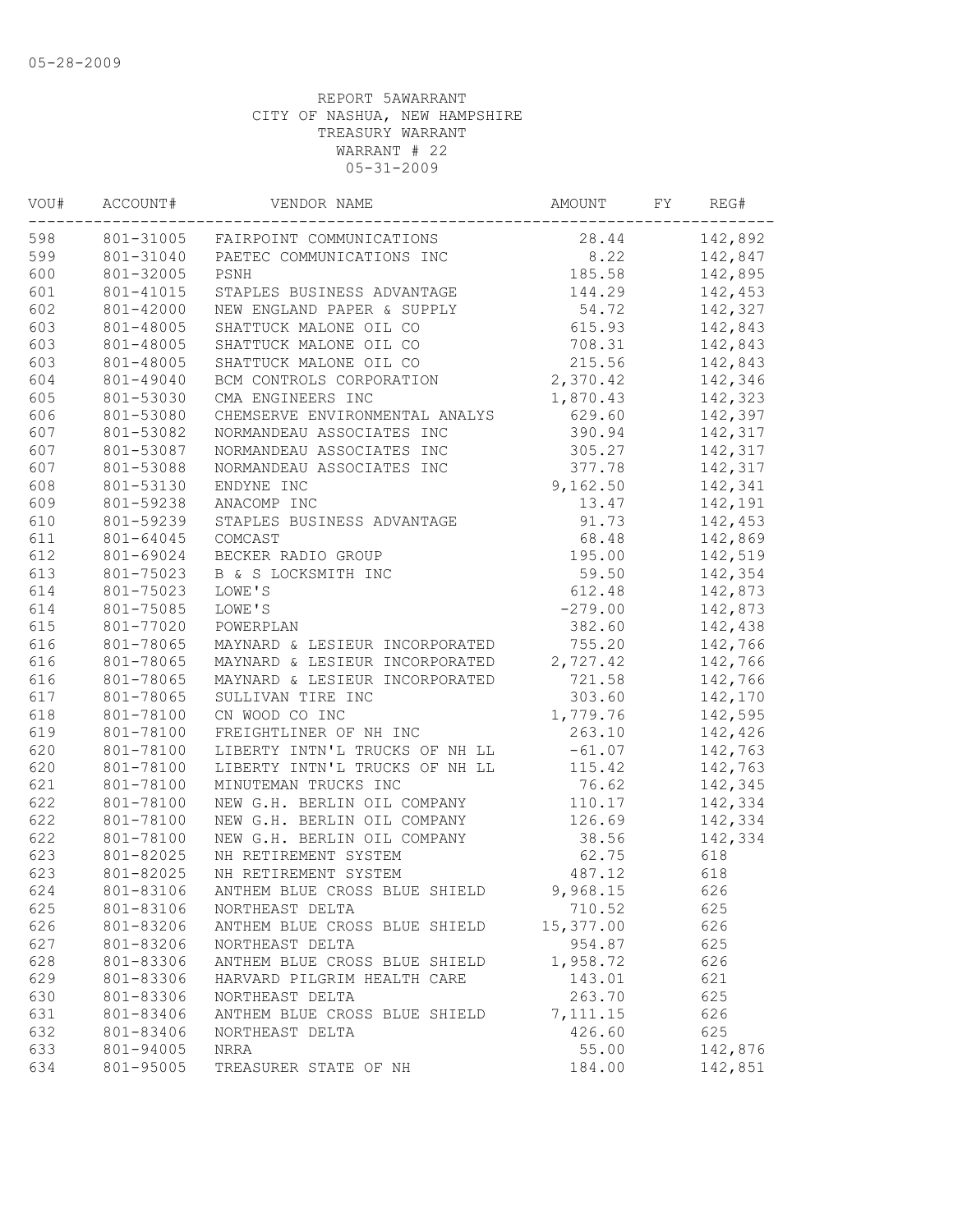| VOU# | ACCOUNT#  | VENDOR NAME                        | AMOUNT    | FY | REG#    |
|------|-----------|------------------------------------|-----------|----|---------|
| 598  |           | 801-31005 FAIRPOINT COMMUNICATIONS | 28.44     |    | 142,892 |
| 599  | 801-31040 | PAETEC COMMUNICATIONS INC          | 8.22      |    | 142,847 |
| 600  | 801-32005 | PSNH                               | 185.58    |    | 142,895 |
| 601  | 801-41015 | STAPLES BUSINESS ADVANTAGE         | 144.29    |    | 142,453 |
| 602  | 801-42000 | NEW ENGLAND PAPER & SUPPLY         | 54.72     |    | 142,327 |
| 603  | 801-48005 | SHATTUCK MALONE OIL CO             | 615.93    |    | 142,843 |
| 603  | 801-48005 | SHATTUCK MALONE OIL CO             | 708.31    |    | 142,843 |
| 603  | 801-48005 | SHATTUCK MALONE OIL CO             | 215.56    |    | 142,843 |
| 604  | 801-49040 | BCM CONTROLS CORPORATION           | 2,370.42  |    | 142,346 |
| 605  | 801-53030 | CMA ENGINEERS INC                  | 1,870.43  |    | 142,323 |
| 606  | 801-53080 | CHEMSERVE ENVIRONMENTAL ANALYS     | 629.60    |    | 142,397 |
| 607  | 801-53082 | NORMANDEAU ASSOCIATES INC          | 390.94    |    | 142,317 |
| 607  | 801-53087 | NORMANDEAU ASSOCIATES INC          | 305.27    |    | 142,317 |
| 607  | 801-53088 | NORMANDEAU ASSOCIATES INC          | 377.78    |    | 142,317 |
| 608  | 801-53130 | ENDYNE INC                         | 9,162.50  |    | 142,341 |
| 609  | 801-59238 | ANACOMP INC                        | 13.47     |    | 142,191 |
| 610  | 801-59239 | STAPLES BUSINESS ADVANTAGE         | 91.73     |    | 142,453 |
| 611  | 801-64045 | COMCAST                            | 68.48     |    | 142,869 |
| 612  | 801-69024 | BECKER RADIO GROUP                 | 195.00    |    | 142,519 |
| 613  | 801-75023 | B & S LOCKSMITH INC                | 59.50     |    | 142,354 |
| 614  | 801-75023 | LOWE'S                             | 612.48    |    | 142,873 |
| 614  | 801-75085 | LOWE'S                             | $-279.00$ |    | 142,873 |
| 615  | 801-77020 | POWERPLAN                          | 382.60    |    | 142,438 |
| 616  | 801-78065 | MAYNARD & LESIEUR INCORPORATED     | 755.20    |    | 142,766 |
| 616  | 801-78065 | MAYNARD & LESIEUR INCORPORATED     | 2,727.42  |    | 142,766 |
| 616  | 801-78065 | MAYNARD & LESIEUR INCORPORATED     | 721.58    |    | 142,766 |
| 617  | 801-78065 | SULLIVAN TIRE INC                  | 303.60    |    | 142,170 |
| 618  | 801-78100 | CN WOOD CO INC                     | 1,779.76  |    | 142,595 |
| 619  | 801-78100 | FREIGHTLINER OF NH INC             | 263.10    |    | 142,426 |
| 620  | 801-78100 | LIBERTY INTN'L TRUCKS OF NH LL     | $-61.07$  |    | 142,763 |
| 620  | 801-78100 | LIBERTY INTN'L TRUCKS OF NH LL     | 115.42    |    | 142,763 |
| 621  | 801-78100 | MINUTEMAN TRUCKS INC               | 76.62     |    | 142,345 |
| 622  | 801-78100 | NEW G.H. BERLIN OIL COMPANY        | 110.17    |    | 142,334 |
| 622  | 801-78100 | NEW G.H. BERLIN OIL COMPANY        | 126.69    |    | 142,334 |
| 622  | 801-78100 | NEW G.H. BERLIN OIL COMPANY        | 38.56     |    | 142,334 |
| 623  | 801-82025 | NH RETIREMENT SYSTEM               | 62.75     |    | 618     |
| 623  | 801-82025 | NH RETIREMENT SYSTEM               | 487.12    |    | 618     |
| 624  | 801-83106 | ANTHEM BLUE CROSS BLUE SHIELD      | 9,968.15  |    | 626     |
| 625  | 801-83106 | NORTHEAST DELTA                    | 710.52    |    | 625     |
| 626  | 801-83206 | ANTHEM BLUE CROSS BLUE SHIELD      | 15,377.00 |    | 626     |
| 627  | 801-83206 | NORTHEAST DELTA                    | 954.87    |    | 625     |
| 628  | 801-83306 | ANTHEM BLUE CROSS BLUE SHIELD      | 1,958.72  |    | 626     |
| 629  | 801-83306 | HARVARD PILGRIM HEALTH CARE        | 143.01    |    | 621     |
| 630  | 801-83306 | NORTHEAST DELTA                    | 263.70    |    | 625     |
| 631  | 801-83406 | ANTHEM BLUE CROSS BLUE SHIELD      | 7, 111.15 |    | 626     |
| 632  | 801-83406 | NORTHEAST DELTA                    | 426.60    |    | 625     |
| 633  | 801-94005 | NRRA                               | 55.00     |    | 142,876 |
| 634  | 801-95005 | TREASURER STATE OF NH              | 184.00    |    | 142,851 |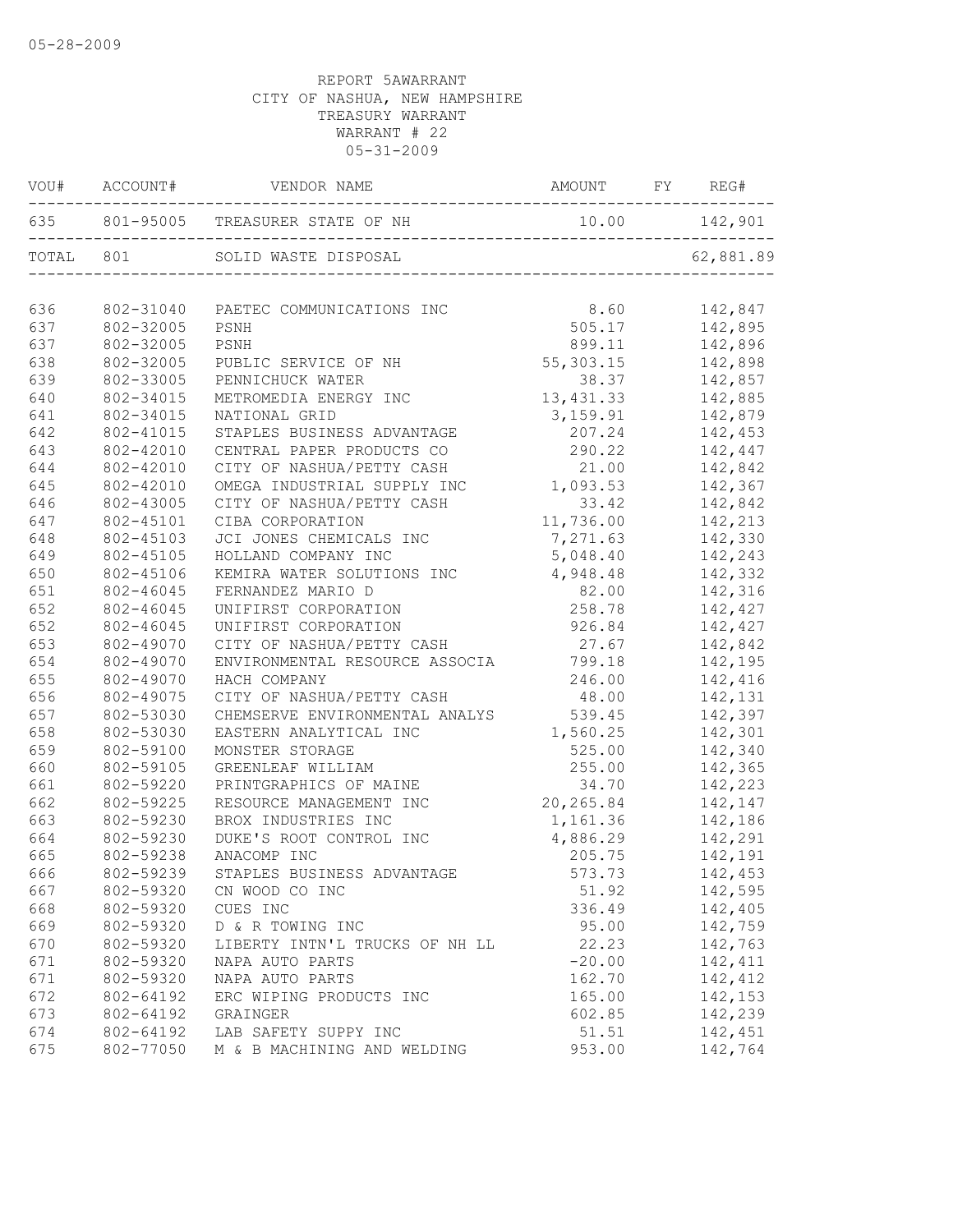|           | VOU# ACCOUNT# | VENDOR NAME                             | AMOUNT FY REG#   |           |
|-----------|---------------|-----------------------------------------|------------------|-----------|
|           |               | 635 801-95005 TREASURER STATE OF NH 10. | 10.00    142,901 |           |
| TOTAL 801 |               | SOLID WASTE DISPOSAL                    |                  | 62,881.89 |
| 636       | 802-31040     | PAETEC COMMUNICATIONS INC               | 8.60             | 142,847   |
| 637       | 802-32005     | PSNH                                    | 505.17           | 142,895   |
| 637       | 802-32005     | PSNH                                    | 899.11           | 142,896   |
| 638       | 802-32005     | PUBLIC SERVICE OF NH                    | 55,303.15        | 142,898   |
| 639       | 802-33005     | PENNICHUCK WATER                        | 38.37            | 142,857   |
| 640       | 802-34015     | METROMEDIA ENERGY INC                   | 13, 431.33       | 142,885   |
| 641       | 802-34015     | NATIONAL GRID                           | 3, 159.91        | 142,879   |
| 642       | 802-41015     | STAPLES BUSINESS ADVANTAGE              | 207.24           | 142,453   |
| 643       | 802-42010     | CENTRAL PAPER PRODUCTS CO               | 290.22           | 142,447   |
| 644       | 802-42010     | CITY OF NASHUA/PETTY CASH               | 21.00            | 142,842   |
| 645       | 802-42010     | OMEGA INDUSTRIAL SUPPLY INC             | 1,093.53         | 142,367   |
| 646       | 802-43005     | CITY OF NASHUA/PETTY CASH               | 33.42            | 142,842   |
| 647       | 802-45101     | CIBA CORPORATION                        | 11,736.00        | 142,213   |
| 648       | 802-45103     | JCI JONES CHEMICALS INC                 | 7,271.63         | 142,330   |
| 649       | 802-45105     | HOLLAND COMPANY INC                     | 5,048.40         | 142,243   |
| 650       | 802-45106     | KEMIRA WATER SOLUTIONS INC              | 4,948.48         | 142,332   |
| 651       | 802-46045     | FERNANDEZ MARIO D                       | 82.00            | 142,316   |
| 652       | 802-46045     | UNIFIRST CORPORATION                    | 258.78           | 142,427   |
| 652       | 802-46045     | UNIFIRST CORPORATION                    | 926.84           | 142,427   |
| 653       | 802-49070     | CITY OF NASHUA/PETTY CASH               | 27.67            | 142,842   |
| 654       | 802-49070     | ENVIRONMENTAL RESOURCE ASSOCIA          | 799.18           | 142,195   |
| 655       | 802-49070     | HACH COMPANY                            | 246.00           | 142,416   |
| 656       | 802-49075     | CITY OF NASHUA/PETTY CASH               | 48.00            | 142,131   |
| 657       | 802-53030     | CHEMSERVE ENVIRONMENTAL ANALYS          | 539.45           | 142,397   |
| 658       | 802-53030     | EASTERN ANALYTICAL INC                  | 1,560.25         | 142,301   |
| 659       | 802-59100     | MONSTER STORAGE                         | 525.00           | 142,340   |
| 660       | 802-59105     | GREENLEAF WILLIAM                       | 255.00           | 142,365   |
| 661       | 802-59220     | PRINTGRAPHICS OF MAINE                  | 34.70            | 142,223   |
| 662       | 802-59225     | RESOURCE MANAGEMENT INC                 | 20,265.84        | 142,147   |
| 663       | 802-59230     | BROX INDUSTRIES INC                     | 1,161.36         | 142,186   |
| 664       | 802-59230     | DUKE'S ROOT CONTROL INC                 | 4,886.29         | 142,291   |
| 665       | 802-59238     | ANACOMP INC                             | 205.75           | 142,191   |
| 666       | 802-59239     | STAPLES BUSINESS ADVANTAGE              | 573.73           | 142,453   |
| 667       | 802-59320     | CN WOOD CO INC                          | 51.92            | 142,595   |
| 668       | 802-59320     | CUES INC                                | 336.49           | 142,405   |
| 669       | 802-59320     | D & R TOWING INC                        | 95.00            | 142,759   |
| 670       | 802-59320     | LIBERTY INTN'L TRUCKS OF NH LL          | 22.23            | 142,763   |
| 671       | 802-59320     | NAPA AUTO PARTS                         | $-20.00$         | 142,411   |
| 671       | 802-59320     | NAPA AUTO PARTS                         | 162.70           | 142,412   |
| 672       | 802-64192     | ERC WIPING PRODUCTS INC                 | 165.00           | 142,153   |
| 673       | 802-64192     | GRAINGER                                | 602.85           | 142,239   |
| 674       | 802-64192     | LAB SAFETY SUPPY INC                    | 51.51            | 142,451   |
| 675       | 802-77050     | M & B MACHINING AND WELDING             | 953.00           | 142,764   |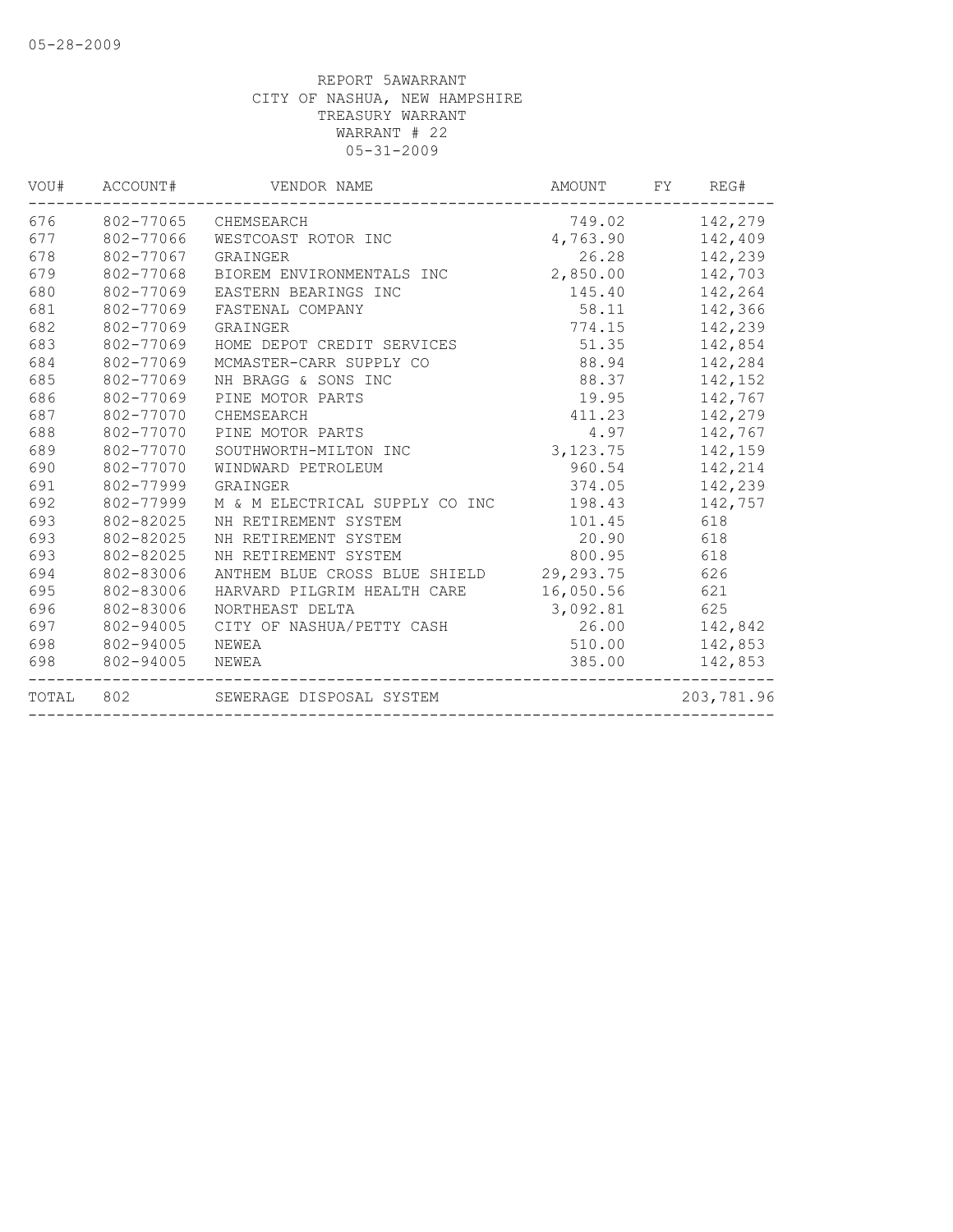| VOU#  | ACCOUNT#  | VENDOR NAME                    | AMOUNT    | FY | REG#       |
|-------|-----------|--------------------------------|-----------|----|------------|
| 676   |           | 802-77065 CHEMSEARCH           | 749.02    |    | 142,279    |
| 677   | 802-77066 | WESTCOAST ROTOR INC            | 4,763.90  |    | 142,409    |
| 678   | 802-77067 | GRAINGER                       | 26.28     |    | 142,239    |
| 679   | 802-77068 | BIOREM ENVIRONMENTALS INC      | 2,850.00  |    | 142,703    |
| 680   | 802-77069 | EASTERN BEARINGS INC           | 145.40    |    | 142,264    |
| 681   | 802-77069 | FASTENAL COMPANY               | 58.11     |    | 142,366    |
| 682   | 802-77069 | GRAINGER                       | 774.15    |    | 142,239    |
| 683   | 802-77069 | HOME DEPOT CREDIT SERVICES     | 51.35     |    | 142,854    |
| 684   | 802-77069 | MCMASTER-CARR SUPPLY CO        | 88.94     |    | 142,284    |
| 685   | 802-77069 | NH BRAGG & SONS INC            | 88.37     |    | 142,152    |
| 686   | 802-77069 | PINE MOTOR PARTS               | 19.95     |    | 142,767    |
| 687   | 802-77070 | CHEMSEARCH                     | 411.23    |    | 142,279    |
| 688   | 802-77070 | PINE MOTOR PARTS               | 4.97      |    | 142,767    |
| 689   | 802-77070 | SOUTHWORTH-MILTON INC          | 3,123.75  |    | 142,159    |
| 690   | 802-77070 | WINDWARD PETROLEUM             | 960.54    |    | 142,214    |
| 691   | 802-77999 | GRAINGER                       | 374.05    |    | 142,239    |
| 692   | 802-77999 | M & M ELECTRICAL SUPPLY CO INC | 198.43    |    | 142,757    |
| 693   | 802-82025 | NH RETIREMENT SYSTEM           | 101.45    |    | 618        |
| 693   | 802-82025 | NH RETIREMENT SYSTEM           | 20.90     |    | 618        |
| 693   | 802-82025 | NH RETIREMENT SYSTEM           | 800.95    |    | 618        |
| 694   | 802-83006 | ANTHEM BLUE CROSS BLUE SHIELD  | 29,293.75 |    | 626        |
| 695   | 802-83006 | HARVARD PILGRIM HEALTH CARE    | 16,050.56 |    | 621        |
| 696   | 802-83006 | NORTHEAST DELTA                | 3,092.81  |    | 625        |
| 697   | 802-94005 | CITY OF NASHUA/PETTY CASH      | 26.00     |    | 142,842    |
| 698   | 802-94005 | NEWEA                          | 510.00    |    | 142,853    |
| 698   | 802-94005 | NEWEA                          | 385.00    |    | 142,853    |
| TOTAL | 802       | SEWERAGE DISPOSAL SYSTEM       |           |    | 203,781.96 |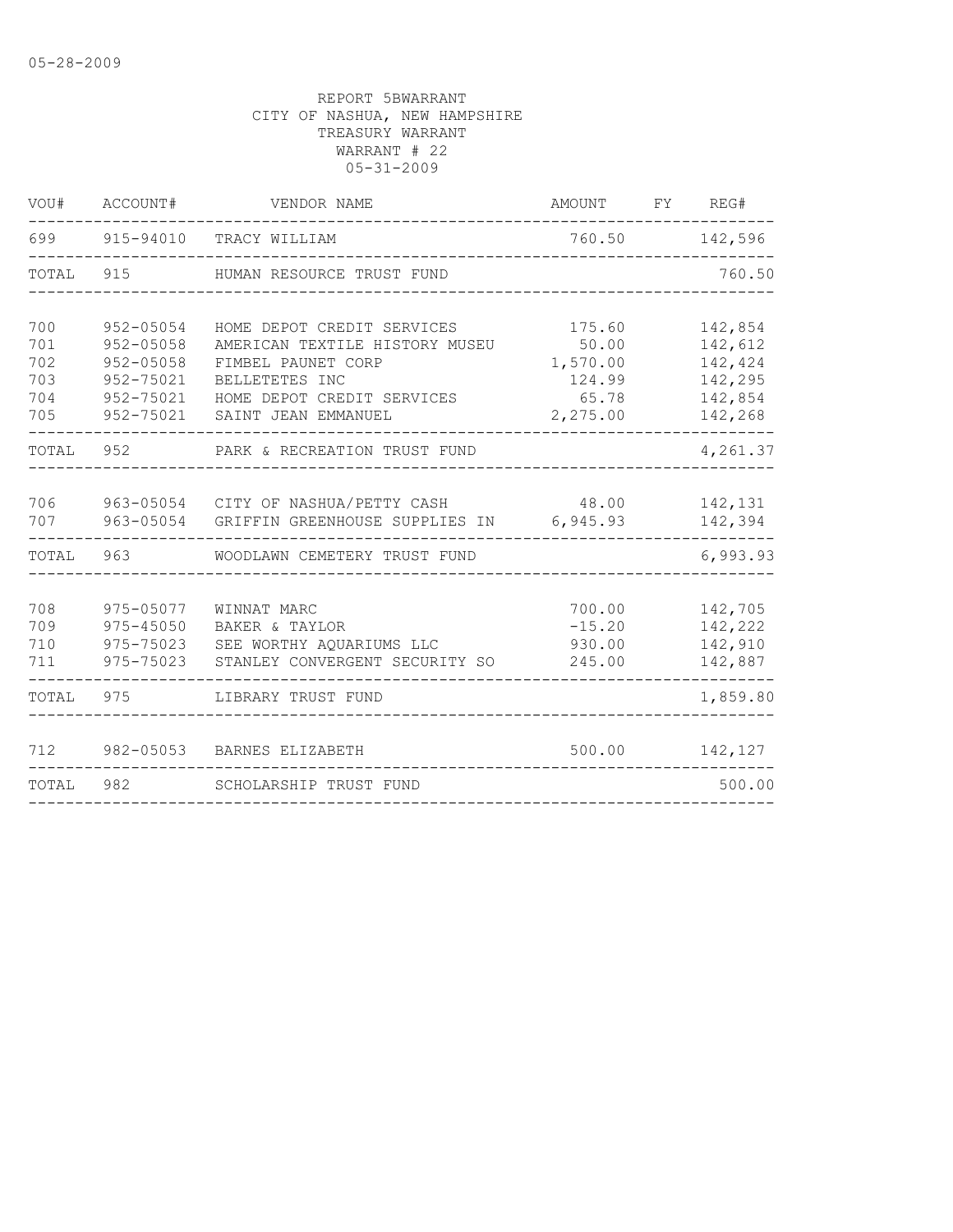| VOU#  | ACCOUNT#      | VENDOR NAME                              | AMOUNT   | FY | REG#     |
|-------|---------------|------------------------------------------|----------|----|----------|
| 699   | 915-94010     | TRACY WILLIAM                            | 760.50   |    | 142,596  |
| TOTAL | 915           | HUMAN RESOURCE TRUST FUND                |          |    | 760.50   |
|       |               |                                          |          |    |          |
| 700   | $952 - 05054$ | HOME DEPOT CREDIT SERVICES               | 175.60   |    | 142,854  |
| 701   | $952 - 05058$ | AMERICAN TEXTILE HISTORY MUSEU           | 50.00    |    | 142,612  |
| 702   | $952 - 05058$ | FIMBEL PAUNET CORP                       | 1,570.00 |    | 142,424  |
| 703   | 952-75021     | BELLETETES INC                           | 124.99   |    | 142,295  |
| 704   | 952-75021     | HOME DEPOT CREDIT SERVICES               | 65.78    |    | 142,854  |
| 705   | 952-75021     | SAINT JEAN EMMANUEL                      | 2,275.00 |    | 142,268  |
| TOTAL | 952           | PARK & RECREATION TRUST FUND             |          |    | 4,261.37 |
|       |               |                                          |          |    |          |
| 706   |               | 963-05054 CITY OF NASHUA/PETTY CASH      | 48.00    |    | 142,131  |
| 707   |               | 963-05054 GRIFFIN GREENHOUSE SUPPLIES IN | 6,945.93 |    | 142,394  |
| TOTAL | 963           | WOODLAWN CEMETERY TRUST FUND             |          |    | 6,993.93 |
| 708   | 975-05077     | WINNAT MARC                              | 700.00   |    | 142,705  |
| 709   | $975 - 45050$ | BAKER & TAYLOR                           | $-15.20$ |    | 142,222  |
| 710   | 975-75023     | SEE WORTHY AQUARIUMS LLC                 | 930.00   |    | 142,910  |
| 711   | 975-75023     | STANLEY CONVERGENT SECURITY SO           | 245.00   |    | 142,887  |
| TOTAL | 975           | LIBRARY TRUST FUND                       |          |    | 1,859.80 |
|       |               |                                          |          |    |          |
| 712   | 982-05053     | BARNES ELIZABETH                         | 500.00   |    | 142,127  |
| TOTAL | 982           | SCHOLARSHIP TRUST FUND                   |          |    | 500.00   |
|       |               |                                          |          |    |          |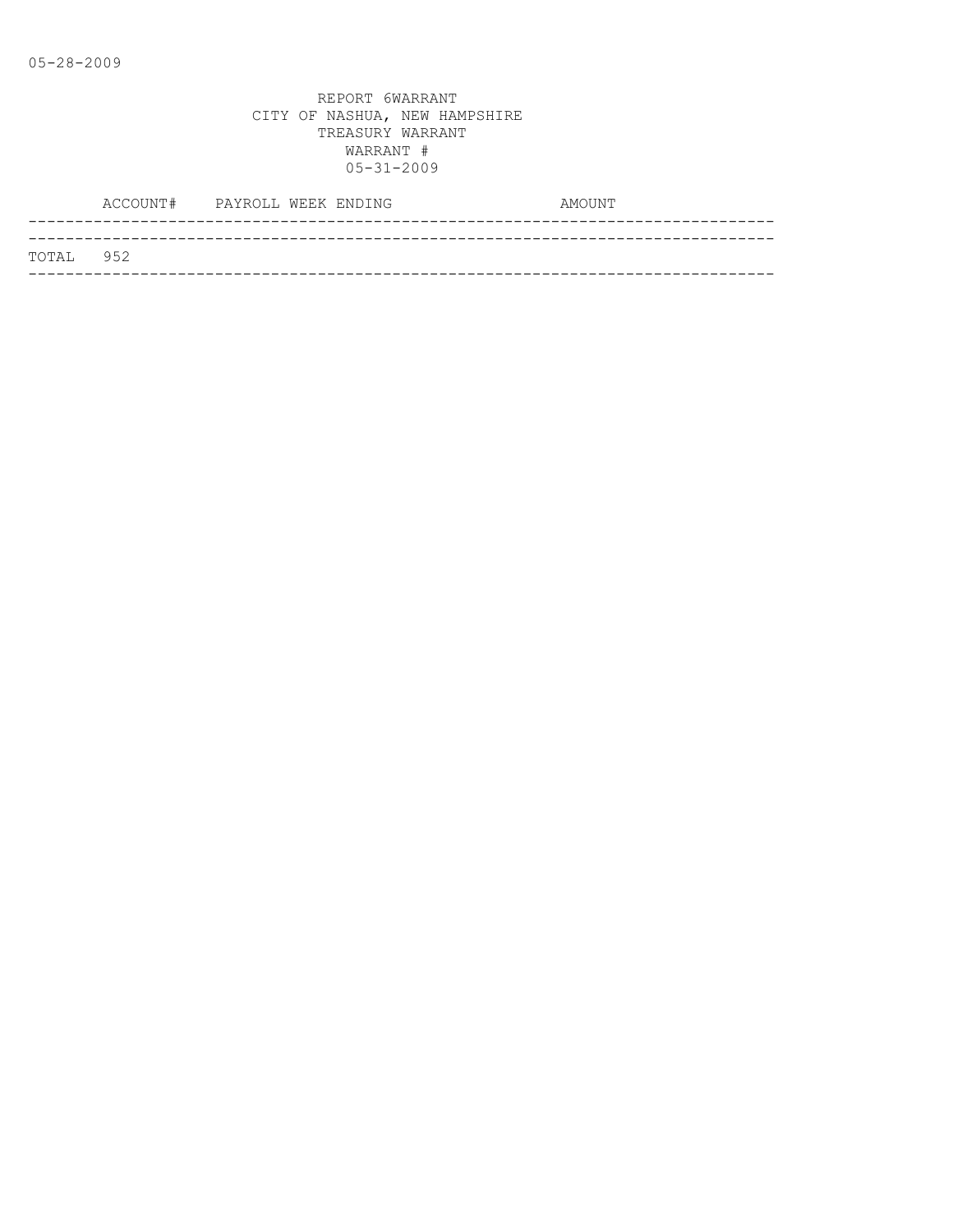|                   | ACCOUNT# PAYROLL WEEK ENDING |  |  | AMOUNT |
|-------------------|------------------------------|--|--|--------|
|                   |                              |  |  |        |
| <b>ТОТАІ. 952</b> |                              |  |  |        |
|                   |                              |  |  |        |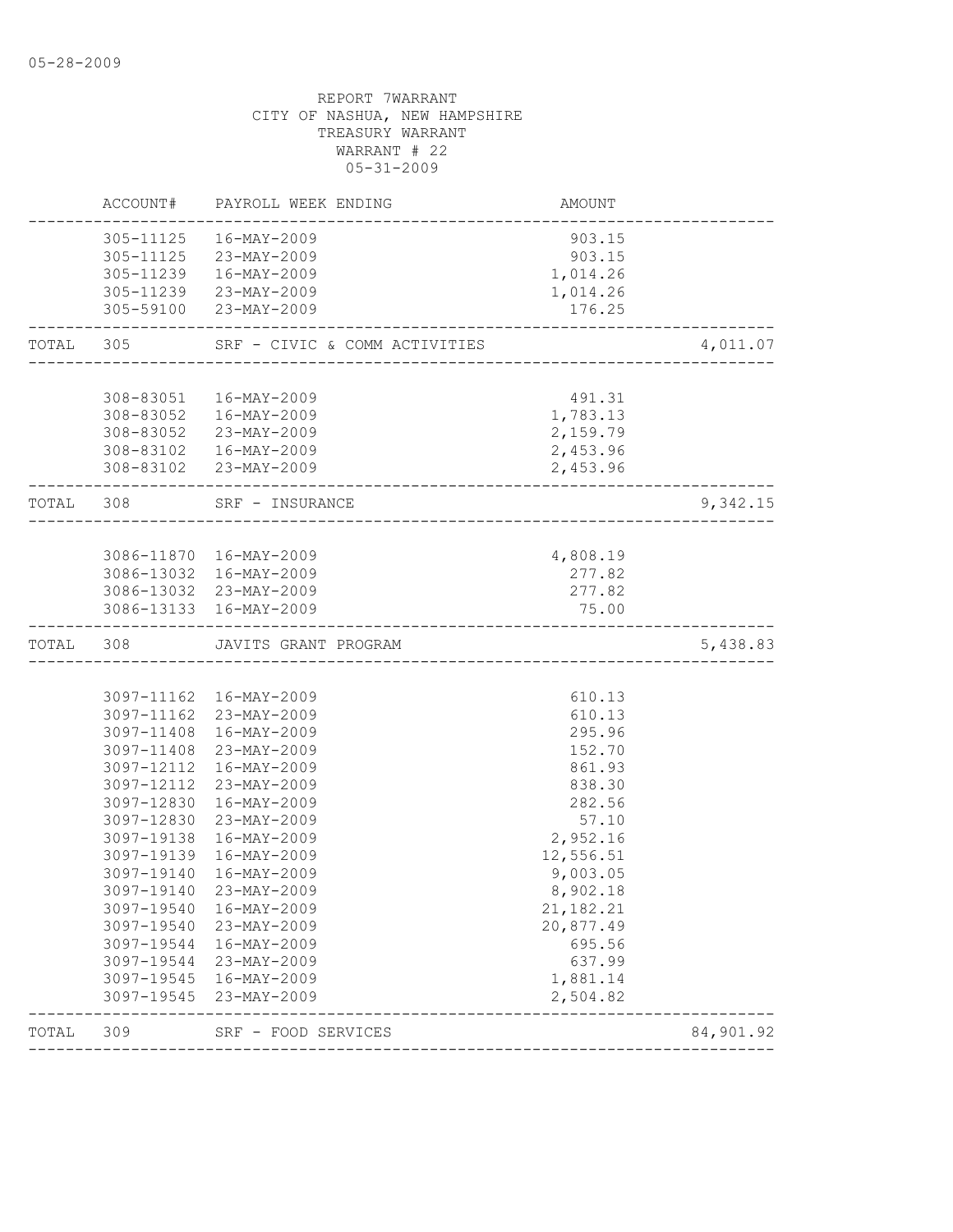| TOTAL     | 309                      | SRF - FOOD SERVICES<br>----------------------    | ------------------------------------ | 84,901.92 |
|-----------|--------------------------|--------------------------------------------------|--------------------------------------|-----------|
|           | 3097-19545               | 23-MAY-2009                                      | 2,504.82                             |           |
|           | 3097-19544<br>3097-19545 | 23-MAY-2009<br>16-MAY-2009                       | 637.99<br>1,881.14                   |           |
|           | 3097-19544               | 16-MAY-2009                                      | 695.56                               |           |
|           | 3097-19540               | 23-MAY-2009                                      | 20,877.49                            |           |
|           | 3097-19540               | 16-MAY-2009                                      | 21, 182. 21                          |           |
|           |                          | 3097-19140 23-MAY-2009                           | 8,902.18                             |           |
|           | 3097-19140               | 16-MAY-2009                                      | 9,003.05                             |           |
|           | 3097-19139               | 16-MAY-2009                                      | 12,556.51                            |           |
|           | 3097-19138               | 16-MAY-2009                                      | 2,952.16                             |           |
|           | 3097-12830               | 23-MAY-2009                                      | 57.10                                |           |
|           | 3097-12830               | 16-MAY-2009                                      | 282.56                               |           |
|           | 3097-12112               | 23-MAY-2009                                      | 838.30                               |           |
|           | 3097-12112               | $16 - MAX - 2009$                                | 861.93                               |           |
|           | 3097-11408               | 23-MAY-2009                                      | 152.70                               |           |
|           |                          | 3097-11408 16-MAY-2009                           | 610.13<br>295.96                     |           |
|           |                          | 3097-11162 16-MAY-2009<br>3097-11162 23-MAY-2009 | 610.13                               |           |
|           |                          |                                                  |                                      |           |
| TOTAL     | 308                      | JAVITS GRANT PROGRAM                             |                                      | 5,438.83  |
|           |                          |                                                  | 75.00                                |           |
|           |                          | 3086-13032 23-MAY-2009<br>3086-13133 16-MAY-2009 | 277.82                               |           |
|           |                          | 3086-13032 16-MAY-2009                           | 277.82                               |           |
|           |                          | 3086-11870 16-MAY-2009                           | 4,808.19                             |           |
|           |                          |                                                  |                                      |           |
| TOTAL 308 |                          | SRF - INSURANCE                                  |                                      | 9,342.15  |
|           |                          | 308-83102 23-MAY-2009                            | 2,453.96                             |           |
|           |                          | 308-83102  16-MAY-2009                           | 2,453.96                             |           |
|           |                          | 308-83052 23-MAY-2009                            | 2,159.79                             |           |
|           |                          | 308-83051  16-MAY-2009<br>308-83052  16-MAY-2009 | 491.31<br>1,783.13                   |           |
|           |                          |                                                  |                                      |           |
| TOTAL 305 |                          | SRF - CIVIC & COMM ACTIVITIES                    |                                      | 4,011.07  |
|           |                          | 305-59100 23-MAY-2009                            | 176.25                               |           |
|           |                          | 305-11239 23-MAY-2009                            | 1,014.26                             |           |
|           |                          | 305-11239  16-MAY-2009                           | 1,014.26                             |           |
|           |                          | 305-11125  16-MAY-2009<br>305-11125 23-MAY-2009  | 903.15<br>903.15                     |           |
|           |                          |                                                  |                                      |           |
|           | ACCOUNT#                 | PAYROLL WEEK ENDING                              | AMOUNT                               |           |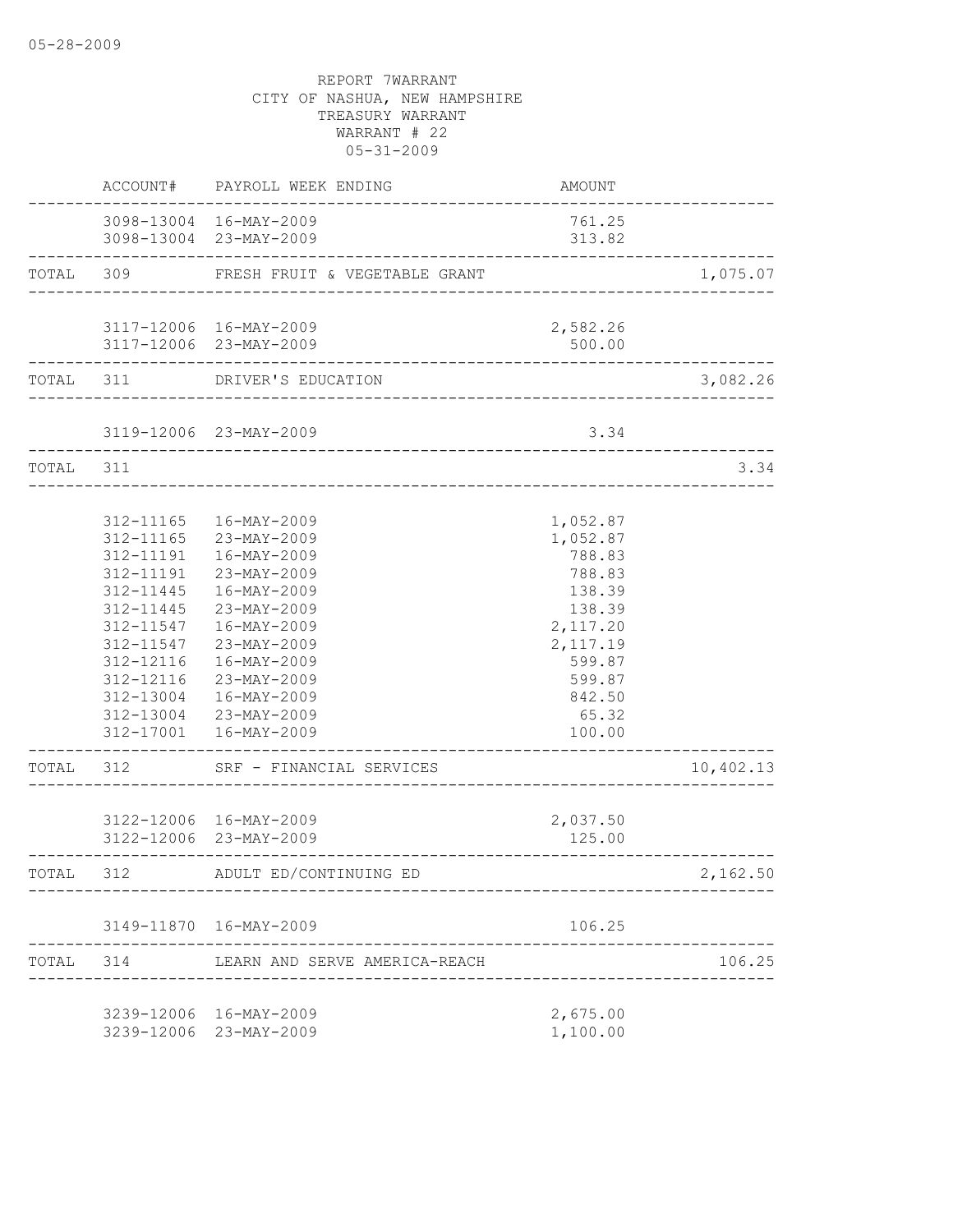|           |                                                               | ACCOUNT# PAYROLL WEEK ENDING                                                                                                                                                                                                                                                                                     | AMOUNT                                                                                                                                 |           |
|-----------|---------------------------------------------------------------|------------------------------------------------------------------------------------------------------------------------------------------------------------------------------------------------------------------------------------------------------------------------------------------------------------------|----------------------------------------------------------------------------------------------------------------------------------------|-----------|
|           |                                                               | 3098-13004 16-MAY-2009<br>3098-13004 23-MAY-2009                                                                                                                                                                                                                                                                 | 761.25<br>313.82                                                                                                                       |           |
|           | ------------------------                                      | TOTAL 309 FRESH FRUIT & VEGETABLE GRANT                                                                                                                                                                                                                                                                          |                                                                                                                                        | 1,075.07  |
|           |                                                               | 3117-12006 16-MAY-2009<br>3117-12006 23-MAY-2009                                                                                                                                                                                                                                                                 | 2,582.26<br>500.00                                                                                                                     |           |
|           |                                                               | TOTAL 311 DRIVER'S EDUCATION                                                                                                                                                                                                                                                                                     |                                                                                                                                        | 3,082.26  |
|           |                                                               | 3119-12006 23-MAY-2009<br>________________________________                                                                                                                                                                                                                                                       | 3.34                                                                                                                                   |           |
| TOTAL 311 |                                                               |                                                                                                                                                                                                                                                                                                                  |                                                                                                                                        | 3.34      |
| TOTAL 312 | 312-11445<br>312-11547<br>312-11547<br>312-12116<br>312-12116 | 312-11165  16-MAY-2009<br>312-11165 23-MAY-2009<br>312-11191  16-MAY-2009<br>312-11191 23-MAY-2009<br>312-11445  16-MAY-2009<br>23-MAY-2009<br>16-MAY-2009<br>23-MAY-2009<br>16-MAY-2009<br>23-MAY-2009<br>312-13004  16-MAY-2009<br>312-13004 23-MAY-2009<br>312-17001  16-MAY-2009<br>SRF - FINANCIAL SERVICES | 1,052.87<br>1,052.87<br>788.83<br>788.83<br>138.39<br>138.39<br>2,117.20<br>2, 117.19<br>599.87<br>599.87<br>842.50<br>65.32<br>100.00 | 10,402.13 |
|           |                                                               | 3122-12006 16-MAY-2009<br>3122-12006 23-MAY-2009                                                                                                                                                                                                                                                                 | 2,037.50<br>125.00                                                                                                                     |           |
| TOTAL 312 |                                                               | ADULT ED/CONTINUING ED                                                                                                                                                                                                                                                                                           |                                                                                                                                        | 2,162.50  |
|           |                                                               | 3149-11870 16-MAY-2009                                                                                                                                                                                                                                                                                           | 106.25                                                                                                                                 |           |
|           | TOTAL 314                                                     | LEARN AND SERVE AMERICA-REACH                                                                                                                                                                                                                                                                                    |                                                                                                                                        | 106.25    |
|           |                                                               | 3239-12006 16-MAY-2009<br>3239-12006 23-MAY-2009                                                                                                                                                                                                                                                                 | 2,675.00<br>1,100.00                                                                                                                   |           |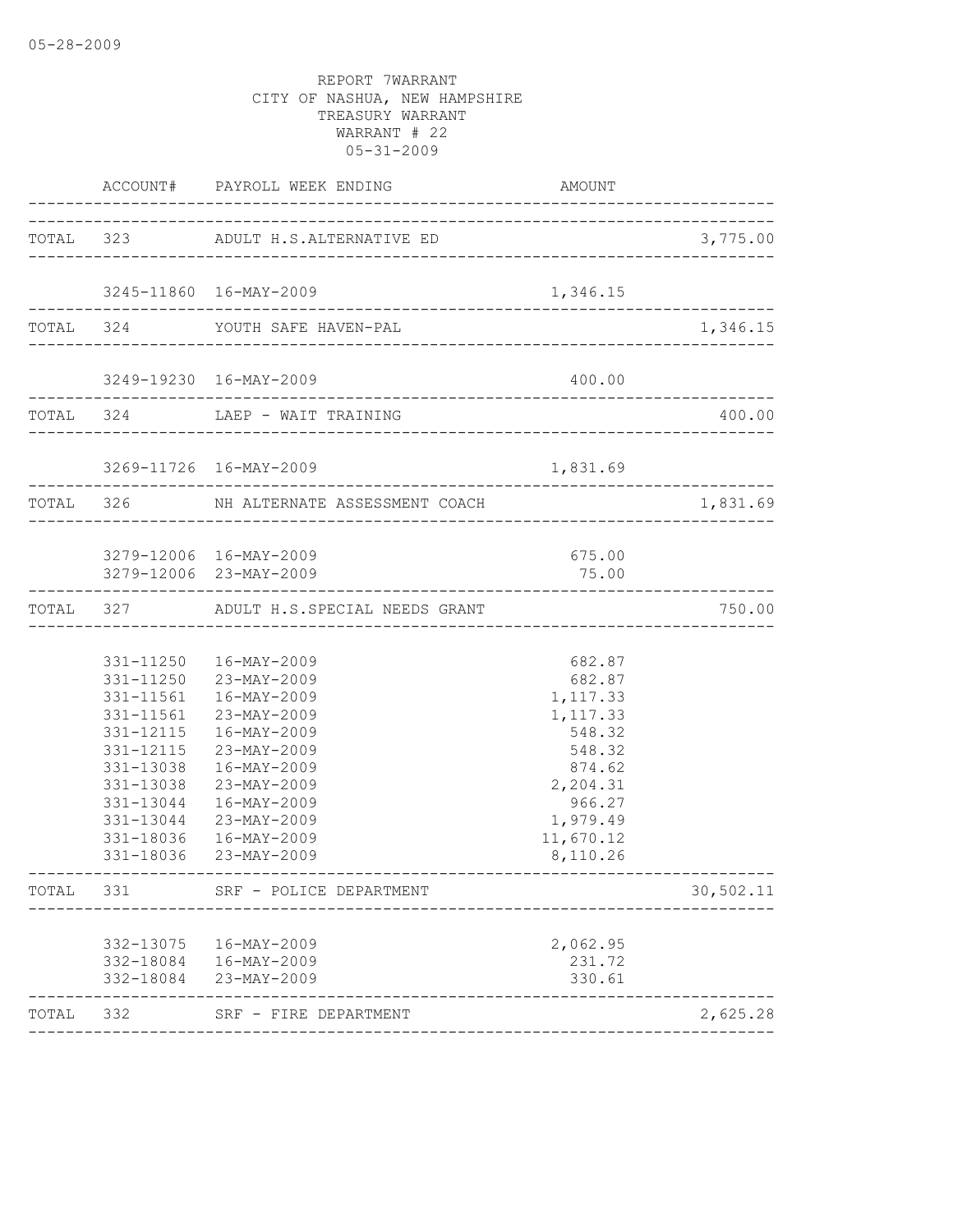|       |                                                                            | ACCOUNT# PAYROLL WEEK ENDING                                                                                                                                                                                                                          | <b>AMOUNT</b>                                                                                                                     |           |
|-------|----------------------------------------------------------------------------|-------------------------------------------------------------------------------------------------------------------------------------------------------------------------------------------------------------------------------------------------------|-----------------------------------------------------------------------------------------------------------------------------------|-----------|
|       |                                                                            | TOTAL 323 ADULT H.S.ALTERNATIVE ED                                                                                                                                                                                                                    |                                                                                                                                   | 3,775.00  |
|       |                                                                            |                                                                                                                                                                                                                                                       |                                                                                                                                   |           |
|       |                                                                            | 3245-11860 16-MAY-2009                                                                                                                                                                                                                                | 1,346.15                                                                                                                          |           |
|       |                                                                            | TOTAL 324 YOUTH SAFE HAVEN-PAL                                                                                                                                                                                                                        |                                                                                                                                   | 1,346.15  |
|       |                                                                            | 3249-19230 16-MAY-2009                                                                                                                                                                                                                                | 400.00                                                                                                                            |           |
|       |                                                                            | TOTAL 324 LAEP - WAIT TRAINING                                                                                                                                                                                                                        |                                                                                                                                   | 400.00    |
|       |                                                                            | 3269-11726 16-MAY-2009                                                                                                                                                                                                                                | 1,831.69                                                                                                                          |           |
|       |                                                                            | TOTAL 326 NH ALTERNATE ASSESSMENT COACH                                                                                                                                                                                                               | ____________________________________                                                                                              | 1,831.69  |
|       |                                                                            | 3279-12006 16-MAY-2009<br>3279-12006 23-MAY-2009                                                                                                                                                                                                      | 675.00<br>75.00                                                                                                                   |           |
|       | ----------------------                                                     | TOTAL 327 ADULT H.S.SPECIAL NEEDS GRANT                                                                                                                                                                                                               |                                                                                                                                   | 750.00    |
|       | 331-12115<br>331-13038<br>331-13038<br>331-13044<br>331-13044<br>331-18036 | 331-11250  16-MAY-2009<br>331-11250 23-MAY-2009<br>331-11561  16-MAY-2009<br>331-11561 23-MAY-2009<br>331-12115  16-MAY-2009<br>23-MAY-2009<br>16-MAY-2009<br>23-MAY-2009<br>16-MAY-2009<br>23-MAY-2009<br>$16 - MAY - 2009$<br>331-18036 23-MAY-2009 | 682.87<br>682.87<br>1,117.33<br>1,117.33<br>548.32<br>548.32<br>874.62<br>2,204.31<br>966.27<br>1,979.49<br>11,670.12<br>8,110.26 |           |
| TOTAL | 331                                                                        | SRF - POLICE DEPARTMENT                                                                                                                                                                                                                               |                                                                                                                                   | 30,502.11 |
|       | 332-13075<br>332-18084<br>332-18084                                        | 16-MAY-2009<br>16-MAY-2009<br>23-MAY-2009                                                                                                                                                                                                             | 2,062.95<br>231.72<br>330.61                                                                                                      |           |
| TOTAL | 332                                                                        | SRF - FIRE DEPARTMENT                                                                                                                                                                                                                                 |                                                                                                                                   | 2,625.28  |
|       |                                                                            |                                                                                                                                                                                                                                                       |                                                                                                                                   |           |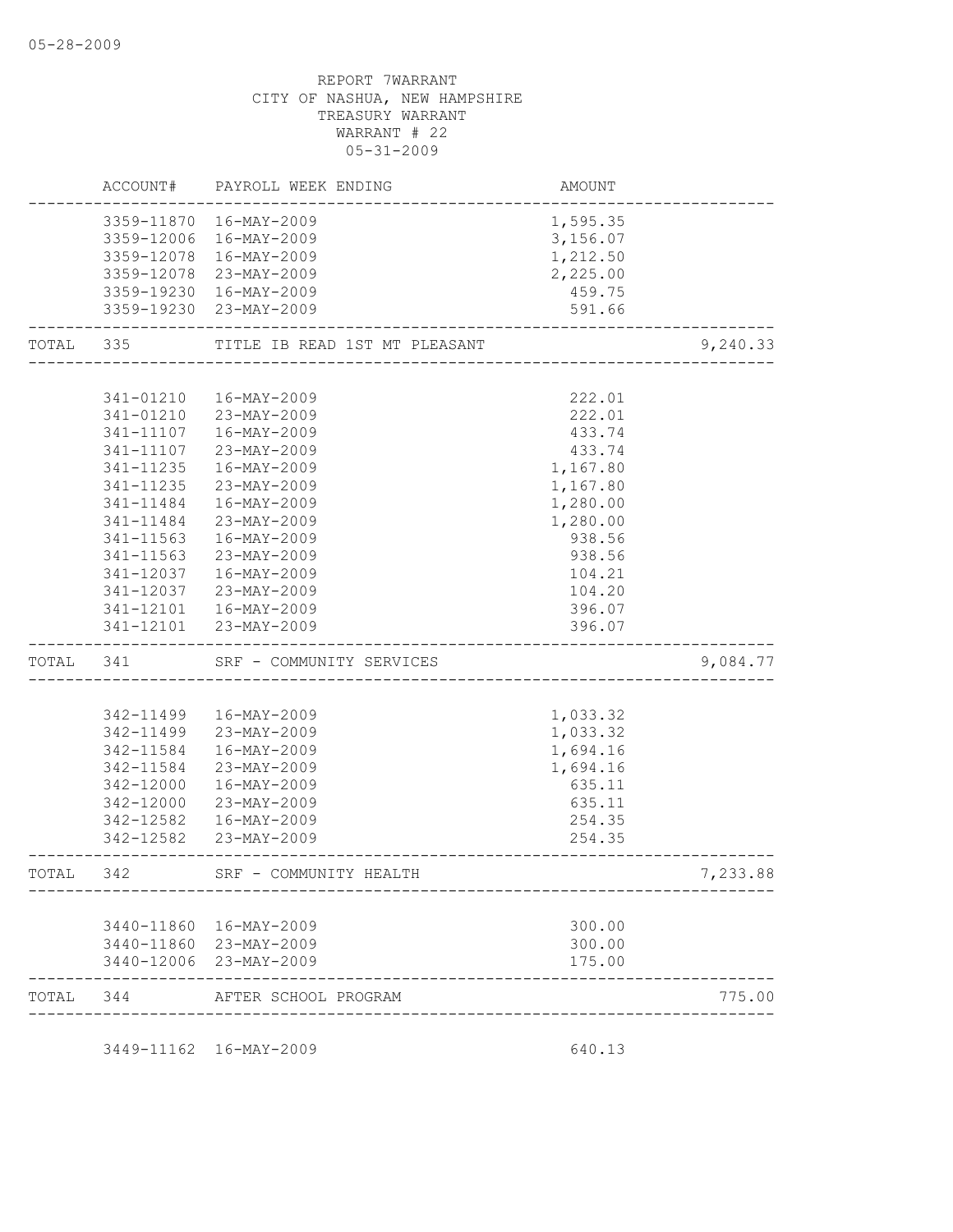|           | ACCOUNT#   | PAYROLL WEEK ENDING           | <b>AMOUNT</b> |          |
|-----------|------------|-------------------------------|---------------|----------|
|           |            | 3359-11870 16-MAY-2009        | 1,595.35      |          |
|           |            | 3359-12006 16-MAY-2009        | 3,156.07      |          |
|           |            | 3359-12078 16-MAY-2009        | 1,212.50      |          |
|           |            | 3359-12078 23-MAY-2009        | 2,225.00      |          |
|           |            | 3359-19230 16-MAY-2009        | 459.75        |          |
|           | 3359-19230 | 23-MAY-2009                   | 591.66        |          |
| TOTAL 335 |            | TITLE IB READ 1ST MT PLEASANT |               | 9,240.33 |
|           |            |                               |               |          |
|           | 341-01210  | 16-MAY-2009                   | 222.01        |          |
|           | 341-01210  | 23-MAY-2009                   | 222.01        |          |
|           | 341-11107  | 16-MAY-2009                   | 433.74        |          |
|           | 341-11107  | 23-MAY-2009                   | 433.74        |          |
|           | 341-11235  | 16-MAY-2009                   | 1,167.80      |          |
|           | 341-11235  | 23-MAY-2009                   | 1,167.80      |          |
|           | 341-11484  | 16-MAY-2009                   | 1,280.00      |          |
|           | 341-11484  | 23-MAY-2009                   | 1,280.00      |          |
|           | 341-11563  | 16-MAY-2009                   | 938.56        |          |
|           | 341-11563  | 23-MAY-2009                   | 938.56        |          |
|           | 341-12037  | 16-MAY-2009                   | 104.21        |          |
|           | 341-12037  | 23-MAY-2009                   | 104.20        |          |
|           | 341-12101  | 16-MAY-2009                   | 396.07        |          |
|           | 341-12101  | 23-MAY-2009                   | 396.07        |          |
| TOTAL 341 |            | SRF - COMMUNITY SERVICES      |               | 9,084.77 |
|           |            |                               |               |          |
|           | 342-11499  | 16-MAY-2009                   | 1,033.32      |          |
|           | 342-11499  | 23-MAY-2009                   | 1,033.32      |          |
|           | 342-11584  | 16-MAY-2009                   | 1,694.16      |          |
|           | 342-11584  | 23-MAY-2009                   | 1,694.16      |          |
|           | 342-12000  | 16-MAY-2009                   | 635.11        |          |
|           | 342-12000  | 23-MAY-2009                   | 635.11        |          |
|           | 342-12582  | 16-MAY-2009                   | 254.35        |          |
|           | 342-12582  | 23-MAY-2009                   | 254.35        |          |
| TOTAL     | 342        | SRF - COMMUNITY HEALTH        |               | 7,233.88 |
|           |            |                               |               |          |
|           |            | 3440-11860 16-MAY-2009        | 300.00        |          |
|           |            | 3440-11860 23-MAY-2009        | 300.00        |          |
|           |            | 3440-12006 23-MAY-2009        | 175.00        |          |
| TOTAL     | 344        | AFTER SCHOOL PROGRAM          |               | 775.00   |
|           |            | 3449-11162 16-MAY-2009        |               |          |
|           |            |                               | 640.13        |          |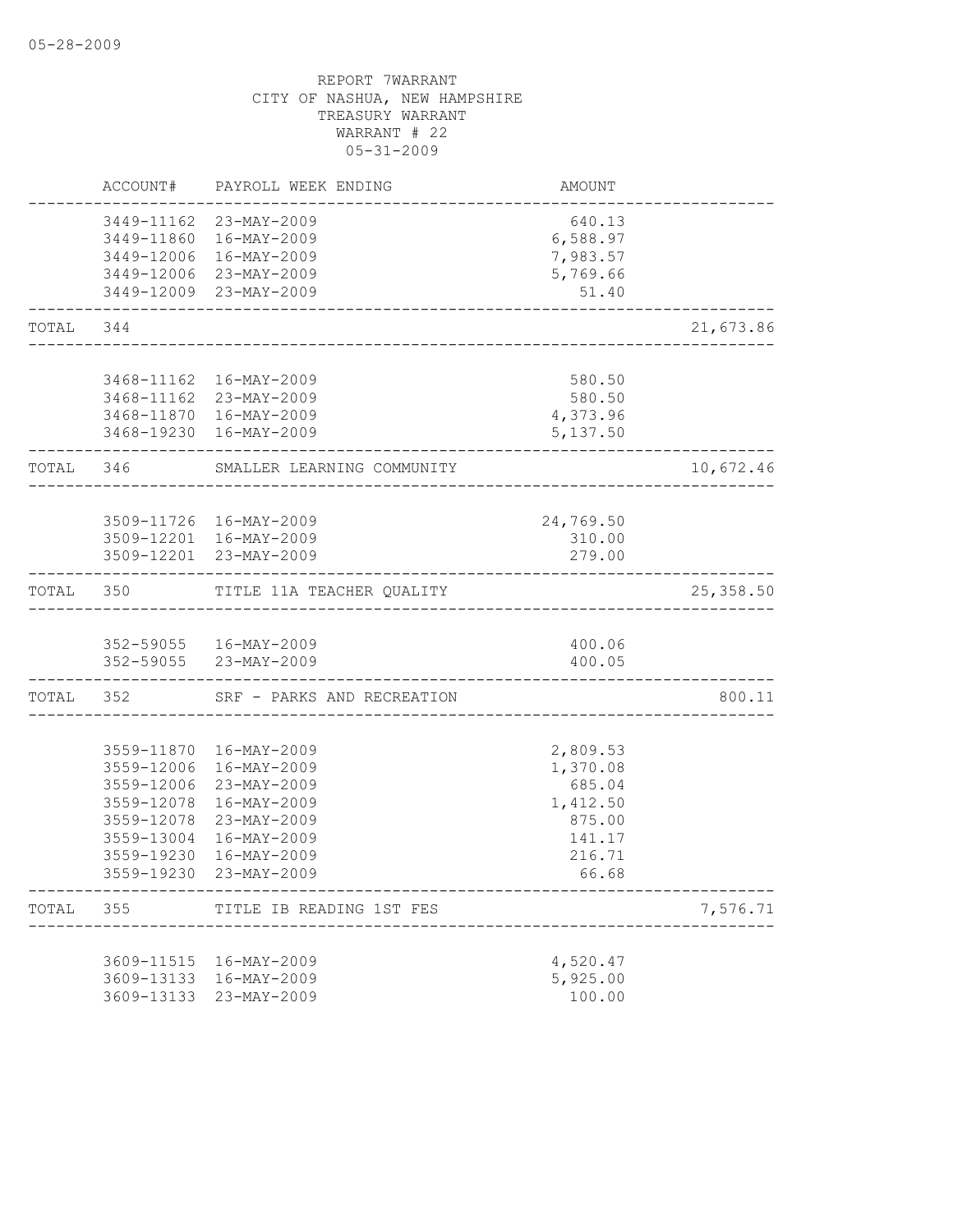|           |                                                                                                | ACCOUNT# PAYROLL WEEK ENDING                                                                                                    | AMOUNT                                                                            |            |
|-----------|------------------------------------------------------------------------------------------------|---------------------------------------------------------------------------------------------------------------------------------|-----------------------------------------------------------------------------------|------------|
|           |                                                                                                | 3449-11162 23-MAY-2009<br>3449-11860 16-MAY-2009<br>3449-12006 16-MAY-2009<br>3449-12006 23-MAY-2009<br>3449-12009 23-MAY-2009  | 640.13<br>6,588.97<br>7,983.57<br>5,769.66<br>51.40                               |            |
| TOTAL 344 |                                                                                                | _________________________                                                                                                       |                                                                                   | 21,673.86  |
|           |                                                                                                |                                                                                                                                 |                                                                                   |            |
|           |                                                                                                | 3468-11162  16-MAY-2009<br>3468-11162 23-MAY-2009<br>3468-11870 16-MAY-2009<br>3468-19230 16-MAY-2009                           | 580.50<br>580.50<br>4,373.96<br>5,137.50                                          |            |
| TOTAL 346 |                                                                                                | SMALLER LEARNING COMMUNITY                                                                                                      |                                                                                   | 10,672.46  |
|           |                                                                                                | 3509-11726 16-MAY-2009<br>3509-12201 16-MAY-2009<br>3509-12201 23-MAY-2009                                                      | 24,769.50<br>310.00<br>279.00                                                     |            |
|           |                                                                                                | TOTAL 350 TITLE 11A TEACHER QUALITY                                                                                             | ______________________________                                                    | 25, 358.50 |
|           |                                                                                                | 352-59055   16-MAY-2009<br>352-59055 23-MAY-2009                                                                                | 400.06<br>400.05                                                                  |            |
|           |                                                                                                | TOTAL 352 SRF - PARKS AND RECREATION                                                                                            |                                                                                   | 800.11     |
|           | 3559-12006<br>3559-12006<br>3559-12078<br>3559-12078<br>3559-13004<br>3559-19230<br>3559-19230 | 3559-11870 16-MAY-2009<br>16-MAY-2009<br>23-MAY-2009<br>16-MAY-2009<br>23-MAY-2009<br>16-MAY-2009<br>16-MAY-2009<br>23-MAY-2009 | 2,809.53<br>1,370.08<br>685.04<br>1,412.50<br>875.00<br>141.17<br>216.71<br>66.68 |            |
| TOTAL 355 |                                                                                                | TITLE IB READING 1ST FES                                                                                                        |                                                                                   | 7,576.71   |
|           |                                                                                                | 3609-11515 16-MAY-2009<br>3609-13133 16-MAY-2009<br>3609-13133 23-MAY-2009                                                      | 4,520.47<br>5,925.00<br>100.00                                                    |            |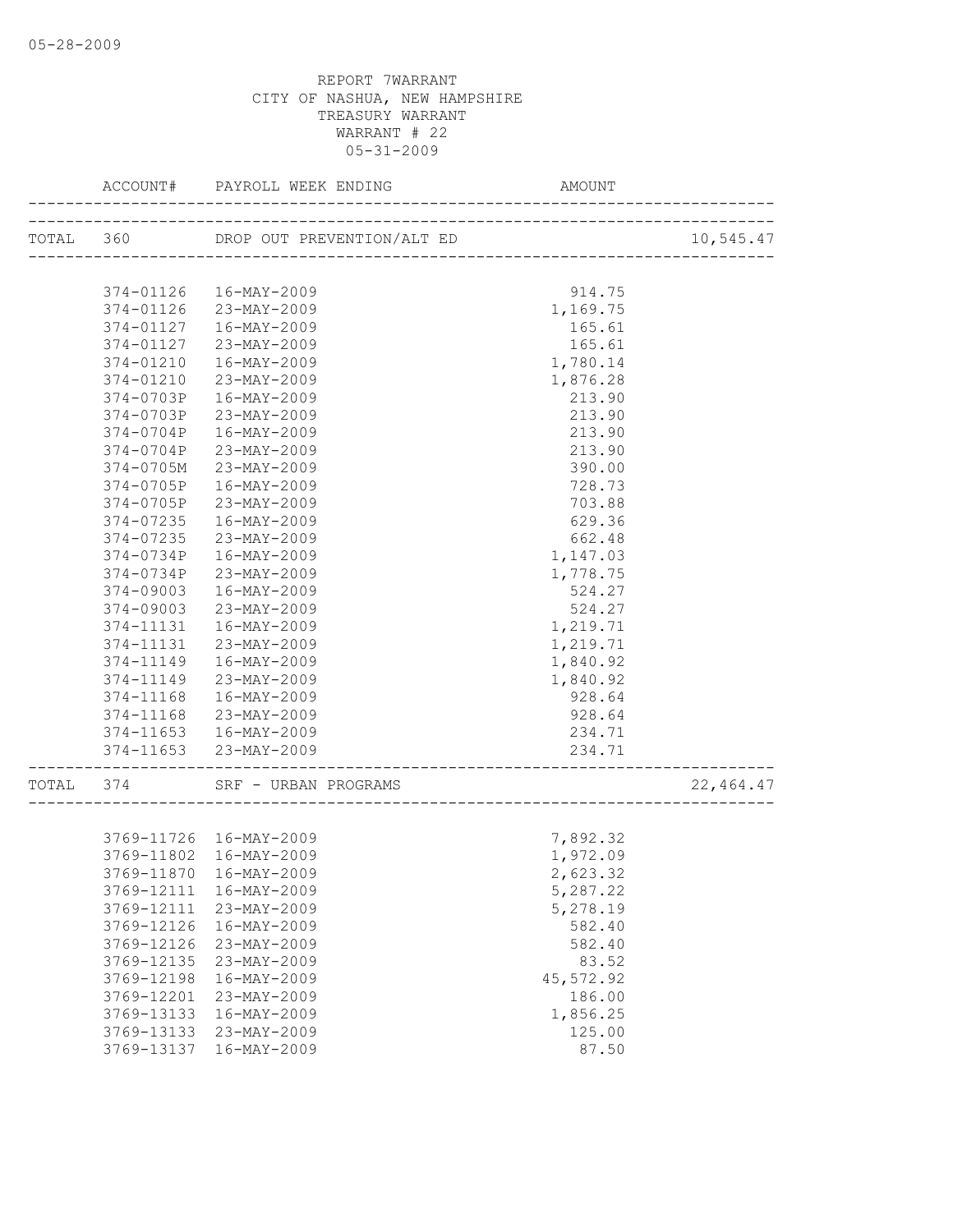|       | ACCOUNT#   | PAYROLL WEEK ENDING                  | AMOUNT    |           |
|-------|------------|--------------------------------------|-----------|-----------|
|       |            | TOTAL 360 DROP OUT PREVENTION/ALT ED |           | 10,545.47 |
|       |            |                                      |           |           |
|       |            | 374-01126  16-MAY-2009               | 914.75    |           |
|       |            | 374-01126 23-MAY-2009                | 1,169.75  |           |
|       | 374-01127  | 16-MAY-2009                          | 165.61    |           |
|       | 374-01127  | 23-MAY-2009                          | 165.61    |           |
|       | 374-01210  | 16-MAY-2009                          | 1,780.14  |           |
|       | 374-01210  | 23-MAY-2009                          | 1,876.28  |           |
|       | 374-0703P  | 16-MAY-2009                          | 213.90    |           |
|       | 374-0703P  | 23-MAY-2009                          | 213.90    |           |
|       | 374-0704P  | 16-MAY-2009                          | 213.90    |           |
|       | 374-0704P  | 23-MAY-2009                          | 213.90    |           |
|       | 374-0705M  | 23-MAY-2009                          | 390.00    |           |
|       | 374-0705P  | 16-MAY-2009                          | 728.73    |           |
|       | 374-0705P  | 23-MAY-2009                          | 703.88    |           |
|       | 374-07235  | 16-MAY-2009                          | 629.36    |           |
|       | 374-07235  | 23-MAY-2009                          | 662.48    |           |
|       | 374-0734P  | 16-MAY-2009                          | 1,147.03  |           |
|       | 374-0734P  | 23-MAY-2009                          | 1,778.75  |           |
|       | 374-09003  | 16-MAY-2009                          | 524.27    |           |
|       | 374-09003  | 23-MAY-2009                          | 524.27    |           |
|       | 374-11131  | 16-MAY-2009                          | 1,219.71  |           |
|       | 374-11131  | 23-MAY-2009                          | 1,219.71  |           |
|       | 374-11149  | 16-MAY-2009                          | 1,840.92  |           |
|       | 374-11149  | 23-MAY-2009                          | 1,840.92  |           |
|       | 374-11168  | 16-MAY-2009                          | 928.64    |           |
|       | 374-11168  | 23-MAY-2009                          | 928.64    |           |
|       |            | 374-11653  16-MAY-2009               | 234.71    |           |
|       |            | 374-11653 23-MAY-2009                | 234.71    |           |
|       |            |                                      |           |           |
| TOTAL | 374        | SRF - URBAN PROGRAMS                 |           | 22,464.47 |
|       |            |                                      |           |           |
|       |            | 3769-11726 16-MAY-2009               | 7,892.32  |           |
|       |            | 3769-11802 16-MAY-2009               | 1,972.09  |           |
|       |            | 3769-11870 16-MAY-2009               | 2,623.32  |           |
|       | 3769-12111 | 16-MAY-2009                          | 5,287.22  |           |
|       | 3769-12111 | 23-MAY-2009                          | 5,278.19  |           |
|       | 3769-12126 | 16-MAY-2009                          | 582.40    |           |
|       | 3769-12126 | 23-MAY-2009                          | 582.40    |           |
|       | 3769-12135 | 23-MAY-2009                          | 83.52     |           |
|       | 3769-12198 | 16-MAY-2009                          | 45,572.92 |           |
|       | 3769-12201 | 23-MAY-2009                          | 186.00    |           |
|       | 3769-13133 | 16-MAY-2009                          | 1,856.25  |           |
|       | 3769-13133 | 23-MAY-2009                          | 125.00    |           |
|       | 3769-13137 | 16-MAY-2009                          | 87.50     |           |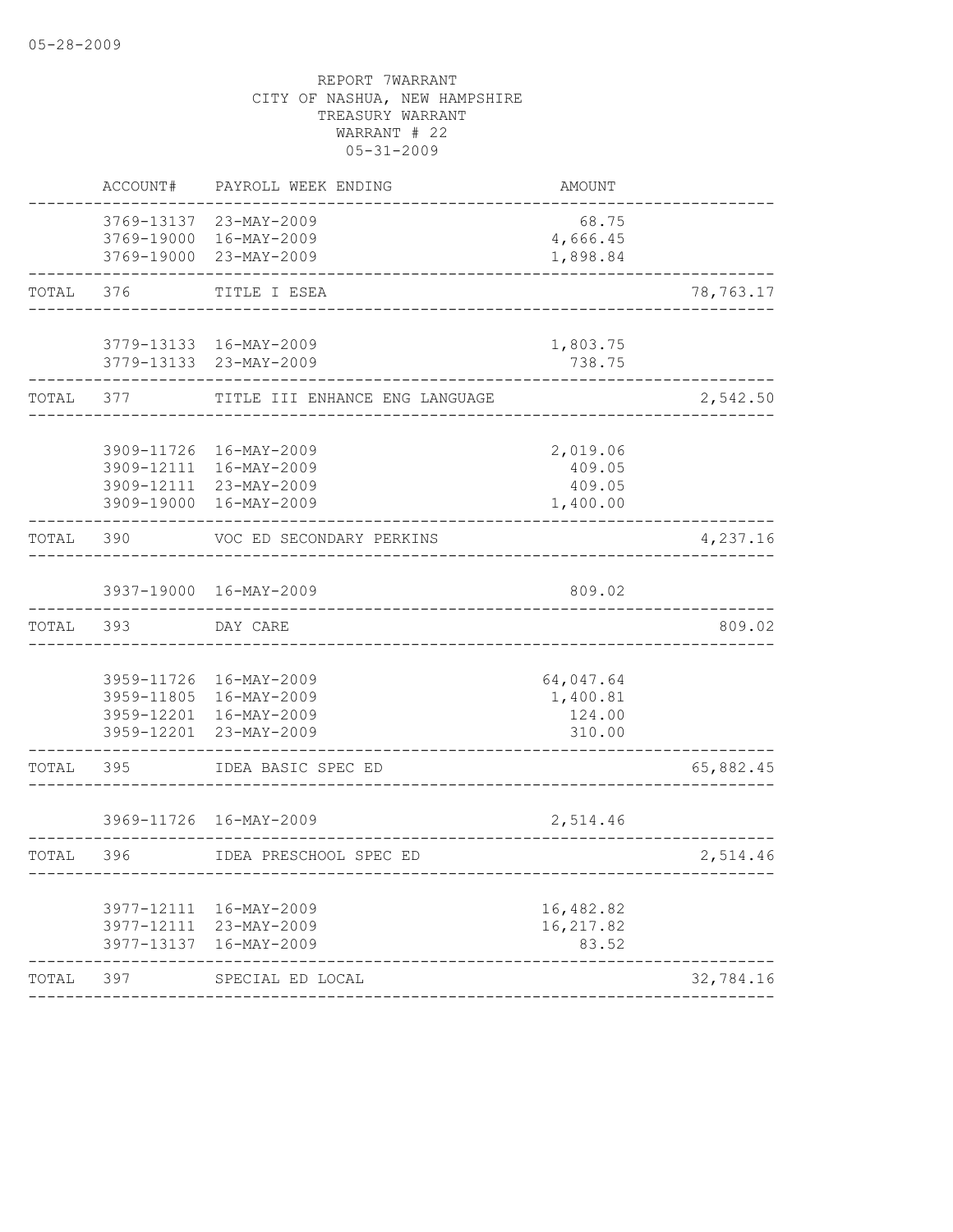|       | ACCOUNT#  | PAYROLL WEEK ENDING                                                                                  | <b>AMOUNT</b>                             |           |
|-------|-----------|------------------------------------------------------------------------------------------------------|-------------------------------------------|-----------|
|       |           | 3769-13137 23-MAY-2009<br>3769-19000 16-MAY-2009<br>3769-19000 23-MAY-2009                           | 68.75<br>4,666.45<br>1,898.84             |           |
| TOTAL | 376       | TITLE I ESEA                                                                                         |                                           | 78,763.17 |
|       |           | 3779-13133 16-MAY-2009<br>3779-13133 23-MAY-2009                                                     | 1,803.75<br>738.75                        |           |
| TOTAL | 377 — 200 | TITLE III ENHANCE ENG LANGUAGE                                                                       |                                           | 2,542.50  |
|       |           | 3909-11726 16-MAY-2009<br>3909-12111 16-MAY-2009<br>3909-12111 23-MAY-2009<br>3909-19000 16-MAY-2009 | 2,019.06<br>409.05<br>409.05<br>1,400.00  |           |
| TOTAL | 390       | VOC ED SECONDARY PERKINS<br>_________________                                                        |                                           | 4,237.16  |
|       |           | 3937-19000 16-MAY-2009                                                                               | 809.02                                    |           |
| TOTAL | 393       | DAY CARE                                                                                             |                                           | 809.02    |
|       |           | 3959-11726 16-MAY-2009<br>3959-11805 16-MAY-2009<br>3959-12201 16-MAY-2009<br>3959-12201 23-MAY-2009 | 64,047.64<br>1,400.81<br>124.00<br>310.00 |           |
| TOTAL | 395       | IDEA BASIC SPEC ED                                                                                   |                                           | 65,882.45 |
|       |           | 3969-11726 16-MAY-2009                                                                               | 2,514.46                                  |           |
| TOTAL | 396       | IDEA PRESCHOOL SPEC ED                                                                               | --------------------------------------    | 2,514.46  |
|       |           | 3977-12111 16-MAY-2009<br>3977-12111 23-MAY-2009<br>3977-13137 16-MAY-2009                           | 16,482.82<br>16, 217.82<br>83.52          |           |
| TOTAL | 397       | SPECIAL ED LOCAL                                                                                     |                                           | 32,784.16 |
|       |           |                                                                                                      |                                           |           |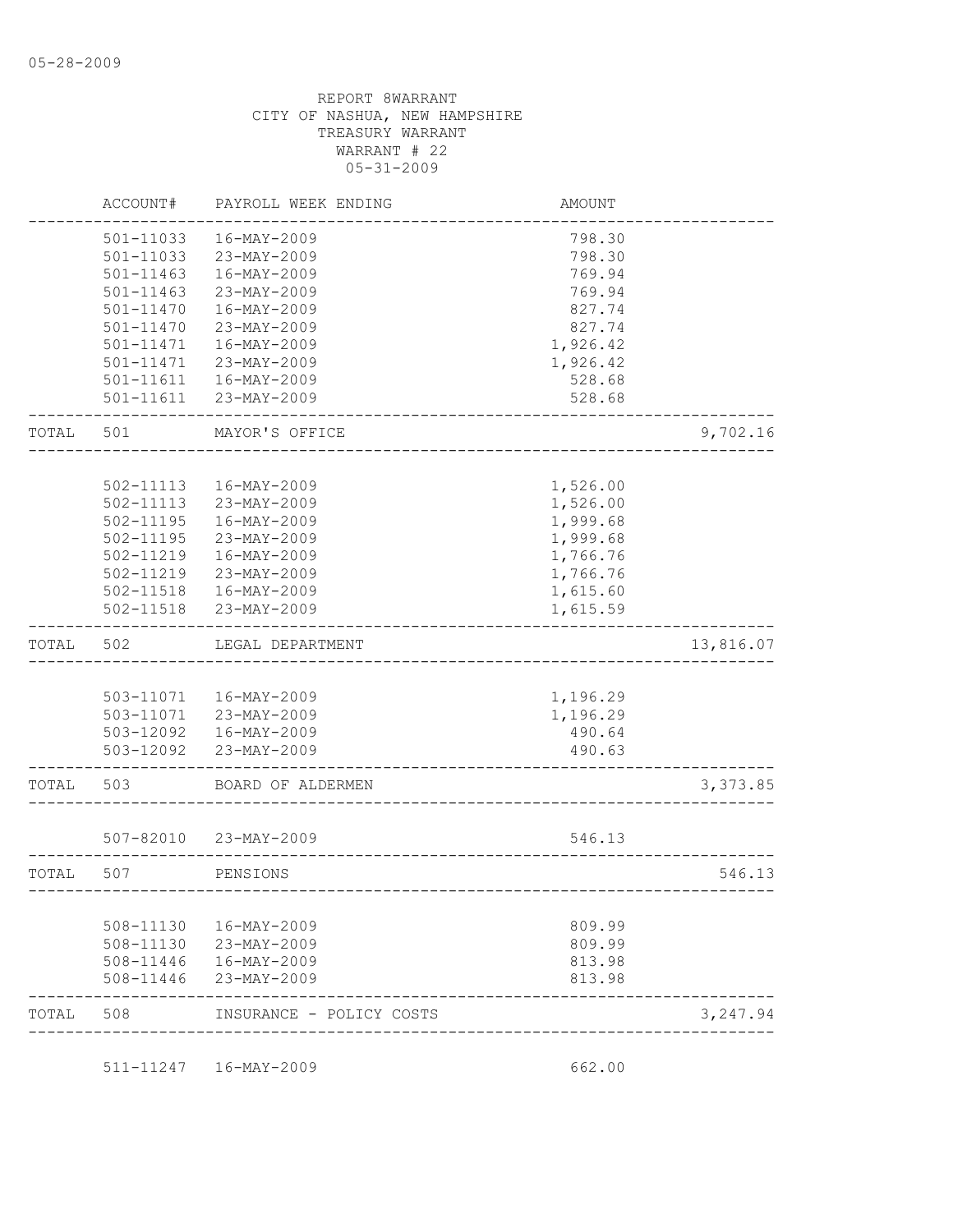|       | ACCOUNT#      | PAYROLL WEEK ENDING    | <b>AMOUNT</b> |           |
|-------|---------------|------------------------|---------------|-----------|
|       | 501-11033     | 16-MAY-2009            | 798.30        |           |
|       | 501-11033     | 23-MAY-2009            | 798.30        |           |
|       | 501-11463     | 16-MAY-2009            | 769.94        |           |
|       | $501 - 11463$ | 23-MAY-2009            | 769.94        |           |
|       | 501-11470     | 16-MAY-2009            | 827.74        |           |
|       | 501-11470     | 23-MAY-2009            | 827.74        |           |
|       | 501-11471     | 16-MAY-2009            | 1,926.42      |           |
|       | 501-11471     | 23-MAY-2009            | 1,926.42      |           |
|       | 501-11611     | $16 - MAX - 2009$      | 528.68        |           |
|       | $501 - 11611$ | 23-MAY-2009            | 528.68        |           |
| TOTAL | 501           | MAYOR'S OFFICE         |               | 9,702.16  |
|       |               |                        |               |           |
|       | 502-11113     | 16-MAY-2009            | 1,526.00      |           |
|       | 502-11113     | 23-MAY-2009            | 1,526.00      |           |
|       | $502 - 11195$ | 16-MAY-2009            | 1,999.68      |           |
|       | 502-11195     | 23-MAY-2009            | 1,999.68      |           |
|       | 502-11219     | 16-MAY-2009            | 1,766.76      |           |
|       | 502-11219     | 23-MAY-2009            | 1,766.76      |           |
|       | 502-11518     | $16 - MAX - 2009$      | 1,615.60      |           |
|       | 502-11518     | 23-MAY-2009            | 1,615.59      |           |
| TOTAL | 502           | LEGAL DEPARTMENT       |               | 13,816.07 |
|       |               |                        |               |           |
|       |               | 503-11071  16-MAY-2009 | 1,196.29      |           |
|       |               | 503-11071 23-MAY-2009  | 1,196.29      |           |
|       |               | 503-12092  16-MAY-2009 | 490.64        |           |
|       |               | 503-12092 23-MAY-2009  | 490.63        |           |
| TOTAL | 503           | BOARD OF ALDERMEN      |               | 3,373.85  |
|       |               |                        |               |           |
|       |               |                        |               |           |
|       | 507-82010     | 23-MAY-2009            | 546.13        |           |
| TOTAL | 507           | PENSIONS               |               | 546.13    |
|       |               |                        |               |           |
|       | 508-11130     | 16-MAY-2009            | 809.99        |           |
|       | 508-11130     | 23-MAY-2009            | 809.99        |           |
|       | 508-11446     | 16-MAY-2009            | 813.98        |           |
|       | 508-11446     | 23-MAY-2009            | 813.98        |           |

511-11247 16-MAY-2009 662.00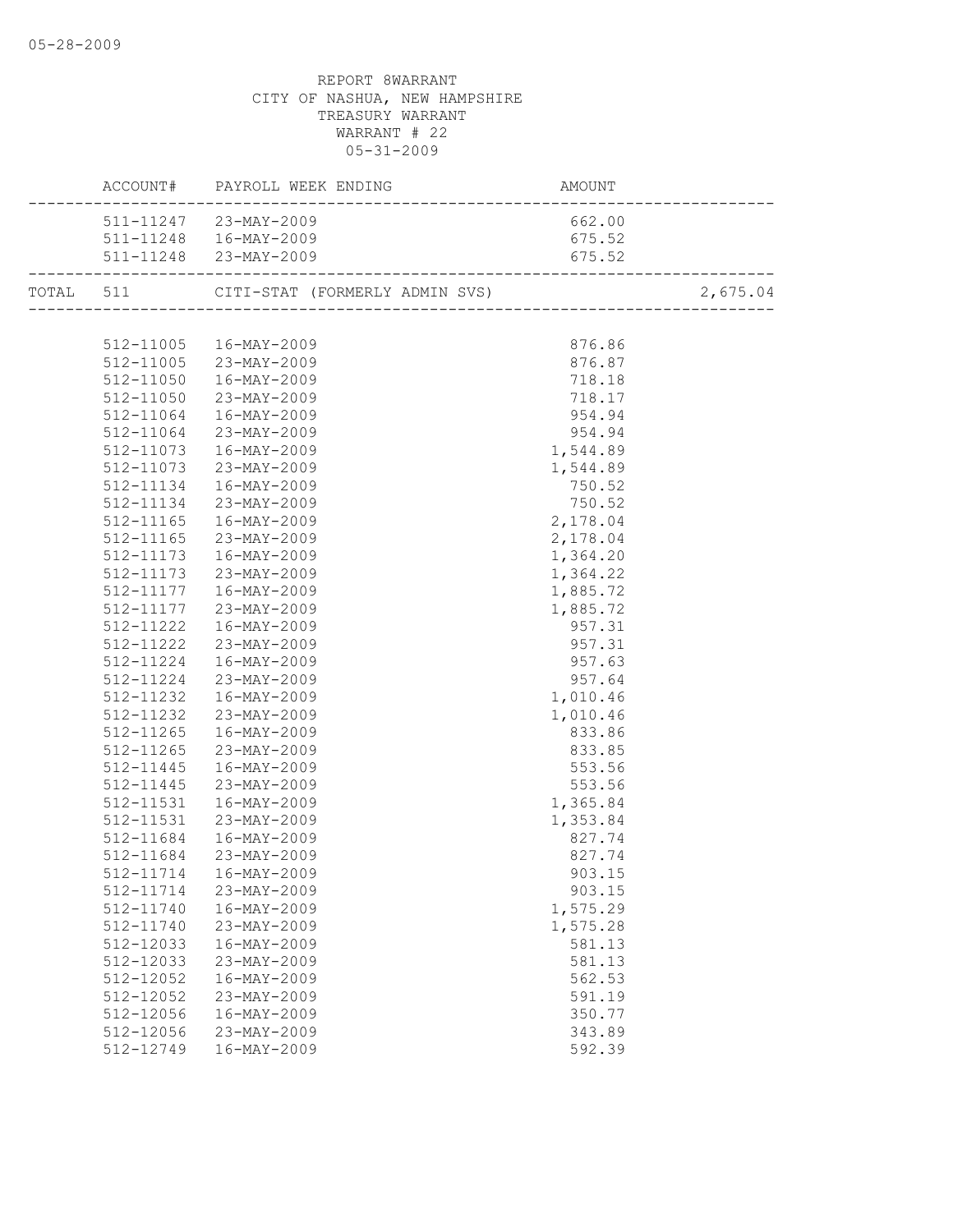|           | ACCOUNT# PAYROLL WEEK ENDING<br>AMOUNT<br>---------------------------<br>_______________________ |          |          |
|-----------|--------------------------------------------------------------------------------------------------|----------|----------|
|           | 511-11247 23-MAY-2009                                                                            | 662.00   |          |
|           | 511-11248  16-MAY-2009                                                                           | 675.52   |          |
|           | 511-11248 23-MAY-2009                                                                            | 675.52   |          |
|           | TOTAL 511 CITI-STAT (FORMERLY ADMIN SVS) 2,675                                                   |          | 2,675.04 |
|           |                                                                                                  |          |          |
|           | 512-11005  16-MAY-2009                                                                           | 876.86   |          |
|           | 512-11005 23-MAY-2009                                                                            | 876.87   |          |
|           | 512-11050  16-MAY-2009                                                                           | 718.18   |          |
|           | 512-11050 23-MAY-2009                                                                            | 718.17   |          |
|           | 512-11064  16-MAY-2009                                                                           | 954.94   |          |
|           | 512-11064 23-MAY-2009                                                                            | 954.94   |          |
| 512-11073 | $16 - MAX - 2009$                                                                                | 1,544.89 |          |
| 512-11073 | $23 - MAY - 2009$                                                                                | 1,544.89 |          |
| 512-11134 | 16-MAY-2009                                                                                      | 750.52   |          |
| 512-11134 | $23 - MAY - 2009$                                                                                | 750.52   |          |
| 512-11165 | $16 - \text{MAX} - 2009$                                                                         | 2,178.04 |          |
| 512-11165 | 23-MAY-2009                                                                                      | 2,178.04 |          |
|           | 512-11173  16-MAY-2009                                                                           | 1,364.20 |          |
|           | 512-11173 23-MAY-2009                                                                            | 1,364.22 |          |
|           | 512-11177  16-MAY-2009                                                                           | 1,885.72 |          |
|           | 512-11177 23-MAY-2009                                                                            | 1,885.72 |          |
|           | 512-11222  16-MAY-2009                                                                           | 957.31   |          |
|           | 512-11222 23-MAY-2009                                                                            | 957.31   |          |
|           | 512-11224  16-MAY-2009                                                                           | 957.63   |          |
|           | 512-11224 23-MAY-2009                                                                            | 957.64   |          |
|           | 512-11232  16-MAY-2009                                                                           | 1,010.46 |          |
|           | 512-11232 23-MAY-2009                                                                            | 1,010.46 |          |
| 512-11265 | $16 - \text{MAX} - 2009$                                                                         | 833.86   |          |
| 512-11265 | $23 - MAY - 2009$                                                                                | 833.85   |          |
| 512-11445 | 16-MAY-2009                                                                                      | 553.56   |          |
| 512-11445 | 23-MAY-2009                                                                                      | 553.56   |          |
| 512-11531 | 16-MAY-2009                                                                                      | 1,365.84 |          |
| 512-11531 | 23-MAY-2009                                                                                      | 1,353.84 |          |
|           | 512-11684  16-MAY-2009                                                                           | 827.74   |          |
|           | 512-11684 23-MAY-2009                                                                            | 827.74   |          |
|           | 512-11714  16-MAY-2009                                                                           | 903.15   |          |
| 512-11714 | 23-MAY-2009                                                                                      | 903.15   |          |
| 512-11740 | 16-MAY-2009                                                                                      | 1,575.29 |          |
| 512-11740 | 23-MAY-2009                                                                                      | 1,575.28 |          |
| 512-12033 | 16-MAY-2009                                                                                      | 581.13   |          |
| 512-12033 | 23-MAY-2009                                                                                      | 581.13   |          |
| 512-12052 | 16-MAY-2009                                                                                      | 562.53   |          |
| 512-12052 | 23-MAY-2009                                                                                      | 591.19   |          |
| 512-12056 | 16-MAY-2009                                                                                      | 350.77   |          |
| 512-12056 | 23-MAY-2009                                                                                      | 343.89   |          |
| 512-12749 | 16-MAY-2009                                                                                      | 592.39   |          |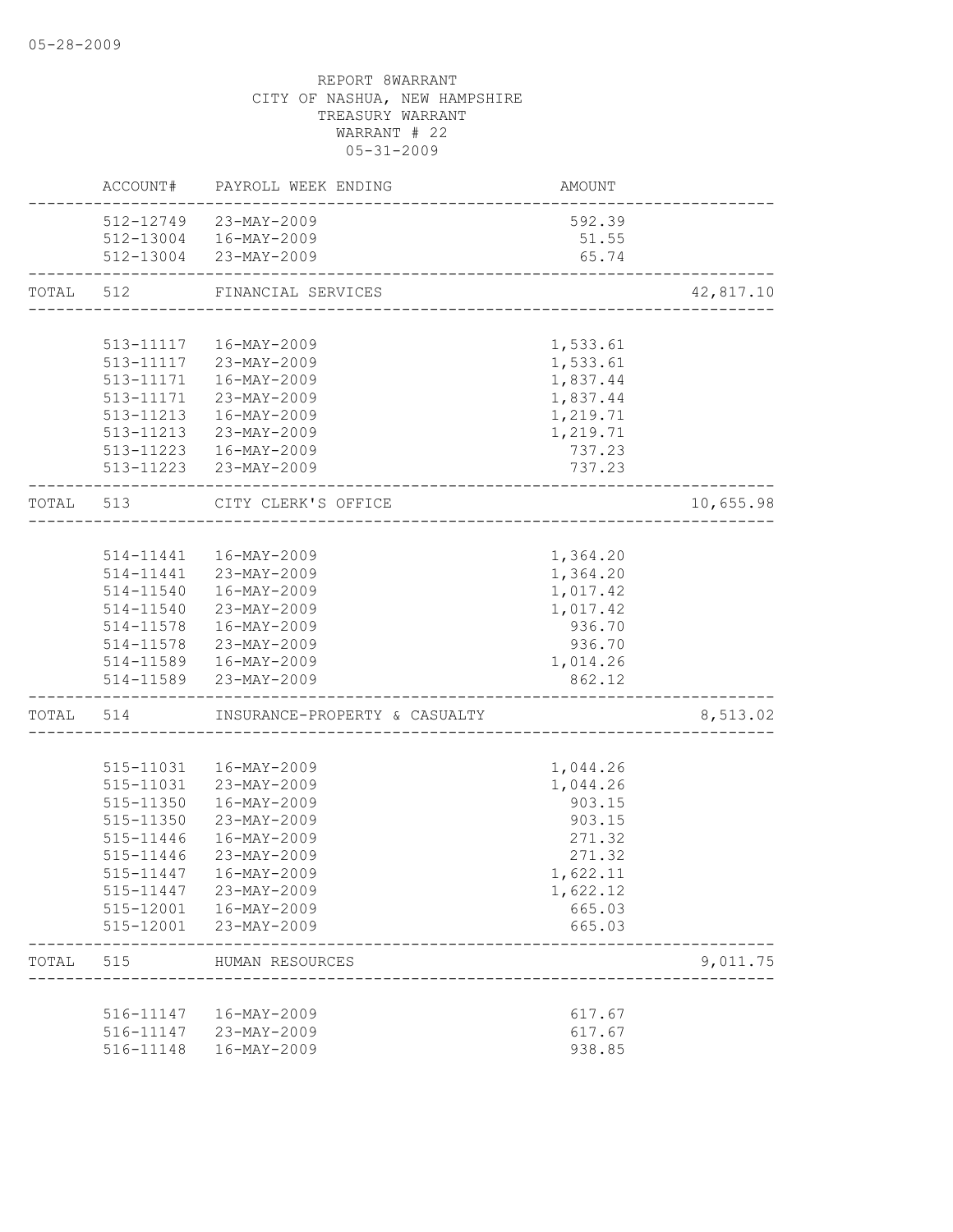|       |               | ACCOUNT# PAYROLL WEEK ENDING                        | AMOUNT   |           |
|-------|---------------|-----------------------------------------------------|----------|-----------|
|       |               | 512-12749 23-MAY-2009                               | 592.39   |           |
|       |               | 512-13004  16-MAY-2009                              | 51.55    |           |
|       |               | 512-13004 23-MAY-2009                               | 65.74    |           |
| TOTAL | 512           | FINANCIAL SERVICES                                  |          | 42,817.10 |
|       |               |                                                     |          |           |
|       |               | 513-11117  16-MAY-2009                              | 1,533.61 |           |
|       |               | 513-11117 23-MAY-2009                               | 1,533.61 |           |
|       |               | 513-11171  16-MAY-2009                              | 1,837.44 |           |
|       |               | 513-11171 23-MAY-2009                               | 1,837.44 |           |
|       |               | 513-11213  16-MAY-2009                              | 1,219.71 |           |
|       |               | 513-11213 23-MAY-2009                               | 1,219.71 |           |
|       |               | 513-11223  16-MAY-2009                              | 737.23   |           |
|       |               | 513-11223 23-MAY-2009                               | 737.23   |           |
|       | TOTAL 513     | CITY CLERK'S OFFICE<br>---------------------------- |          | 10,655.98 |
|       |               |                                                     |          |           |
|       |               | 514-11441  16-MAY-2009                              | 1,364.20 |           |
|       |               | 514-11441 23-MAY-2009                               | 1,364.20 |           |
|       |               | 514-11540  16-MAY-2009                              | 1,017.42 |           |
|       |               | 514-11540 23-MAY-2009                               | 1,017.42 |           |
|       |               | 514-11578  16-MAY-2009                              | 936.70   |           |
|       |               | 514-11578 23-MAY-2009                               | 936.70   |           |
|       |               | 514-11589  16-MAY-2009                              | 1,014.26 |           |
|       |               | 514-11589 23-MAY-2009                               | 862.12   |           |
|       |               | TOTAL 514 INSURANCE-PROPERTY & CASUALTY             |          | 8,513.02  |
|       |               |                                                     |          |           |
|       | 515-11031     | 16-MAY-2009                                         | 1,044.26 |           |
|       | 515-11031     | 23-MAY-2009                                         | 1,044.26 |           |
|       | 515-11350     | 16-MAY-2009                                         | 903.15   |           |
|       | $515 - 11350$ | 23-MAY-2009                                         | 903.15   |           |
|       | 515-11446     | 16-MAY-2009                                         | 271.32   |           |
|       | 515-11446     | 23-MAY-2009                                         | 271.32   |           |
|       | 515-11447     | 16-MAY-2009                                         | 1,622.11 |           |
|       | 515-11447     | 23-MAY-2009                                         | 1,622.12 |           |
|       | 515-12001     | 16-MAY-2009                                         | 665.03   |           |
|       | 515-12001     | 23-MAY-2009                                         | 665.03   |           |
| TOTAL | 515           | HUMAN RESOURCES                                     |          | 9,011.75  |
|       |               |                                                     |          |           |
|       | 516-11147     | 16-MAY-2009                                         | 617.67   |           |
|       |               | 516-11147 23-MAY-2009                               | 617.67   |           |
|       | 516-11148     | 16-MAY-2009                                         | 938.85   |           |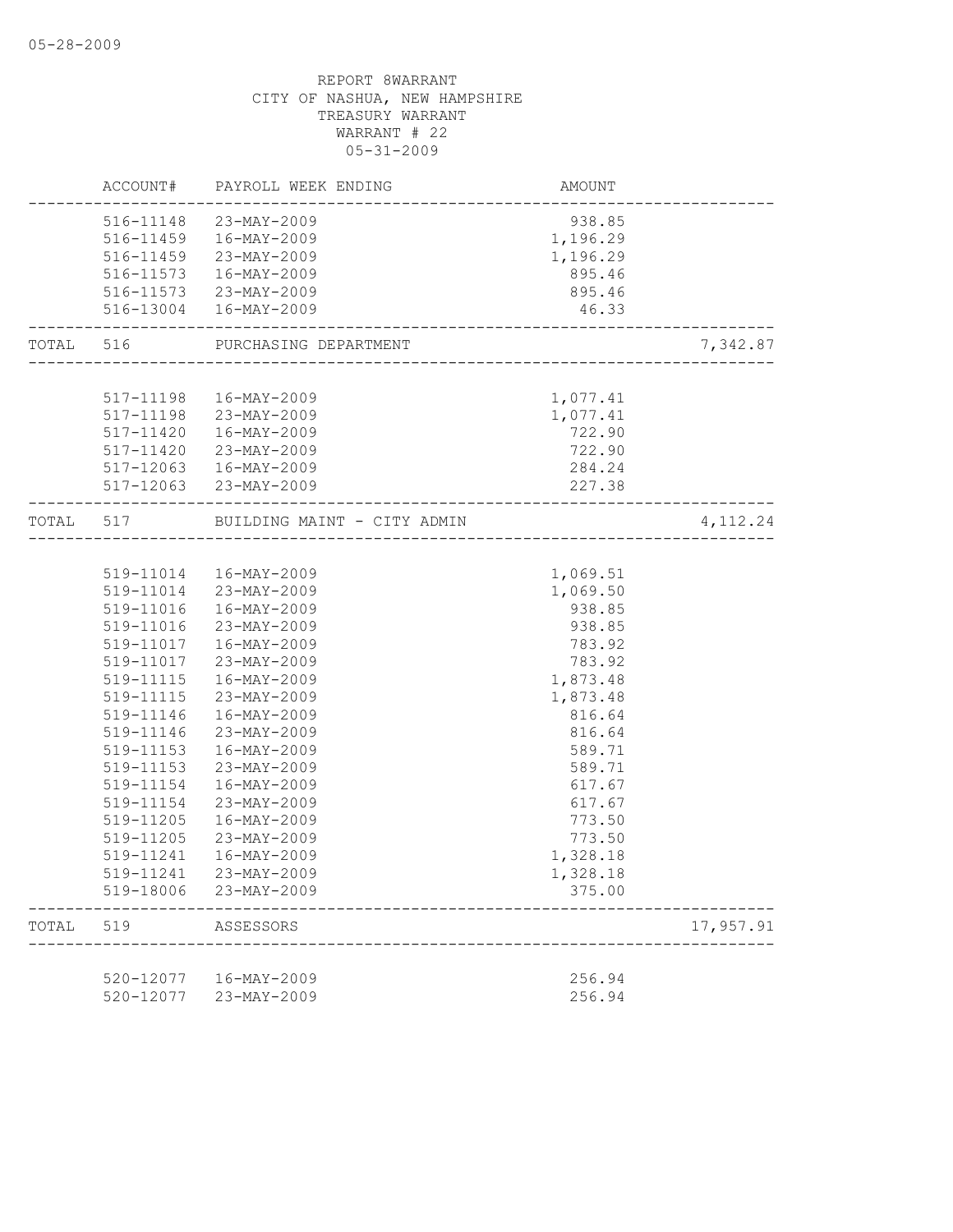|           |                        | ACCOUNT# PAYROLL WEEK ENDING                                            | AMOUNT               |           |
|-----------|------------------------|-------------------------------------------------------------------------|----------------------|-----------|
|           |                        | 516-11148 23-MAY-2009                                                   | 938.85               |           |
|           |                        | 516-11459  16-MAY-2009                                                  | 1,196.29             |           |
|           |                        | 516-11459 23-MAY-2009                                                   | 1,196.29             |           |
|           |                        | 516-11573  16-MAY-2009                                                  | 895.46               |           |
|           |                        | 516-11573 23-MAY-2009                                                   | 895.46               |           |
|           |                        | 516-13004  16-MAY-2009                                                  | 46.33                |           |
| TOTAL 516 |                        | PURCHASING DEPARTMENT                                                   |                      | 7,342.87  |
|           |                        |                                                                         |                      |           |
|           |                        | 517-11198  16-MAY-2009                                                  | 1,077.41             |           |
|           |                        | 517-11198 23-MAY-2009                                                   | 1,077.41             |           |
|           |                        | 517-11420  16-MAY-2009                                                  | 722.90               |           |
|           | 517-11420              | 23-MAY-2009                                                             | 722.90               |           |
|           | 517-12063              | 16-MAY-2009                                                             | 284.24               |           |
|           |                        | 517-12063 23-MAY-2009                                                   | 227.38               |           |
|           |                        | TOTAL 517 BUILDING MAINT - CITY ADMIN<br>______________________________ |                      | 4, 112.24 |
|           |                        |                                                                         |                      |           |
|           |                        | 519-11014  16-MAY-2009                                                  | 1,069.51             |           |
|           |                        | 519-11014 23-MAY-2009                                                   | 1,069.50             |           |
|           | 519-11016              | 16-MAY-2009                                                             | 938.85               |           |
|           | 519-11016              | 23-MAY-2009                                                             | 938.85               |           |
|           | 519-11017              | 16-MAY-2009                                                             | 783.92               |           |
|           | 519-11017              | 23-MAY-2009                                                             | 783.92               |           |
|           | 519-11115              | 16-MAY-2009                                                             | 1,873.48             |           |
|           | 519-11115              | 23-MAY-2009                                                             | 1,873.48             |           |
|           | 519-11146              | 16-MAY-2009                                                             | 816.64               |           |
|           | 519-11146              | 23-MAY-2009                                                             | 816.64               |           |
|           | 519-11153              | 16-MAY-2009                                                             | 589.71               |           |
|           | 519-11153              | 23-MAY-2009                                                             | 589.71               |           |
|           | 519-11154              | 16-MAY-2009                                                             | 617.67               |           |
|           | 519-11154              | 23-MAY-2009                                                             | 617.67               |           |
|           | 519-11205              | 16-MAY-2009                                                             | 773.50               |           |
|           | 519-11205              | 23-MAY-2009                                                             | 773.50               |           |
|           | 519-11241<br>519-11241 | 16-MAY-2009<br>23-MAY-2009                                              | 1,328.18<br>1,328.18 |           |
|           | 519-18006              | 23-MAY-2009                                                             | 375.00               |           |
| TOTAL     | 519                    | ASSESSORS                                                               |                      | 17,957.91 |
|           |                        |                                                                         |                      |           |
|           | 520-12077              | $16 - MAY - 2009$                                                       | 256.94               |           |
|           | 520-12077              | 23-MAY-2009                                                             | 256.94               |           |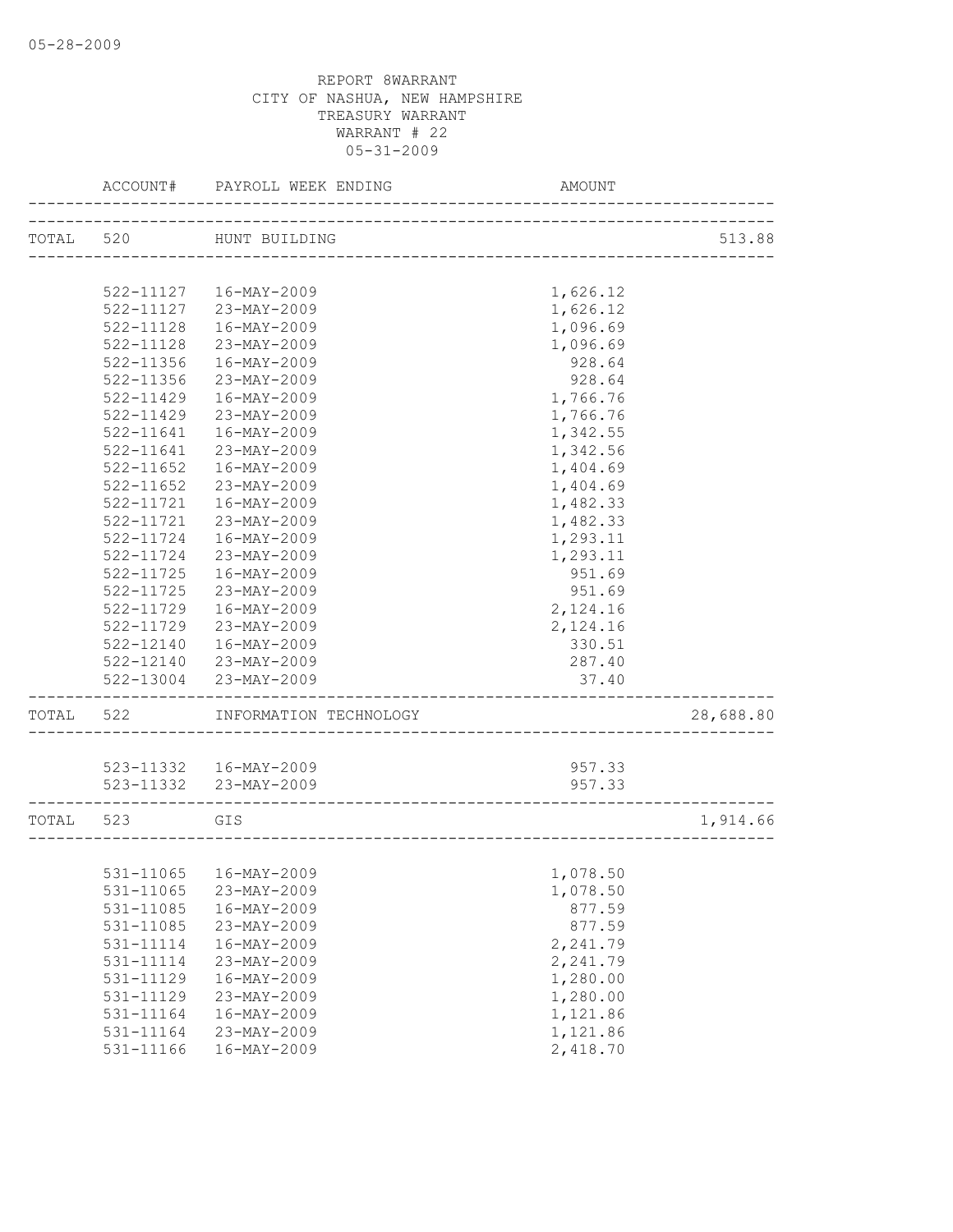|           | ACCOUNT#               | PAYROLL WEEK ENDING              | AMOUNT             |           |
|-----------|------------------------|----------------------------------|--------------------|-----------|
| TOTAL 520 |                        | HUNT BUILDING                    |                    | 513.88    |
|           |                        |                                  |                    |           |
|           |                        | 522-11127  16-MAY-2009           |                    |           |
|           | 522-11127              | 23-MAY-2009                      | 1,626.12           |           |
|           | $522 - 11128$          |                                  | 1,626.12           |           |
|           | 522-11128              | 16-MAY-2009<br>23-MAY-2009       | 1,096.69           |           |
|           | 522-11356              | $16 - MAX - 2009$                | 1,096.69<br>928.64 |           |
|           | $522 - 11356$          | 23-MAY-2009                      |                    |           |
|           | $522 - 11429$          |                                  | 928.64             |           |
|           | 522-11429              | 16-MAY-2009<br>23-MAY-2009       | 1,766.76           |           |
|           |                        |                                  | 1,766.76           |           |
|           | $522 - 11641$          | 16-MAY-2009                      | 1,342.55           |           |
|           | 522-11641              | 23-MAY-2009                      | 1,342.56           |           |
|           | 522-11652              | 16-MAY-2009                      | 1,404.69           |           |
|           | $522 - 11652$          | 23-MAY-2009                      | 1,404.69           |           |
|           | 522-11721<br>522-11721 | 16-MAY-2009                      | 1,482.33           |           |
|           |                        | 23-MAY-2009                      | 1,482.33           |           |
|           | 522-11724<br>522-11724 | $16 - MAX - 2009$<br>23-MAY-2009 | 1,293.11           |           |
|           | 522-11725              |                                  | 1,293.11           |           |
|           | $522 - 11725$          | 16-MAY-2009<br>23-MAY-2009       | 951.69             |           |
|           |                        | $16 - MAX - 2009$                | 951.69             |           |
|           | 522-11729              |                                  | 2,124.16           |           |
|           | 522-11729              | 23-MAY-2009                      | 2,124.16           |           |
|           | 522-12140              | 16-MAY-2009                      | 330.51             |           |
|           | 522-12140              | 23-MAY-2009                      | 287.40             |           |
|           | 522-13004              | 23-MAY-2009                      | 37.40              |           |
| TOTAL 522 |                        | INFORMATION TECHNOLOGY           |                    | 28,688.80 |
|           |                        |                                  |                    |           |
|           |                        | 523-11332  16-MAY-2009           | 957.33             |           |
|           |                        | 523-11332 23-MAY-2009            | 957.33             |           |
| TOTAL 523 |                        | GIS                              |                    | 1,914.66  |
|           |                        |                                  |                    |           |
|           |                        | 531-11065  16-MAY-2009           | 1,078.50           |           |
|           | 531-11065              | 23-MAY-2009                      | 1,078.50           |           |
|           | 531-11085              | 16-MAY-2009                      | 877.59             |           |
|           | 531-11085              | 23-MAY-2009                      | 877.59             |           |
|           | 531-11114              | $16 - MAY - 2009$                | 2,241.79           |           |
|           | 531-11114              | 23-MAY-2009                      | 2,241.79           |           |
|           | 531-11129              | 16-MAY-2009                      | 1,280.00           |           |
|           | 531-11129              | 23-MAY-2009                      | 1,280.00           |           |
|           | 531-11164              | $16 - MAY - 2009$                | 1,121.86           |           |
|           | 531-11164              | 23-MAY-2009                      | 1,121.86           |           |
|           | 531-11166              | $16 - MAY - 2009$                | 2,418.70           |           |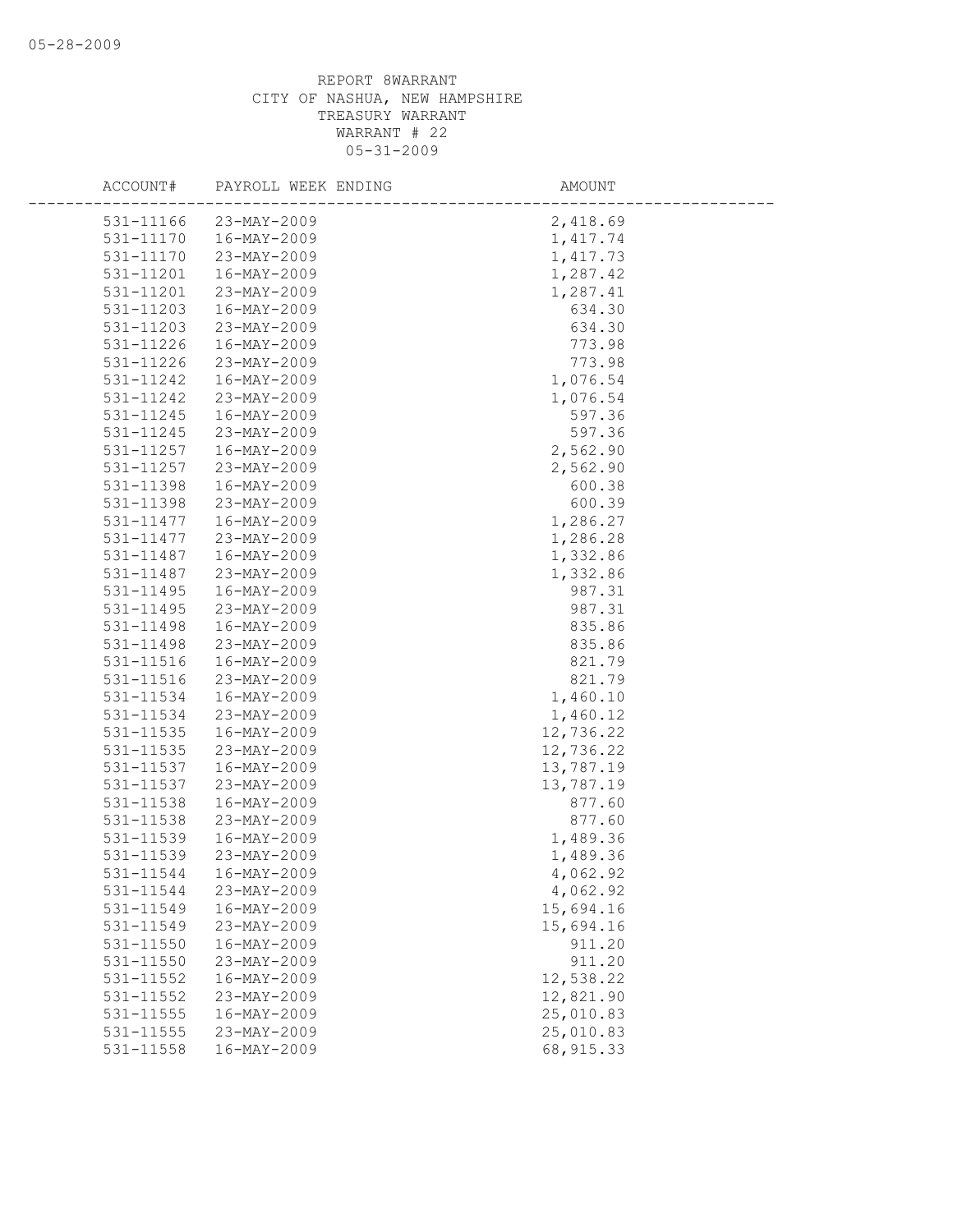| ACCOUNT#  | PAYROLL WEEK ENDING | AMOUNT     |
|-----------|---------------------|------------|
| 531-11166 | 23-MAY-2009         | 2,418.69   |
| 531-11170 | 16-MAY-2009         | 1,417.74   |
| 531-11170 | 23-MAY-2009         | 1, 417.73  |
| 531-11201 | 16-MAY-2009         | 1,287.42   |
| 531-11201 | 23-MAY-2009         | 1,287.41   |
| 531-11203 | 16-MAY-2009         | 634.30     |
| 531-11203 | 23-MAY-2009         | 634.30     |
| 531-11226 | 16-MAY-2009         | 773.98     |
| 531-11226 | 23-MAY-2009         | 773.98     |
| 531-11242 | 16-MAY-2009         | 1,076.54   |
| 531-11242 | 23-MAY-2009         | 1,076.54   |
| 531-11245 | 16-MAY-2009         | 597.36     |
| 531-11245 | 23-MAY-2009         | 597.36     |
| 531-11257 | 16-MAY-2009         | 2,562.90   |
| 531-11257 | 23-MAY-2009         | 2,562.90   |
| 531-11398 | 16-MAY-2009         | 600.38     |
| 531-11398 | 23-MAY-2009         | 600.39     |
| 531-11477 | 16-MAY-2009         | 1,286.27   |
| 531-11477 | 23-MAY-2009         | 1,286.28   |
| 531-11487 | 16-MAY-2009         | 1,332.86   |
| 531-11487 | 23-MAY-2009         | 1,332.86   |
| 531-11495 | 16-MAY-2009         | 987.31     |
| 531-11495 | 23-MAY-2009         | 987.31     |
| 531-11498 | 16-MAY-2009         | 835.86     |
| 531-11498 | 23-MAY-2009         | 835.86     |
| 531-11516 | 16-MAY-2009         | 821.79     |
| 531-11516 | 23-MAY-2009         | 821.79     |
| 531-11534 | 16-MAY-2009         | 1,460.10   |
| 531-11534 | $23 - MAX - 2009$   | 1,460.12   |
| 531-11535 | 16-MAY-2009         | 12,736.22  |
| 531-11535 | 23-MAY-2009         | 12,736.22  |
| 531-11537 | 16-MAY-2009         | 13,787.19  |
| 531-11537 | 23-MAY-2009         | 13,787.19  |
| 531-11538 | 16-MAY-2009         | 877.60     |
| 531-11538 | 23-MAY-2009         | 877.60     |
| 531-11539 | 16-MAY-2009         | 1,489.36   |
| 531-11539 | 23-MAY-2009         | 1,489.36   |
| 531-11544 | 16-MAY-2009         | 4,062.92   |
| 531-11544 | 23-MAY-2009         | 4,062.92   |
| 531-11549 | $16 - MAX - 2009$   | 15,694.16  |
| 531-11549 | 23-MAY-2009         | 15,694.16  |
| 531-11550 | 16-MAY-2009         | 911.20     |
| 531-11550 | 23-MAY-2009         | 911.20     |
| 531-11552 | 16-MAY-2009         | 12,538.22  |
| 531-11552 | 23-MAY-2009         | 12,821.90  |
| 531-11555 | 16-MAY-2009         | 25,010.83  |
| 531-11555 | 23-MAY-2009         | 25,010.83  |
| 531-11558 | $16 - MAX - 2009$   | 68, 915.33 |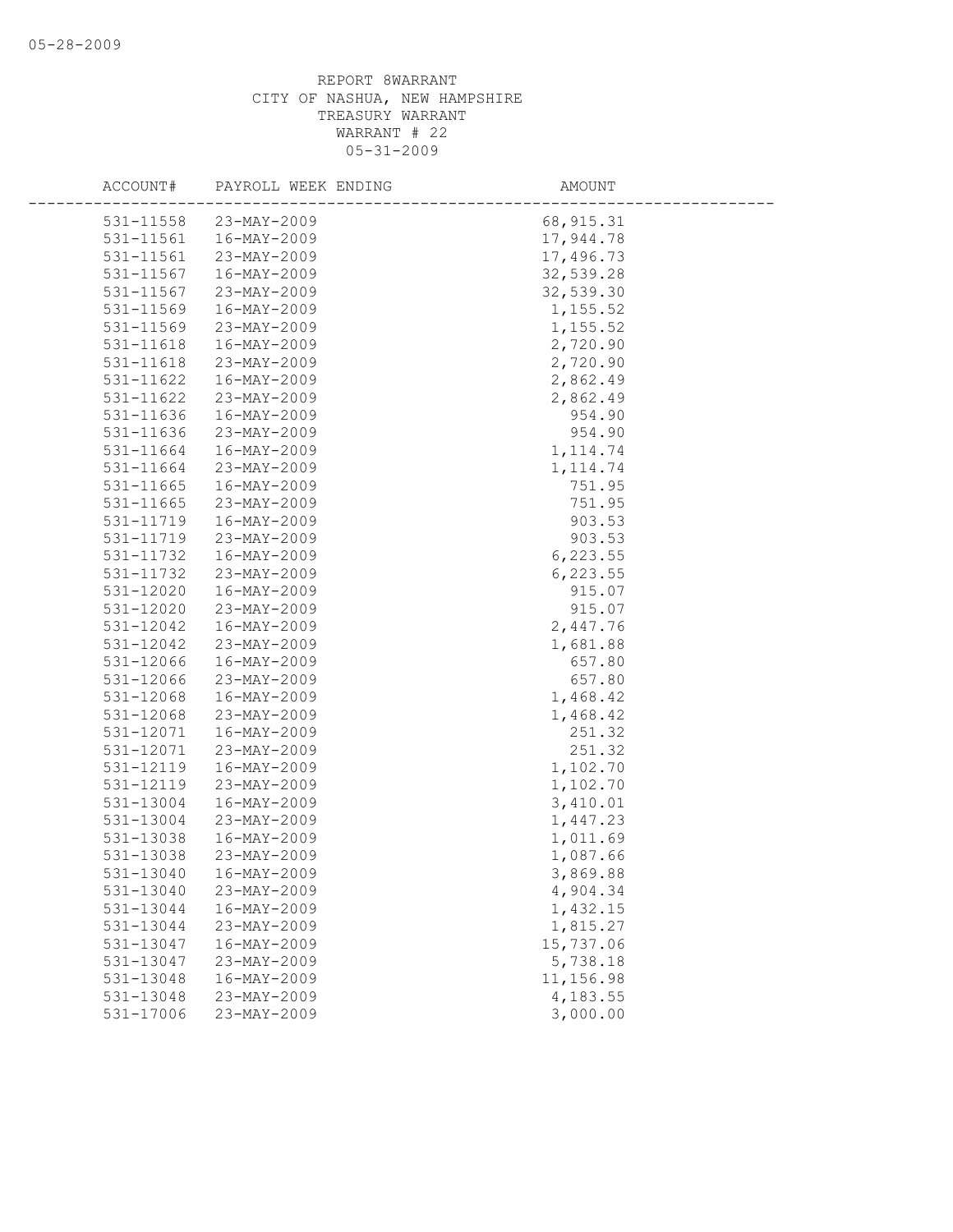| ACCOUNT#               | PAYROLL WEEK ENDING        | AMOUNT               |
|------------------------|----------------------------|----------------------|
| 531-11558              | $23-MAY-2009$              | 68, 915.31           |
| 531-11561              | $16 - MAX - 2009$          | 17,944.78            |
| 531-11561              | 23-MAY-2009                | 17,496.73            |
| 531-11567              | 16-MAY-2009                | 32,539.28            |
| 531-11567              | 23-MAY-2009                | 32,539.30            |
| 531-11569              | 16-MAY-2009                | 1,155.52             |
| 531-11569              | 23-MAY-2009                | 1,155.52             |
| 531-11618              | 16-MAY-2009                | 2,720.90             |
| 531-11618              | 23-MAY-2009                | 2,720.90             |
| 531-11622              | 16-MAY-2009                | 2,862.49             |
| 531-11622              | 23-MAY-2009                | 2,862.49             |
| 531-11636              | 16-MAY-2009                | 954.90               |
| 531-11636              | 23-MAY-2009                | 954.90               |
| 531-11664              | 16-MAY-2009                | 1, 114.74            |
| 531-11664              | 23-MAY-2009                | 1, 114.74            |
| 531-11665              | 16-MAY-2009                | 751.95               |
| 531-11665              | 23-MAY-2009                | 751.95               |
| 531-11719              | 16-MAY-2009                | 903.53               |
| 531-11719              | 23-MAY-2009                | 903.53               |
| 531-11732              | 16-MAY-2009                | 6, 223.55            |
| 531-11732              | 23-MAY-2009                | 6,223.55             |
| 531-12020              | 16-MAY-2009                | 915.07               |
| 531-12020              | 23-MAY-2009                | 915.07               |
| 531-12042              | 16-MAY-2009                | 2,447.76             |
| 531-12042              | 23-MAY-2009                | 1,681.88             |
| 531-12066              | 16-MAY-2009                | 657.80               |
| 531-12066              | 23-MAY-2009                | 657.80               |
| 531-12068              | 16-MAY-2009                | 1,468.42             |
| 531-12068              | 23-MAY-2009                | 1,468.42             |
| 531-12071              | 16-MAY-2009                | 251.32               |
| 531-12071              | 23-MAY-2009                | 251.32               |
| 531-12119              | 16-MAY-2009                | 1,102.70             |
| 531-12119              | 23-MAY-2009                | 1,102.70             |
| 531-13004              | 16-MAY-2009                | 3,410.01             |
| 531-13004              | 23-MAY-2009                | 1,447.23             |
| 531-13038              | 16-MAY-2009                | 1,011.69             |
| 531-13038              | 23-MAY-2009                | 1,087.66             |
| 531-13040              | 16-MAY-2009                | 3,869.88             |
| 531-13040              | 23-MAY-2009<br>16-MAY-2009 | 4,904.34             |
| 531-13044<br>531-13044 | 23-MAY-2009                | 1,432.15<br>1,815.27 |
| 531-13047              | 16-MAY-2009                | 15,737.06            |
| 531-13047              | 23-MAY-2009                | 5,738.18             |
| 531-13048              | 16-MAY-2009                | 11,156.98            |
| 531-13048              | 23-MAY-2009                | 4,183.55             |
| 531-17006              | 23-MAY-2009                | 3,000.00             |
|                        |                            |                      |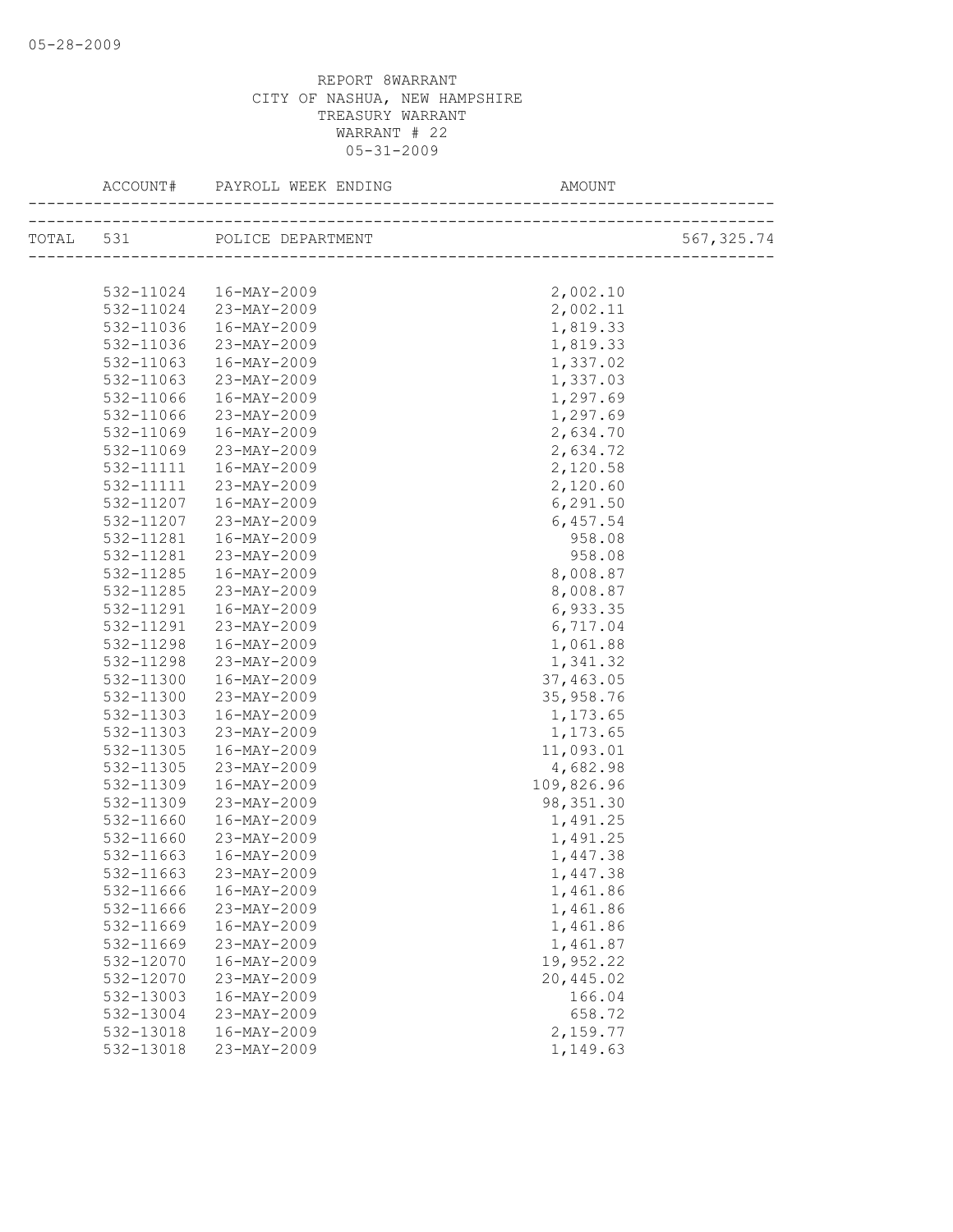| TOTAL 531 POLICE DEPARTMENT<br>2,002.10<br>532-11024  16-MAY-2009 | 567, 325.74 |
|-------------------------------------------------------------------|-------------|
|                                                                   |             |
|                                                                   |             |
|                                                                   |             |
| 532-11024 23-MAY-2009<br>2,002.11                                 |             |
| 532-11036<br>16-MAY-2009<br>1,819.33                              |             |
| 23-MAY-2009<br>1,819.33<br>532-11036                              |             |
| 16-MAY-2009<br>1,337.02<br>532-11063                              |             |
| 532-11063<br>23-MAY-2009<br>1,337.03                              |             |
| 16-MAY-2009<br>1,297.69<br>532-11066                              |             |
| 23-MAY-2009<br>1,297.69<br>532-11066                              |             |
| 2,634.70<br>532-11069<br>16-MAY-2009                              |             |
| 532-11069<br>23-MAY-2009<br>2,634.72                              |             |
| 532-11111<br>16-MAY-2009<br>2,120.58                              |             |
| 23-MAY-2009<br>2,120.60<br>532-11111                              |             |
| 6, 291.50<br>532-11207<br>16-MAY-2009                             |             |
| 6,457.54<br>532-11207<br>23-MAY-2009                              |             |
| 958.08<br>532-11281<br>16-MAY-2009                                |             |
| 23-MAY-2009<br>958.08<br>532-11281                                |             |
| 532-11285<br>16-MAY-2009<br>8,008.87                              |             |
| 8,008.87<br>532-11285<br>23-MAY-2009                              |             |
| 532-11291<br>16-MAY-2009<br>6,933.35                              |             |
| 23-MAY-2009<br>6,717.04<br>532-11291                              |             |
| 16-MAY-2009<br>1,061.88<br>532-11298                              |             |
| 1,341.32<br>532-11298<br>23-MAY-2009                              |             |
| 37,463.05<br>532-11300<br>16-MAY-2009                             |             |
| 532-11300<br>23-MAY-2009<br>35,958.76                             |             |
| 532-11303<br>16-MAY-2009<br>1,173.65                              |             |
| 23-MAY-2009<br>532-11303<br>1,173.65                              |             |
| 11,093.01<br>532-11305<br>16-MAY-2009                             |             |
| 4,682.98<br>532-11305<br>23-MAY-2009                              |             |
| 109,826.96<br>532-11309<br>16-MAY-2009                            |             |
| 532-11309<br>98, 351.30<br>23-MAY-2009                            |             |
| 1,491.25<br>532-11660<br>16-MAY-2009                              |             |
| 1,491.25<br>532-11660<br>23-MAY-2009                              |             |
| 532-11663<br>16-MAY-2009<br>1,447.38                              |             |
| 532-11663 23-MAY-2009<br>1,447.38                                 |             |
| 532-11666<br>16-MAY-2009<br>1,461.86                              |             |
| 532-11666<br>23-MAY-2009<br>1,461.86                              |             |
| 1,461.86<br>532-11669<br>16-MAY-2009                              |             |
| 23-MAY-2009<br>1,461.87<br>532-11669                              |             |
| 19,952.22<br>532-12070<br>16-MAY-2009                             |             |
| 20,445.02<br>532-12070<br>23-MAY-2009                             |             |
| 532-13003<br>166.04<br>16-MAY-2009                                |             |
| 532-13004<br>23-MAY-2009<br>658.72                                |             |
| 532-13018<br>16-MAY-2009<br>2,159.77                              |             |
| 532-13018<br>23-MAY-2009<br>1,149.63                              |             |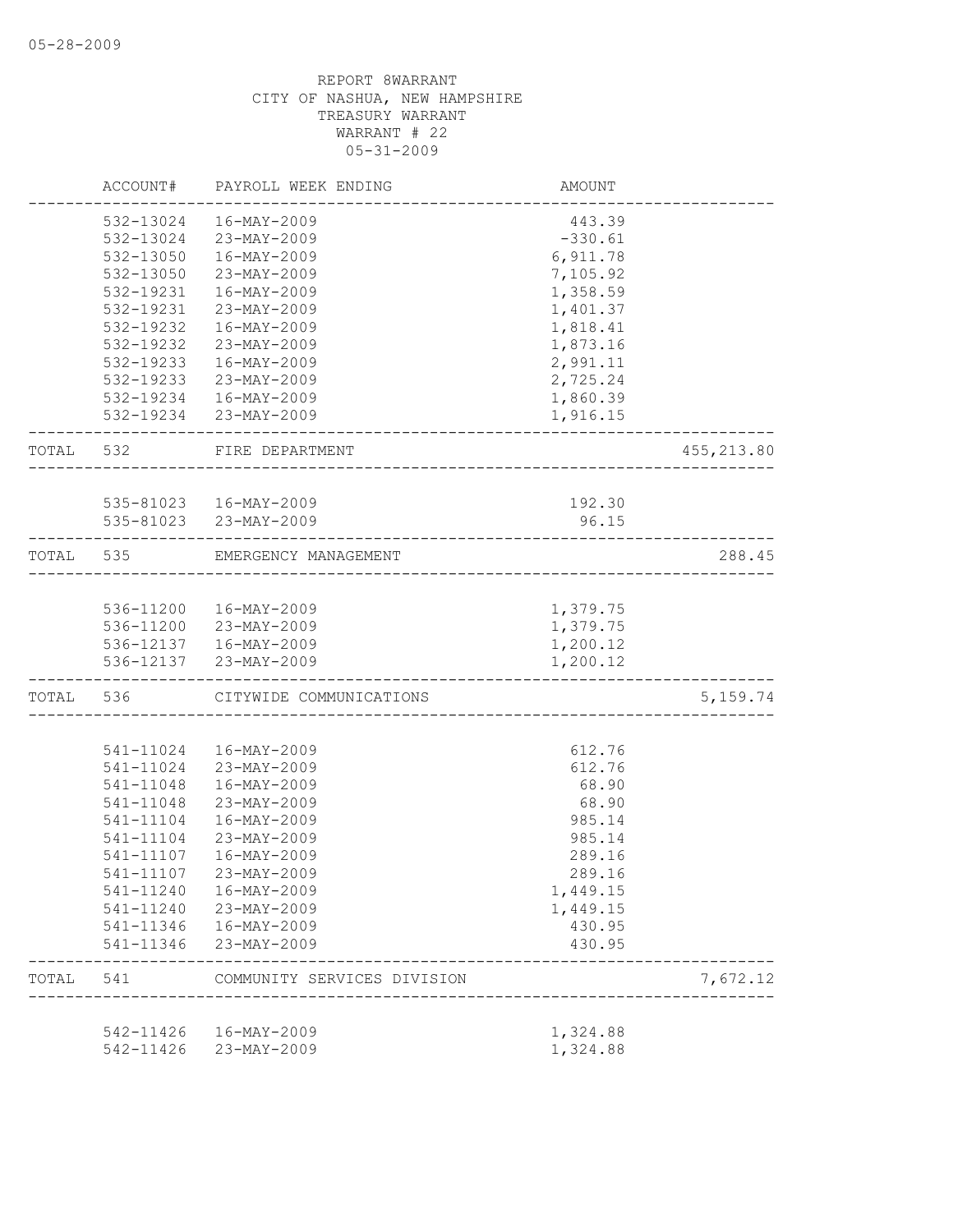|           | ACCOUNT#       | PAYROLL WEEK ENDING                            | AMOUNT    |            |
|-----------|----------------|------------------------------------------------|-----------|------------|
|           | 532-13024      | $16 - MAX - 2009$                              | 443.39    |            |
|           |                | 532-13024 23-MAY-2009                          | $-330.61$ |            |
|           | 532-13050      | 16-MAY-2009                                    | 6,911.78  |            |
|           | 532-13050      | 23-MAY-2009                                    | 7,105.92  |            |
|           | 532-19231      | 16-MAY-2009                                    | 1,358.59  |            |
|           | 532-19231      | 23-MAY-2009                                    | 1,401.37  |            |
|           | 532-19232      | 16-MAY-2009                                    | 1,818.41  |            |
|           | 532-19232      | 23-MAY-2009                                    | 1,873.16  |            |
|           | 532-19233      | 16-MAY-2009                                    | 2,991.11  |            |
|           | 532-19233      | 23-MAY-2009                                    | 2,725.24  |            |
|           |                | 532-19234  16-MAY-2009                         | 1,860.39  |            |
|           |                | 532-19234 23-MAY-2009                          | 1,916.15  |            |
| TOTAL 532 |                | FIRE DEPARTMENT                                |           | 455,213.80 |
|           |                |                                                |           |            |
|           |                | 535-81023  16-MAY-2009                         | 192.30    |            |
|           | -------------- | 535-81023 23-MAY-2009<br>-----------           | 96.15     |            |
| TOTAL 535 |                | EMERGENCY MANAGEMENT                           |           | 288.45     |
|           |                |                                                | 1,379.75  |            |
|           |                | 536-11200 16-MAY-2009                          | 1,379.75  |            |
|           |                | 536-11200 23-MAY-2009<br>536-12137 16-MAY-2009 | 1,200.12  |            |
|           |                | 536-12137 23-MAY-2009                          | 1,200.12  |            |
|           | TOTAL 536      | CITYWIDE COMMUNICATIONS                        |           | 5,159.74   |
|           |                |                                                |           |            |
|           | 541-11024      | 16-MAY-2009                                    | 612.76    |            |
|           | 541-11024      | 23-MAY-2009                                    | 612.76    |            |
|           | 541-11048      | 16-MAY-2009                                    | 68.90     |            |
|           | 541-11048      | 23-MAY-2009                                    | 68.90     |            |
|           | 541-11104      | 16-MAY-2009                                    | 985.14    |            |
|           | 541-11104      | 23-MAY-2009                                    | 985.14    |            |
|           | 541-11107      | 16-MAY-2009                                    | 289.16    |            |
|           | 541-11107      | 23-MAY-2009                                    | 289.16    |            |
|           | 541-11240      | 16-MAY-2009                                    | 1,449.15  |            |
|           | 541-11240      | 23-MAY-2009                                    | 1,449.15  |            |
|           | 541-11346      | 16-MAY-2009                                    | 430.95    |            |
|           | 541-11346      | 23-MAY-2009                                    | 430.95    |            |
| TOTAL     | 541            | COMMUNITY SERVICES DIVISION                    |           | 7,672.12   |
|           | 542-11426      | 16-MAY-2009                                    | 1,324.88  |            |
|           | 542-11426      | 23-MAY-2009                                    | 1,324.88  |            |
|           |                |                                                |           |            |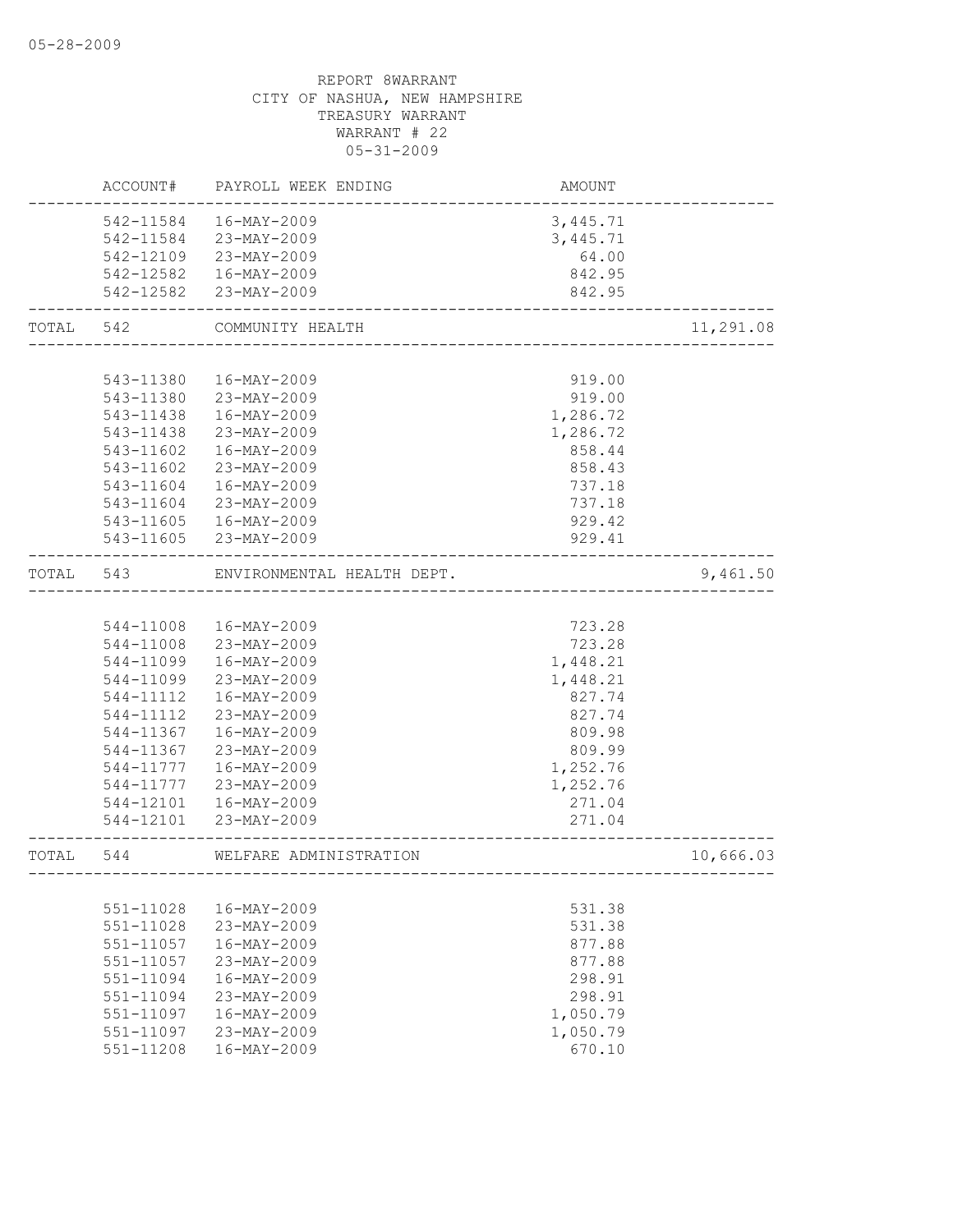|       | ACCOUNT#      | PAYROLL WEEK ENDING                 | AMOUNT                               |           |
|-------|---------------|-------------------------------------|--------------------------------------|-----------|
|       | 542-11584     | 16-MAY-2009                         | 3,445.71                             |           |
|       |               | 542-11584 23-MAY-2009               | 3,445.71                             |           |
|       |               | 542-12109 23-MAY-2009               | 64.00                                |           |
|       |               | 542-12582  16-MAY-2009              | 842.95                               |           |
|       |               | 542-12582 23-MAY-2009               | 842.95                               |           |
| TOTAL | 542           | COMMUNITY HEALTH                    |                                      | 11,291.08 |
|       |               |                                     |                                      |           |
|       | 543-11380     | 16-MAY-2009                         | 919.00                               |           |
|       |               | 543-11380 23-MAY-2009               | 919.00                               |           |
|       | 543-11438     | 16-MAY-2009                         | 1,286.72                             |           |
|       | 543-11438     | 23-MAY-2009                         | 1,286.72                             |           |
|       | 543-11602     | 16-MAY-2009                         | 858.44                               |           |
|       | 543-11602     | 23-MAY-2009                         | 858.43                               |           |
|       | 543-11604     | 16-MAY-2009                         | 737.18                               |           |
|       | 543-11604     | 23-MAY-2009                         | 737.18                               |           |
|       | 543-11605     | 16-MAY-2009                         | 929.42                               |           |
|       |               | 543-11605 23-MAY-2009               | 929.41                               |           |
| TOTAL | 543           | ENVIRONMENTAL HEALTH DEPT.          |                                      | 9,461.50  |
|       |               |                                     |                                      |           |
|       | 544-11008     | 16-MAY-2009                         | 723.28                               |           |
|       | 544-11008     | 23-MAY-2009                         | 723.28                               |           |
|       | 544-11099     | 16-MAY-2009                         | 1,448.21                             |           |
|       | 544-11099     | 23-MAY-2009                         | 1,448.21                             |           |
|       | 544-11112     | 16-MAY-2009                         | 827.74                               |           |
|       | 544-11112     | 23-MAY-2009                         | 827.74                               |           |
|       | 544-11367     | 16-MAY-2009                         | 809.98                               |           |
|       | 544-11367     | 23-MAY-2009                         | 809.99                               |           |
|       | 544-11777     | 16-MAY-2009                         | 1,252.76                             |           |
|       | 544-11777     | 23-MAY-2009                         | 1,252.76                             |           |
|       | 544-12101     | 16-MAY-2009                         | 271.04                               |           |
|       | 544-12101     | 23-MAY-2009                         | 271.04                               |           |
| TOTAL | 544           | WELFARE ADMINISTRATION<br>--------- | ------------------------------------ | 10,666.03 |
|       |               |                                     |                                      |           |
|       | 551-11028     | 16-MAY-2009                         | 531.38                               |           |
|       | 551-11028     | 23-MAY-2009                         | 531.38                               |           |
|       | 551-11057     | $16 - MAX - 2009$                   | 877.88                               |           |
|       | 551-11057     | 23-MAY-2009                         | 877.88                               |           |
|       | $551 - 11094$ | 16-MAY-2009                         | 298.91                               |           |
|       | $551 - 11094$ | 23-MAY-2009                         | 298.91                               |           |
|       | 551-11097     | 16-MAY-2009                         | 1,050.79                             |           |
|       | $551 - 11097$ | 23-MAY-2009                         | 1,050.79                             |           |
|       | 551-11208     | 16-MAY-2009                         | 670.10                               |           |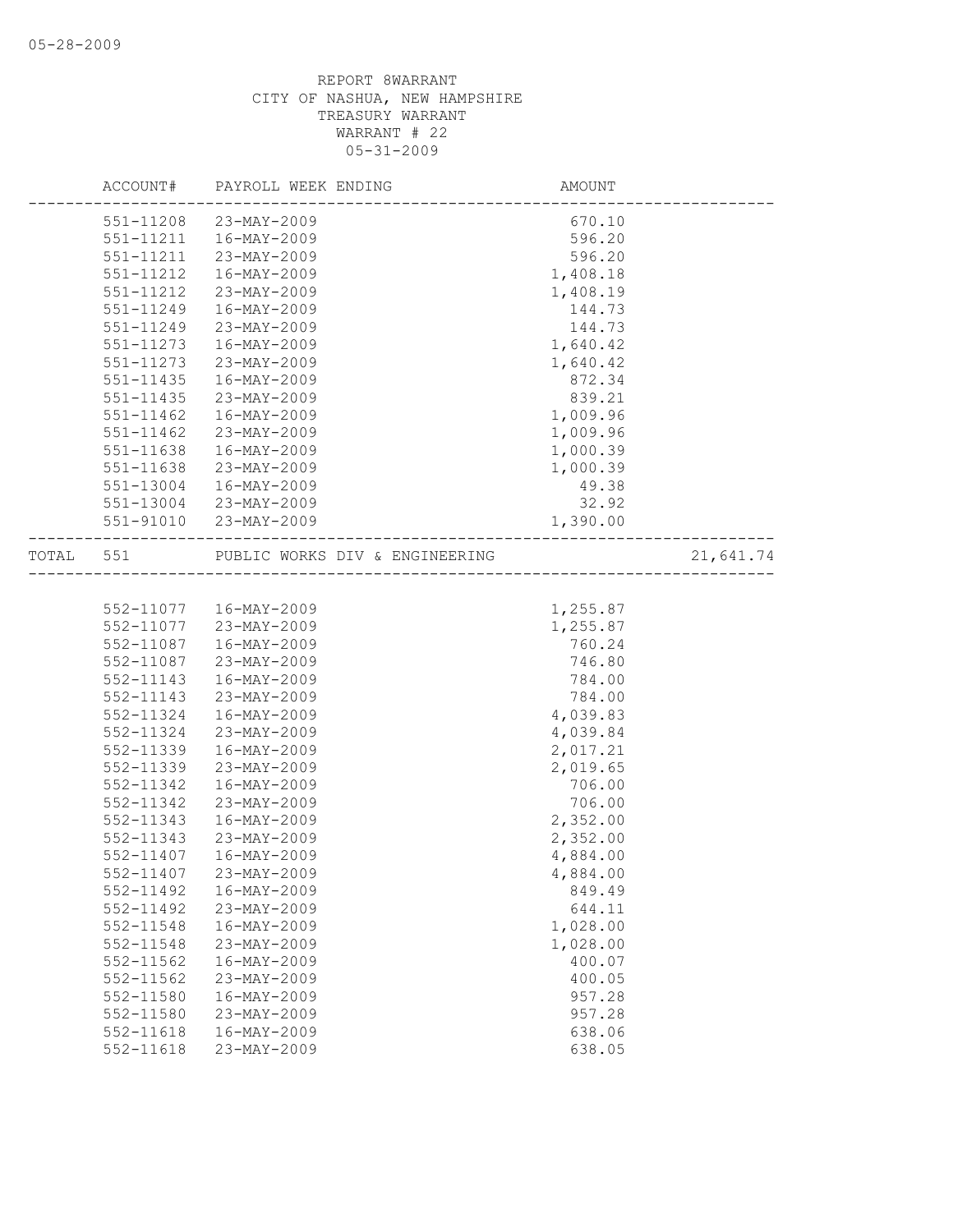|       | ACCOUNT#      | PAYROLL WEEK ENDING                                                                           | AMOUNT   |           |
|-------|---------------|-----------------------------------------------------------------------------------------------|----------|-----------|
|       |               | 551-11208 23-MAY-2009                                                                         | 670.10   |           |
|       | 551-11211     | 16-MAY-2009                                                                                   | 596.20   |           |
|       | 551-11211     | 23-MAY-2009                                                                                   | 596.20   |           |
|       | 551-11212     | 16-MAY-2009                                                                                   | 1,408.18 |           |
|       | 551-11212     | 23-MAY-2009                                                                                   | 1,408.19 |           |
|       | 551-11249     | 16-MAY-2009                                                                                   | 144.73   |           |
|       | 551-11249     | 23-MAY-2009                                                                                   | 144.73   |           |
|       | 551-11273     | 16-MAY-2009                                                                                   | 1,640.42 |           |
|       | 551-11273     | 23-MAY-2009                                                                                   | 1,640.42 |           |
|       | $551 - 11435$ | 16-MAY-2009                                                                                   | 872.34   |           |
|       | $551 - 11435$ | 23-MAY-2009                                                                                   | 839.21   |           |
|       | 551-11462     | 16-MAY-2009                                                                                   | 1,009.96 |           |
|       | 551-11462     | 23-MAY-2009                                                                                   | 1,009.96 |           |
|       | 551-11638     | 16-MAY-2009                                                                                   | 1,000.39 |           |
|       | 551-11638     | 23-MAY-2009                                                                                   | 1,000.39 |           |
|       | 551-13004     | 16-MAY-2009                                                                                   | 49.38    |           |
|       | 551-13004     | 23-MAY-2009                                                                                   | 32.92    |           |
|       |               | 551-91010 23-MAY-2009                                                                         | 1,390.00 |           |
| TOTAL | 551           | ---------------------<br>PUBLIC WORKS DIV & ENGINEERING<br>---------------------------------- |          | 21,641.74 |
|       |               |                                                                                               |          |           |
|       |               | 552-11077  16-MAY-2009                                                                        | 1,255.87 |           |
|       | 552-11077     | 23-MAY-2009                                                                                   | 1,255.87 |           |
|       | 552-11087     | 16-MAY-2009                                                                                   | 760.24   |           |
|       | 552-11087     | 23-MAY-2009                                                                                   | 746.80   |           |
|       | 552-11143     | 16-MAY-2009                                                                                   | 784.00   |           |
|       | 552-11143     | 23-MAY-2009                                                                                   | 784.00   |           |
|       | 552-11324     | 16-MAY-2009                                                                                   | 4,039.83 |           |
|       | 552-11324     | 23-MAY-2009                                                                                   | 4,039.84 |           |
|       | 552-11339     | 16-MAY-2009                                                                                   | 2,017.21 |           |
|       | 552-11339     | 23-MAY-2009                                                                                   | 2,019.65 |           |
|       | 552-11342     | 16-MAY-2009                                                                                   | 706.00   |           |
|       | 552-11342     | 23-MAY-2009                                                                                   | 706.00   |           |
|       | 552-11343     | 16-MAY-2009                                                                                   | 2,352.00 |           |
|       | 552-11343     | 23-MAY-2009                                                                                   | 2,352.00 |           |
|       | 552-11407     | 16-MAY-2009                                                                                   | 4,884.00 |           |
|       | 552-11407     | 23-MAY-2009                                                                                   | 4,884.00 |           |
|       | 552-11492     | 16-MAY-2009                                                                                   | 849.49   |           |
|       | 552-11492     | 23-MAY-2009                                                                                   | 644.11   |           |
|       | 552-11548     | $16 - MAX - 2009$                                                                             | 1,028.00 |           |
|       | 552-11548     | 23-MAY-2009                                                                                   | 1,028.00 |           |
|       | $552 - 11562$ | $16 - MAX - 2009$                                                                             | 400.07   |           |
|       | 552-11562     | 23-MAY-2009                                                                                   | 400.05   |           |
|       | 552-11580     | $16 - MAX - 2009$                                                                             | 957.28   |           |
|       | 552-11580     | 23-MAY-2009                                                                                   | 957.28   |           |
|       | 552-11618     | 16-MAY-2009                                                                                   | 638.06   |           |
|       | 552-11618     | 23-MAY-2009                                                                                   | 638.05   |           |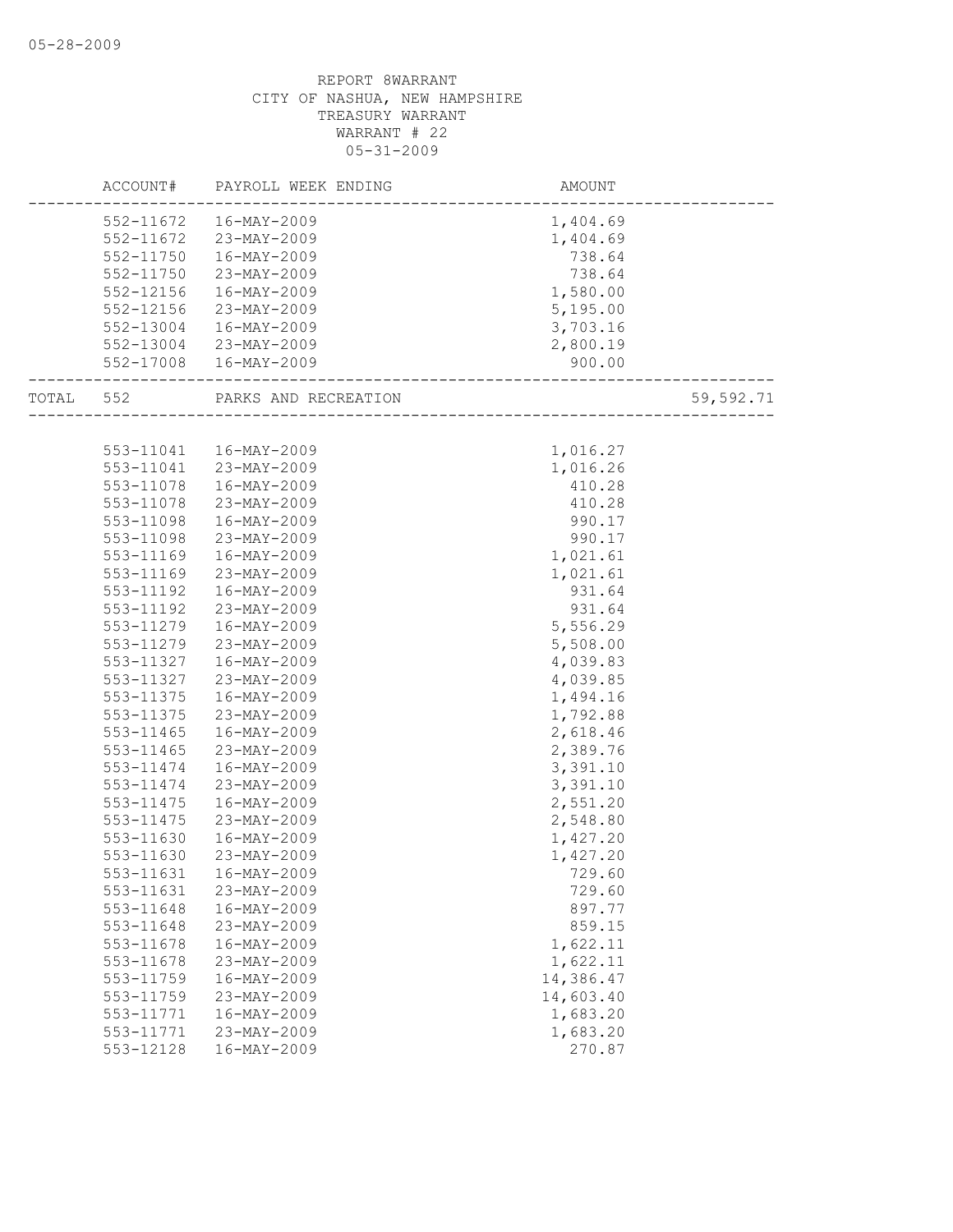|           | ACCOUNT#  | PAYROLL WEEK ENDING    | AMOUNT                 |           |
|-----------|-----------|------------------------|------------------------|-----------|
|           |           | 552-11672  16-MAY-2009 | 1,404.69               |           |
|           |           | 552-11672 23-MAY-2009  | 1,404.69               |           |
|           | 552-11750 | 16-MAY-2009            | 738.64                 |           |
|           | 552-11750 | 23-MAY-2009            | 738.64                 |           |
|           | 552-12156 | 16-MAY-2009            | 1,580.00               |           |
|           | 552-12156 | 23-MAY-2009            | 5,195.00               |           |
|           | 552-13004 | 16-MAY-2009            | 3,703.16               |           |
|           | 552-13004 | 23-MAY-2009            | 2,800.19               |           |
|           |           | 552-17008  16-MAY-2009 | 900.00                 |           |
| TOTAL 552 |           | PARKS AND RECREATION   | ---------------------- | 59,592.71 |
|           |           |                        | _______________        |           |
|           |           | 553-11041  16-MAY-2009 | 1,016.27               |           |
|           | 553-11041 | 23-MAY-2009            | 1,016.26               |           |
|           | 553-11078 | 16-MAY-2009            | 410.28                 |           |
|           | 553-11078 | 23-MAY-2009            | 410.28                 |           |
|           | 553-11098 | 16-MAY-2009            | 990.17                 |           |
|           | 553-11098 | 23-MAY-2009            | 990.17                 |           |
|           | 553-11169 | 16-MAY-2009            | 1,021.61               |           |
|           | 553-11169 | 23-MAY-2009            | 1,021.61               |           |
|           | 553-11192 | 16-MAY-2009            | 931.64                 |           |
|           | 553-11192 | 23-MAY-2009            | 931.64                 |           |
|           | 553-11279 | 16-MAY-2009            | 5,556.29               |           |
|           | 553-11279 | 23-MAY-2009            | 5,508.00               |           |
|           | 553-11327 | 16-MAY-2009            | 4,039.83               |           |
|           | 553-11327 | 23-MAY-2009            | 4,039.85               |           |
|           | 553-11375 | 16-MAY-2009            | 1,494.16               |           |
|           | 553-11375 | 23-MAY-2009            | 1,792.88               |           |
|           | 553-11465 | 16-MAY-2009            | 2,618.46               |           |
|           | 553-11465 | 23-MAY-2009            | 2,389.76               |           |
|           | 553-11474 | 16-MAY-2009            | 3,391.10               |           |
|           | 553-11474 | 23-MAY-2009            | 3,391.10               |           |
|           | 553-11475 | 16-MAY-2009            | 2,551.20               |           |
|           | 553-11475 | 23-MAY-2009            | 2,548.80               |           |
|           | 553-11630 | 16-MAY-2009            | 1,427.20               |           |
|           | 553-11630 | 23-MAY-2009            | 1,427.20               |           |
|           | 553-11631 | 16-MAY-2009            | 729.60                 |           |
|           | 553-11631 | 23-MAY-2009            | 729.60                 |           |
|           | 553-11648 | 16-MAY-2009            | 897.77                 |           |
|           | 553-11648 | 23-MAY-2009            | 859.15                 |           |
|           | 553-11678 | 16-MAY-2009            | 1,622.11               |           |
|           | 553-11678 | 23-MAY-2009            | 1,622.11               |           |
|           | 553-11759 | $16 - MAX - 2009$      | 14,386.47              |           |
|           | 553-11759 | 23-MAY-2009            | 14,603.40              |           |
|           | 553-11771 | 16-MAY-2009            | 1,683.20               |           |
|           | 553-11771 | 23-MAY-2009            | 1,683.20               |           |
|           | 553-12128 | $16 - MAX - 2009$      | 270.87                 |           |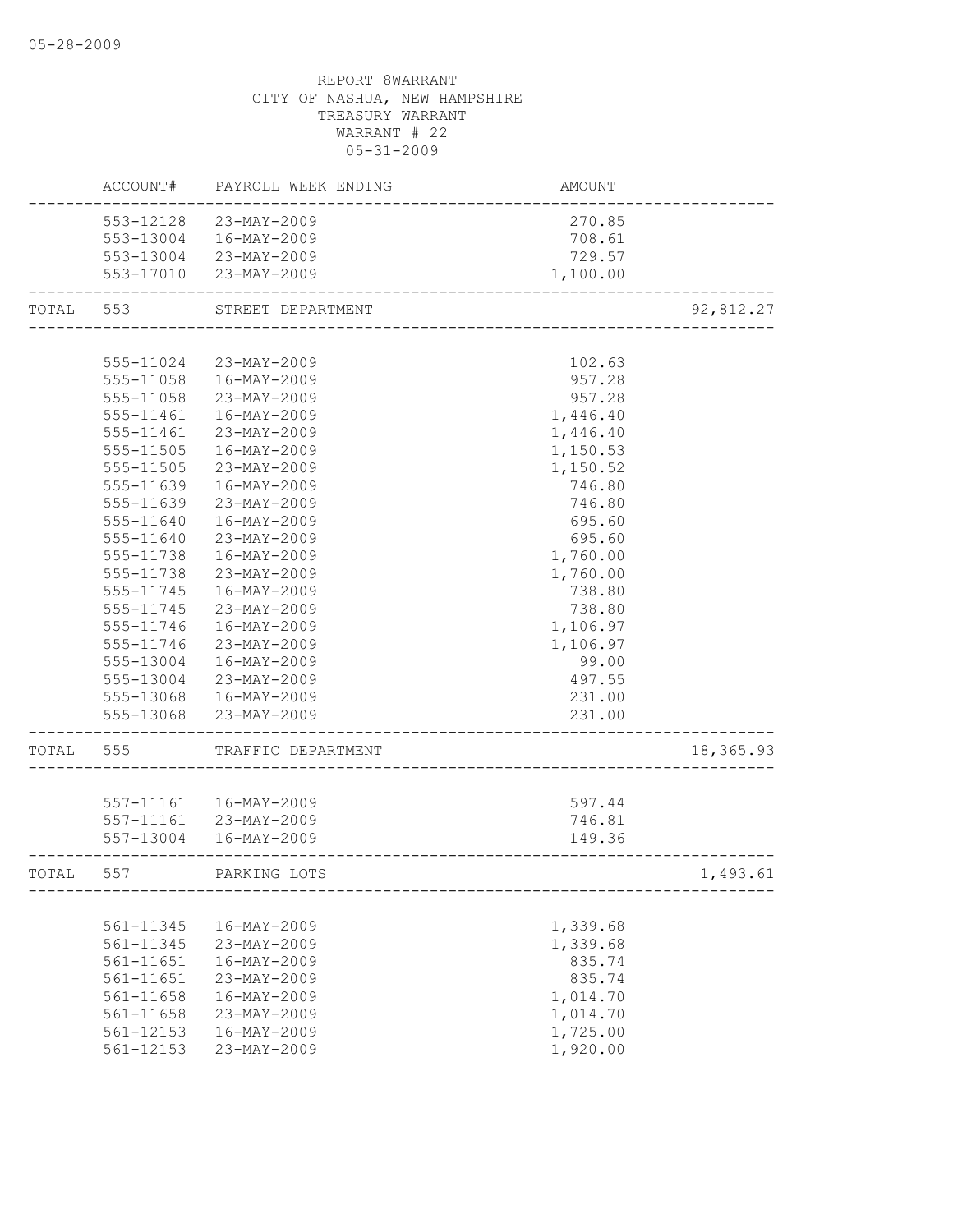|           | ACCOUNT#      | PAYROLL WEEK ENDING    | AMOUNT   |           |
|-----------|---------------|------------------------|----------|-----------|
|           |               | 553-12128 23-MAY-2009  | 270.85   |           |
|           |               | 553-13004 16-MAY-2009  | 708.61   |           |
|           |               | 553-13004 23-MAY-2009  | 729.57   |           |
|           |               | 553-17010 23-MAY-2009  | 1,100.00 |           |
| TOTAL 553 |               | STREET DEPARTMENT      |          | 92,812.27 |
|           |               |                        |          |           |
|           | 555-11024     | 23-MAY-2009            | 102.63   |           |
|           | 555-11058     | 16-MAY-2009            | 957.28   |           |
|           | 555-11058     | 23-MAY-2009            | 957.28   |           |
|           | 555-11461     | 16-MAY-2009            | 1,446.40 |           |
|           | 555-11461     | 23-MAY-2009            | 1,446.40 |           |
|           | 555-11505     | 16-MAY-2009            | 1,150.53 |           |
|           | 555-11505     | 23-MAY-2009            | 1,150.52 |           |
|           | 555-11639     | 16-MAY-2009            | 746.80   |           |
|           | 555-11639     | 23-MAY-2009            | 746.80   |           |
|           | 555-11640     | $16 - MAX - 2009$      | 695.60   |           |
|           | 555-11640     | 23-MAY-2009            | 695.60   |           |
|           | 555-11738     | 16-MAY-2009            | 1,760.00 |           |
|           | 555-11738     | 23-MAY-2009            | 1,760.00 |           |
|           | 555-11745     | 16-MAY-2009            | 738.80   |           |
|           | 555-11745     | 23-MAY-2009            | 738.80   |           |
|           | 555-11746     | 16-MAY-2009            | 1,106.97 |           |
|           | 555-11746     | 23-MAY-2009            | 1,106.97 |           |
|           | 555-13004     | 16-MAY-2009            | 99.00    |           |
|           | 555-13004     | 23-MAY-2009            | 497.55   |           |
|           |               | 555-13068 16-MAY-2009  | 231.00   |           |
|           |               | 555-13068 23-MAY-2009  | 231.00   |           |
| TOTAL     | 555           | TRAFFIC DEPARTMENT     |          | 18,365.93 |
|           |               |                        |          |           |
|           |               | 557-11161  16-MAY-2009 | 597.44   |           |
|           | 557-11161     | 23-MAY-2009            | 746.81   |           |
|           |               | 557-13004 16-MAY-2009  | 149.36   |           |
| TOTAL     | 557           | PARKING LOTS           |          | 1,493.61  |
|           |               |                        |          |           |
|           | 561-11345     | 16-MAY-2009            | 1,339.68 |           |
|           | 561-11345     | 23-MAY-2009            | 1,339.68 |           |
|           | 561-11651     | 16-MAY-2009            | 835.74   |           |
|           | 561-11651     | 23-MAY-2009            | 835.74   |           |
|           | 561-11658     | 16-MAY-2009            | 1,014.70 |           |
|           | 561-11658     | 23-MAY-2009            | 1,014.70 |           |
|           | 561-12153     | 16-MAY-2009            | 1,725.00 |           |
|           | $561 - 12153$ | 23-MAY-2009            | 1,920.00 |           |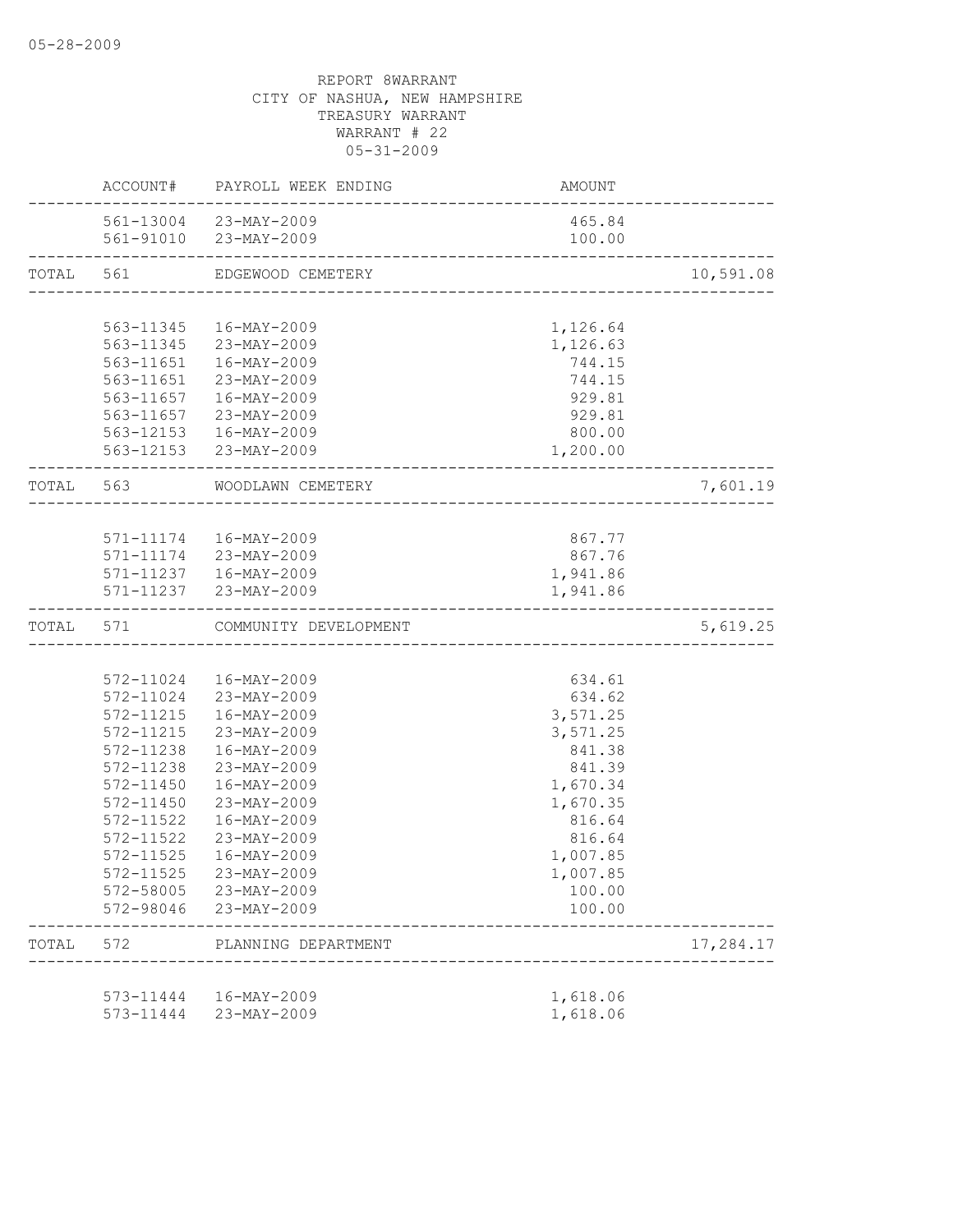|           |               | ACCOUNT# PAYROLL WEEK ENDING                   | AMOUNT                       |           |
|-----------|---------------|------------------------------------------------|------------------------------|-----------|
|           |               | 561-13004 23-MAY-2009<br>561-91010 23-MAY-2009 | 465.84<br>100.00             |           |
| TOTAL 561 |               | EDGEWOOD CEMETERY                              |                              | 10,591.08 |
|           |               |                                                |                              |           |
|           |               | 563-11345  16-MAY-2009                         | 1,126.64                     |           |
|           |               | 563-11345 23-MAY-2009                          | 1,126.63                     |           |
|           |               | 563-11651  16-MAY-2009                         | 744.15                       |           |
|           |               | 563-11651 23-MAY-2009                          |                              |           |
|           |               |                                                | 744.15                       |           |
|           |               | 563-11657  16-MAY-2009                         | 929.81                       |           |
|           |               | 563-11657 23-MAY-2009                          | 929.81                       |           |
|           |               | 563-12153  16-MAY-2009                         | 800.00                       |           |
|           |               | 563-12153 23-MAY-2009                          | 1,200.00                     |           |
|           |               | TOTAL 563 WOODLAWN CEMETERY                    | ---------------------------- | 7,601.19  |
|           |               |                                                |                              |           |
|           |               | 571-11174  16-MAY-2009                         | 867.77                       |           |
|           |               | 571-11174 23-MAY-2009                          | 867.76                       |           |
|           |               | 571-11237  16-MAY-2009                         | 1,941.86                     |           |
|           |               | 571-11237 23-MAY-2009                          | 1,941.86                     |           |
| TOTAL 571 |               | COMMUNITY DEVELOPMENT                          |                              | 5,619.25  |
|           |               |                                                |                              |           |
|           |               | 572-11024  16-MAY-2009                         | 634.61                       |           |
|           |               | 572-11024 23-MAY-2009                          | 634.62                       |           |
|           |               | 572-11215  16-MAY-2009                         | 3,571.25                     |           |
|           |               | 572-11215 23-MAY-2009                          | 3,571.25                     |           |
|           | 572-11238     | 16-MAY-2009                                    | 841.38                       |           |
|           | 572-11238     | 23-MAY-2009                                    | 841.39                       |           |
|           | 572-11450     | 16-MAY-2009                                    | 1,670.34                     |           |
|           | 572-11450     | 23-MAY-2009                                    | 1,670.35                     |           |
|           | 572-11522     | $16 - MAX - 2009$                              | 816.64                       |           |
|           | 572-11522     | 23-MAY-2009                                    | 816.64                       |           |
|           | $572 - 11525$ | 16-MAY-2009                                    | 1,007.85                     |           |
|           | 572-11525     | 23-MAY-2009                                    | 1,007.85                     |           |
|           |               | 572-58005 23-MAY-2009                          | 100.00                       |           |
|           | 572-98046     | 23-MAY-2009                                    | 100.00                       |           |
| TOTAL     | 572           | PLANNING DEPARTMENT                            |                              | 17,284.17 |
|           |               |                                                |                              |           |
|           | 573-11444     | 16-MAY-2009                                    | 1,618.06                     |           |
|           | 573-11444     | 23-MAY-2009                                    | 1,618.06                     |           |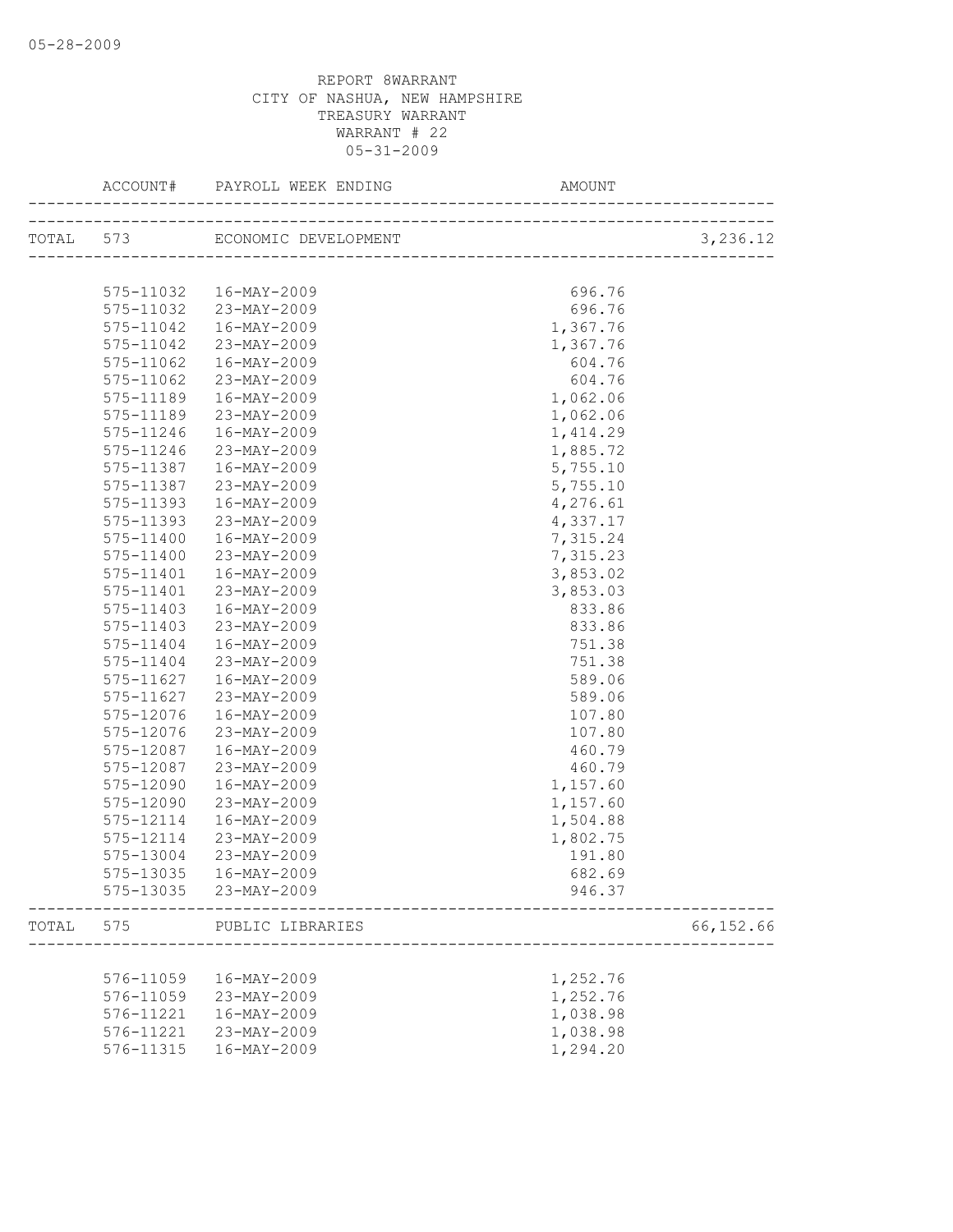|       | ACCOUNT#  |                                | AMOUNT   |            |
|-------|-----------|--------------------------------|----------|------------|
|       |           | TOTAL 573 ECONOMIC DEVELOPMENT |          | 3,236.12   |
|       |           |                                |          |            |
|       |           |                                |          |            |
|       | 575-11032 | 16-MAY-2009                    | 696.76   |            |
|       | 575-11032 | 23-MAY-2009                    | 696.76   |            |
|       | 575-11042 | 16-MAY-2009                    | 1,367.76 |            |
|       | 575-11042 | 23-MAY-2009                    | 1,367.76 |            |
|       | 575-11062 | 16-MAY-2009                    | 604.76   |            |
|       | 575-11062 | 23-MAY-2009                    | 604.76   |            |
|       | 575-11189 | 16-MAY-2009                    | 1,062.06 |            |
|       | 575-11189 | 23-MAY-2009                    | 1,062.06 |            |
|       | 575-11246 | 16-MAY-2009                    | 1,414.29 |            |
|       | 575-11246 | 23-MAY-2009                    | 1,885.72 |            |
|       | 575-11387 | 16-MAY-2009                    | 5,755.10 |            |
|       | 575-11387 | 23-MAY-2009                    | 5,755.10 |            |
|       | 575-11393 | 16-MAY-2009                    | 4,276.61 |            |
|       | 575-11393 | 23-MAY-2009                    | 4,337.17 |            |
|       | 575-11400 | 16-MAY-2009                    | 7,315.24 |            |
|       | 575-11400 | 23-MAY-2009                    | 7,315.23 |            |
|       | 575-11401 | 16-MAY-2009                    | 3,853.02 |            |
|       | 575-11401 | 23-MAY-2009                    | 3,853.03 |            |
|       | 575-11403 | 16-MAY-2009                    | 833.86   |            |
|       | 575-11403 | 23-MAY-2009                    | 833.86   |            |
|       | 575-11404 | 16-MAY-2009                    | 751.38   |            |
|       | 575-11404 | 23-MAY-2009                    | 751.38   |            |
|       | 575-11627 | 16-MAY-2009                    | 589.06   |            |
|       | 575-11627 | 23-MAY-2009                    | 589.06   |            |
|       | 575-12076 | 16-MAY-2009                    | 107.80   |            |
|       | 575-12076 | 23-MAY-2009                    | 107.80   |            |
|       | 575-12087 | 16-MAY-2009                    | 460.79   |            |
|       | 575-12087 | 23-MAY-2009                    | 460.79   |            |
|       | 575-12090 | 16-MAY-2009                    | 1,157.60 |            |
|       | 575-12090 | 23-MAY-2009                    | 1,157.60 |            |
|       | 575-12114 | $16 - MAX - 2009$              | 1,504.88 |            |
|       | 575-12114 | 23-MAY-2009                    | 1,802.75 |            |
|       | 575-13004 | 23-MAY-2009                    | 191.80   |            |
|       | 575-13035 | 16-MAY-2009                    | 682.69   |            |
|       |           | 575-13035 23-MAY-2009          | 946.37   |            |
| TOTAL | 575       | PUBLIC LIBRARIES               |          | 66, 152.66 |
|       |           |                                |          |            |
|       | 576-11059 | 16-MAY-2009                    | 1,252.76 |            |
|       | 576-11059 | 23-MAY-2009                    | 1,252.76 |            |
|       | 576-11221 | 16-MAY-2009                    | 1,038.98 |            |
|       | 576-11221 | 23-MAY-2009                    | 1,038.98 |            |
|       | 576-11315 | $16 - MAY - 2009$              | 1,294.20 |            |
|       |           |                                |          |            |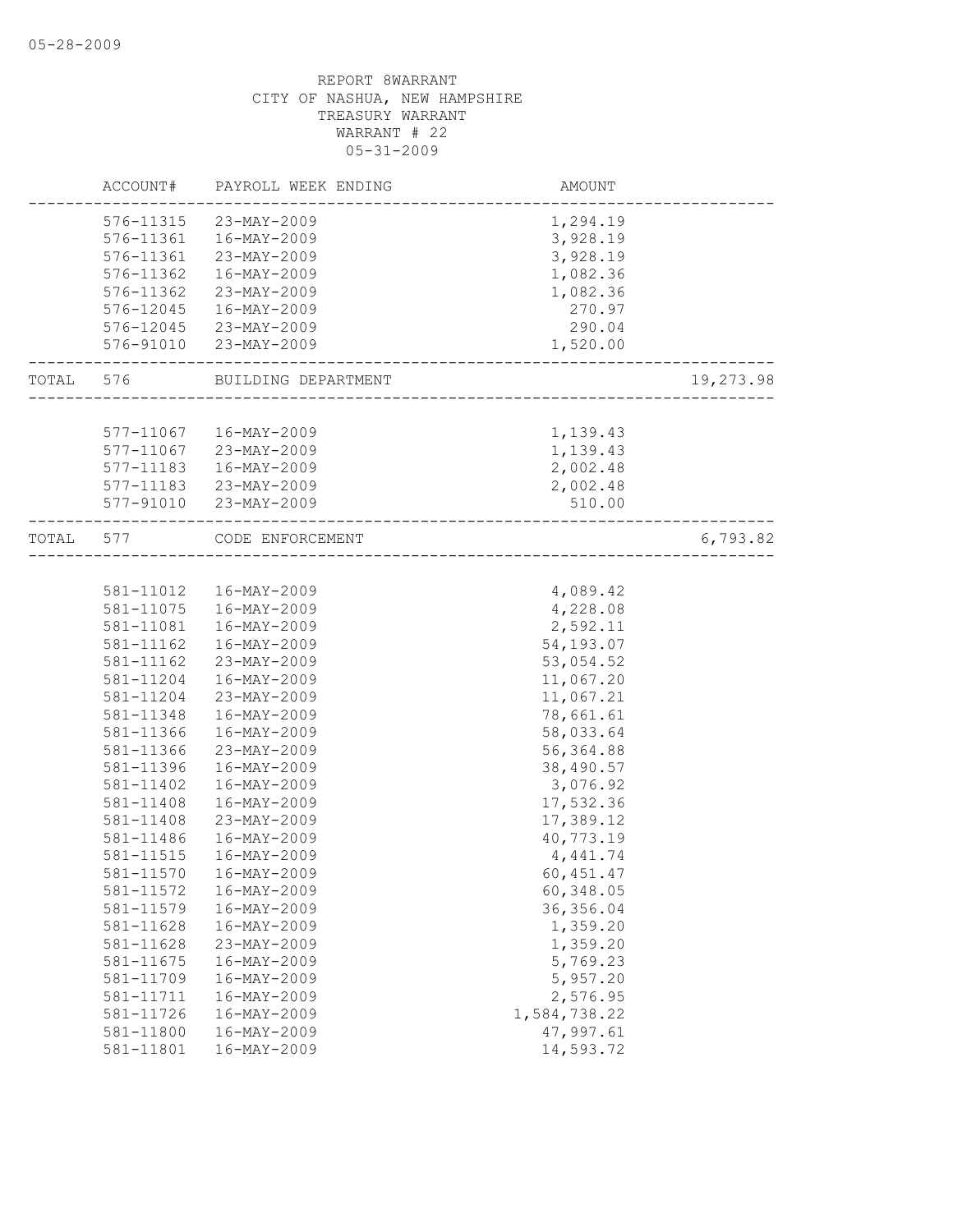|       |           | ACCOUNT# PAYROLL WEEK ENDING                               | AMOUNT                            |           |
|-------|-----------|------------------------------------------------------------|-----------------------------------|-----------|
|       |           | 576-11315 23-MAY-2009                                      | 1,294.19                          |           |
|       |           | 576-11361  16-MAY-2009                                     | 3,928.19                          |           |
|       | 576-11361 | 23-MAY-2009                                                | 3,928.19                          |           |
|       | 576-11362 | 16-MAY-2009                                                | 1,082.36                          |           |
|       | 576-11362 | 23-MAY-2009                                                | 1,082.36                          |           |
|       | 576-12045 | 16-MAY-2009                                                | 270.97                            |           |
|       |           | 576-12045 23-MAY-2009                                      | 290.04                            |           |
|       |           | 576-91010 23-MAY-2009                                      | 1,520.00<br>____________________  |           |
|       |           | TOTAL 576 BUILDING DEPARTMENT                              | --------------------------------- | 19,273.98 |
|       |           |                                                            |                                   |           |
|       |           | 577-11067  16-MAY-2009                                     | 1,139.43                          |           |
|       |           | 577-11067 23-MAY-2009                                      | 1,139.43                          |           |
|       |           | 577-11183  16-MAY-2009                                     | 2,002.48                          |           |
|       |           | 577-11183 23-MAY-2009                                      | 2,002.48                          |           |
|       |           | 577-91010 23-MAY-2009<br>--------------------------------- | 510.00                            |           |
| TOTAL |           | 577 CODE ENFORCEMENT                                       |                                   | 6,793.82  |
|       |           |                                                            |                                   |           |
|       |           | 581-11012  16-MAY-2009                                     | 4,089.42                          |           |
|       | 581-11075 | 16-MAY-2009                                                | 4,228.08                          |           |
|       | 581-11081 | 16-MAY-2009                                                | 2,592.11                          |           |
|       | 581-11162 | 16-MAY-2009                                                | 54,193.07                         |           |
|       | 581-11162 | 23-MAY-2009                                                | 53,054.52                         |           |
|       | 581-11204 | 16-MAY-2009                                                | 11,067.20                         |           |
|       | 581-11204 | 23-MAY-2009                                                | 11,067.21                         |           |
|       | 581-11348 | 16-MAY-2009                                                | 78,661.61                         |           |
|       | 581-11366 | 16-MAY-2009                                                | 58,033.64                         |           |
|       | 581-11366 | 23-MAY-2009                                                | 56, 364.88                        |           |
|       | 581-11396 | 16-MAY-2009                                                | 38,490.57                         |           |
|       | 581-11402 | 16-MAY-2009                                                | 3,076.92                          |           |
|       | 581-11408 | 16-MAY-2009                                                | 17,532.36                         |           |
|       | 581-11408 | 23-MAY-2009                                                | 17,389.12                         |           |
|       | 581-11486 | 16-MAY-2009                                                | 40,773.19                         |           |
|       | 581-11515 | 16-MAY-2009                                                | 4,441.74                          |           |
|       | 581-11570 | 16-MAY-2009                                                | 60, 451.47                        |           |
|       | 581-11572 | $16 - MAY - 2009$                                          | 60,348.05                         |           |
|       | 581-11579 | $16 - MAX - 2009$                                          | 36, 356.04                        |           |
|       | 581-11628 | 16-MAY-2009                                                | 1,359.20                          |           |
|       | 581-11628 | 23-MAY-2009                                                | 1,359.20                          |           |
|       | 581-11675 | 16-MAY-2009                                                | 5,769.23                          |           |
|       | 581-11709 | 16-MAY-2009                                                | 5,957.20                          |           |
|       | 581-11711 | 16-MAY-2009                                                | 2,576.95                          |           |
|       | 581-11726 | 16-MAY-2009                                                | 1,584,738.22                      |           |
|       | 581-11800 | $16 - MAY - 2009$                                          | 47,997.61                         |           |
|       | 581-11801 | $16 - MAY - 2009$                                          | 14,593.72                         |           |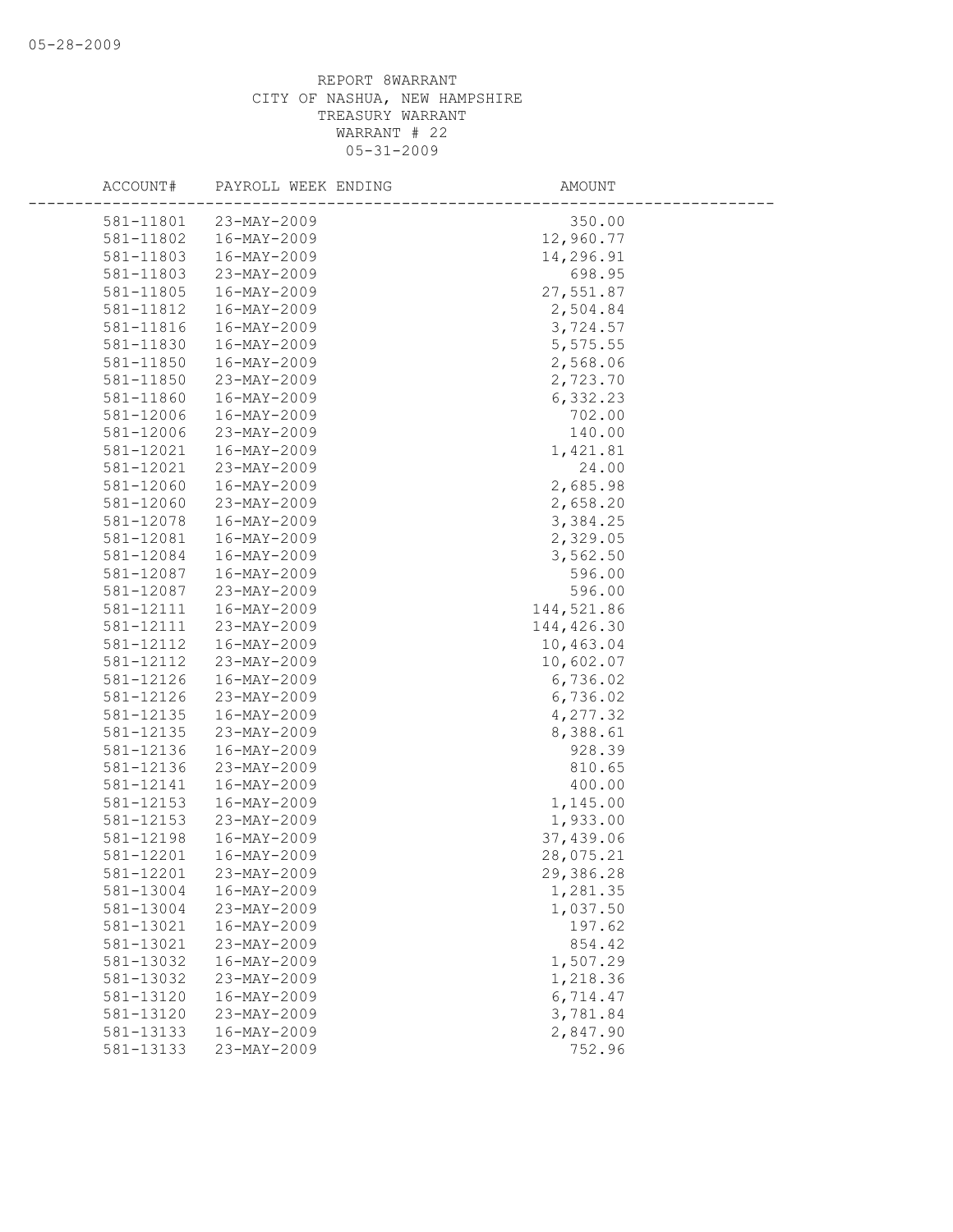| ACCOUNT#  | PAYROLL WEEK ENDING      | AMOUNT     |
|-----------|--------------------------|------------|
| 581-11801 | 23-MAY-2009              | 350.00     |
| 581-11802 | 16-MAY-2009              | 12,960.77  |
| 581-11803 | 16-MAY-2009              | 14,296.91  |
| 581-11803 | 23-MAY-2009              | 698.95     |
| 581-11805 | 16-MAY-2009              | 27,551.87  |
| 581-11812 | 16-MAY-2009              | 2,504.84   |
| 581-11816 | 16-MAY-2009              | 3,724.57   |
| 581-11830 | $16 - MAY - 2009$        | 5,575.55   |
| 581-11850 | 16-MAY-2009              | 2,568.06   |
| 581-11850 | 23-MAY-2009              | 2,723.70   |
| 581-11860 | 16-MAY-2009              | 6,332.23   |
| 581-12006 | 16-MAY-2009              | 702.00     |
| 581-12006 | 23-MAY-2009              | 140.00     |
| 581-12021 | $16 - MAX - 2009$        | 1,421.81   |
| 581-12021 | 23-MAY-2009              | 24.00      |
| 581-12060 | 16-MAY-2009              | 2,685.98   |
| 581-12060 | 23-MAY-2009              | 2,658.20   |
| 581-12078 | 16-MAY-2009              | 3,384.25   |
| 581-12081 | 16-MAY-2009              | 2,329.05   |
| 581-12084 | 16-MAY-2009              | 3,562.50   |
| 581-12087 | 16-MAY-2009              | 596.00     |
| 581-12087 | 23-MAY-2009              | 596.00     |
| 581-12111 | 16-MAY-2009              | 144,521.86 |
| 581-12111 | 23-MAY-2009              | 144,426.30 |
| 581-12112 | 16-MAY-2009              | 10,463.04  |
| 581-12112 | 23-MAY-2009              | 10,602.07  |
| 581-12126 | 16-MAY-2009              | 6,736.02   |
| 581-12126 | 23-MAY-2009              | 6,736.02   |
| 581-12135 | 16-MAY-2009              | 4,277.32   |
| 581-12135 | 23-MAY-2009              | 8,388.61   |
| 581-12136 | $16 - MAY - 2009$        | 928.39     |
| 581-12136 | 23-MAY-2009              | 810.65     |
| 581-12141 | 16-MAY-2009              | 400.00     |
| 581-12153 | 16-MAY-2009              | 1,145.00   |
| 581-12153 | 23-MAY-2009              | 1,933.00   |
| 581-12198 | 16-MAY-2009              | 37,439.06  |
| 581-12201 | 16-MAY-2009              | 28,075.21  |
| 581-12201 | 23-MAY-2009              | 29,386.28  |
| 581-13004 | $16 - MAY - 2009$        | 1,281.35   |
| 581-13004 | 23-MAY-2009              | 1,037.50   |
| 581-13021 | 16-MAY-2009              | 197.62     |
| 581-13021 | 23-MAY-2009              | 854.42     |
| 581-13032 | 16-MAY-2009              | 1,507.29   |
| 581-13032 | 23-MAY-2009              | 1,218.36   |
| 581-13120 | $16 - \text{MAX} - 2009$ | 6,714.47   |
| 581-13120 | 23-MAY-2009              | 3,781.84   |
| 581-13133 | 16-MAY-2009              | 2,847.90   |
| 581-13133 | 23-MAY-2009              | 752.96     |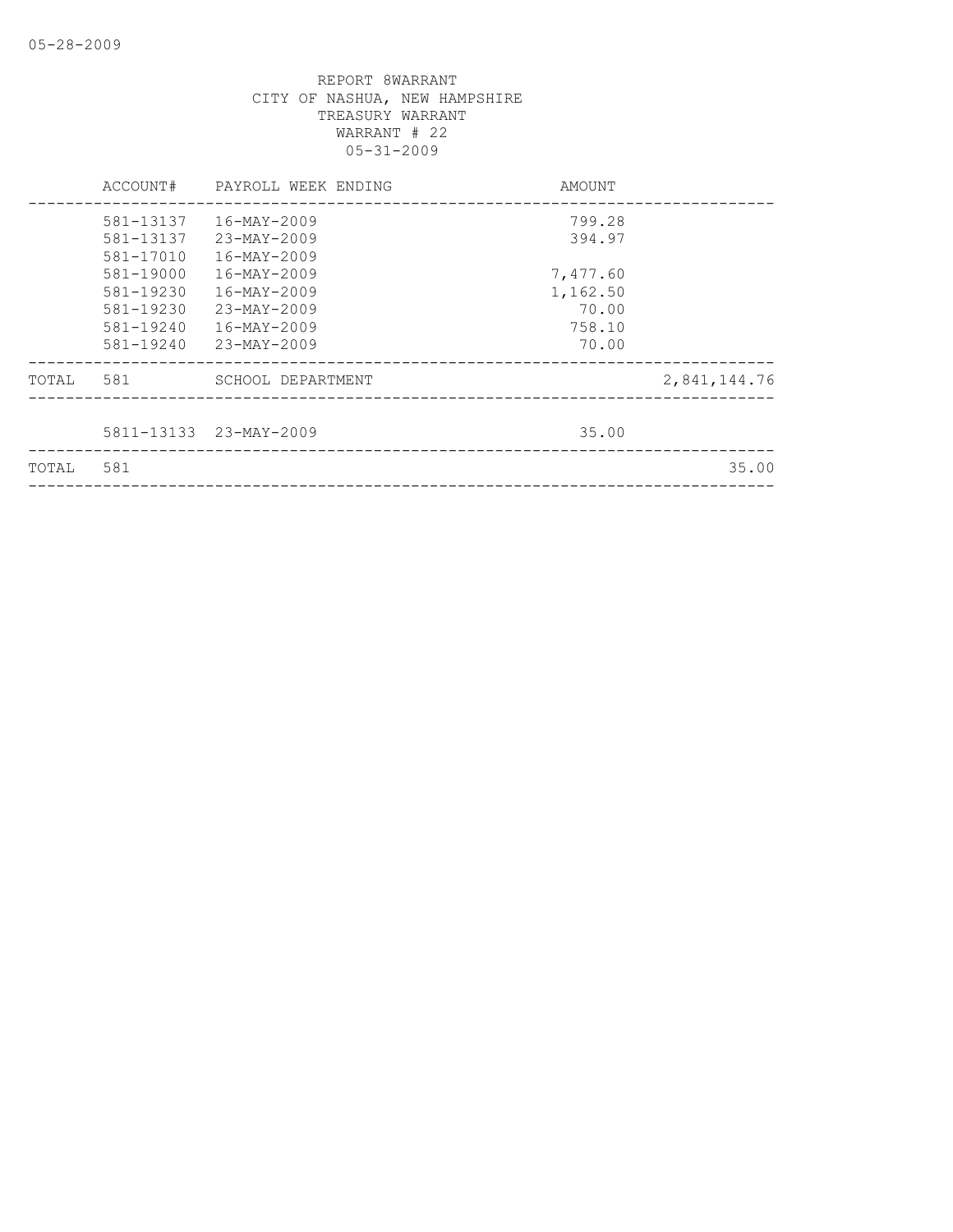|       | ACCOUNT#  | PAYROLL WEEK ENDING    | AMOUNT   |              |
|-------|-----------|------------------------|----------|--------------|
|       | 581-13137 | 16-MAY-2009            | 799.28   |              |
|       | 581-13137 | 23-MAY-2009            | 394.97   |              |
|       | 581-17010 | 16-MAY-2009            |          |              |
|       | 581-19000 | 16-MAY-2009            | 7,477.60 |              |
|       | 581-19230 | 16-MAY-2009            | 1,162.50 |              |
|       | 581-19230 | $23 - MAX - 2009$      | 70.00    |              |
|       | 581-19240 | 16-MAY-2009            | 758.10   |              |
|       | 581-19240 | 23-MAY-2009            | 70.00    |              |
| TOTAL | 581       | SCHOOL DEPARTMENT      |          | 2,841,144.76 |
|       |           |                        |          |              |
|       |           | 5811-13133 23-MAY-2009 | 35.00    |              |
| TOTAL | 581       |                        |          | 35.00        |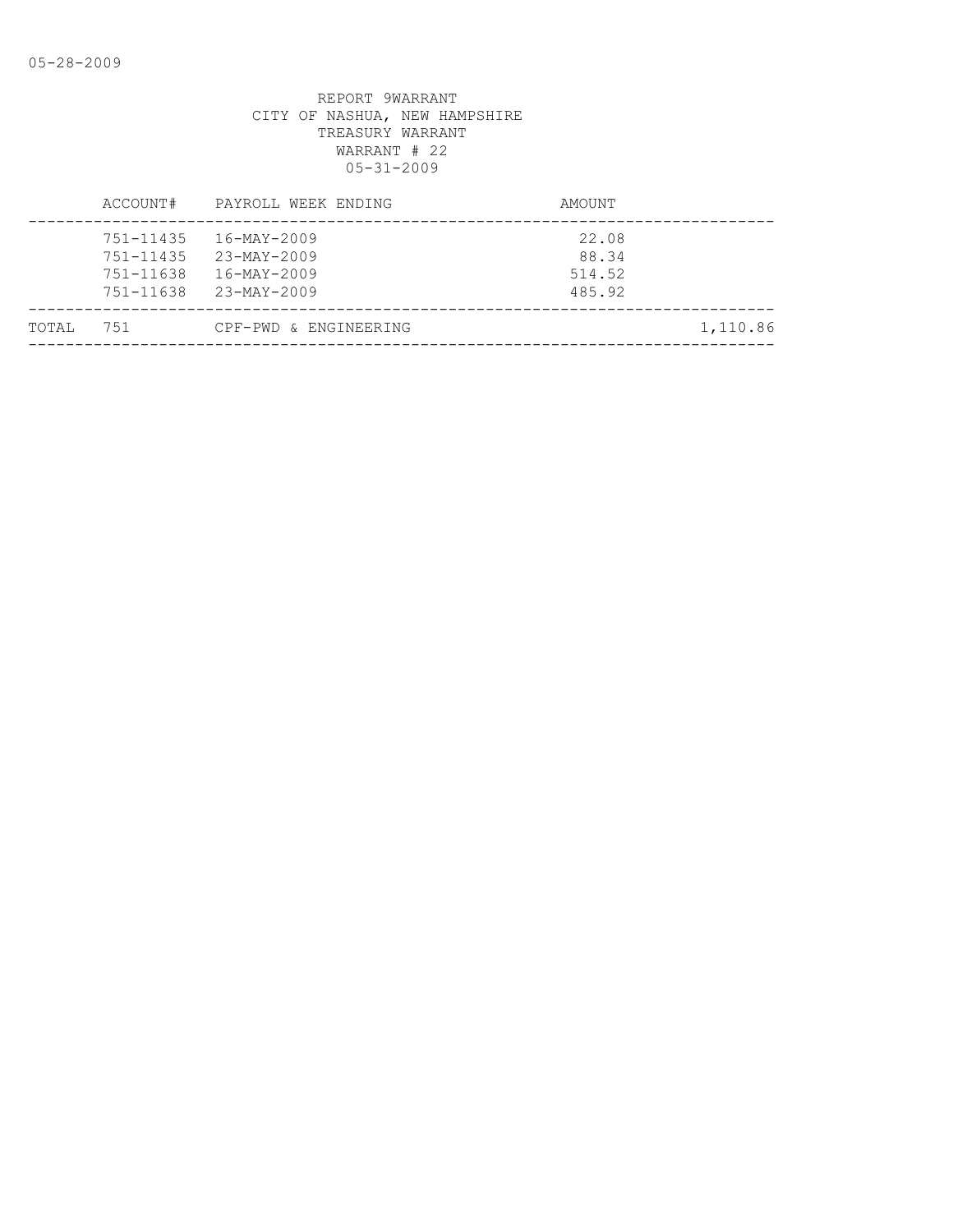|       | ACCOUNT#                                                 | PAYROLL WEEK ENDING                                                                      | AMOUNT                             |          |
|-------|----------------------------------------------------------|------------------------------------------------------------------------------------------|------------------------------------|----------|
|       | 751-11435<br>$751 - 11435$<br>$751 - 11638$<br>751-11638 | 16-MAY-2009<br>$23 - \text{MAX} - 2009$<br>$16 - \text{MAX} - 2009$<br>$23 - MAX - 2009$ | 22.08<br>88.34<br>514.52<br>485.92 |          |
| TOTAL | 751                                                      | CPF-PWD & ENGINEERING                                                                    |                                    | 1,110.86 |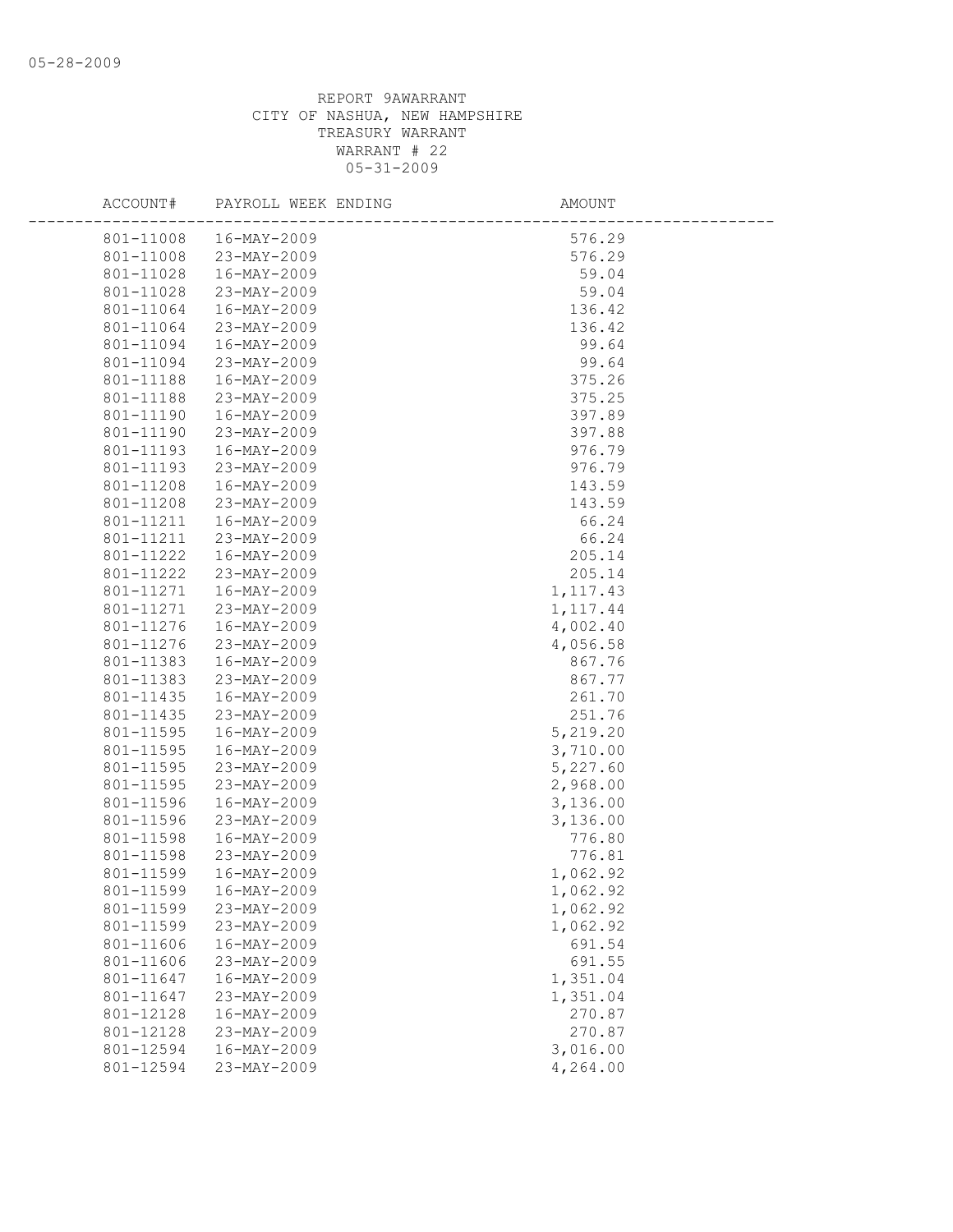| ACCOUNT#               | PAYROLL WEEK ENDING        | AMOUNT               |  |
|------------------------|----------------------------|----------------------|--|
| 801-11008              | 16-MAY-2009                | 576.29               |  |
| 801-11008              | 23-MAY-2009                | 576.29               |  |
| 801-11028              | 16-MAY-2009                | 59.04                |  |
| 801-11028              | 23-MAY-2009                | 59.04                |  |
| 801-11064              | 16-MAY-2009                | 136.42               |  |
| 801-11064              | 23-MAY-2009                | 136.42               |  |
| 801-11094              | 16-MAY-2009                | 99.64                |  |
| 801-11094              | 23-MAY-2009                | 99.64                |  |
| 801-11188              | 16-MAY-2009                | 375.26               |  |
| 801-11188              | 23-MAY-2009                | 375.25               |  |
| 801-11190              | 16-MAY-2009                | 397.89               |  |
| 801-11190              | 23-MAY-2009                | 397.88               |  |
| 801-11193              | 16-MAY-2009                | 976.79               |  |
| 801-11193              | 23-MAY-2009                | 976.79               |  |
| 801-11208              | 16-MAY-2009                | 143.59               |  |
| 801-11208              | 23-MAY-2009                | 143.59               |  |
| 801-11211              | 16-MAY-2009                | 66.24                |  |
| 801-11211              | 23-MAY-2009                | 66.24                |  |
| 801-11222              | 16-MAY-2009                | 205.14               |  |
| 801-11222              | 23-MAY-2009                | 205.14               |  |
| 801-11271              | 16-MAY-2009                | 1, 117.43            |  |
| 801-11271              | 23-MAY-2009                | 1, 117.44            |  |
| 801-11276              | 16-MAY-2009                | 4,002.40             |  |
| 801-11276              | 23-MAY-2009                | 4,056.58             |  |
| 801-11383              | 16-MAY-2009                | 867.76               |  |
| 801-11383              | 23-MAY-2009                | 867.77               |  |
| 801-11435              | 16-MAY-2009                | 261.70               |  |
| 801-11435              | 23-MAY-2009                | 251.76               |  |
| 801-11595              | 16-MAY-2009                | 5,219.20             |  |
| 801-11595              | 16-MAY-2009                | 3,710.00             |  |
| 801-11595              | 23-MAY-2009                | 5,227.60             |  |
| 801-11595              | 23-MAY-2009                | 2,968.00             |  |
| 801-11596              | 16-MAY-2009                | 3,136.00             |  |
| 801-11596              | 23-MAY-2009                | 3,136.00             |  |
| 801-11598<br>801-11598 | 16-MAY-2009<br>23-MAY-2009 | 776.80               |  |
| 801-11599              | 16-MAY-2009                | 776.81<br>1,062.92   |  |
| 801-11599              | 16-MAY-2009                | 1,062.92             |  |
|                        |                            |                      |  |
| 801-11599<br>801-11599 | 23-MAY-2009<br>23-MAY-2009 | 1,062.92<br>1,062.92 |  |
| 801-11606              | 16-MAY-2009                | 691.54               |  |
| 801-11606              | 23-MAY-2009                | 691.55               |  |
| 801-11647              | 16-MAY-2009                | 1,351.04             |  |
| 801-11647              | 23-MAY-2009                | 1,351.04             |  |
| 801-12128              | 16-MAY-2009                | 270.87               |  |
| 801-12128              | 23-MAY-2009                | 270.87               |  |
| 801-12594              | $16 - MAX - 2009$          | 3,016.00             |  |
| 801-12594              | 23-MAY-2009                | 4,264.00             |  |
|                        |                            |                      |  |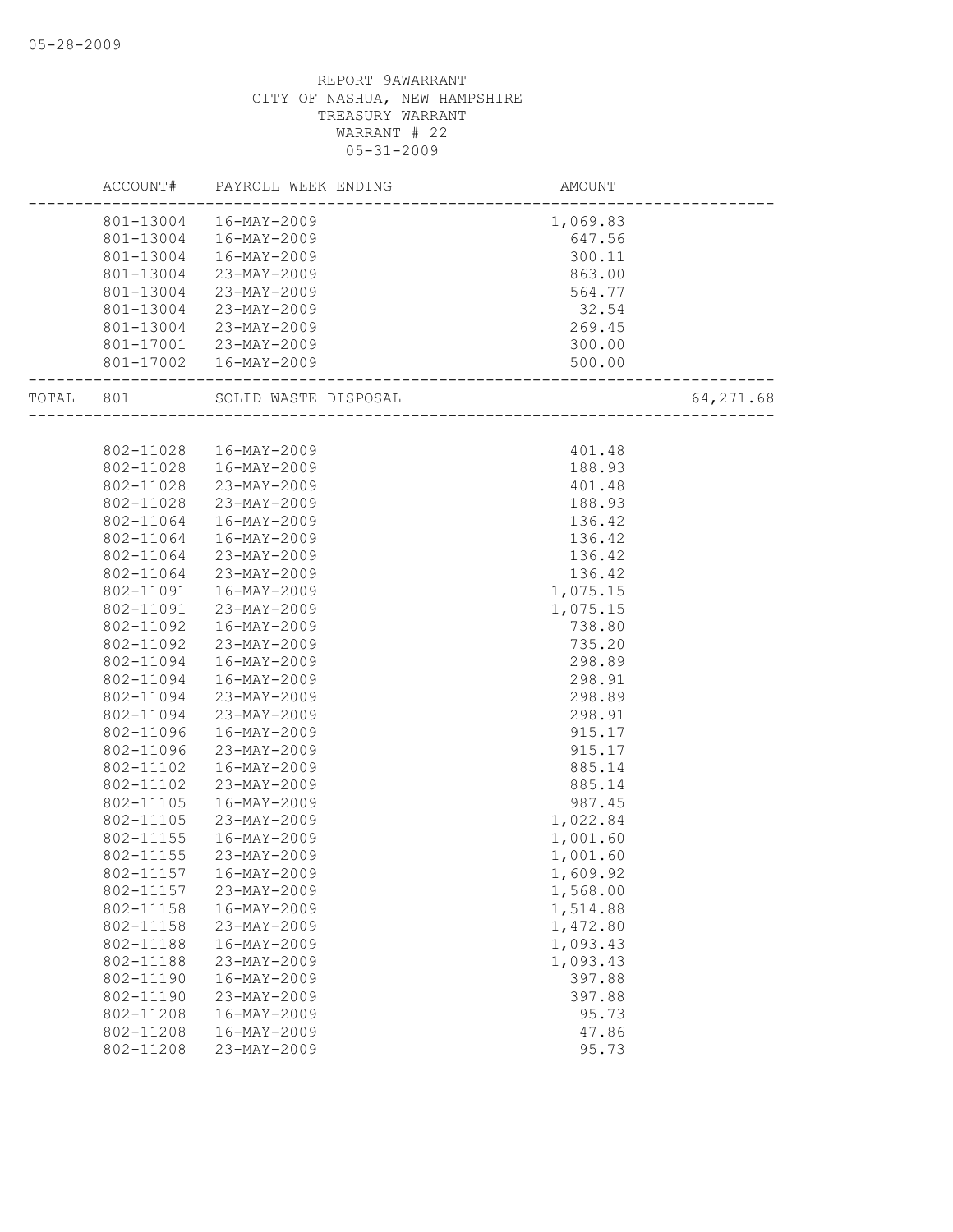|           |           | ACCOUNT# PAYROLL WEEK ENDING | AMOUNT                          |           |
|-----------|-----------|------------------------------|---------------------------------|-----------|
|           |           | 801-13004  16-MAY-2009       | 1,069.83                        |           |
|           |           | 801-13004  16-MAY-2009       | 647.56                          |           |
|           |           | 801-13004  16-MAY-2009       | 300.11                          |           |
|           | 801-13004 | 23-MAY-2009                  | 863.00                          |           |
|           | 801-13004 | 23-MAY-2009                  | 564.77                          |           |
|           | 801-13004 | 23-MAY-2009                  | 32.54                           |           |
|           | 801-13004 | 23-MAY-2009                  | 269.45                          |           |
|           |           | 801-17001 23-MAY-2009        | 300.00                          |           |
|           |           | 801-17002  16-MAY-2009       | 500.00<br>--------------------- |           |
| TOTAL 801 |           | SOLID WASTE DISPOSAL         |                                 | 64,271.68 |
|           |           |                              |                                 |           |
|           |           | 802-11028  16-MAY-2009       | 401.48                          |           |
|           |           | 802-11028  16-MAY-2009       | 188.93                          |           |
|           | 802-11028 | 23-MAY-2009                  | 401.48                          |           |
|           | 802-11028 | 23-MAY-2009                  | 188.93                          |           |
|           | 802-11064 | 16-MAY-2009                  | 136.42                          |           |
|           | 802-11064 | 16-MAY-2009                  | 136.42                          |           |
|           | 802-11064 | 23-MAY-2009                  | 136.42                          |           |
|           | 802-11064 | 23-MAY-2009                  | 136.42                          |           |
|           | 802-11091 | 16-MAY-2009                  | 1,075.15                        |           |
|           | 802-11091 | 23-MAY-2009                  | 1,075.15                        |           |
|           | 802-11092 | 16-MAY-2009                  | 738.80                          |           |
|           | 802-11092 | 23-MAY-2009                  | 735.20                          |           |
|           | 802-11094 | 16-MAY-2009                  | 298.89                          |           |
|           | 802-11094 | 16-MAY-2009                  | 298.91                          |           |
|           | 802-11094 | 23-MAY-2009                  | 298.89                          |           |
|           | 802-11094 | 23-MAY-2009                  | 298.91                          |           |
|           | 802-11096 | 16-MAY-2009                  | 915.17                          |           |
|           | 802-11096 | 23-MAY-2009                  | 915.17                          |           |
|           | 802-11102 | 16-MAY-2009                  | 885.14                          |           |
|           | 802-11102 | 23-MAY-2009                  | 885.14                          |           |
|           | 802-11105 | 16-MAY-2009                  | 987.45                          |           |
|           | 802-11105 | 23-MAY-2009                  | 1,022.84                        |           |
|           | 802-11155 | 16-MAY-2009                  | 1,001.60                        |           |
|           | 802-11155 | 23-MAY-2009                  | 1,001.60                        |           |
|           | 802-11157 | 16-MAY-2009                  | 1,609.92                        |           |
|           | 802-11157 | 23-MAY-2009                  | 1,568.00                        |           |
|           | 802-11158 | 16-MAY-2009                  | 1,514.88                        |           |
|           | 802-11158 | 23-MAY-2009                  | 1,472.80                        |           |
|           | 802-11188 | 16-MAY-2009                  | 1,093.43                        |           |
|           | 802-11188 | 23-MAY-2009                  | 1,093.43                        |           |
|           | 802-11190 | 16-MAY-2009                  | 397.88                          |           |
|           | 802-11190 | 23-MAY-2009                  | 397.88                          |           |
|           | 802-11208 | 16-MAY-2009                  | 95.73                           |           |
|           | 802-11208 | 16-MAY-2009                  | 47.86                           |           |
|           | 802-11208 | 23-MAY-2009                  | 95.73                           |           |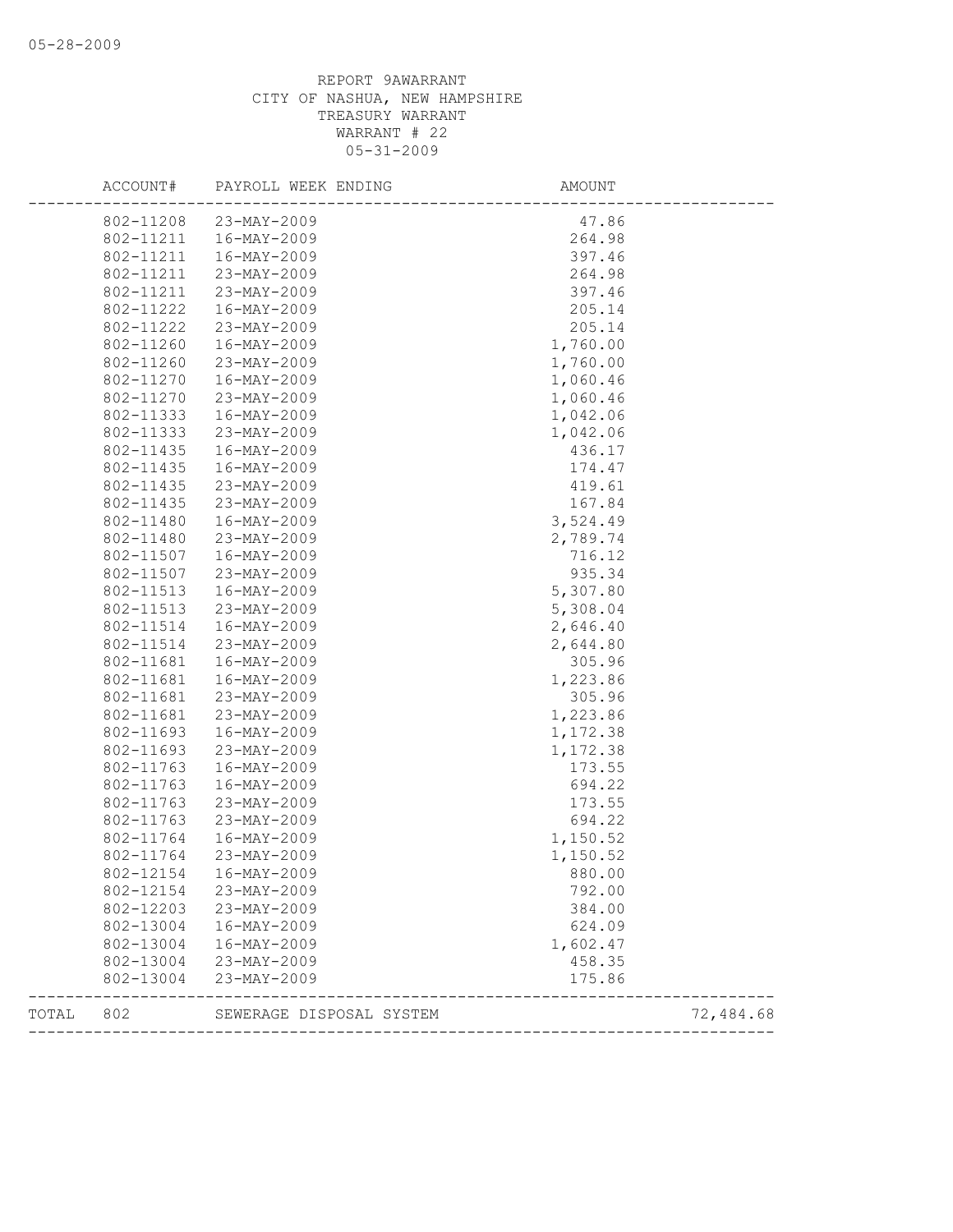|       | ACCOUNT#               | PAYROLL WEEK ENDING        | AMOUNT             |           |
|-------|------------------------|----------------------------|--------------------|-----------|
|       | 802-11208              | 23-MAY-2009                | 47.86              |           |
|       | 802-11211              | 16-MAY-2009                | 264.98             |           |
|       | 802-11211              | 16-MAY-2009                | 397.46             |           |
|       | 802-11211              | 23-MAY-2009                | 264.98             |           |
|       | 802-11211              | 23-MAY-2009                | 397.46             |           |
|       | 802-11222              | 16-MAY-2009                | 205.14             |           |
|       | 802-11222              | 23-MAY-2009                | 205.14             |           |
|       | 802-11260              | 16-MAY-2009                | 1,760.00           |           |
|       | 802-11260              | 23-MAY-2009                | 1,760.00           |           |
|       | 802-11270              | 16-MAY-2009                | 1,060.46           |           |
|       | 802-11270              | 23-MAY-2009                | 1,060.46           |           |
|       | 802-11333              | 16-MAY-2009                | 1,042.06           |           |
|       | 802-11333              | 23-MAY-2009                | 1,042.06           |           |
|       | 802-11435              | 16-MAY-2009                | 436.17             |           |
|       | 802-11435              | 16-MAY-2009                | 174.47             |           |
|       | 802-11435              | 23-MAY-2009                | 419.61             |           |
|       | 802-11435              | 23-MAY-2009                | 167.84             |           |
|       | 802-11480              | 16-MAY-2009                | 3,524.49           |           |
|       | 802-11480              | 23-MAY-2009                | 2,789.74           |           |
|       | 802-11507              | 16-MAY-2009                | 716.12             |           |
|       | 802-11507              | 23-MAY-2009                | 935.34             |           |
|       | 802-11513              | 16-MAY-2009                | 5,307.80           |           |
|       | 802-11513              | 23-MAY-2009                | 5,308.04           |           |
|       | 802-11514              | 16-MAY-2009                | 2,646.40           |           |
|       | 802-11514              | 23-MAY-2009                | 2,644.80           |           |
|       | 802-11681              | 16-MAY-2009                | 305.96             |           |
|       | 802-11681              | 16-MAY-2009                | 1,223.86           |           |
|       | 802-11681              | 23-MAY-2009                | 305.96             |           |
|       | 802-11681              | 23-MAY-2009                | 1,223.86           |           |
|       | 802-11693              | 16-MAY-2009                | 1,172.38           |           |
|       | 802-11693              | 23-MAY-2009                | 1,172.38           |           |
|       | 802-11763              | $16 - MAY - 2009$          | 173.55             |           |
|       | 802-11763              | 16-MAY-2009                | 694.22             |           |
|       | 802-11763              | 23-MAY-2009                | 173.55             |           |
|       | 802-11763              | 23-MAY-2009                | 694.22             |           |
|       | 802-11764              | 16-MAY-2009                | 1,150.52           |           |
|       | 802-11764              | 23-MAY-2009                | 1,150.52           |           |
|       | 802-12154              | 16-MAY-2009                | 880.00             |           |
|       | 802-12154              | 23-MAY-2009                | 792.00             |           |
|       | 802-12203<br>802-13004 | 23-MAY-2009<br>16-MAY-2009 | 384.00<br>624.09   |           |
|       | 802-13004              |                            |                    |           |
|       | 802-13004              | 16-MAY-2009<br>23-MAY-2009 | 1,602.47<br>458.35 |           |
|       | 802-13004              | 23-MAY-2009                | 175.86             |           |
|       |                        |                            |                    |           |
| TOTAL | 802                    | SEWERAGE DISPOSAL SYSTEM   |                    | 72,484.68 |
|       |                        |                            |                    |           |